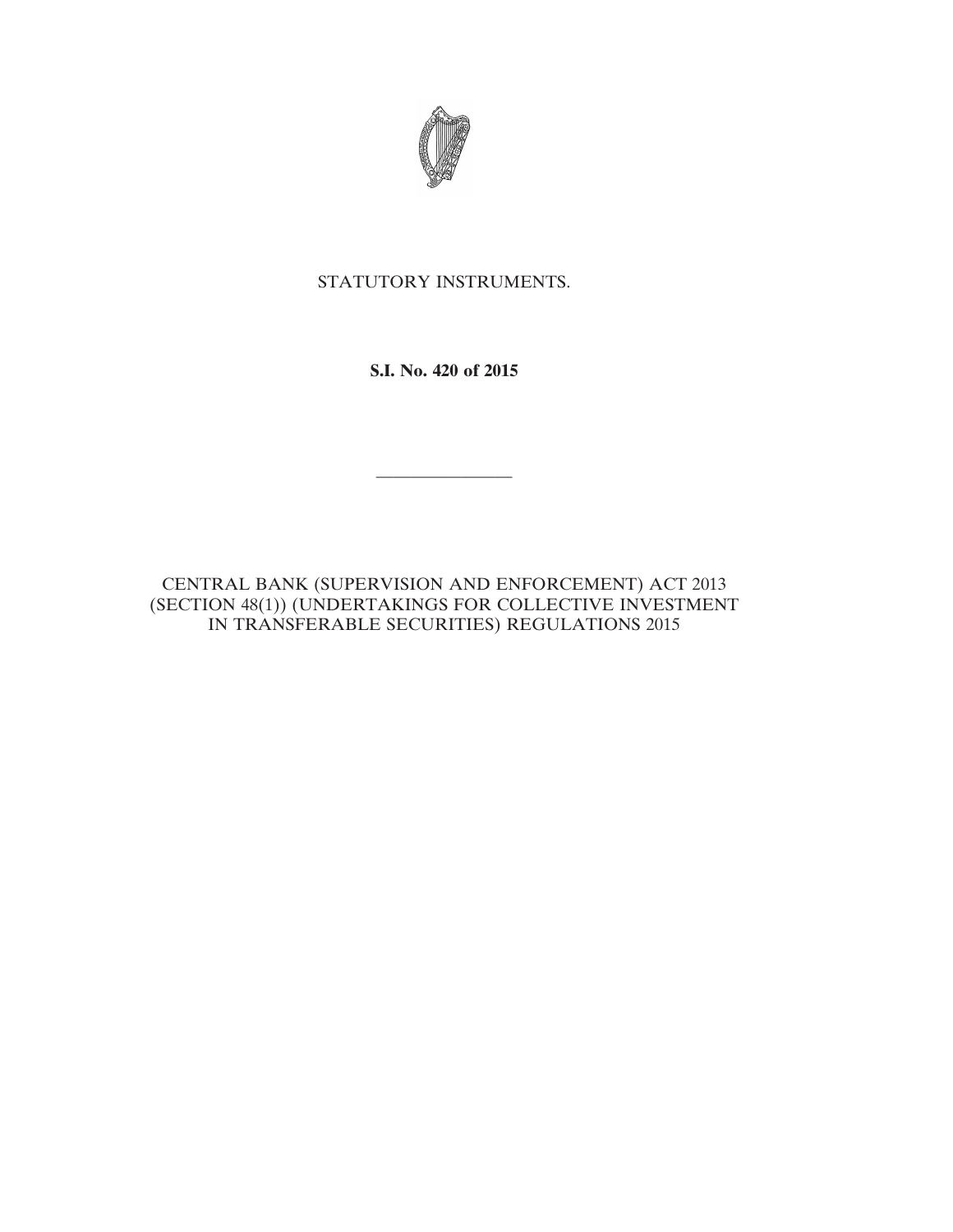

# STATUTORY INSTRUMENTS.

**S.I. No. 420 of 2015**

————————

CENTRAL BANK (SUPERVISION AND ENFORCEMENT) ACT 2013 (SECTION 48(1)) (UNDERTAKINGS FOR COLLECTIVE INVESTMENT IN TRANSFERABLE SECURITIES) REGULATIONS 2015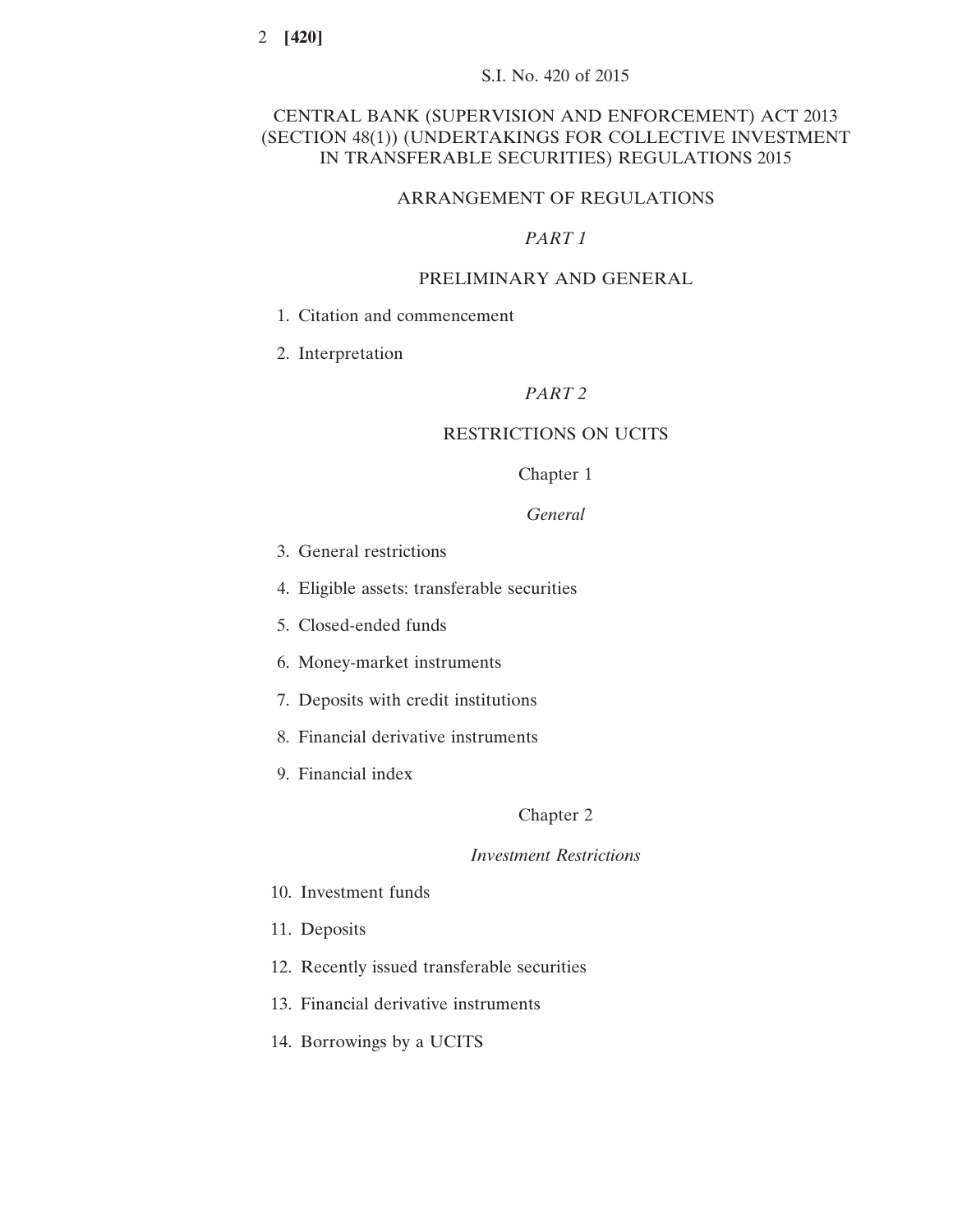## CENTRAL BANK (SUPERVISION AND ENFORCEMENT) ACT 2013 (SECTION 48(1)) (UNDERTAKINGS FOR COLLECTIVE INVESTMENT IN TRANSFERABLE SECURITIES) REGULATIONS 2015

## ARRANGEMENT OF REGULATIONS

## *PART 1*

## PRELIMINARY AND GENERAL

- 1. Citation and commencement
- 2. Interpretation

## *PART 2*

# RESTRICTIONS ON UCITS

## Chapter 1

*General*

- 3. General restrictions
- 4. Eligible assets: transferable securities
- 5. Closed-ended funds
- 6. Money-market instruments
- 7. Deposits with credit institutions
- 8. Financial derivative instruments
- 9. Financial index

## Chapter 2

### *Investment Restrictions*

- 10. Investment funds
- 11. Deposits
- 12. Recently issued transferable securities
- 13. Financial derivative instruments
- 14. Borrowings by a UCITS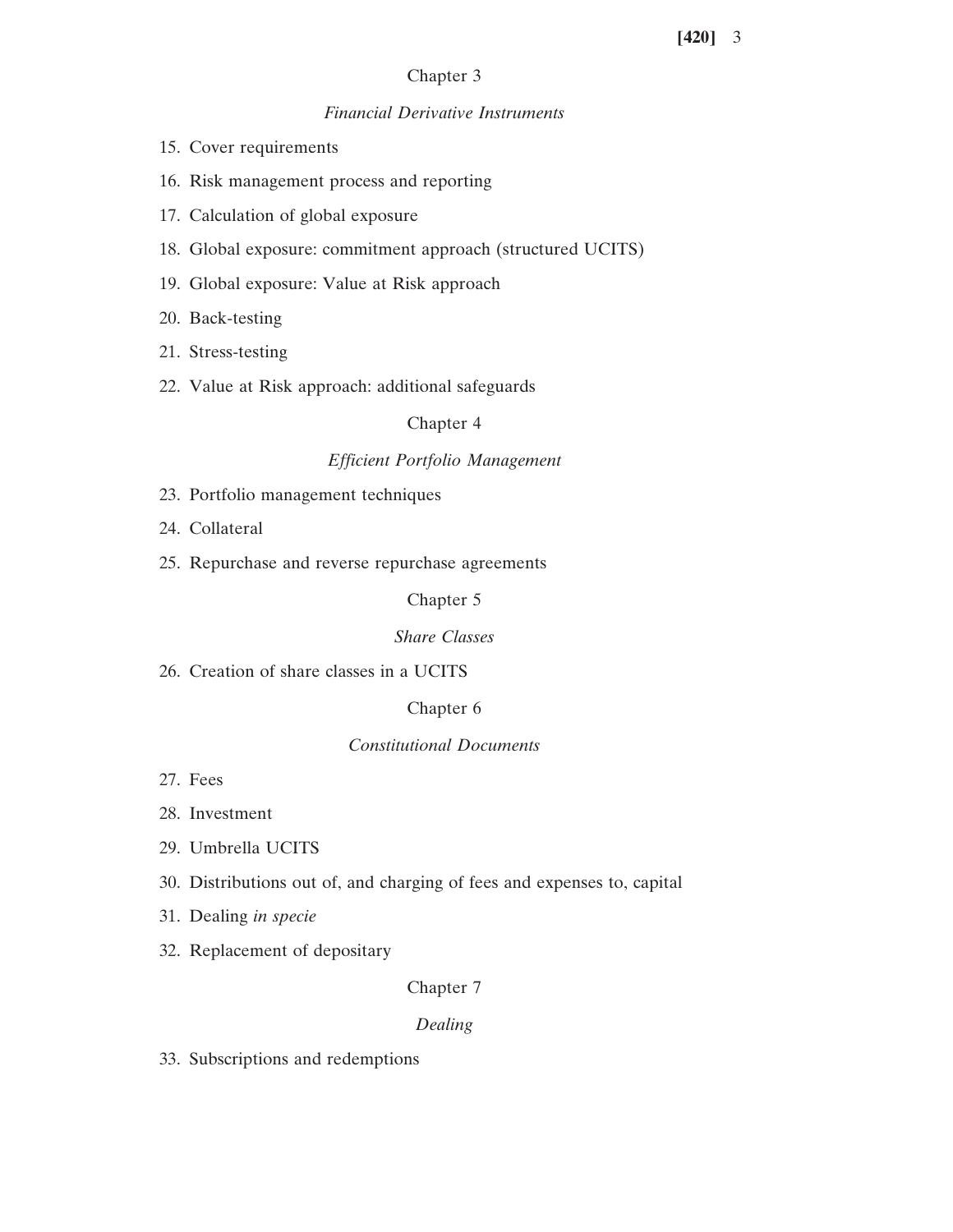## Chapter 3

### *Financial Derivative Instruments*

- 15. Cover requirements
- 16. Risk management process and reporting
- 17. Calculation of global exposure
- 18. Global exposure: commitment approach (structured UCITS)
- 19. Global exposure: Value at Risk approach
- 20. Back-testing
- 21. Stress-testing
- 22. Value at Risk approach: additional safeguards

## Chapter 4

## *Efficient Portfolio Management*

- 23. Portfolio management techniques
- 24. Collateral
- 25. Repurchase and reverse repurchase agreements

Chapter 5

### *Share Classes*

26. Creation of share classes in a UCITS

### Chapter 6

## *Constitutional Documents*

- 27. Fees
- 28. Investment
- 29. Umbrella UCITS
- 30. Distributions out of, and charging of fees and expenses to, capital
- 31. Dealing *in specie*
- 32. Replacement of depositary

## Chapter 7

### *Dealing*

33. Subscriptions and redemptions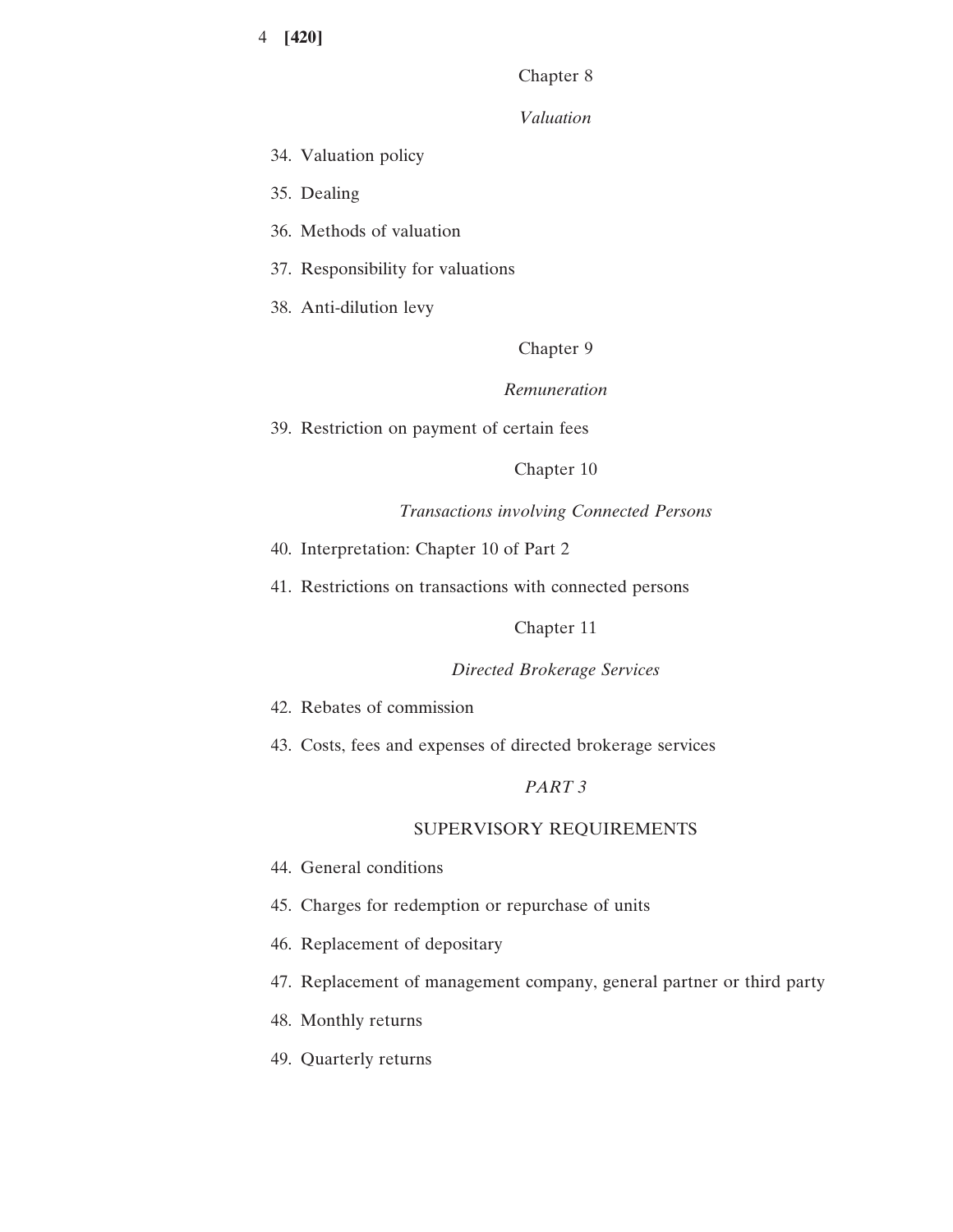## Chapter 8

*Valuation*

- 34. Valuation policy
- 35. Dealing
- 36. Methods of valuation
- 37. Responsibility for valuations
- 38. Anti-dilution levy

### Chapter 9

### *Remuneration*

39. Restriction on payment of certain fees

### Chapter 10

## *Transactions involving Connected Persons*

- 40. Interpretation: Chapter 10 of Part 2
- 41. Restrictions on transactions with connected persons

## Chapter 11

## *Directed Brokerage Services*

- 42. Rebates of commission
- 43. Costs, fees and expenses of directed brokerage services

## *PART 3*

### SUPERVISORY REQUIREMENTS

- 44. General conditions
- 45. Charges for redemption or repurchase of units
- 46. Replacement of depositary
- 47. Replacement of management company, general partner or third party
- 48. Monthly returns
- 49. Quarterly returns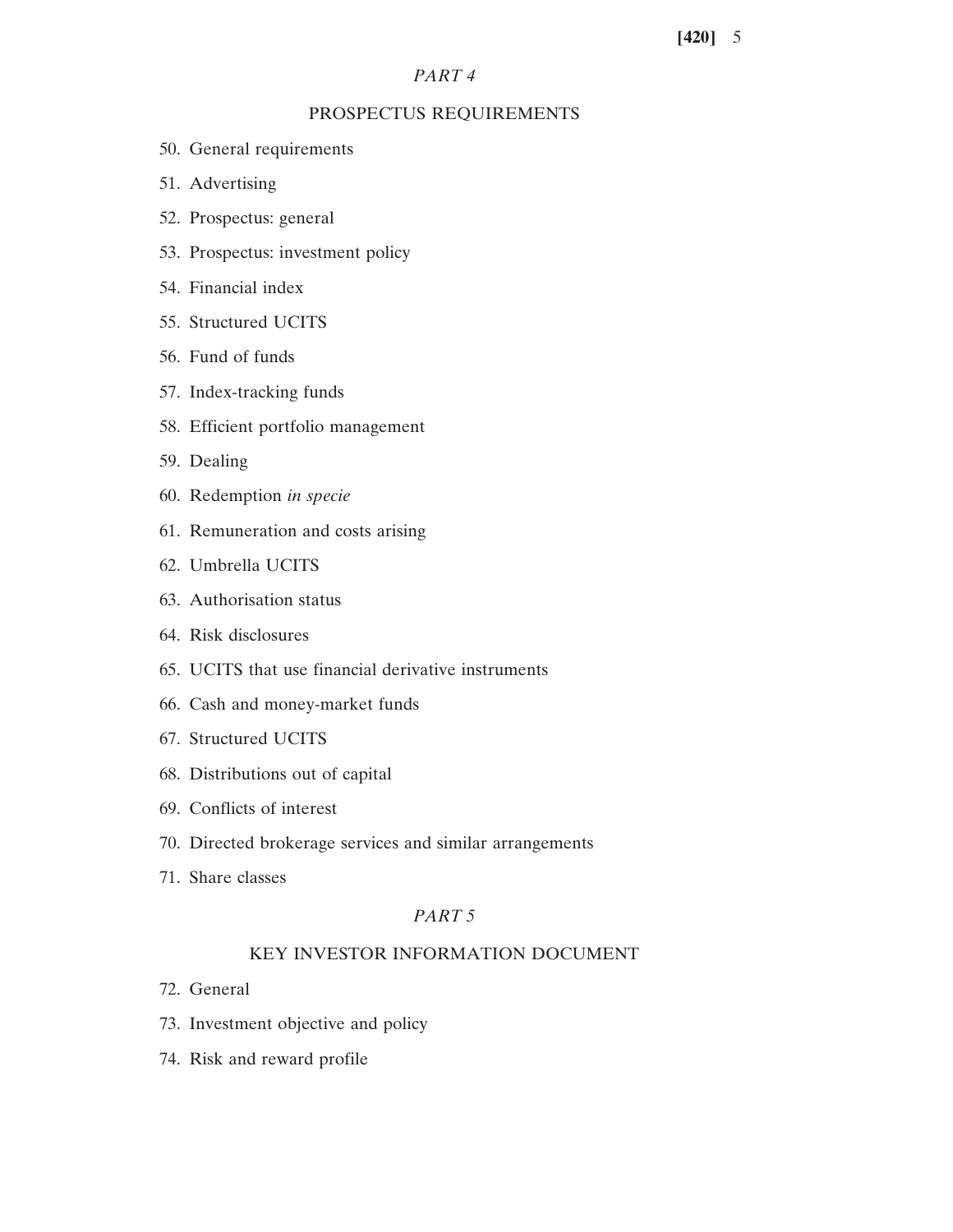## *PART 4*

## PROSPECTUS REQUIREMENTS

- 50. General requirements
- 51. Advertising
- 52. Prospectus: general
- 53. Prospectus: investment policy
- 54. Financial index
- 55. Structured UCITS
- 56. Fund of funds
- 57. Index-tracking funds
- 58. Efficient portfolio management
- 59. Dealing
- 60. Redemption *in specie*
- 61. Remuneration and costs arising
- 62. Umbrella UCITS
- 63. Authorisation status
- 64. Risk disclosures
- 65. UCITS that use financial derivative instruments
- 66. Cash and money-market funds
- 67. Structured UCITS
- 68. Distributions out of capital
- 69. Conflicts of interest
- 70. Directed brokerage services and similar arrangements
- 71. Share classes

### *PART 5*

## KEY INVESTOR INFORMATION DOCUMENT

- 72. General
- 73. Investment objective and policy
- 74. Risk and reward profile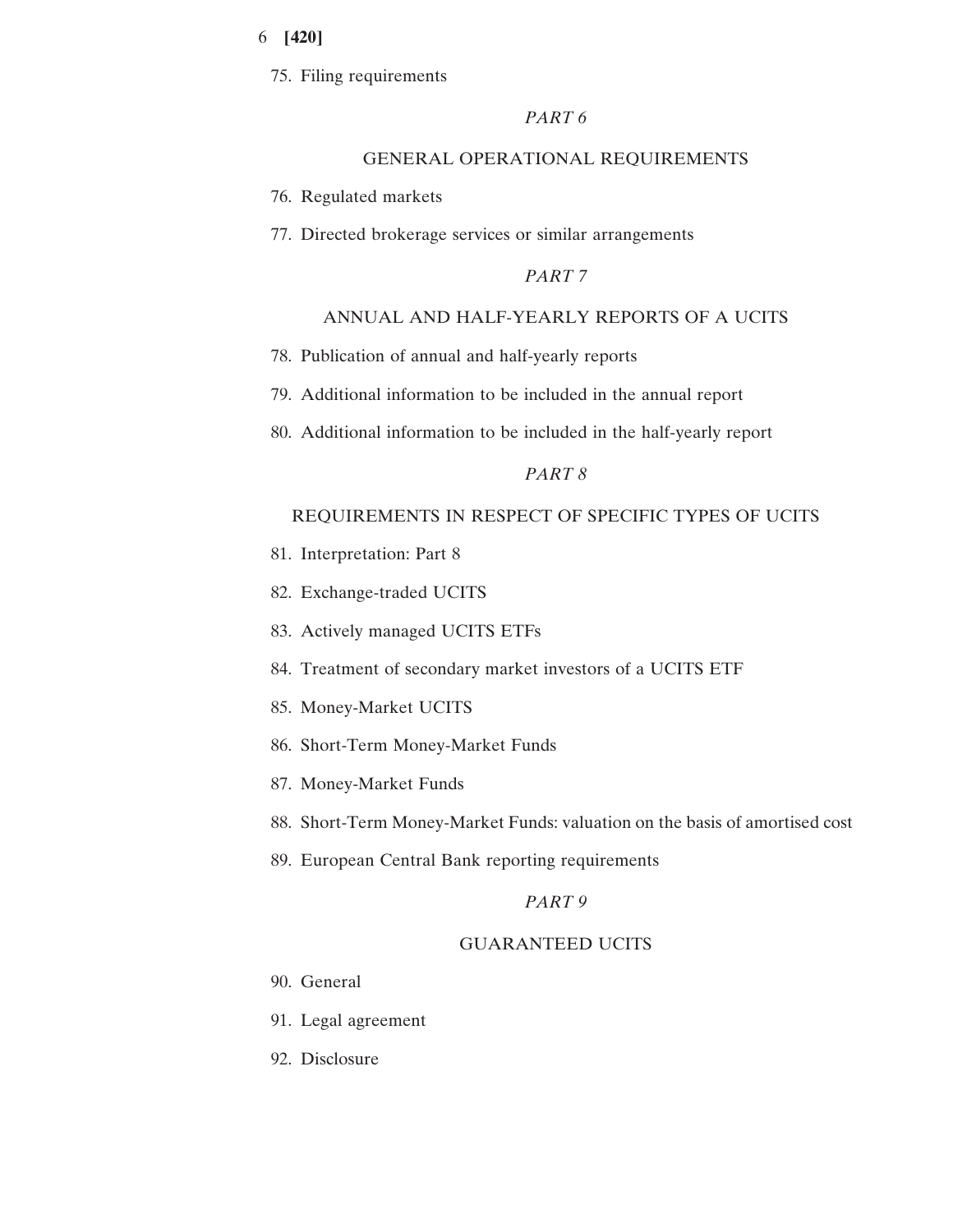75. Filing requirements

### *PART 6*

### GENERAL OPERATIONAL REQUIREMENTS

- 76. Regulated markets
- 77. Directed brokerage services or similar arrangements

## *PART 7*

## ANNUAL AND HALF-YEARLY REPORTS OF A UCITS

- 78. Publication of annual and half-yearly reports
- 79. Additional information to be included in the annual report
- 80. Additional information to be included in the half-yearly report

## *PART 8*

## REQUIREMENTS IN RESPECT OF SPECIFIC TYPES OF UCITS

- 81. Interpretation: Part 8
- 82. Exchange-traded UCITS
- 83. Actively managed UCITS ETFs
- 84. Treatment of secondary market investors of a UCITS ETF
- 85. Money-Market UCITS
- 86. Short-Term Money-Market Funds
- 87. Money-Market Funds
- 88. Short-Term Money-Market Funds: valuation on the basis of amortised cost
- 89. European Central Bank reporting requirements

## *PART 9*

### GUARANTEED UCITS

- 90. General
- 91. Legal agreement
- 92. Disclosure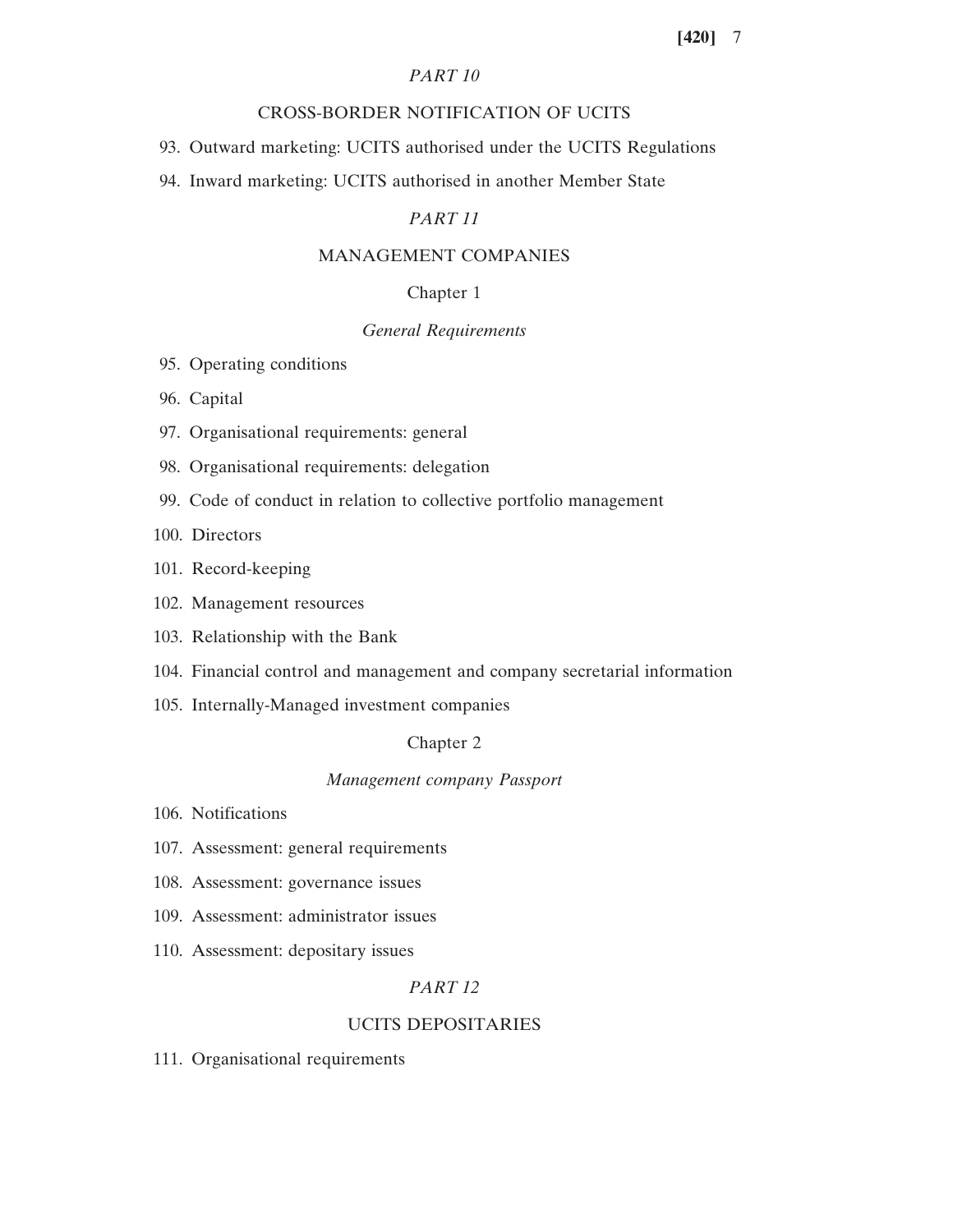## *PART 10*

## CROSS-BORDER NOTIFICATION OF UCITS

- 93. Outward marketing: UCITS authorised under the UCITS Regulations
- 94. Inward marketing: UCITS authorised in another Member State

## *PART 11*

## MANAGEMENT COMPANIES

## Chapter 1

### *General Requirements*

- 95. Operating conditions
- 96. Capital
- 97. Organisational requirements: general
- 98. Organisational requirements: delegation
- 99. Code of conduct in relation to collective portfolio management
- 100. Directors
- 101. Record-keeping
- 102. Management resources
- 103. Relationship with the Bank
- 104. Financial control and management and company secretarial information
- 105. Internally-Managed investment companies

## Chapter 2

### *Management company Passport*

- 106. Notifications
- 107. Assessment: general requirements
- 108. Assessment: governance issues
- 109. Assessment: administrator issues
- 110. Assessment: depositary issues

## *PART 12*

## UCITS DEPOSITARIES

111. Organisational requirements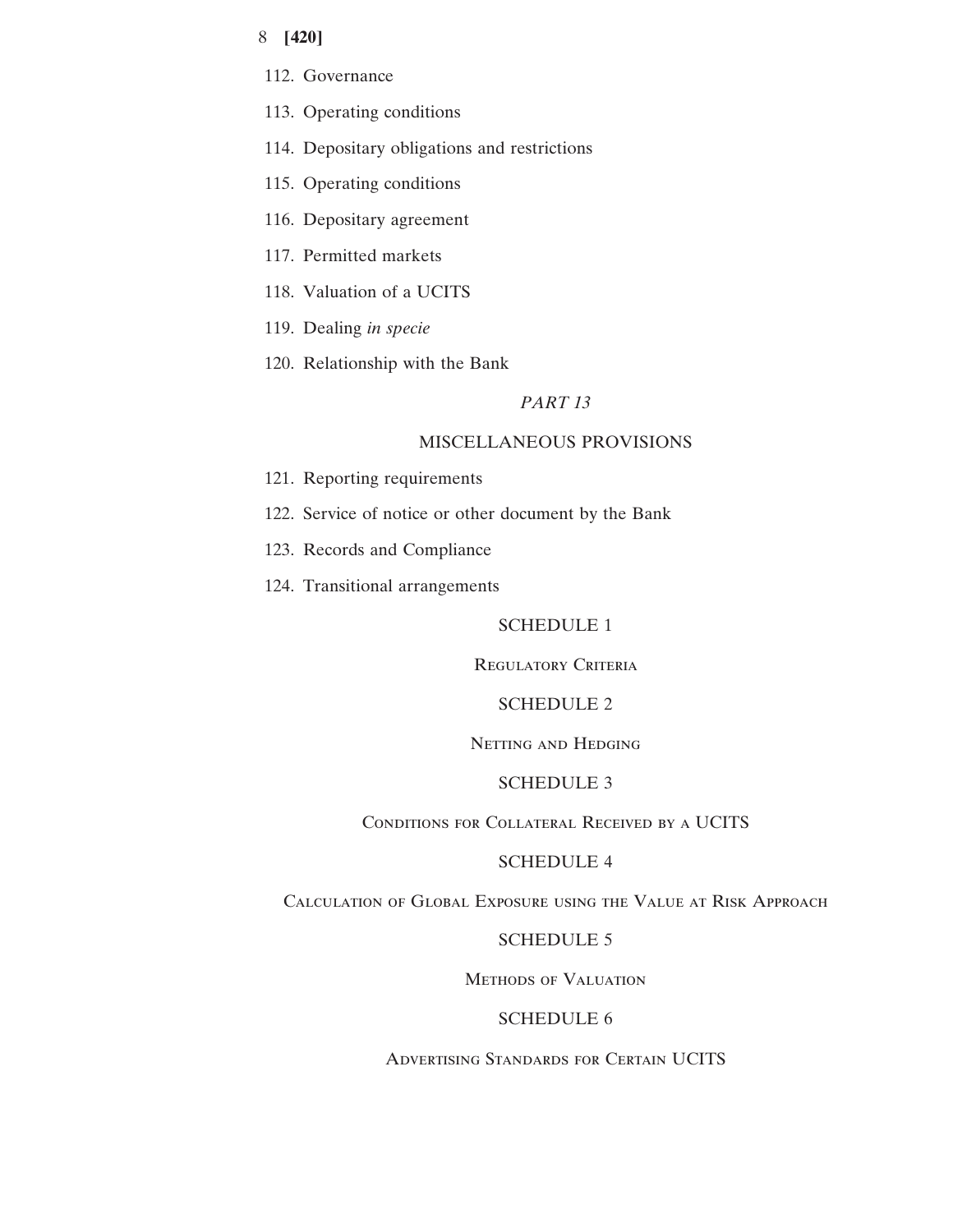- 112. Governance
- 113. Operating conditions
- 114. Depositary obligations and restrictions
- 115. Operating conditions
- 116. Depositary agreement
- 117. Permitted markets
- 118. Valuation of a UCITS
- 119. Dealing *in specie*
- 120. Relationship with the Bank

# *PART 13*

# MISCELLANEOUS PROVISIONS

- 121. Reporting requirements
- 122. Service of notice or other document by the Bank
- 123. Records and Compliance
- 124. Transitional arrangements

## SCHEDULE 1

## REGULATORY CRITERIA

# SCHEDULE 2

### Netting and Hedging

## SCHEDULE 3

## Conditions for Collateral Received by a UCITS

### SCHEDULE 4

## Calculation of Global Exposure using the Value at Risk Approach

### SCHEDULE 5

## Methods of Valuation

## SCHEDULE 6

## Advertising Standards for Certain UCITS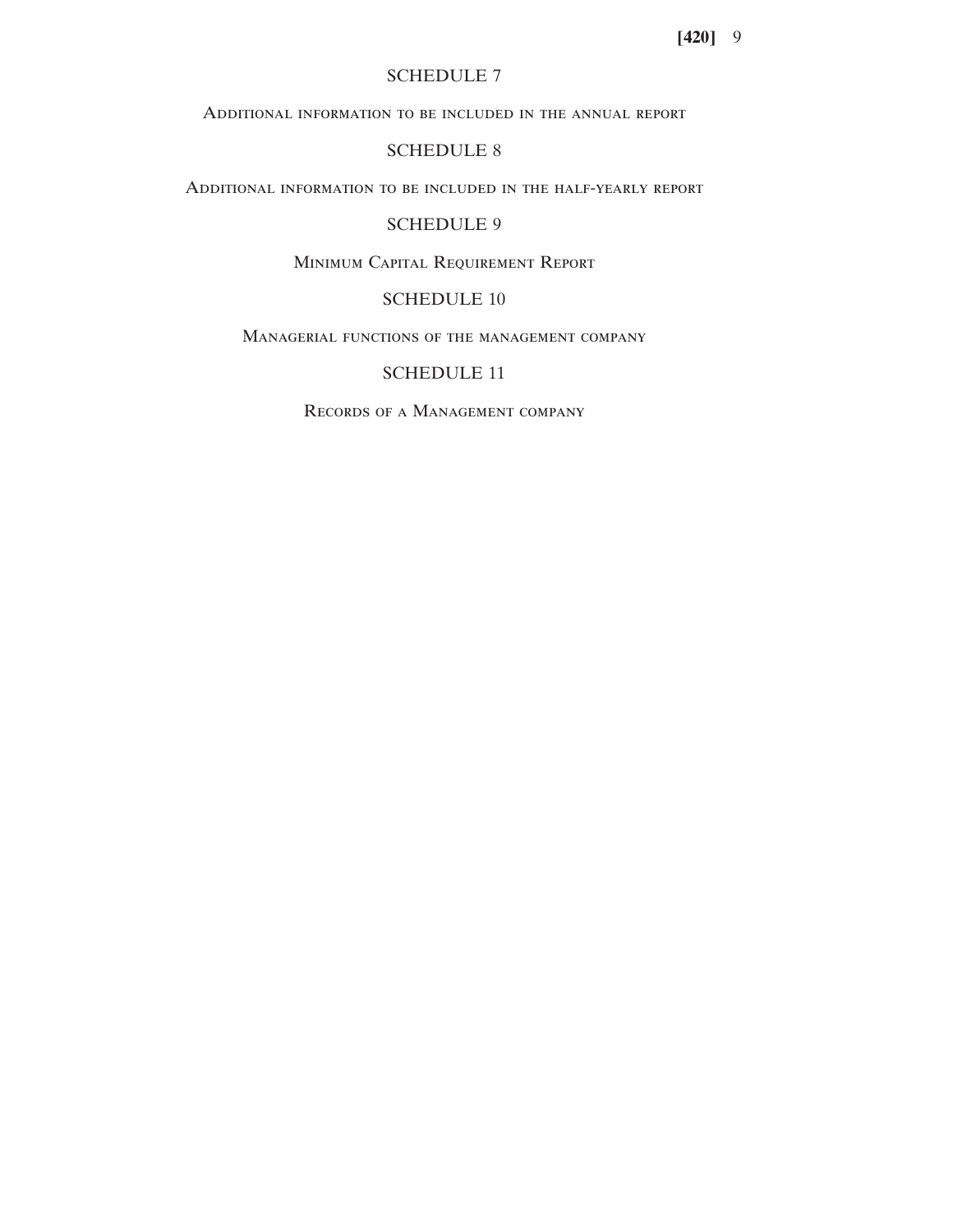## SCHEDULE 7

Additional information to be included in the annual report

## SCHEDULE 8

Additional information to be included in the half-yearly report

## SCHEDULE 9

Minimum Capital Requirement Report

### SCHEDULE 10

Managerial functions of the management company

## SCHEDULE 11

Records of a Management company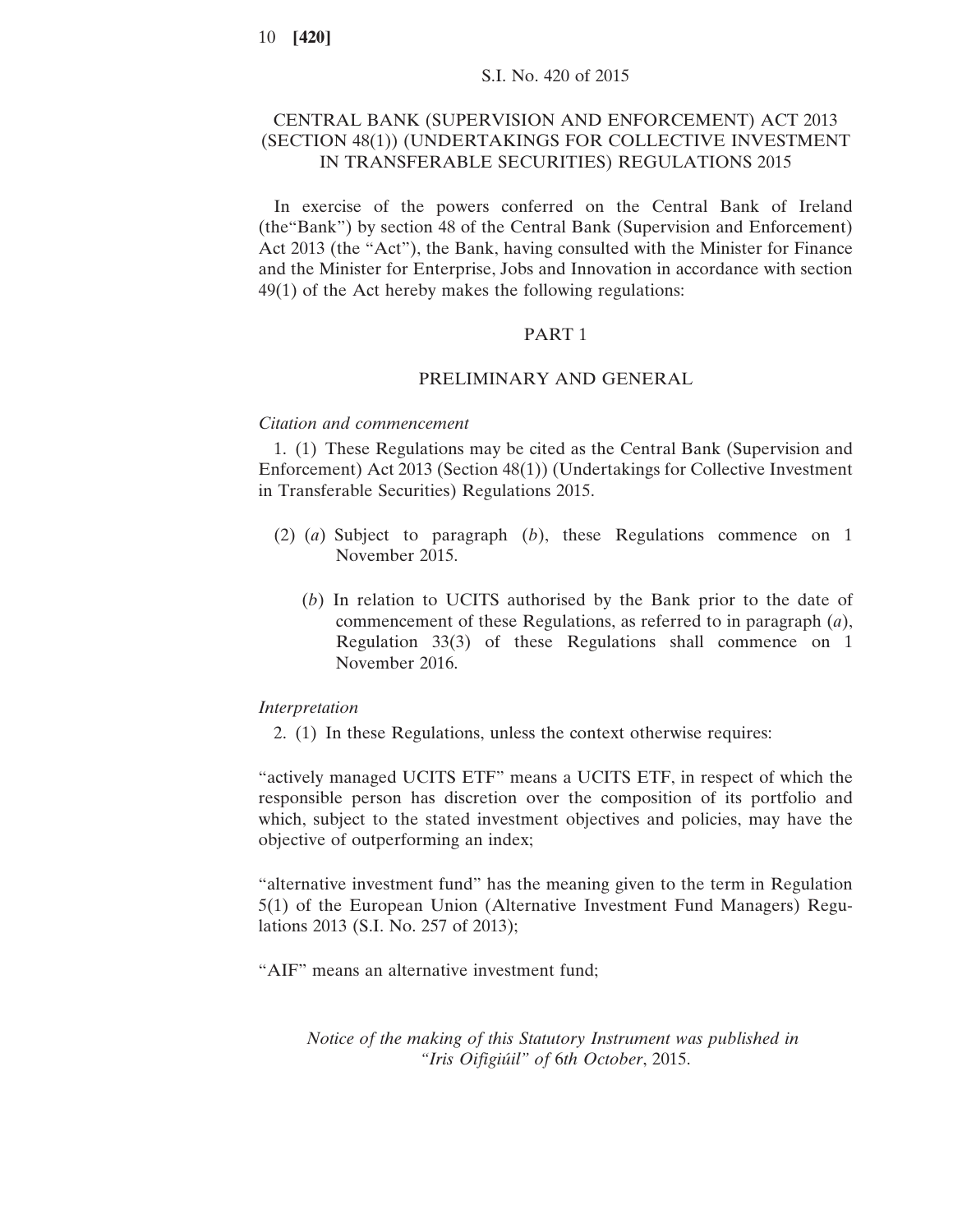## CENTRAL BANK (SUPERVISION AND ENFORCEMENT) ACT 2013 (SECTION 48(1)) (UNDERTAKINGS FOR COLLECTIVE INVESTMENT IN TRANSFERABLE SECURITIES) REGULATIONS 2015

In exercise of the powers conferred on the Central Bank of Ireland (the"Bank") by section 48 of the Central Bank (Supervision and Enforcement) Act 2013 (the "Act"), the Bank, having consulted with the Minister for Finance and the Minister for Enterprise, Jobs and Innovation in accordance with section 49(1) of the Act hereby makes the following regulations:

## PART 1

## PRELIMINARY AND GENERAL

#### *Citation and commencement*

1. (1) These Regulations may be cited as the Central Bank (Supervision and Enforcement) Act 2013 (Section 48(1)) (Undertakings for Collective Investment in Transferable Securities) Regulations 2015.

- (2) (*a*) Subject to paragraph (*b*), these Regulations commence on 1 November 2015.
	- (*b*) In relation to UCITS authorised by the Bank prior to the date of commencement of these Regulations, as referred to in paragraph (*a*), Regulation 33(3) of these Regulations shall commence on 1 November 2016.

#### *Interpretation*

2. (1) In these Regulations, unless the context otherwise requires:

"actively managed UCITS ETF" means a UCITS ETF, in respect of which the responsible person has discretion over the composition of its portfolio and which, subject to the stated investment objectives and policies, may have the objective of outperforming an index;

"alternative investment fund" has the meaning given to the term in Regulation 5(1) of the European Union (Alternative Investment Fund Managers) Regulations 2013 (S.I. No. 257 of 2013);

"AIF" means an alternative investment fund;

*Notice of the making of this Statutory Instrument was published in "Iris Oifigiúil" of* 6*th October*, 2015.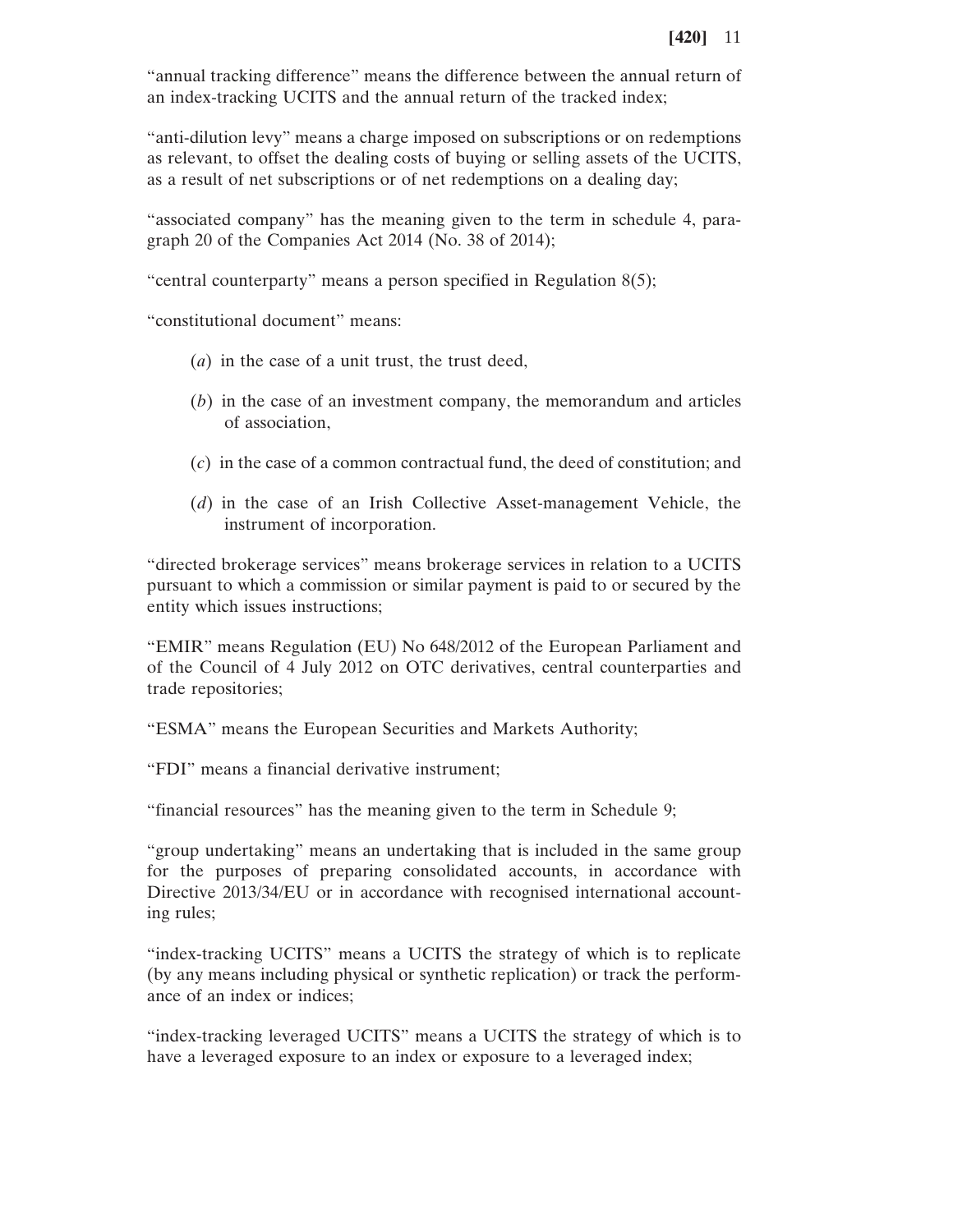"annual tracking difference" means the difference between the annual return of an index-tracking UCITS and the annual return of the tracked index;

"anti-dilution levy" means a charge imposed on subscriptions or on redemptions as relevant, to offset the dealing costs of buying or selling assets of the UCITS, as a result of net subscriptions or of net redemptions on a dealing day;

"associated company" has the meaning given to the term in schedule 4, paragraph 20 of the Companies Act 2014 (No. 38 of 2014);

"central counterparty" means a person specified in Regulation 8(5);

"constitutional document" means:

- (*a*) in the case of a unit trust, the trust deed,
- (*b*) in the case of an investment company, the memorandum and articles of association,
- (*c*) in the case of a common contractual fund, the deed of constitution; and
- (*d*) in the case of an Irish Collective Asset-management Vehicle, the instrument of incorporation.

"directed brokerage services" means brokerage services in relation to a UCITS pursuant to which a commission or similar payment is paid to or secured by the entity which issues instructions;

"EMIR" means Regulation (EU) No 648/2012 of the European Parliament and of the Council of 4 July 2012 on OTC derivatives, central counterparties and trade repositories;

"ESMA" means the European Securities and Markets Authority;

"FDI" means a financial derivative instrument;

"financial resources" has the meaning given to the term in Schedule 9;

"group undertaking" means an undertaking that is included in the same group for the purposes of preparing consolidated accounts, in accordance with Directive 2013/34/EU or in accordance with recognised international accounting rules;

"index-tracking UCITS" means a UCITS the strategy of which is to replicate (by any means including physical or synthetic replication) or track the performance of an index or indices;

"index-tracking leveraged UCITS" means a UCITS the strategy of which is to have a leveraged exposure to an index or exposure to a leveraged index;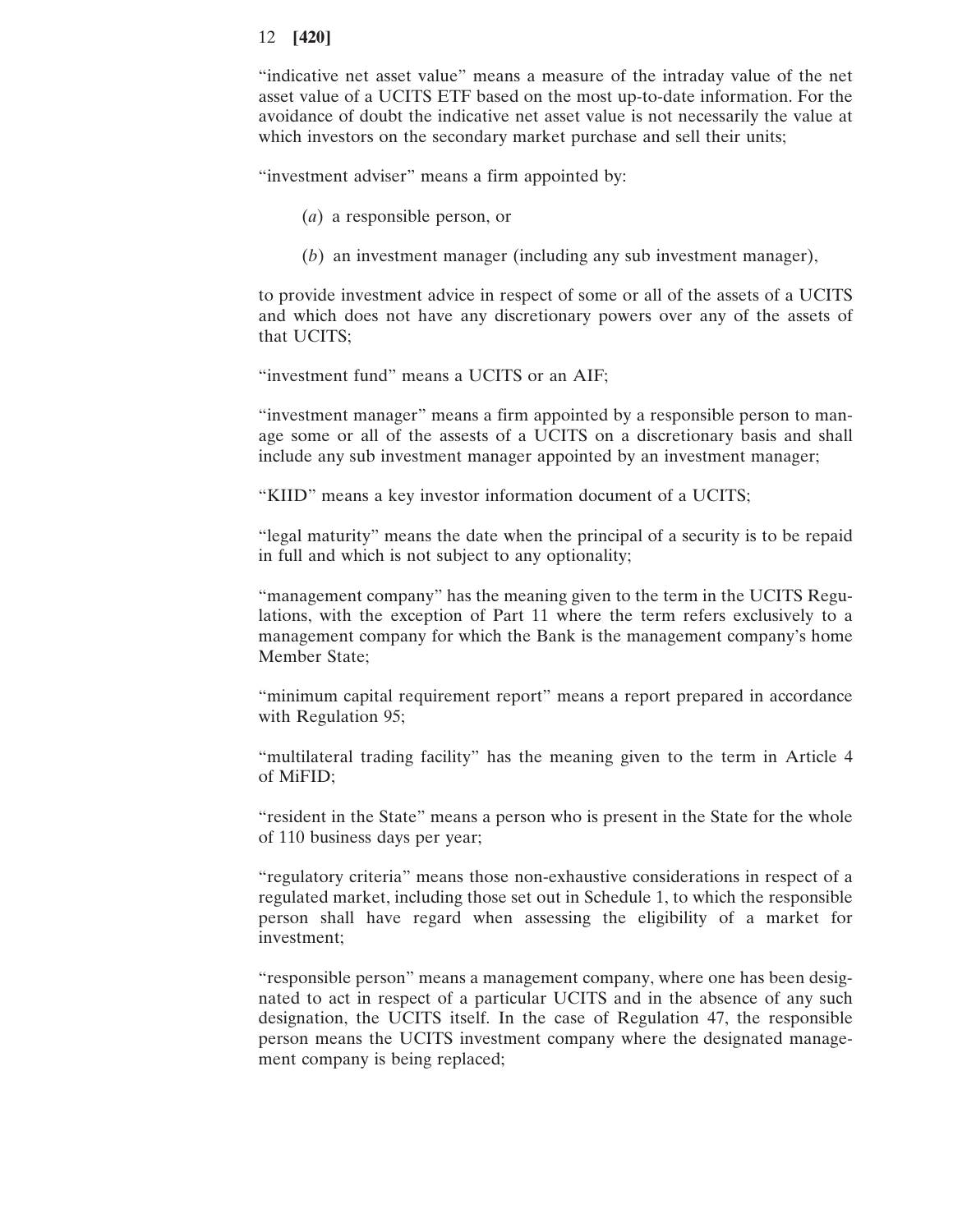"indicative net asset value" means a measure of the intraday value of the net asset value of a UCITS ETF based on the most up-to-date information. For the avoidance of doubt the indicative net asset value is not necessarily the value at which investors on the secondary market purchase and sell their units;

"investment adviser" means a firm appointed by:

- (*a*) a responsible person, or
- (*b*) an investment manager (including any sub investment manager),

to provide investment advice in respect of some or all of the assets of a UCITS and which does not have any discretionary powers over any of the assets of that UCITS;

"investment fund" means a UCITS or an AIF;

"investment manager" means a firm appointed by a responsible person to manage some or all of the assests of a UCITS on a discretionary basis and shall include any sub investment manager appointed by an investment manager;

"KIID" means a key investor information document of a UCITS;

"legal maturity" means the date when the principal of a security is to be repaid in full and which is not subject to any optionality;

"management company" has the meaning given to the term in the UCITS Regulations, with the exception of Part 11 where the term refers exclusively to a management company for which the Bank is the management company's home Member State;

"minimum capital requirement report" means a report prepared in accordance with Regulation 95;

"multilateral trading facility" has the meaning given to the term in Article 4 of MiFID;

"resident in the State" means a person who is present in the State for the whole of 110 business days per year;

"regulatory criteria" means those non-exhaustive considerations in respect of a regulated market, including those set out in Schedule 1, to which the responsible person shall have regard when assessing the eligibility of a market for investment;

"responsible person" means a management company, where one has been designated to act in respect of a particular UCITS and in the absence of any such designation, the UCITS itself. In the case of Regulation 47, the responsible person means the UCITS investment company where the designated management company is being replaced;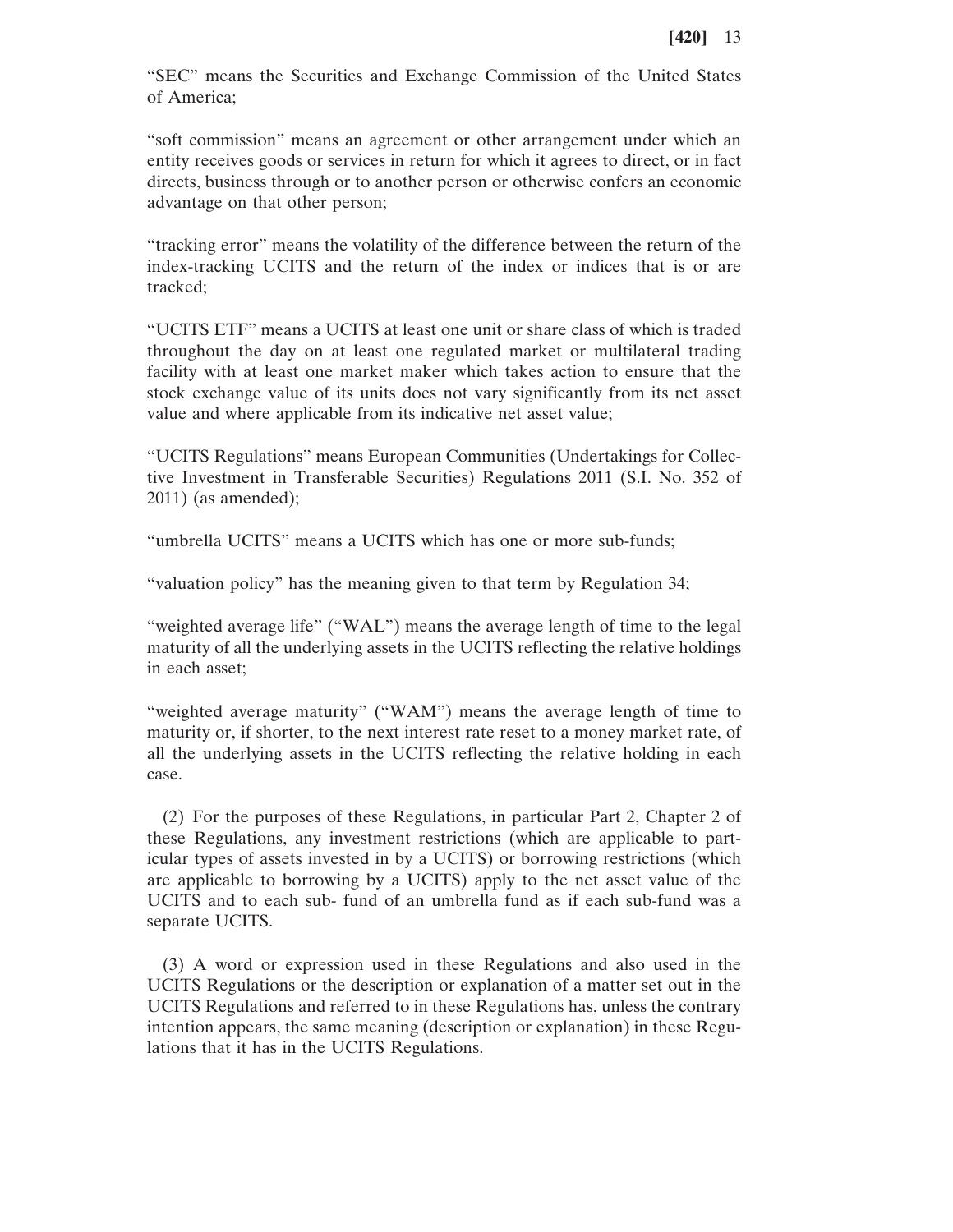"SEC" means the Securities and Exchange Commission of the United States of America;

"soft commission" means an agreement or other arrangement under which an entity receives goods or services in return for which it agrees to direct, or in fact directs, business through or to another person or otherwise confers an economic advantage on that other person;

"tracking error" means the volatility of the difference between the return of the index-tracking UCITS and the return of the index or indices that is or are tracked;

"UCITS ETF" means a UCITS at least one unit or share class of which is traded throughout the day on at least one regulated market or multilateral trading facility with at least one market maker which takes action to ensure that the stock exchange value of its units does not vary significantly from its net asset value and where applicable from its indicative net asset value;

"UCITS Regulations" means European Communities (Undertakings for Collective Investment in Transferable Securities) Regulations 2011 (S.I. No. 352 of 2011) (as amended);

"umbrella UCITS" means a UCITS which has one or more sub-funds;

"valuation policy" has the meaning given to that term by Regulation 34;

"weighted average life" ("WAL") means the average length of time to the legal maturity of all the underlying assets in the UCITS reflecting the relative holdings in each asset;

"weighted average maturity" ("WAM") means the average length of time to maturity or, if shorter, to the next interest rate reset to a money market rate, of all the underlying assets in the UCITS reflecting the relative holding in each case.

(2) For the purposes of these Regulations, in particular Part 2, Chapter 2 of these Regulations, any investment restrictions (which are applicable to particular types of assets invested in by a UCITS) or borrowing restrictions (which are applicable to borrowing by a UCITS) apply to the net asset value of the UCITS and to each sub- fund of an umbrella fund as if each sub-fund was a separate UCITS.

(3) A word or expression used in these Regulations and also used in the UCITS Regulations or the description or explanation of a matter set out in the UCITS Regulations and referred to in these Regulations has, unless the contrary intention appears, the same meaning (description or explanation) in these Regulations that it has in the UCITS Regulations.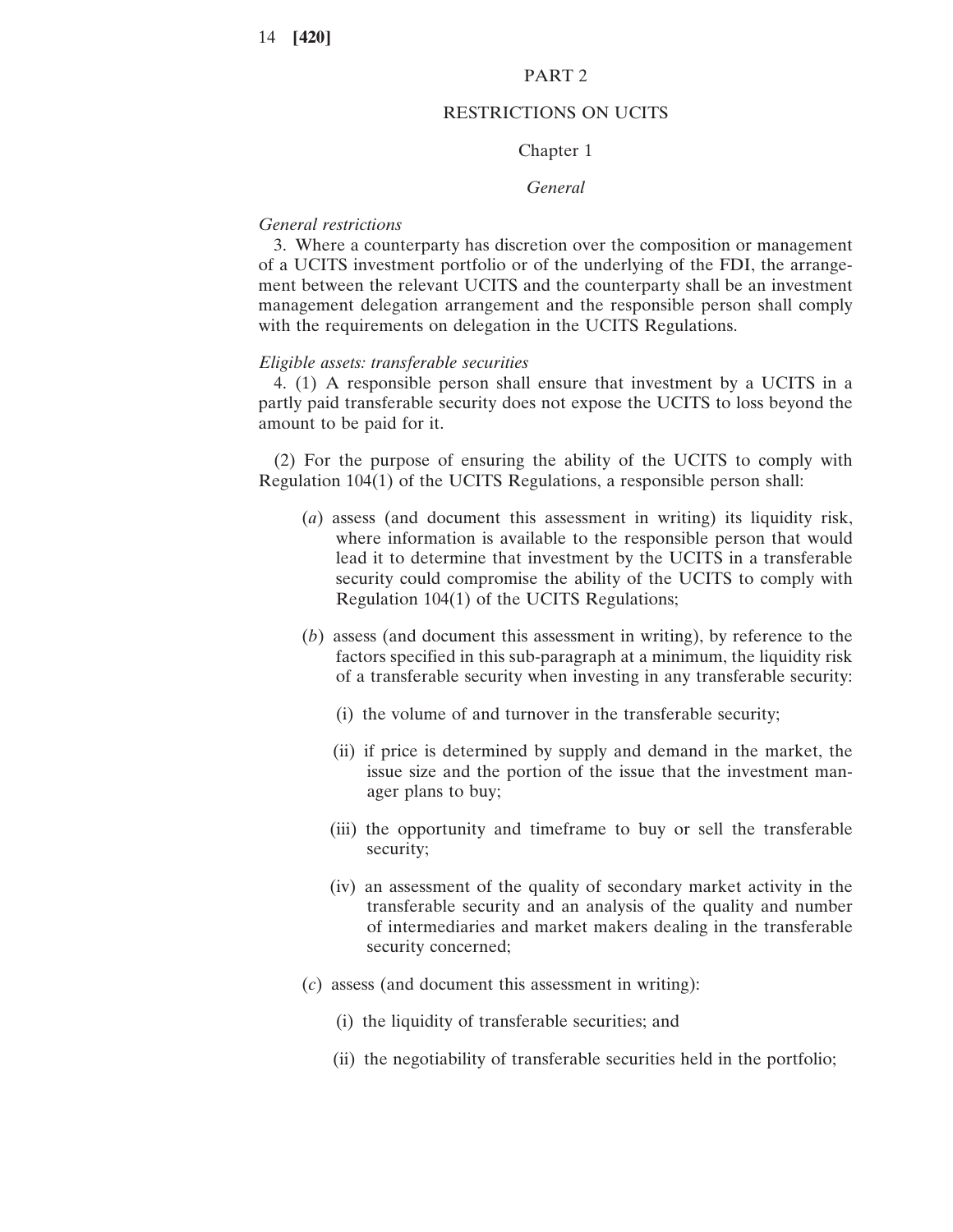## PART 2

### RESTRICTIONS ON UCITS

### Chapter 1

### *General*

### *General restrictions*

3. Where a counterparty has discretion over the composition or management of a UCITS investment portfolio or of the underlying of the FDI, the arrangement between the relevant UCITS and the counterparty shall be an investment management delegation arrangement and the responsible person shall comply with the requirements on delegation in the UCITS Regulations.

#### *Eligible assets: transferable securities*

4. (1) A responsible person shall ensure that investment by a UCITS in a partly paid transferable security does not expose the UCITS to loss beyond the amount to be paid for it.

(2) For the purpose of ensuring the ability of the UCITS to comply with Regulation 104(1) of the UCITS Regulations, a responsible person shall:

- (*a*) assess (and document this assessment in writing) its liquidity risk, where information is available to the responsible person that would lead it to determine that investment by the UCITS in a transferable security could compromise the ability of the UCITS to comply with Regulation 104(1) of the UCITS Regulations;
- (*b*) assess (and document this assessment in writing), by reference to the factors specified in this sub-paragraph at a minimum, the liquidity risk of a transferable security when investing in any transferable security:
	- (i) the volume of and turnover in the transferable security;
	- (ii) if price is determined by supply and demand in the market, the issue size and the portion of the issue that the investment manager plans to buy;
	- (iii) the opportunity and timeframe to buy or sell the transferable security;
	- (iv) an assessment of the quality of secondary market activity in the transferable security and an analysis of the quality and number of intermediaries and market makers dealing in the transferable security concerned;
- (*c*) assess (and document this assessment in writing):
	- (i) the liquidity of transferable securities; and
	- (ii) the negotiability of transferable securities held in the portfolio;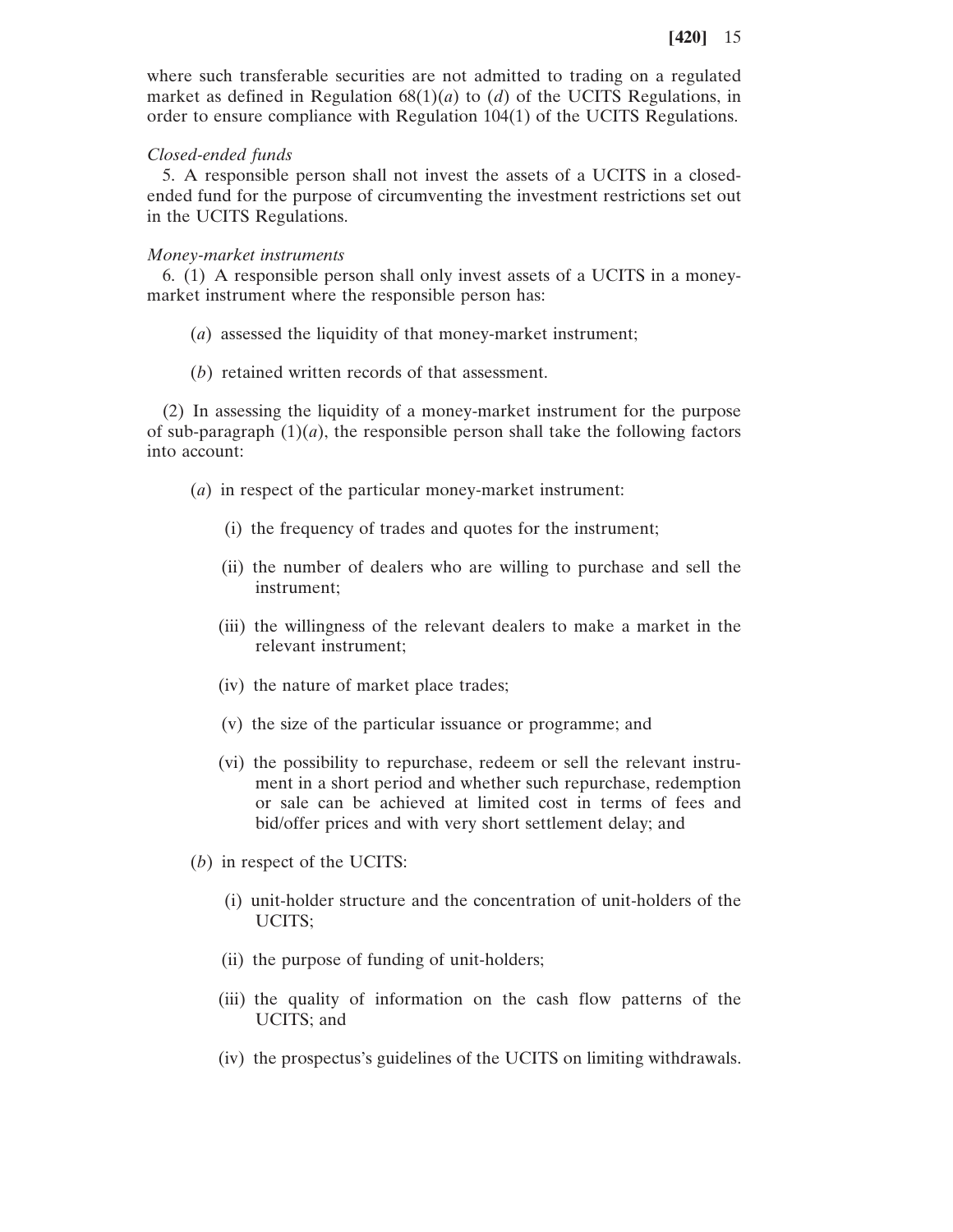where such transferable securities are not admitted to trading on a regulated market as defined in Regulation  $68(1)(a)$  to  $(d)$  of the UCITS Regulations, in order to ensure compliance with Regulation 104(1) of the UCITS Regulations.

#### *Closed-ended funds*

5. A responsible person shall not invest the assets of a UCITS in a closedended fund for the purpose of circumventing the investment restrictions set out in the UCITS Regulations.

#### *Money-market instruments*

6. (1) A responsible person shall only invest assets of a UCITS in a moneymarket instrument where the responsible person has:

- (*a*) assessed the liquidity of that money-market instrument;
- (*b*) retained written records of that assessment.

(2) In assessing the liquidity of a money-market instrument for the purpose of sub-paragraph  $(1)(a)$ , the responsible person shall take the following factors into account:

- (*a*) in respect of the particular money-market instrument:
	- (i) the frequency of trades and quotes for the instrument;
	- (ii) the number of dealers who are willing to purchase and sell the instrument;
	- (iii) the willingness of the relevant dealers to make a market in the relevant instrument;
	- (iv) the nature of market place trades;
	- (v) the size of the particular issuance or programme; and
	- (vi) the possibility to repurchase, redeem or sell the relevant instrument in a short period and whether such repurchase, redemption or sale can be achieved at limited cost in terms of fees and bid/offer prices and with very short settlement delay; and
- (*b*) in respect of the UCITS:
	- (i) unit-holder structure and the concentration of unit-holders of the UCITS;
	- (ii) the purpose of funding of unit-holders;
	- (iii) the quality of information on the cash flow patterns of the UCITS; and
	- (iv) the prospectus's guidelines of the UCITS on limiting withdrawals.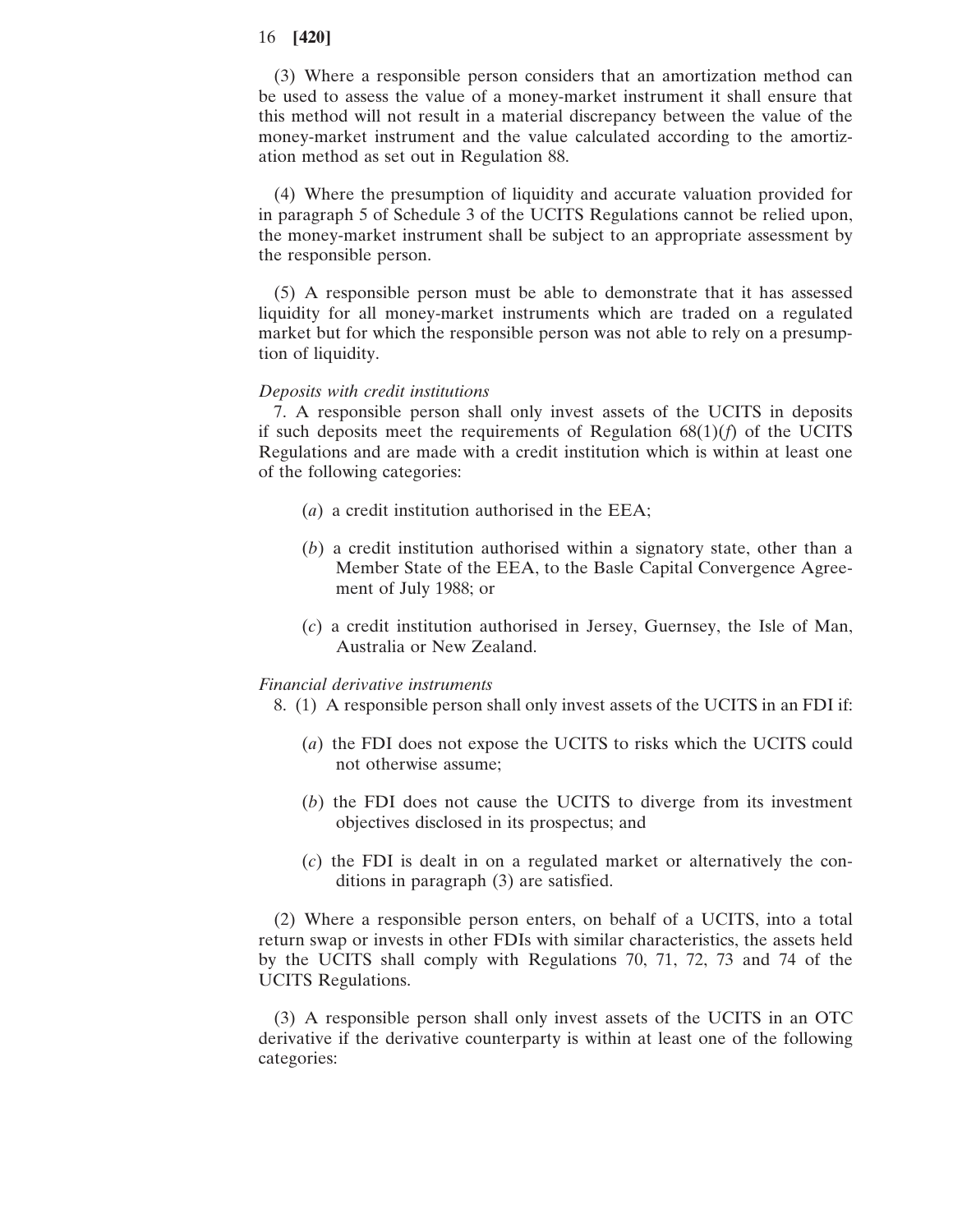(3) Where a responsible person considers that an amortization method can be used to assess the value of a money-market instrument it shall ensure that this method will not result in a material discrepancy between the value of the money-market instrument and the value calculated according to the amortization method as set out in Regulation 88.

(4) Where the presumption of liquidity and accurate valuation provided for in paragraph 5 of Schedule 3 of the UCITS Regulations cannot be relied upon, the money-market instrument shall be subject to an appropriate assessment by the responsible person.

(5) A responsible person must be able to demonstrate that it has assessed liquidity for all money-market instruments which are traded on a regulated market but for which the responsible person was not able to rely on a presumption of liquidity.

### *Deposits with credit institutions*

7. A responsible person shall only invest assets of the UCITS in deposits if such deposits meet the requirements of Regulation  $68(1)(f)$  of the UCITS Regulations and are made with a credit institution which is within at least one of the following categories:

- (*a*) a credit institution authorised in the EEA;
- (*b*) a credit institution authorised within a signatory state, other than a Member State of the EEA, to the Basle Capital Convergence Agreement of July 1988; or
- (*c*) a credit institution authorised in Jersey, Guernsey, the Isle of Man, Australia or New Zealand.

### *Financial derivative instruments*

- 8. (1) A responsible person shall only invest assets of the UCITS in an FDI if:
	- (*a*) the FDI does not expose the UCITS to risks which the UCITS could not otherwise assume;
	- (*b*) the FDI does not cause the UCITS to diverge from its investment objectives disclosed in its prospectus; and
	- (*c*) the FDI is dealt in on a regulated market or alternatively the conditions in paragraph (3) are satisfied.

(2) Where a responsible person enters, on behalf of a UCITS, into a total return swap or invests in other FDIs with similar characteristics, the assets held by the UCITS shall comply with Regulations 70, 71, 72, 73 and 74 of the UCITS Regulations.

(3) A responsible person shall only invest assets of the UCITS in an OTC derivative if the derivative counterparty is within at least one of the following categories: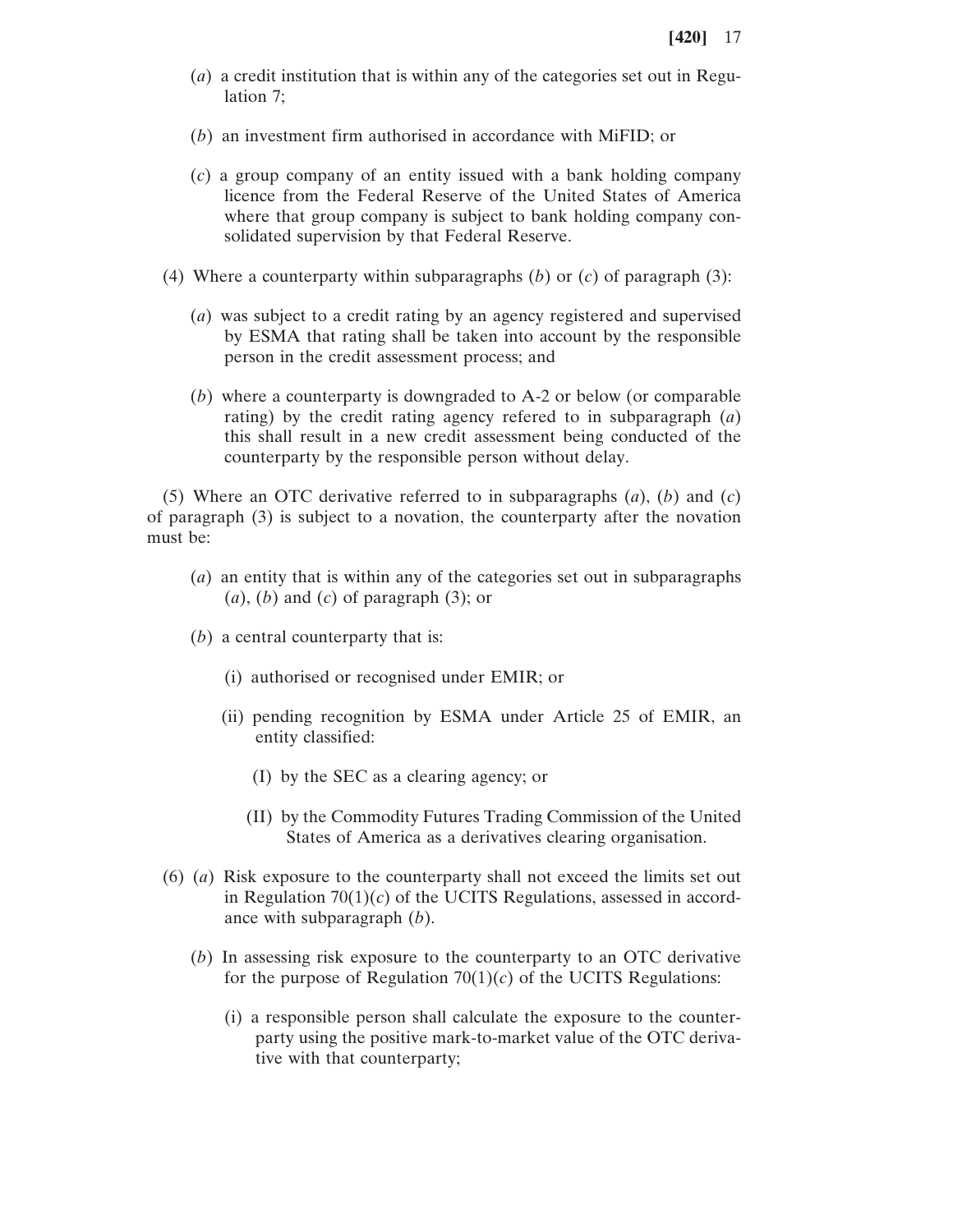- (*a*) a credit institution that is within any of the categories set out in Regulation 7;
- (*b*) an investment firm authorised in accordance with MiFID; or
- (*c*) a group company of an entity issued with a bank holding company licence from the Federal Reserve of the United States of America where that group company is subject to bank holding company consolidated supervision by that Federal Reserve.
- (4) Where a counterparty within subparagraphs (*b*) or (*c*) of paragraph (3):
	- (*a*) was subject to a credit rating by an agency registered and supervised by ESMA that rating shall be taken into account by the responsible person in the credit assessment process; and
	- (*b*) where a counterparty is downgraded to A-2 or below (or comparable rating) by the credit rating agency refered to in subparagraph (*a*) this shall result in a new credit assessment being conducted of the counterparty by the responsible person without delay.

(5) Where an OTC derivative referred to in subparagraphs (*a*), (*b*) and (*c*) of paragraph (3) is subject to a novation, the counterparty after the novation must be:

- (*a*) an entity that is within any of the categories set out in subparagraphs (*a*), (*b*) and (*c*) of paragraph (3); or
- (*b*) a central counterparty that is:
	- (i) authorised or recognised under EMIR; or
	- (ii) pending recognition by ESMA under Article 25 of EMIR, an entity classified:
		- (I) by the SEC as a clearing agency; or
		- (II) by the Commodity Futures Trading Commission of the United States of America as a derivatives clearing organisation.
- (6) (*a*) Risk exposure to the counterparty shall not exceed the limits set out in Regulation 70(1)(*c*) of the UCITS Regulations, assessed in accordance with subparagraph (*b*).
	- (*b*) In assessing risk exposure to the counterparty to an OTC derivative for the purpose of Regulation  $70(1)(c)$  of the UCITS Regulations:
		- (i) a responsible person shall calculate the exposure to the counterparty using the positive mark-to-market value of the OTC derivative with that counterparty;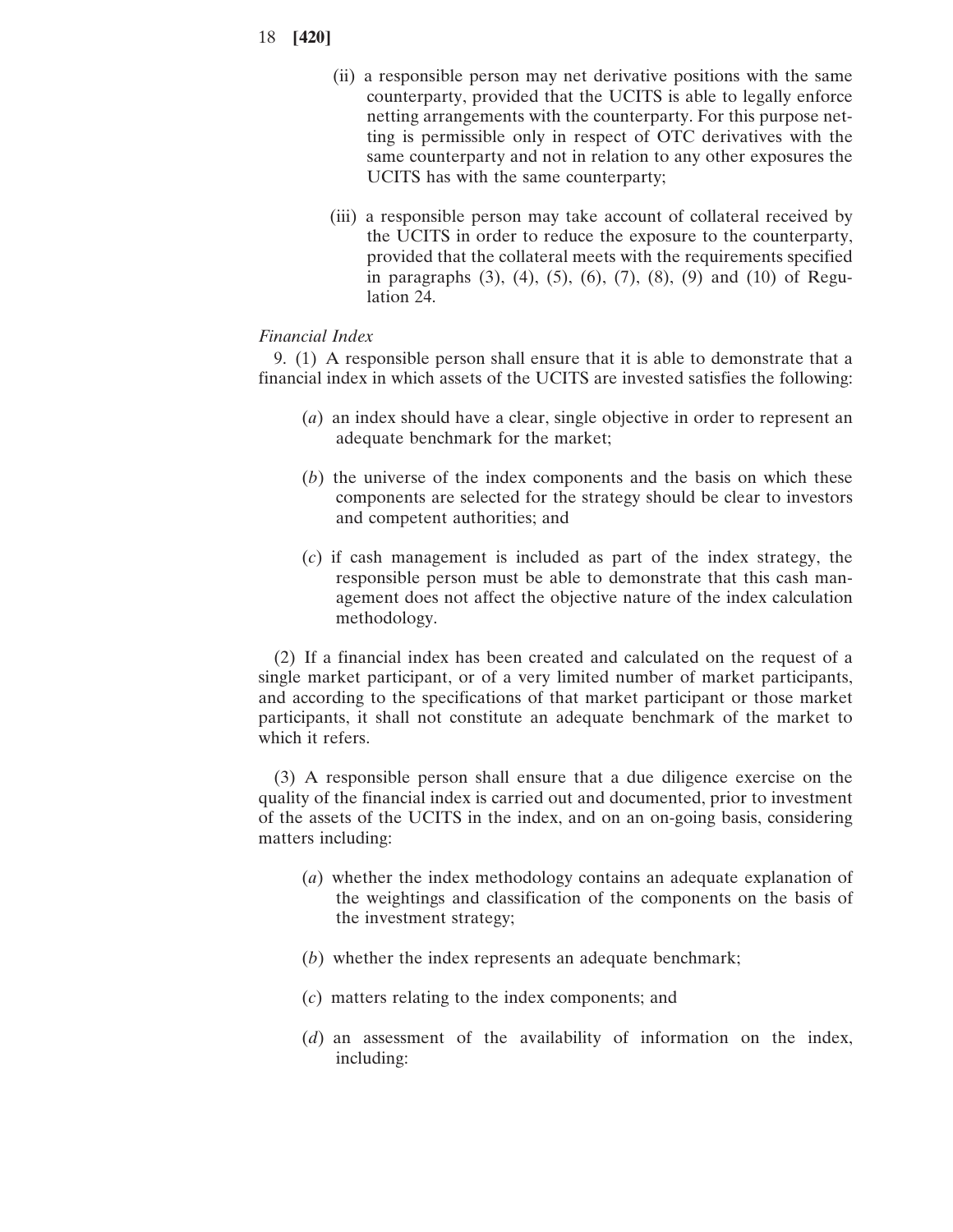- 18 **[420]**
	- (ii) a responsible person may net derivative positions with the same counterparty, provided that the UCITS is able to legally enforce netting arrangements with the counterparty. For this purpose netting is permissible only in respect of OTC derivatives with the same counterparty and not in relation to any other exposures the UCITS has with the same counterparty;
	- (iii) a responsible person may take account of collateral received by the UCITS in order to reduce the exposure to the counterparty, provided that the collateral meets with the requirements specified in paragraphs (3), (4), (5), (6), (7), (8), (9) and (10) of Regulation 24.

## *Financial Index*

9. (1) A responsible person shall ensure that it is able to demonstrate that a financial index in which assets of the UCITS are invested satisfies the following:

- (*a*) an index should have a clear, single objective in order to represent an adequate benchmark for the market;
- (*b*) the universe of the index components and the basis on which these components are selected for the strategy should be clear to investors and competent authorities; and
- (*c*) if cash management is included as part of the index strategy, the responsible person must be able to demonstrate that this cash management does not affect the objective nature of the index calculation methodology.

(2) If a financial index has been created and calculated on the request of a single market participant, or of a very limited number of market participants, and according to the specifications of that market participant or those market participants, it shall not constitute an adequate benchmark of the market to which it refers.

(3) A responsible person shall ensure that a due diligence exercise on the quality of the financial index is carried out and documented, prior to investment of the assets of the UCITS in the index, and on an on-going basis, considering matters including:

- (*a*) whether the index methodology contains an adequate explanation of the weightings and classification of the components on the basis of the investment strategy;
- (*b*) whether the index represents an adequate benchmark;
- (*c*) matters relating to the index components; and
- (*d*) an assessment of the availability of information on the index, including: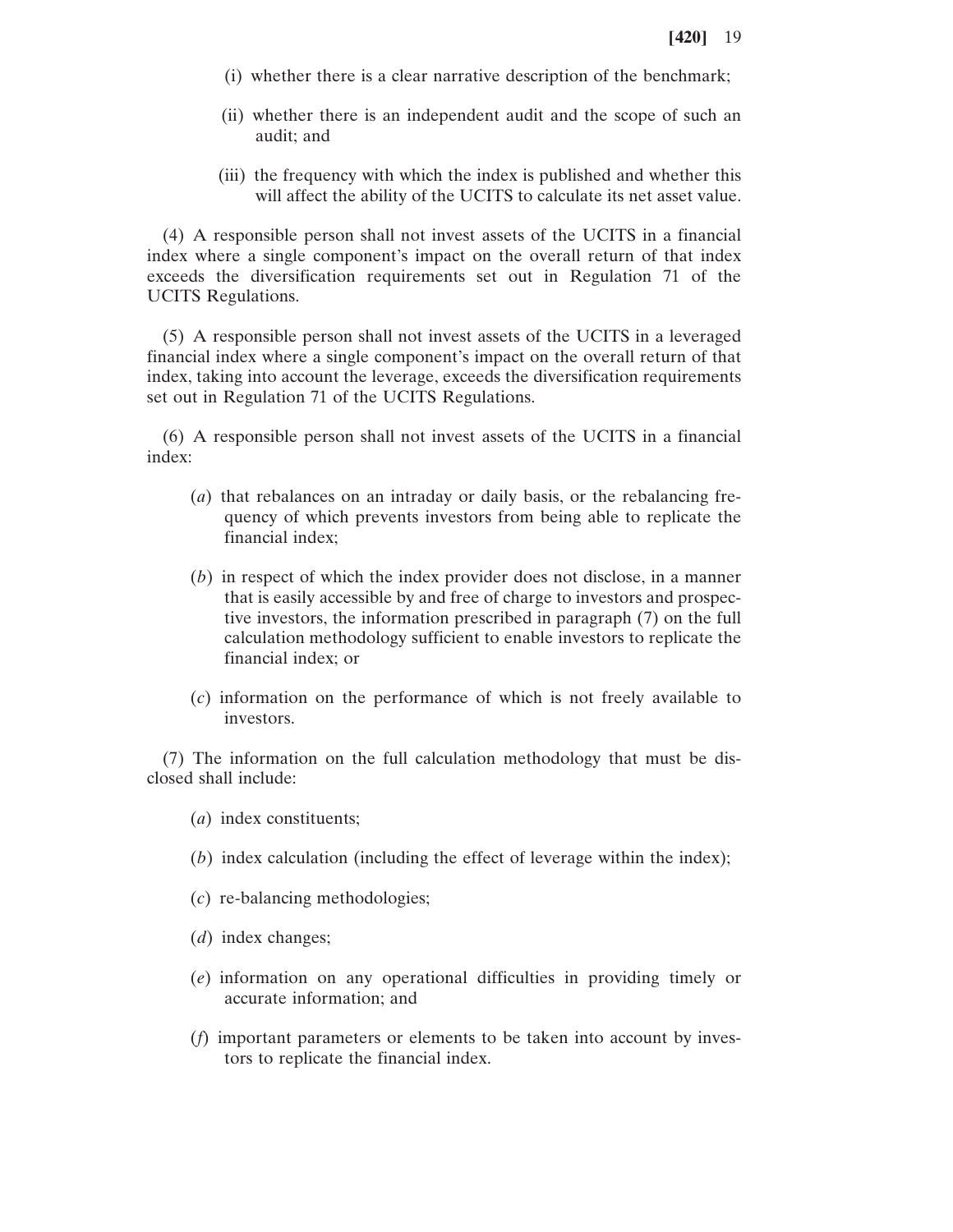- (i) whether there is a clear narrative description of the benchmark;
- (ii) whether there is an independent audit and the scope of such an audit; and
- (iii) the frequency with which the index is published and whether this will affect the ability of the UCITS to calculate its net asset value.

(4) A responsible person shall not invest assets of the UCITS in a financial index where a single component's impact on the overall return of that index exceeds the diversification requirements set out in Regulation 71 of the UCITS Regulations.

(5) A responsible person shall not invest assets of the UCITS in a leveraged financial index where a single component's impact on the overall return of that index, taking into account the leverage, exceeds the diversification requirements set out in Regulation 71 of the UCITS Regulations.

(6) A responsible person shall not invest assets of the UCITS in a financial index:

- (*a*) that rebalances on an intraday or daily basis, or the rebalancing frequency of which prevents investors from being able to replicate the financial index;
- (*b*) in respect of which the index provider does not disclose, in a manner that is easily accessible by and free of charge to investors and prospective investors, the information prescribed in paragraph (7) on the full calculation methodology sufficient to enable investors to replicate the financial index; or
- (*c*) information on the performance of which is not freely available to investors.

(7) The information on the full calculation methodology that must be disclosed shall include:

- (*a*) index constituents;
- (*b*) index calculation (including the effect of leverage within the index);
- (*c*) re-balancing methodologies;
- (*d*) index changes;
- (*e*) information on any operational difficulties in providing timely or accurate information; and
- (*f*) important parameters or elements to be taken into account by investors to replicate the financial index.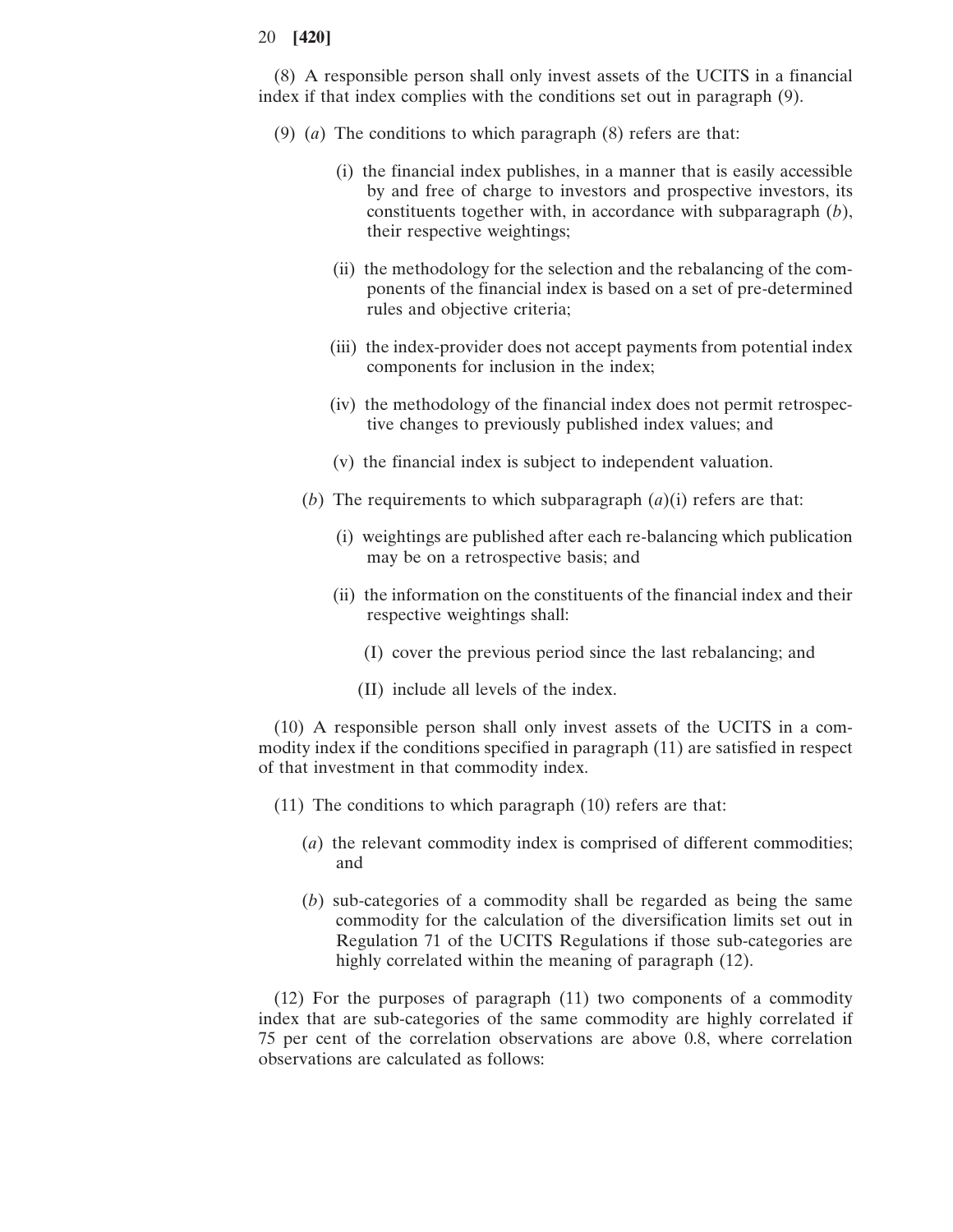(8) A responsible person shall only invest assets of the UCITS in a financial index if that index complies with the conditions set out in paragraph (9).

- (9) (*a*) The conditions to which paragraph (8) refers are that:
	- (i) the financial index publishes, in a manner that is easily accessible by and free of charge to investors and prospective investors, its constituents together with, in accordance with subparagraph (*b*), their respective weightings;
	- (ii) the methodology for the selection and the rebalancing of the components of the financial index is based on a set of pre-determined rules and objective criteria;
	- (iii) the index-provider does not accept payments from potential index components for inclusion in the index;
	- (iv) the methodology of the financial index does not permit retrospective changes to previously published index values; and
	- (v) the financial index is subject to independent valuation.
	- (*b*) The requirements to which subparagraph (*a*)(i) refers are that:
		- (i) weightings are published after each re-balancing which publication may be on a retrospective basis; and
		- (ii) the information on the constituents of the financial index and their respective weightings shall:
			- (I) cover the previous period since the last rebalancing; and
			- (II) include all levels of the index.

(10) A responsible person shall only invest assets of the UCITS in a commodity index if the conditions specified in paragraph (11) are satisfied in respect of that investment in that commodity index.

- (11) The conditions to which paragraph (10) refers are that:
	- (*a*) the relevant commodity index is comprised of different commodities; and
	- (*b*) sub-categories of a commodity shall be regarded as being the same commodity for the calculation of the diversification limits set out in Regulation 71 of the UCITS Regulations if those sub-categories are highly correlated within the meaning of paragraph (12).

(12) For the purposes of paragraph (11) two components of a commodity index that are sub-categories of the same commodity are highly correlated if 75 per cent of the correlation observations are above 0.8, where correlation observations are calculated as follows: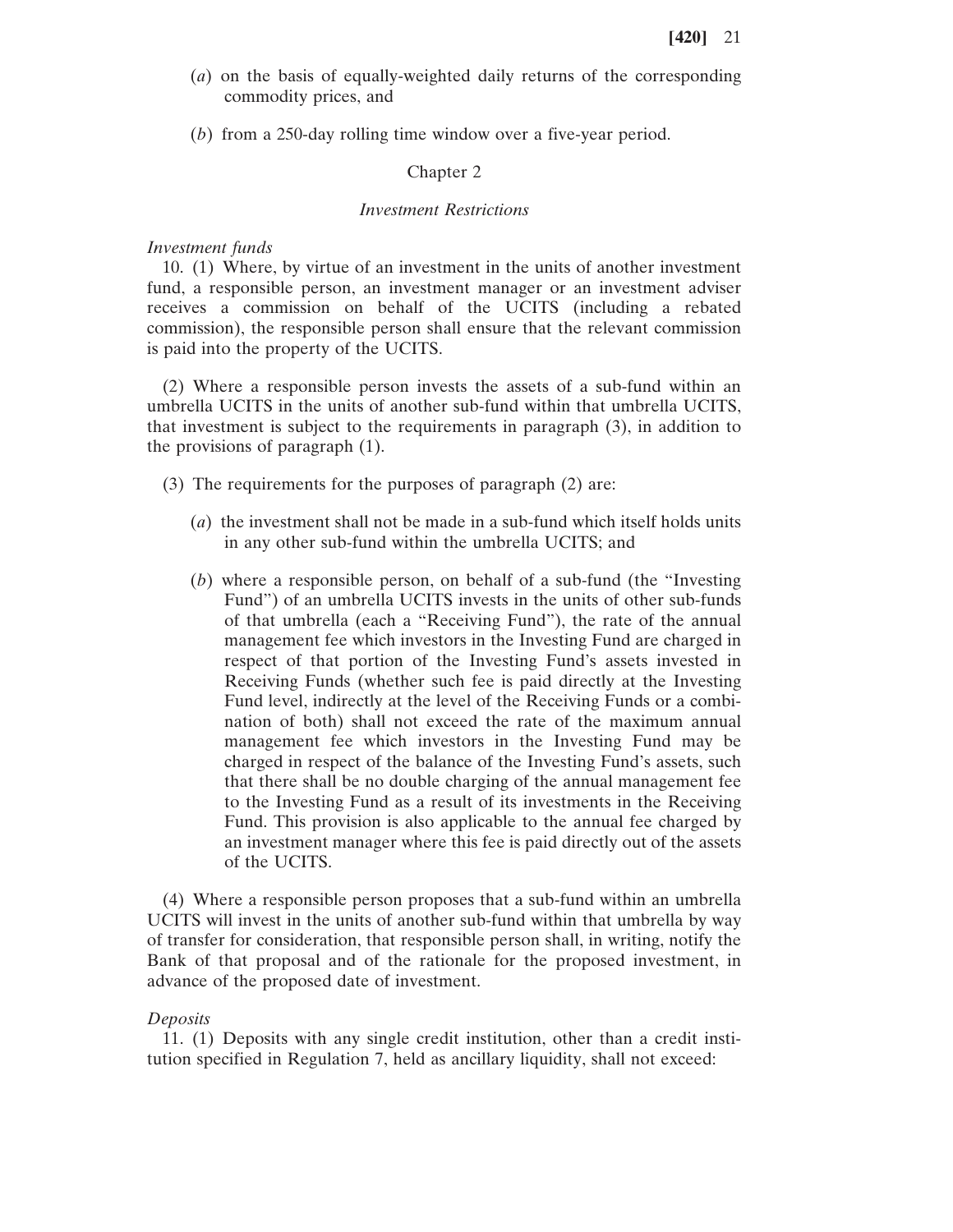- (*a*) on the basis of equally-weighted daily returns of the corresponding commodity prices, and
- (*b*) from a 250-day rolling time window over a five-year period.

#### Chapter 2

#### *Investment Restrictions*

#### *Investment funds*

10. (1) Where, by virtue of an investment in the units of another investment fund, a responsible person, an investment manager or an investment adviser receives a commission on behalf of the UCITS (including a rebated commission), the responsible person shall ensure that the relevant commission is paid into the property of the UCITS.

(2) Where a responsible person invests the assets of a sub-fund within an umbrella UCITS in the units of another sub-fund within that umbrella UCITS, that investment is subject to the requirements in paragraph (3), in addition to the provisions of paragraph (1).

(3) The requirements for the purposes of paragraph (2) are:

- (*a*) the investment shall not be made in a sub-fund which itself holds units in any other sub-fund within the umbrella UCITS; and
- (*b*) where a responsible person, on behalf of a sub-fund (the "Investing Fund") of an umbrella UCITS invests in the units of other sub-funds of that umbrella (each a "Receiving Fund"), the rate of the annual management fee which investors in the Investing Fund are charged in respect of that portion of the Investing Fund's assets invested in Receiving Funds (whether such fee is paid directly at the Investing Fund level, indirectly at the level of the Receiving Funds or a combination of both) shall not exceed the rate of the maximum annual management fee which investors in the Investing Fund may be charged in respect of the balance of the Investing Fund's assets, such that there shall be no double charging of the annual management fee to the Investing Fund as a result of its investments in the Receiving Fund. This provision is also applicable to the annual fee charged by an investment manager where this fee is paid directly out of the assets of the UCITS.

(4) Where a responsible person proposes that a sub-fund within an umbrella UCITS will invest in the units of another sub-fund within that umbrella by way of transfer for consideration, that responsible person shall, in writing, notify the Bank of that proposal and of the rationale for the proposed investment, in advance of the proposed date of investment.

#### *Deposits*

11. (1) Deposits with any single credit institution, other than a credit institution specified in Regulation 7, held as ancillary liquidity, shall not exceed: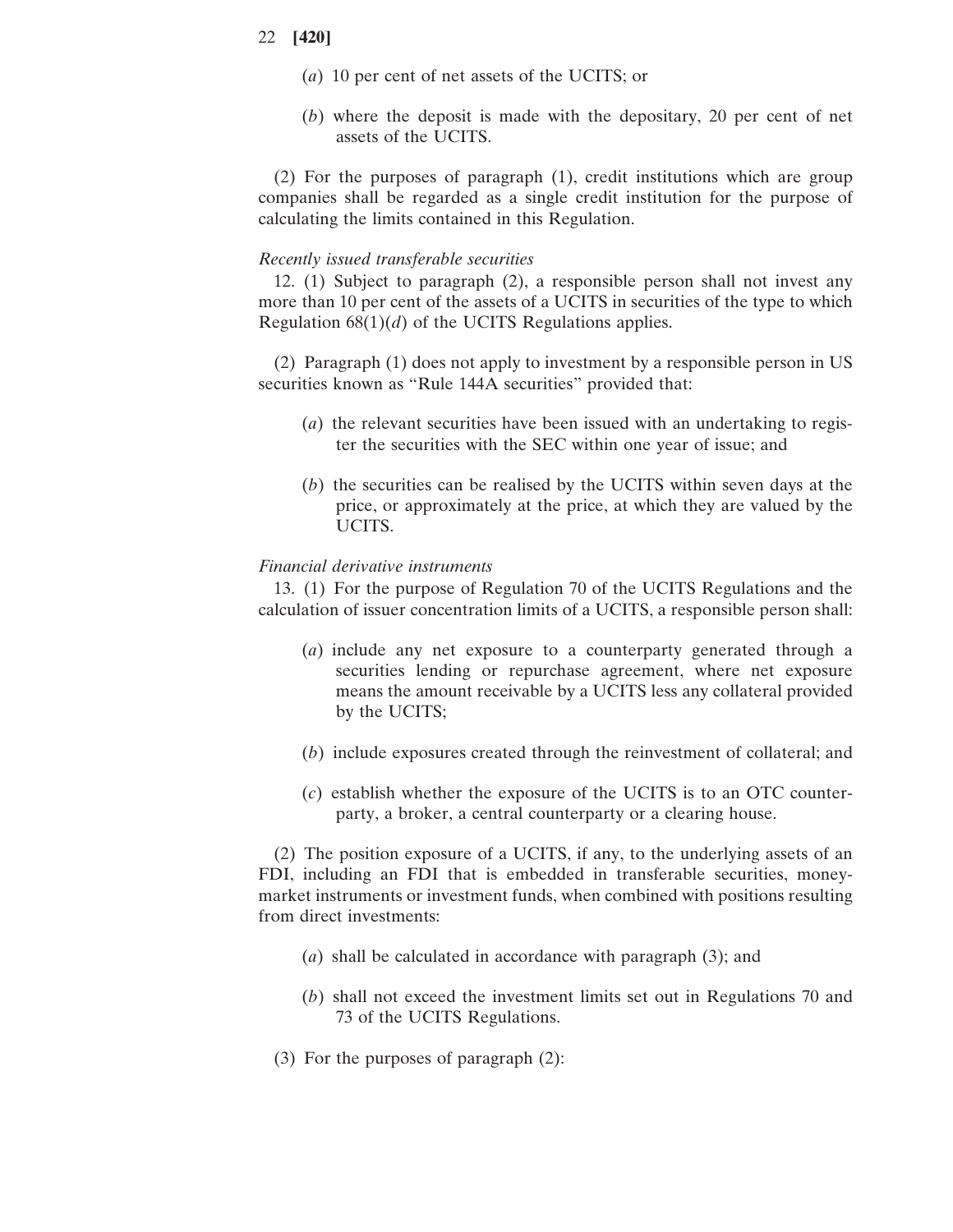- (*a*) 10 per cent of net assets of the UCITS; or
- (*b*) where the deposit is made with the depositary, 20 per cent of net assets of the UCITS.

(2) For the purposes of paragraph (1), credit institutions which are group companies shall be regarded as a single credit institution for the purpose of calculating the limits contained in this Regulation.

## *Recently issued transferable securities*

12. (1) Subject to paragraph (2), a responsible person shall not invest any more than 10 per cent of the assets of a UCITS in securities of the type to which Regulation  $68(1)(d)$  of the UCITS Regulations applies.

(2) Paragraph (1) does not apply to investment by a responsible person in US securities known as "Rule 144A securities" provided that:

- (*a*) the relevant securities have been issued with an undertaking to register the securities with the SEC within one year of issue; and
- (*b*) the securities can be realised by the UCITS within seven days at the price, or approximately at the price, at which they are valued by the UCITS.

#### *Financial derivative instruments*

13. (1) For the purpose of Regulation 70 of the UCITS Regulations and the calculation of issuer concentration limits of a UCITS, a responsible person shall:

- (*a*) include any net exposure to a counterparty generated through a securities lending or repurchase agreement, where net exposure means the amount receivable by a UCITS less any collateral provided by the UCITS;
- (*b*) include exposures created through the reinvestment of collateral; and
- (*c*) establish whether the exposure of the UCITS is to an OTC counterparty, a broker, a central counterparty or a clearing house.

(2) The position exposure of a UCITS, if any, to the underlying assets of an FDI, including an FDI that is embedded in transferable securities, moneymarket instruments or investment funds, when combined with positions resulting from direct investments:

- (*a*) shall be calculated in accordance with paragraph (3); and
- (*b*) shall not exceed the investment limits set out in Regulations 70 and 73 of the UCITS Regulations.
- (3) For the purposes of paragraph (2):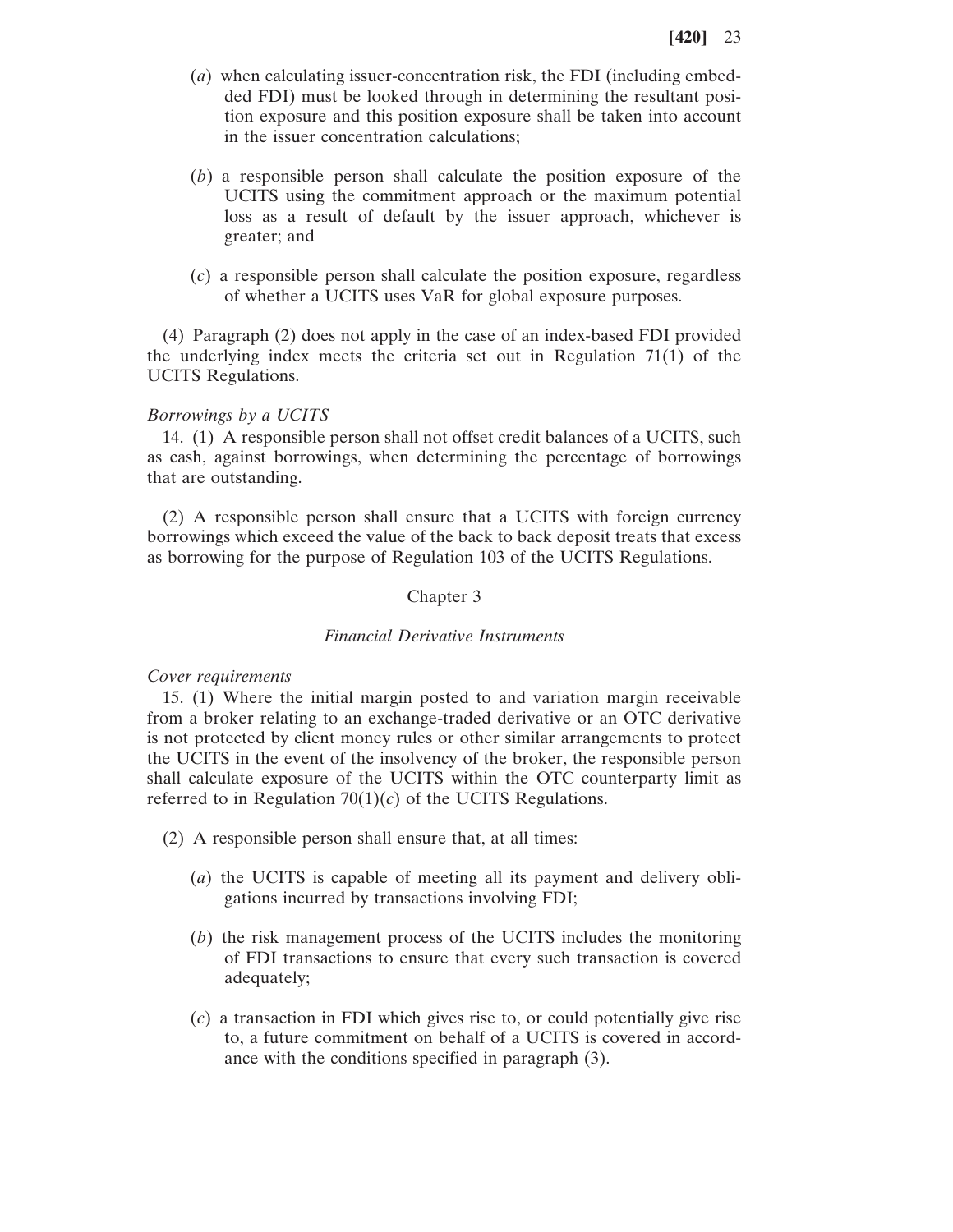- (*a*) when calculating issuer-concentration risk, the FDI (including embedded FDI) must be looked through in determining the resultant position exposure and this position exposure shall be taken into account in the issuer concentration calculations;
- (*b*) a responsible person shall calculate the position exposure of the UCITS using the commitment approach or the maximum potential loss as a result of default by the issuer approach, whichever is greater; and
- (*c*) a responsible person shall calculate the position exposure, regardless of whether a UCITS uses VaR for global exposure purposes.

(4) Paragraph (2) does not apply in the case of an index-based FDI provided the underlying index meets the criteria set out in Regulation 71(1) of the UCITS Regulations.

#### *Borrowings by a UCITS*

14. (1) A responsible person shall not offset credit balances of a UCITS, such as cash, against borrowings, when determining the percentage of borrowings that are outstanding.

(2) A responsible person shall ensure that a UCITS with foreign currency borrowings which exceed the value of the back to back deposit treats that excess as borrowing for the purpose of Regulation 103 of the UCITS Regulations.

Chapter 3

#### *Financial Derivative Instruments*

#### *Cover requirements*

15. (1) Where the initial margin posted to and variation margin receivable from a broker relating to an exchange-traded derivative or an OTC derivative is not protected by client money rules or other similar arrangements to protect the UCITS in the event of the insolvency of the broker, the responsible person shall calculate exposure of the UCITS within the OTC counterparty limit as referred to in Regulation  $70(1)(c)$  of the UCITS Regulations.

(2) A responsible person shall ensure that, at all times:

- (*a*) the UCITS is capable of meeting all its payment and delivery obligations incurred by transactions involving FDI;
- (*b*) the risk management process of the UCITS includes the monitoring of FDI transactions to ensure that every such transaction is covered adequately;
- (*c*) a transaction in FDI which gives rise to, or could potentially give rise to, a future commitment on behalf of a UCITS is covered in accordance with the conditions specified in paragraph (3).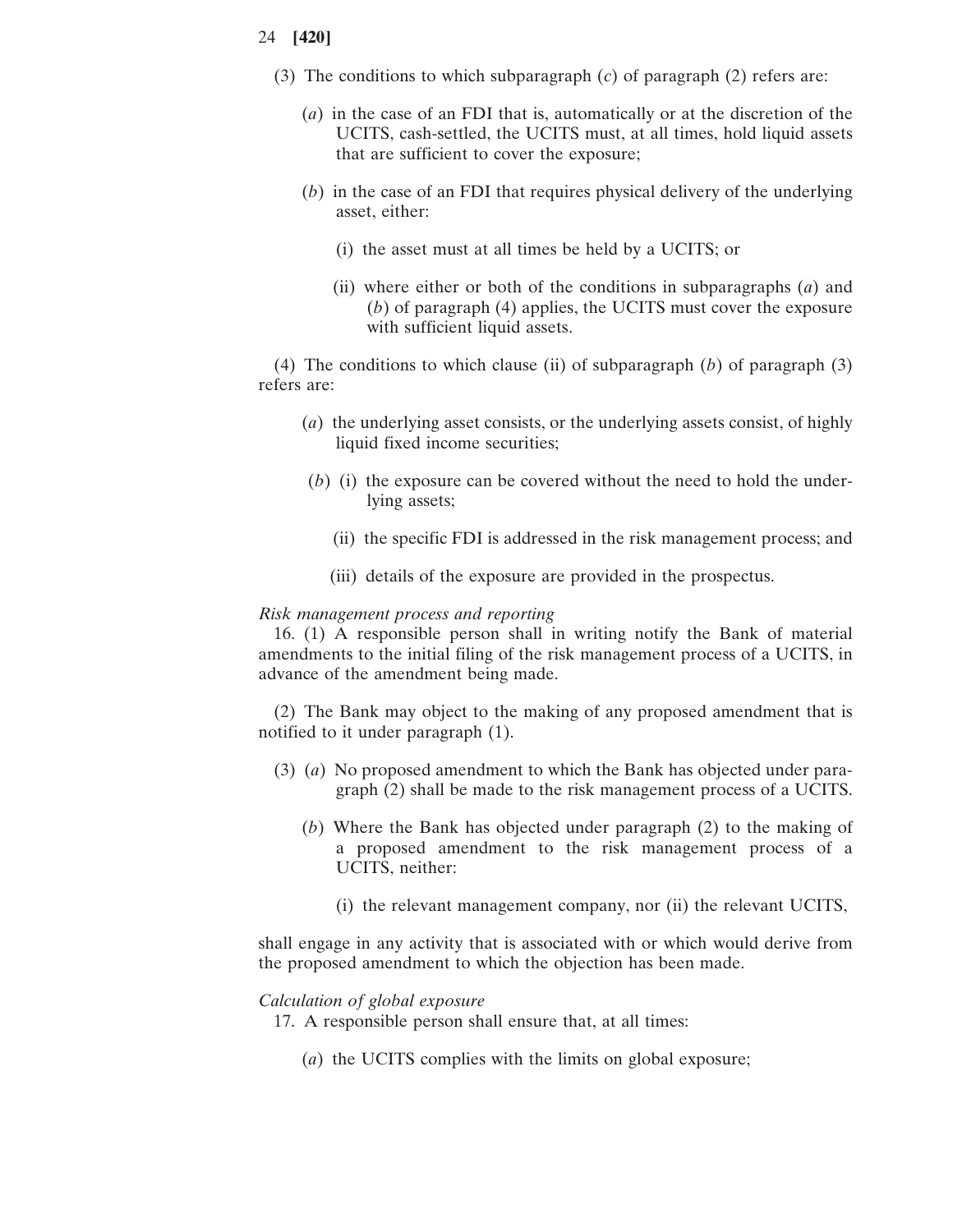- (3) The conditions to which subparagraph (*c*) of paragraph (2) refers are:
	- (*a*) in the case of an FDI that is, automatically or at the discretion of the UCITS, cash-settled, the UCITS must, at all times, hold liquid assets that are sufficient to cover the exposure;
	- (*b*) in the case of an FDI that requires physical delivery of the underlying asset, either:
		- (i) the asset must at all times be held by a UCITS; or
		- (ii) where either or both of the conditions in subparagraphs (*a*) and (*b*) of paragraph (4) applies, the UCITS must cover the exposure with sufficient liquid assets.

(4) The conditions to which clause (ii) of subparagraph (*b*) of paragraph (3) refers are:

- (*a*) the underlying asset consists, or the underlying assets consist, of highly liquid fixed income securities;
- (*b*) (i) the exposure can be covered without the need to hold the underlying assets;
	- (ii) the specific FDI is addressed in the risk management process; and
	- (iii) details of the exposure are provided in the prospectus.

*Risk management process and reporting*

16. (1) A responsible person shall in writing notify the Bank of material amendments to the initial filing of the risk management process of a UCITS, in advance of the amendment being made.

(2) The Bank may object to the making of any proposed amendment that is notified to it under paragraph (1).

- (3) (*a*) No proposed amendment to which the Bank has objected under paragraph (2) shall be made to the risk management process of a UCITS.
	- (*b*) Where the Bank has objected under paragraph (2) to the making of a proposed amendment to the risk management process of a UCITS, neither:
		- (i) the relevant management company, nor (ii) the relevant UCITS,

shall engage in any activity that is associated with or which would derive from the proposed amendment to which the objection has been made.

## *Calculation of global exposure*

- 17. A responsible person shall ensure that, at all times:
	- (*a*) the UCITS complies with the limits on global exposure;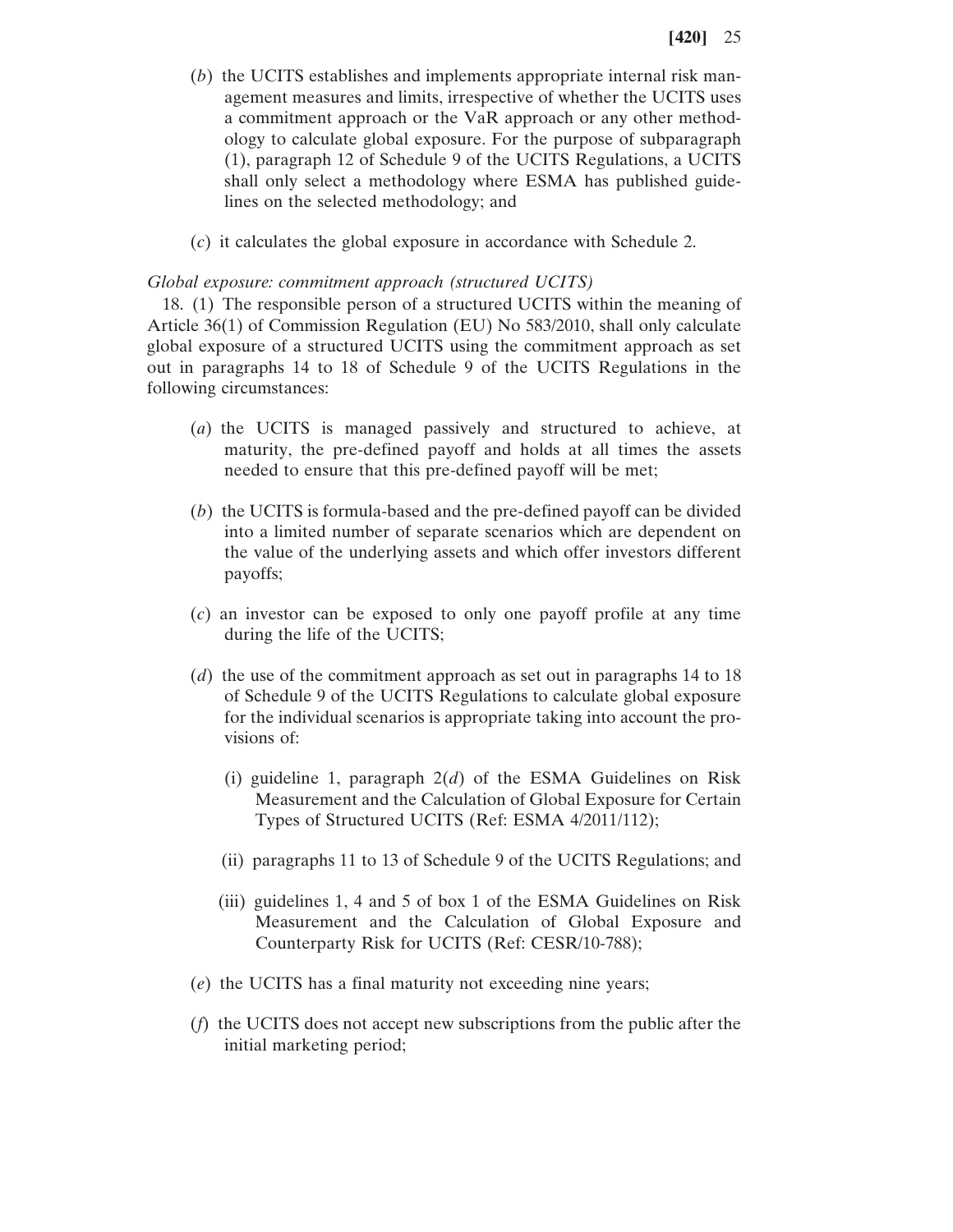- (*b*) the UCITS establishes and implements appropriate internal risk management measures and limits, irrespective of whether the UCITS uses a commitment approach or the VaR approach or any other methodology to calculate global exposure. For the purpose of subparagraph (1), paragraph 12 of Schedule 9 of the UCITS Regulations, a UCITS shall only select a methodology where ESMA has published guidelines on the selected methodology; and
- (*c*) it calculates the global exposure in accordance with Schedule 2.

## *Global exposure: commitment approach (structured UCITS)*

18. (1) The responsible person of a structured UCITS within the meaning of Article 36(1) of Commission Regulation (EU) No 583/2010, shall only calculate global exposure of a structured UCITS using the commitment approach as set out in paragraphs 14 to 18 of Schedule 9 of the UCITS Regulations in the following circumstances:

- (*a*) the UCITS is managed passively and structured to achieve, at maturity, the pre-defined payoff and holds at all times the assets needed to ensure that this pre-defined payoff will be met;
- (*b*) the UCITS is formula-based and the pre-defined payoff can be divided into a limited number of separate scenarios which are dependent on the value of the underlying assets and which offer investors different payoffs;
- (*c*) an investor can be exposed to only one payoff profile at any time during the life of the UCITS;
- (*d*) the use of the commitment approach as set out in paragraphs 14 to 18 of Schedule 9 of the UCITS Regulations to calculate global exposure for the individual scenarios is appropriate taking into account the provisions of:
	- (i) guideline 1, paragraph 2(*d*) of the ESMA Guidelines on Risk Measurement and the Calculation of Global Exposure for Certain Types of Structured UCITS (Ref: ESMA 4/2011/112);
	- (ii) paragraphs 11 to 13 of Schedule 9 of the UCITS Regulations; and
	- (iii) guidelines 1, 4 and 5 of box 1 of the ESMA Guidelines on Risk Measurement and the Calculation of Global Exposure and Counterparty Risk for UCITS (Ref: CESR/10-788);
- (*e*) the UCITS has a final maturity not exceeding nine years;
- (*f*) the UCITS does not accept new subscriptions from the public after the initial marketing period;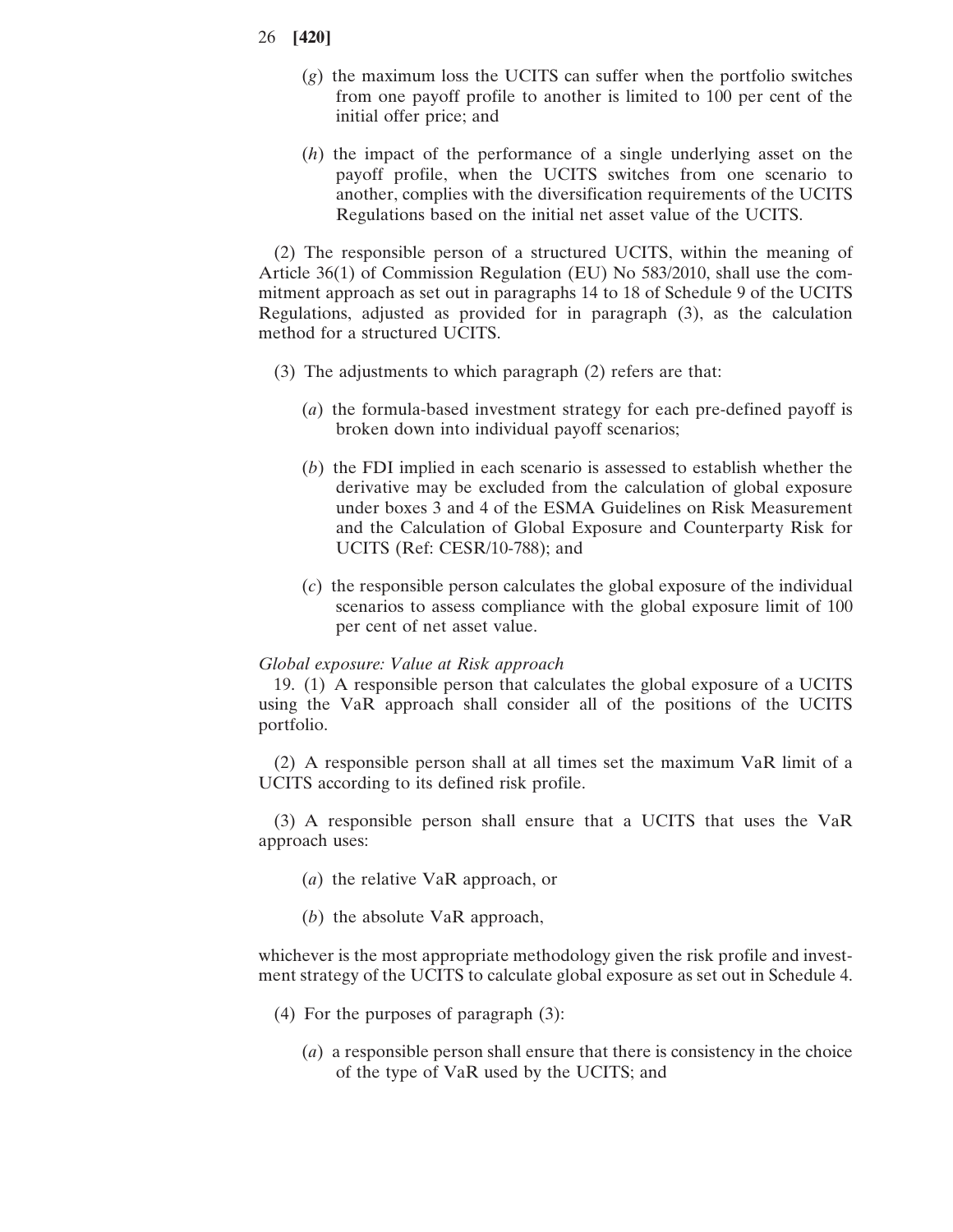- 26 **[420]**
	- (*g*) the maximum loss the UCITS can suffer when the portfolio switches from one payoff profile to another is limited to 100 per cent of the initial offer price; and
	- (*h*) the impact of the performance of a single underlying asset on the payoff profile, when the UCITS switches from one scenario to another, complies with the diversification requirements of the UCITS Regulations based on the initial net asset value of the UCITS.

(2) The responsible person of a structured UCITS, within the meaning of Article 36(1) of Commission Regulation (EU) No 583/2010, shall use the commitment approach as set out in paragraphs 14 to 18 of Schedule 9 of the UCITS Regulations, adjusted as provided for in paragraph (3), as the calculation method for a structured UCITS.

- (3) The adjustments to which paragraph (2) refers are that:
	- (*a*) the formula-based investment strategy for each pre-defined payoff is broken down into individual payoff scenarios;
	- (*b*) the FDI implied in each scenario is assessed to establish whether the derivative may be excluded from the calculation of global exposure under boxes 3 and 4 of the ESMA Guidelines on Risk Measurement and the Calculation of Global Exposure and Counterparty Risk for UCITS (Ref: CESR/10-788); and
	- (*c*) the responsible person calculates the global exposure of the individual scenarios to assess compliance with the global exposure limit of 100 per cent of net asset value.

#### *Global exposure: Value at Risk approach*

19. (1) A responsible person that calculates the global exposure of a UCITS using the VaR approach shall consider all of the positions of the UCITS portfolio.

(2) A responsible person shall at all times set the maximum VaR limit of a UCITS according to its defined risk profile.

(3) A responsible person shall ensure that a UCITS that uses the VaR approach uses:

- (*a*) the relative VaR approach, or
- (*b*) the absolute VaR approach,

whichever is the most appropriate methodology given the risk profile and investment strategy of the UCITS to calculate global exposure as set out in Schedule 4.

- (4) For the purposes of paragraph (3):
	- (*a*) a responsible person shall ensure that there is consistency in the choice of the type of VaR used by the UCITS; and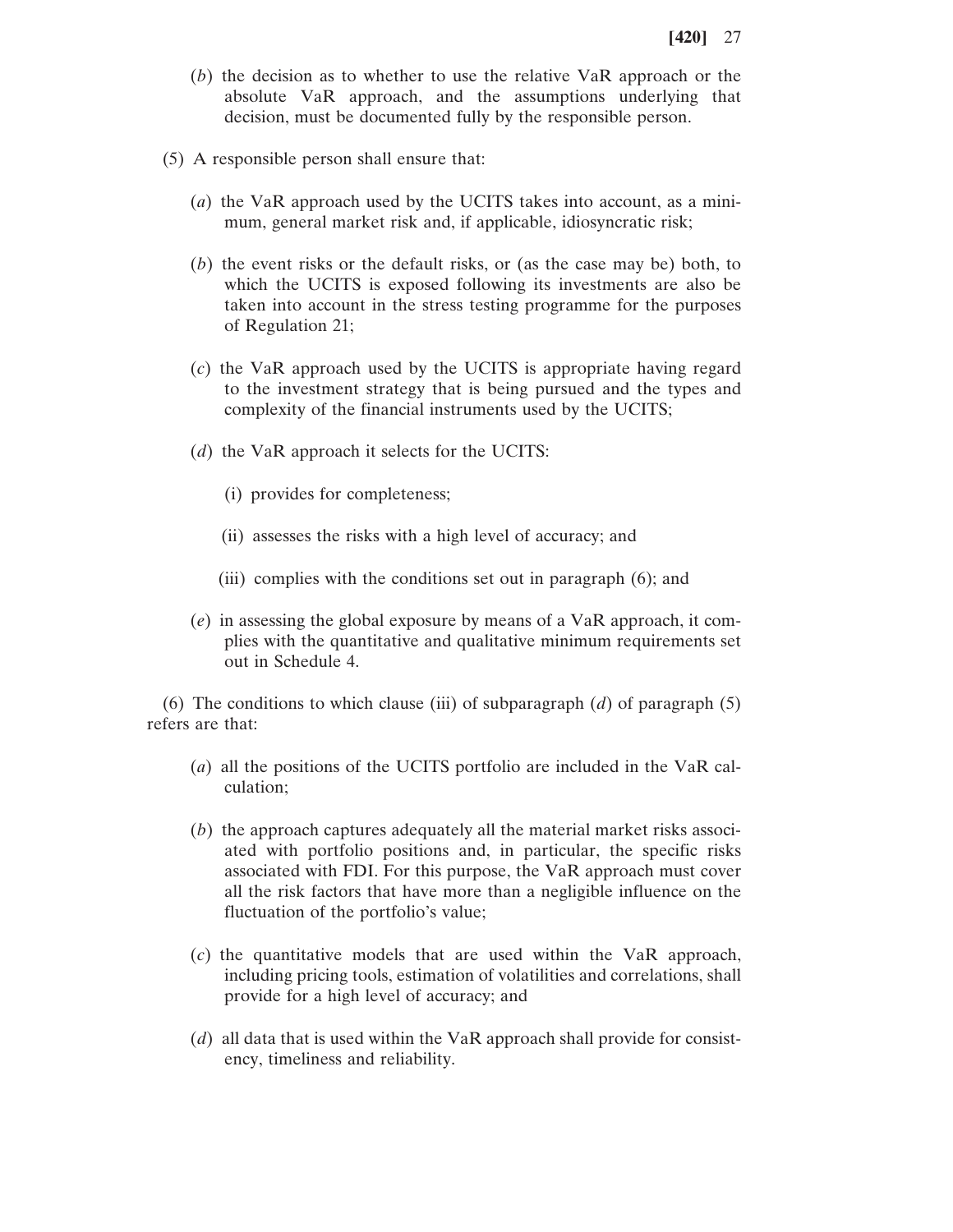- (*b*) the decision as to whether to use the relative VaR approach or the absolute VaR approach, and the assumptions underlying that decision, must be documented fully by the responsible person.
- (5) A responsible person shall ensure that:
	- (*a*) the VaR approach used by the UCITS takes into account, as a minimum, general market risk and, if applicable, idiosyncratic risk;
	- (*b*) the event risks or the default risks, or (as the case may be) both, to which the UCITS is exposed following its investments are also be taken into account in the stress testing programme for the purposes of Regulation 21;
	- (*c*) the VaR approach used by the UCITS is appropriate having regard to the investment strategy that is being pursued and the types and complexity of the financial instruments used by the UCITS;
	- (*d*) the VaR approach it selects for the UCITS:
		- (i) provides for completeness;
		- (ii) assesses the risks with a high level of accuracy; and
		- (iii) complies with the conditions set out in paragraph (6); and
	- (*e*) in assessing the global exposure by means of a VaR approach, it complies with the quantitative and qualitative minimum requirements set out in Schedule 4.

(6) The conditions to which clause (iii) of subparagraph (*d*) of paragraph (5) refers are that:

- (*a*) all the positions of the UCITS portfolio are included in the VaR calculation;
- (*b*) the approach captures adequately all the material market risks associated with portfolio positions and, in particular, the specific risks associated with FDI. For this purpose, the VaR approach must cover all the risk factors that have more than a negligible influence on the fluctuation of the portfolio's value;
- (*c*) the quantitative models that are used within the VaR approach, including pricing tools, estimation of volatilities and correlations, shall provide for a high level of accuracy; and
- (*d*) all data that is used within the VaR approach shall provide for consistency, timeliness and reliability.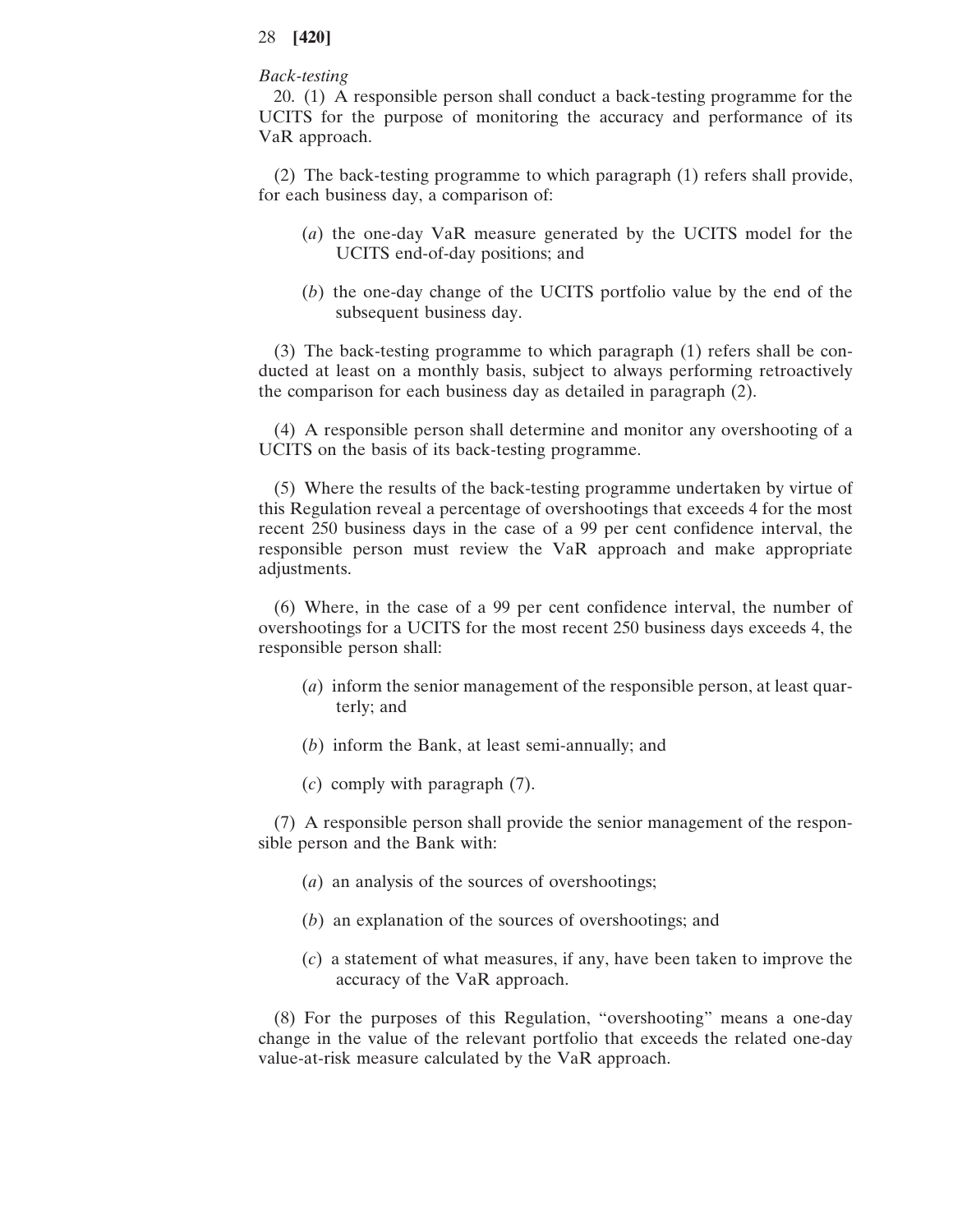#### *Back-testing*

20. (1) A responsible person shall conduct a back-testing programme for the UCITS for the purpose of monitoring the accuracy and performance of its VaR approach.

(2) The back-testing programme to which paragraph (1) refers shall provide, for each business day, a comparison of:

- (*a*) the one-day VaR measure generated by the UCITS model for the UCITS end-of-day positions; and
- (*b*) the one-day change of the UCITS portfolio value by the end of the subsequent business day.

(3) The back-testing programme to which paragraph (1) refers shall be conducted at least on a monthly basis, subject to always performing retroactively the comparison for each business day as detailed in paragraph (2).

(4) A responsible person shall determine and monitor any overshooting of a UCITS on the basis of its back-testing programme.

(5) Where the results of the back-testing programme undertaken by virtue of this Regulation reveal a percentage of overshootings that exceeds 4 for the most recent 250 business days in the case of a 99 per cent confidence interval, the responsible person must review the VaR approach and make appropriate adjustments.

(6) Where, in the case of a 99 per cent confidence interval, the number of overshootings for a UCITS for the most recent 250 business days exceeds 4, the responsible person shall:

- (*a*) inform the senior management of the responsible person, at least quarterly; and
- (*b*) inform the Bank, at least semi-annually; and
- (*c*) comply with paragraph (7).

(7) A responsible person shall provide the senior management of the responsible person and the Bank with:

- (*a*) an analysis of the sources of overshootings;
- (*b*) an explanation of the sources of overshootings; and
- (*c*) a statement of what measures, if any, have been taken to improve the accuracy of the VaR approach.

(8) For the purposes of this Regulation, "overshooting" means a one-day change in the value of the relevant portfolio that exceeds the related one-day value-at-risk measure calculated by the VaR approach.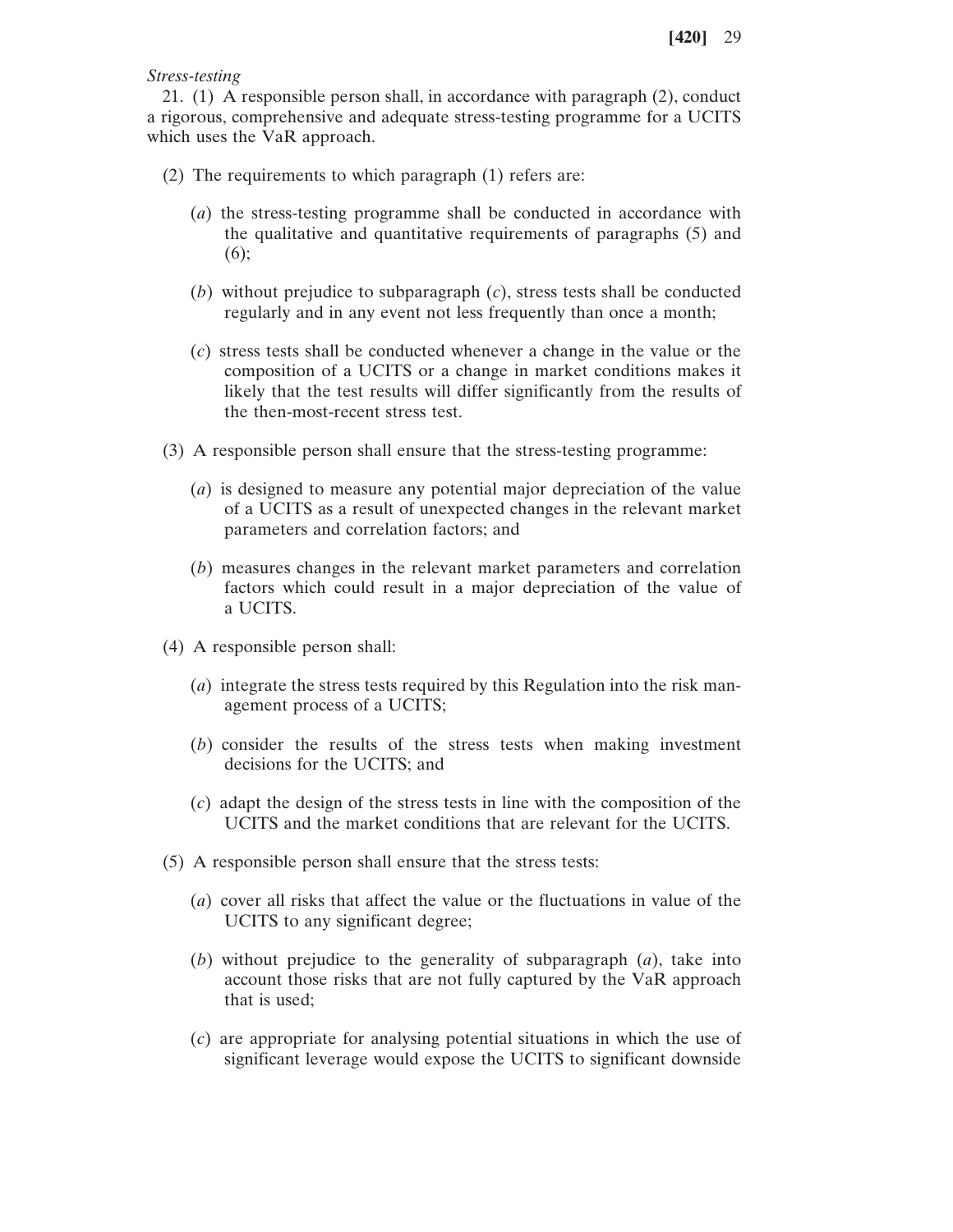*Stress-testing*

21. (1) A responsible person shall, in accordance with paragraph (2), conduct a rigorous, comprehensive and adequate stress-testing programme for a UCITS which uses the VaR approach.

- (2) The requirements to which paragraph (1) refers are:
	- (*a*) the stress-testing programme shall be conducted in accordance with the qualitative and quantitative requirements of paragraphs (5) and (6);
	- (*b*) without prejudice to subparagraph (*c*), stress tests shall be conducted regularly and in any event not less frequently than once a month;
	- (*c*) stress tests shall be conducted whenever a change in the value or the composition of a UCITS or a change in market conditions makes it likely that the test results will differ significantly from the results of the then-most-recent stress test.
- (3) A responsible person shall ensure that the stress-testing programme:
	- (*a*) is designed to measure any potential major depreciation of the value of a UCITS as a result of unexpected changes in the relevant market parameters and correlation factors; and
	- (*b*) measures changes in the relevant market parameters and correlation factors which could result in a major depreciation of the value of a UCITS.
- (4) A responsible person shall:
	- (*a*) integrate the stress tests required by this Regulation into the risk management process of a UCITS;
	- (*b*) consider the results of the stress tests when making investment decisions for the UCITS; and
	- (*c*) adapt the design of the stress tests in line with the composition of the UCITS and the market conditions that are relevant for the UCITS.
- (5) A responsible person shall ensure that the stress tests:
	- (*a*) cover all risks that affect the value or the fluctuations in value of the UCITS to any significant degree;
	- (*b*) without prejudice to the generality of subparagraph (*a*), take into account those risks that are not fully captured by the VaR approach that is used;
	- (*c*) are appropriate for analysing potential situations in which the use of significant leverage would expose the UCITS to significant downside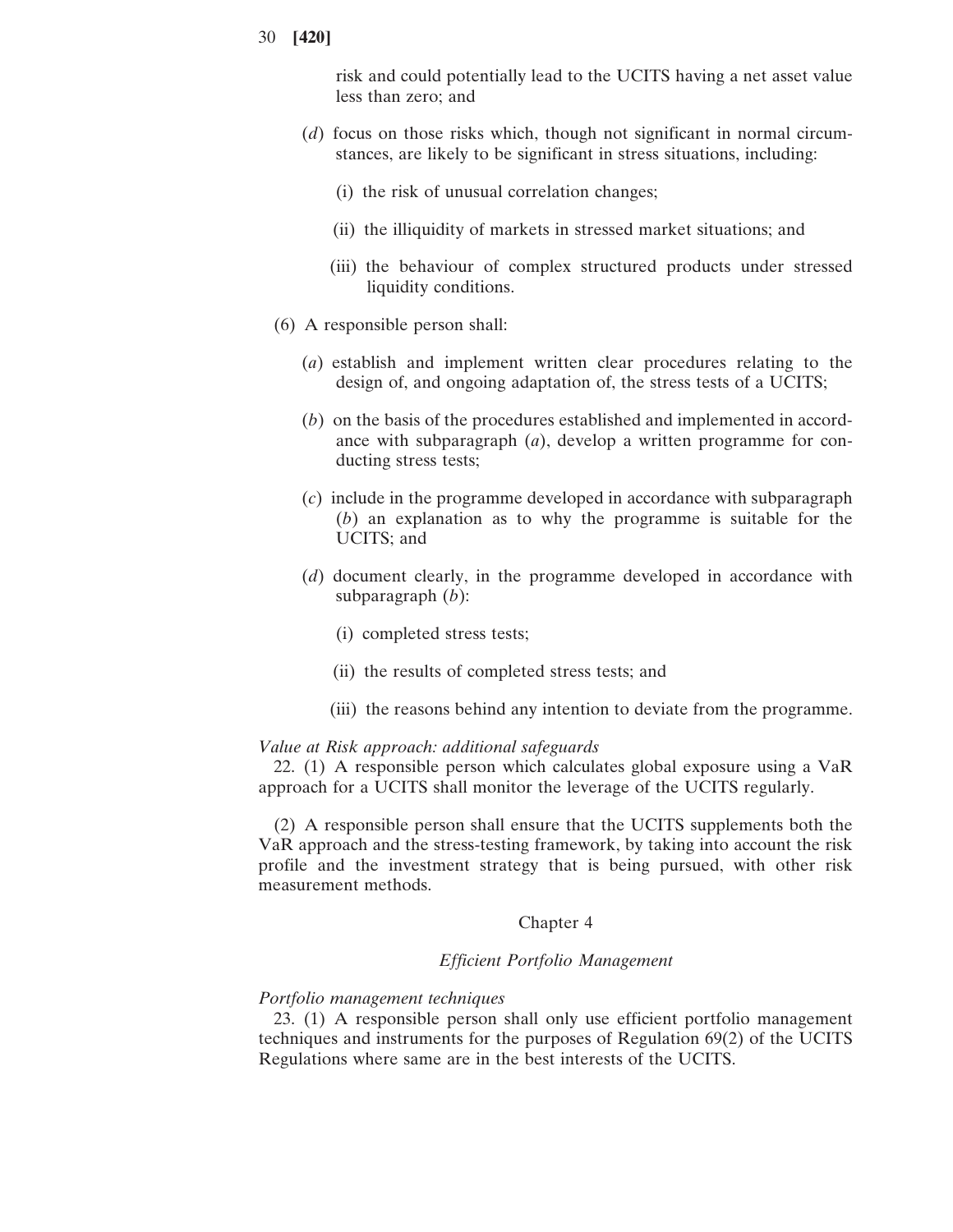risk and could potentially lead to the UCITS having a net asset value less than zero; and

- (*d*) focus on those risks which, though not significant in normal circumstances, are likely to be significant in stress situations, including:
	- (i) the risk of unusual correlation changes;
	- (ii) the illiquidity of markets in stressed market situations; and
	- (iii) the behaviour of complex structured products under stressed liquidity conditions.
- (6) A responsible person shall:
	- (*a*) establish and implement written clear procedures relating to the design of, and ongoing adaptation of, the stress tests of a UCITS;
	- (*b*) on the basis of the procedures established and implemented in accordance with subparagraph (*a*), develop a written programme for conducting stress tests;
	- (*c*) include in the programme developed in accordance with subparagraph (*b*) an explanation as to why the programme is suitable for the UCITS; and
	- (*d*) document clearly, in the programme developed in accordance with subparagraph (*b*):
		- (i) completed stress tests;
		- (ii) the results of completed stress tests; and
		- (iii) the reasons behind any intention to deviate from the programme.

#### *Value at Risk approach: additional safeguards*

22. (1) A responsible person which calculates global exposure using a VaR approach for a UCITS shall monitor the leverage of the UCITS regularly.

(2) A responsible person shall ensure that the UCITS supplements both the VaR approach and the stress-testing framework, by taking into account the risk profile and the investment strategy that is being pursued, with other risk measurement methods.

### Chapter 4

### *Efficient Portfolio Management*

#### *Portfolio management techniques*

23. (1) A responsible person shall only use efficient portfolio management techniques and instruments for the purposes of Regulation 69(2) of the UCITS Regulations where same are in the best interests of the UCITS.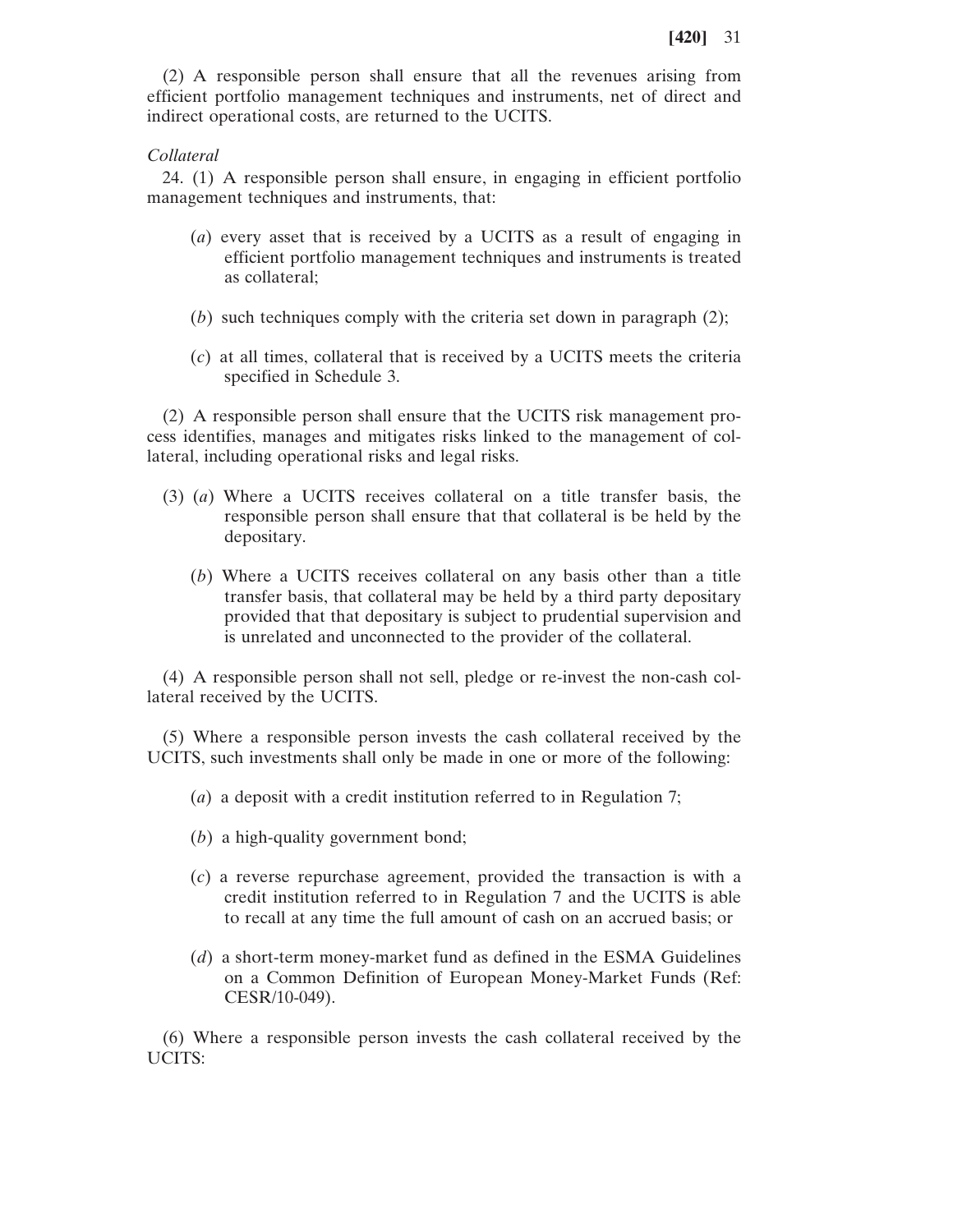(2) A responsible person shall ensure that all the revenues arising from efficient portfolio management techniques and instruments, net of direct and indirect operational costs, are returned to the UCITS.

### *Collateral*

24. (1) A responsible person shall ensure, in engaging in efficient portfolio management techniques and instruments, that:

- (*a*) every asset that is received by a UCITS as a result of engaging in efficient portfolio management techniques and instruments is treated as collateral;
- (*b*) such techniques comply with the criteria set down in paragraph (2);
- (*c*) at all times, collateral that is received by a UCITS meets the criteria specified in Schedule 3.

(2) A responsible person shall ensure that the UCITS risk management process identifies, manages and mitigates risks linked to the management of collateral, including operational risks and legal risks.

- (3) (*a*) Where a UCITS receives collateral on a title transfer basis, the responsible person shall ensure that that collateral is be held by the depositary.
	- (*b*) Where a UCITS receives collateral on any basis other than a title transfer basis, that collateral may be held by a third party depositary provided that that depositary is subject to prudential supervision and is unrelated and unconnected to the provider of the collateral.

(4) A responsible person shall not sell, pledge or re-invest the non-cash collateral received by the UCITS.

(5) Where a responsible person invests the cash collateral received by the UCITS, such investments shall only be made in one or more of the following:

- (*a*) a deposit with a credit institution referred to in Regulation 7;
- (*b*) a high-quality government bond;
- (*c*) a reverse repurchase agreement, provided the transaction is with a credit institution referred to in Regulation 7 and the UCITS is able to recall at any time the full amount of cash on an accrued basis; or
- (*d*) a short-term money-market fund as defined in the ESMA Guidelines on a Common Definition of European Money-Market Funds (Ref: CESR/10-049).

(6) Where a responsible person invests the cash collateral received by the UCITS: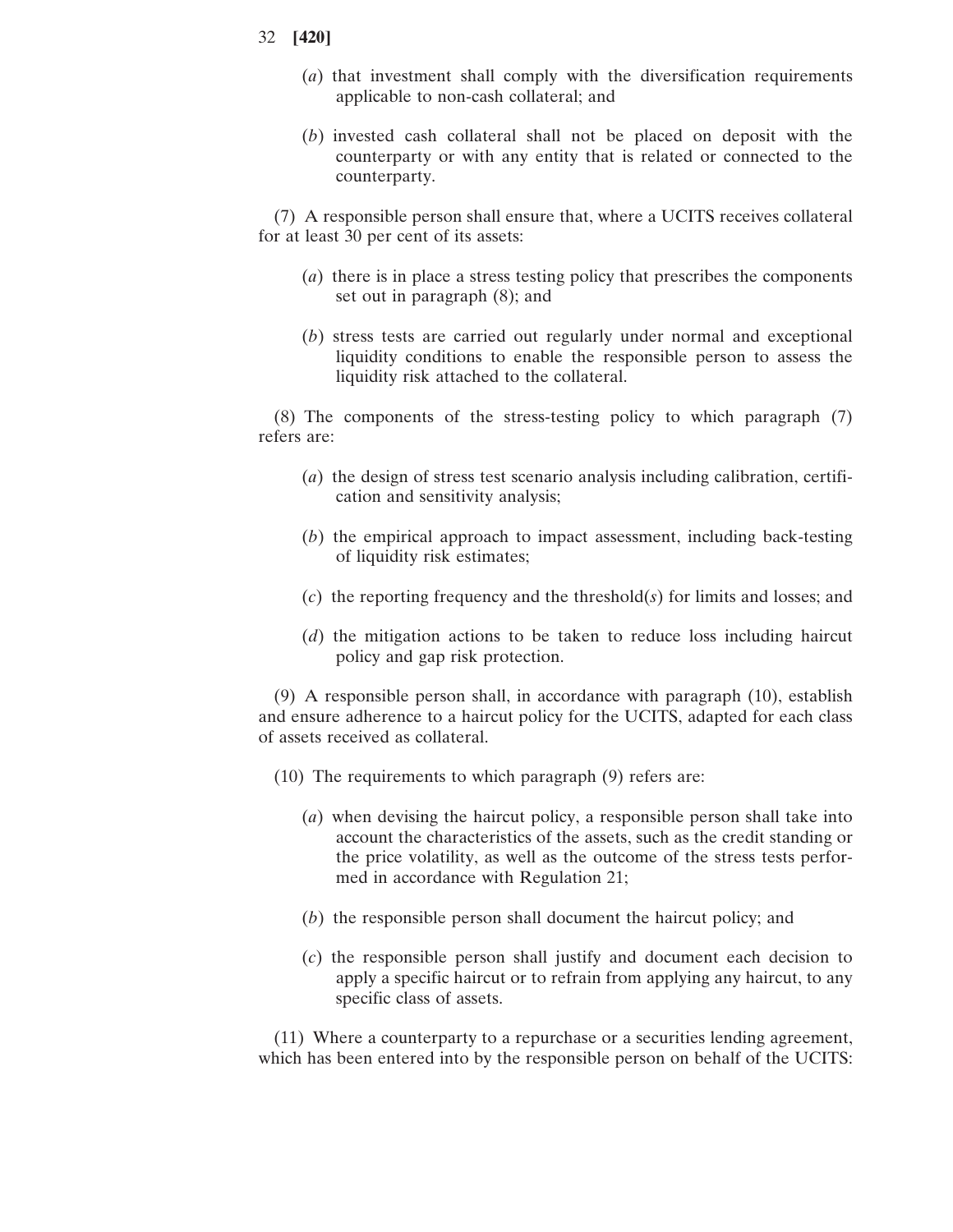- 32 **[420]**
	- (*a*) that investment shall comply with the diversification requirements applicable to non-cash collateral; and
	- (*b*) invested cash collateral shall not be placed on deposit with the counterparty or with any entity that is related or connected to the counterparty.

(7) A responsible person shall ensure that, where a UCITS receives collateral for at least 30 per cent of its assets:

- (*a*) there is in place a stress testing policy that prescribes the components set out in paragraph (8); and
- (*b*) stress tests are carried out regularly under normal and exceptional liquidity conditions to enable the responsible person to assess the liquidity risk attached to the collateral.

(8) The components of the stress-testing policy to which paragraph (7) refers are:

- (*a*) the design of stress test scenario analysis including calibration, certification and sensitivity analysis;
- (*b*) the empirical approach to impact assessment, including back-testing of liquidity risk estimates;
- (*c*) the reporting frequency and the threshold(*s*) for limits and losses; and
- (*d*) the mitigation actions to be taken to reduce loss including haircut policy and gap risk protection.

(9) A responsible person shall, in accordance with paragraph (10), establish and ensure adherence to a haircut policy for the UCITS, adapted for each class of assets received as collateral.

- (10) The requirements to which paragraph (9) refers are:
	- (*a*) when devising the haircut policy, a responsible person shall take into account the characteristics of the assets, such as the credit standing or the price volatility, as well as the outcome of the stress tests performed in accordance with Regulation 21;
	- (*b*) the responsible person shall document the haircut policy; and
	- (*c*) the responsible person shall justify and document each decision to apply a specific haircut or to refrain from applying any haircut, to any specific class of assets.

(11) Where a counterparty to a repurchase or a securities lending agreement, which has been entered into by the responsible person on behalf of the UCITS: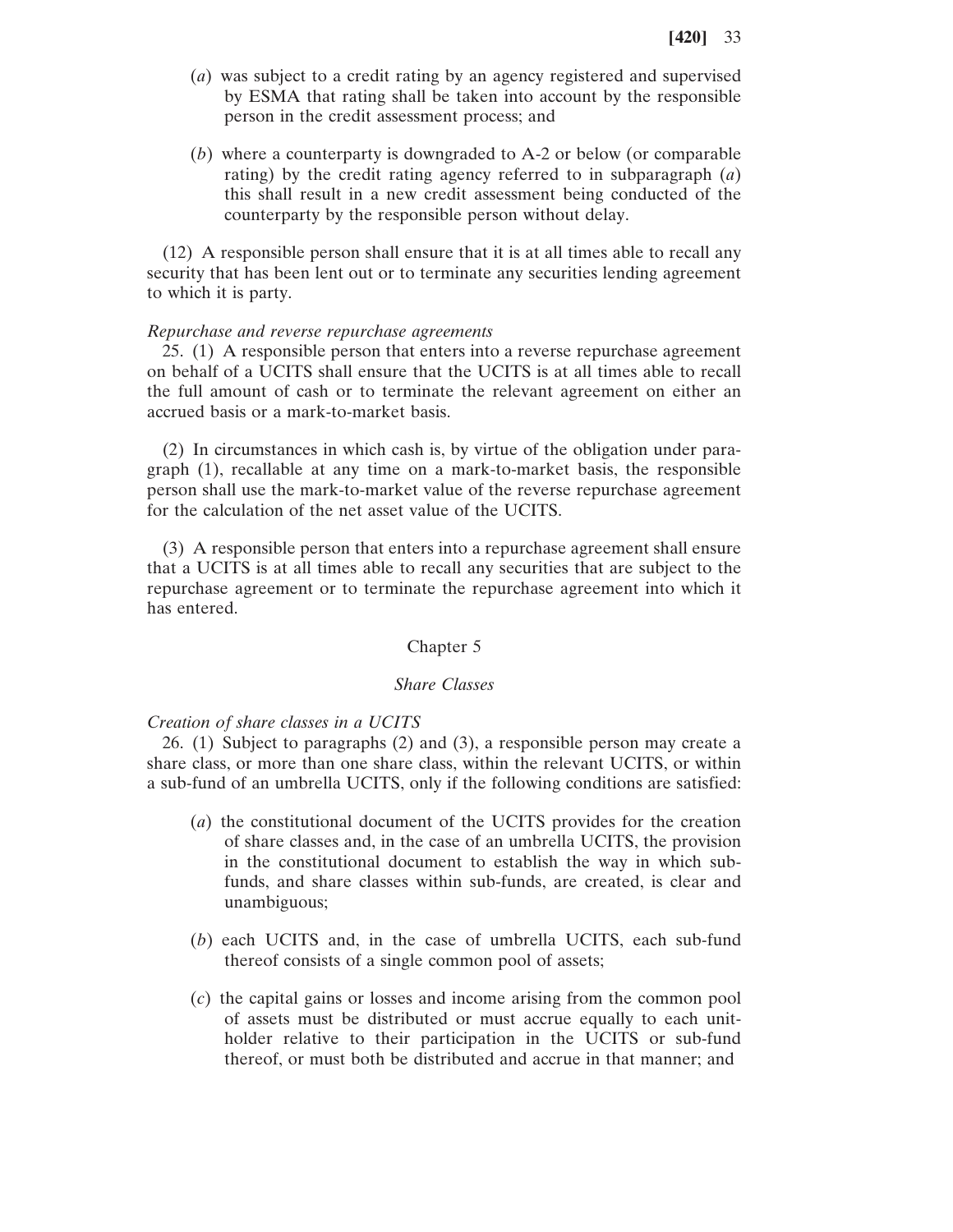- (*a*) was subject to a credit rating by an agency registered and supervised by ESMA that rating shall be taken into account by the responsible person in the credit assessment process; and
- (*b*) where a counterparty is downgraded to A-2 or below (or comparable rating) by the credit rating agency referred to in subparagraph (*a*) this shall result in a new credit assessment being conducted of the counterparty by the responsible person without delay.

(12) A responsible person shall ensure that it is at all times able to recall any security that has been lent out or to terminate any securities lending agreement to which it is party.

### *Repurchase and reverse repurchase agreements*

25. (1) A responsible person that enters into a reverse repurchase agreement on behalf of a UCITS shall ensure that the UCITS is at all times able to recall the full amount of cash or to terminate the relevant agreement on either an accrued basis or a mark-to-market basis.

(2) In circumstances in which cash is, by virtue of the obligation under paragraph (1), recallable at any time on a mark-to-market basis, the responsible person shall use the mark-to-market value of the reverse repurchase agreement for the calculation of the net asset value of the UCITS.

(3) A responsible person that enters into a repurchase agreement shall ensure that a UCITS is at all times able to recall any securities that are subject to the repurchase agreement or to terminate the repurchase agreement into which it has entered.

#### Chapter 5

## *Share Classes*

*Creation of share classes in a UCITS*

26. (1) Subject to paragraphs (2) and (3), a responsible person may create a share class, or more than one share class, within the relevant UCITS, or within a sub-fund of an umbrella UCITS, only if the following conditions are satisfied:

- (*a*) the constitutional document of the UCITS provides for the creation of share classes and, in the case of an umbrella UCITS, the provision in the constitutional document to establish the way in which subfunds, and share classes within sub-funds, are created, is clear and unambiguous;
- (*b*) each UCITS and, in the case of umbrella UCITS, each sub-fund thereof consists of a single common pool of assets;
- (*c*) the capital gains or losses and income arising from the common pool of assets must be distributed or must accrue equally to each unitholder relative to their participation in the UCITS or sub-fund thereof, or must both be distributed and accrue in that manner; and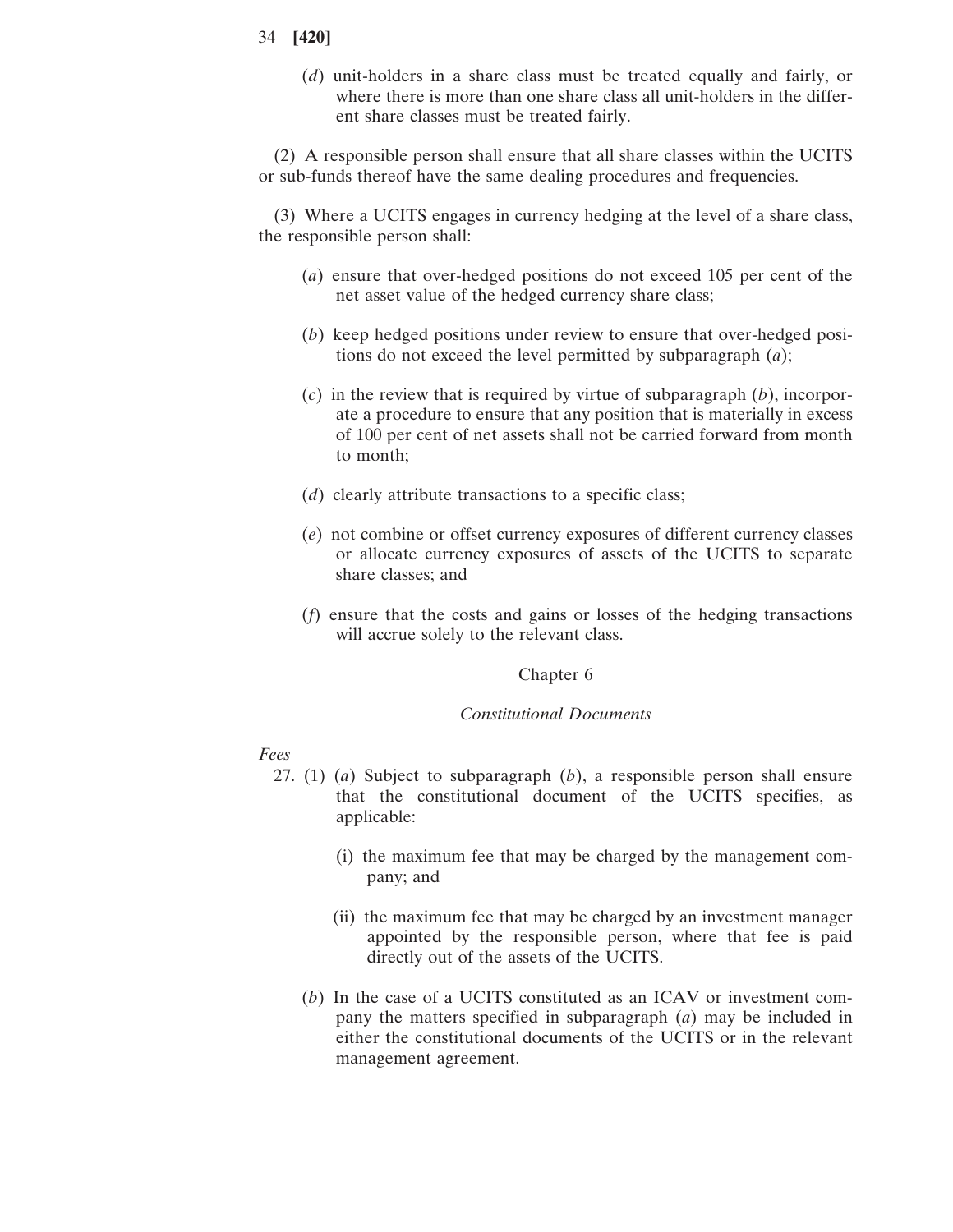(*d*) unit-holders in a share class must be treated equally and fairly, or where there is more than one share class all unit-holders in the different share classes must be treated fairly.

(2) A responsible person shall ensure that all share classes within the UCITS or sub-funds thereof have the same dealing procedures and frequencies.

(3) Where a UCITS engages in currency hedging at the level of a share class, the responsible person shall:

- (*a*) ensure that over-hedged positions do not exceed 105 per cent of the net asset value of the hedged currency share class;
- (*b*) keep hedged positions under review to ensure that over-hedged positions do not exceed the level permitted by subparagraph (*a*);
- (*c*) in the review that is required by virtue of subparagraph (*b*), incorporate a procedure to ensure that any position that is materially in excess of 100 per cent of net assets shall not be carried forward from month to month;
- (*d*) clearly attribute transactions to a specific class;
- (*e*) not combine or offset currency exposures of different currency classes or allocate currency exposures of assets of the UCITS to separate share classes; and
- (*f*) ensure that the costs and gains or losses of the hedging transactions will accrue solely to the relevant class.

### Chapter 6

#### *Constitutional Documents*

### *Fees*

- 27. (1) (*a*) Subject to subparagraph (*b*), a responsible person shall ensure that the constitutional document of the UCITS specifies, as applicable:
	- (i) the maximum fee that may be charged by the management company; and
	- (ii) the maximum fee that may be charged by an investment manager appointed by the responsible person, where that fee is paid directly out of the assets of the UCITS.
	- (*b*) In the case of a UCITS constituted as an ICAV or investment company the matters specified in subparagraph (*a*) may be included in either the constitutional documents of the UCITS or in the relevant management agreement.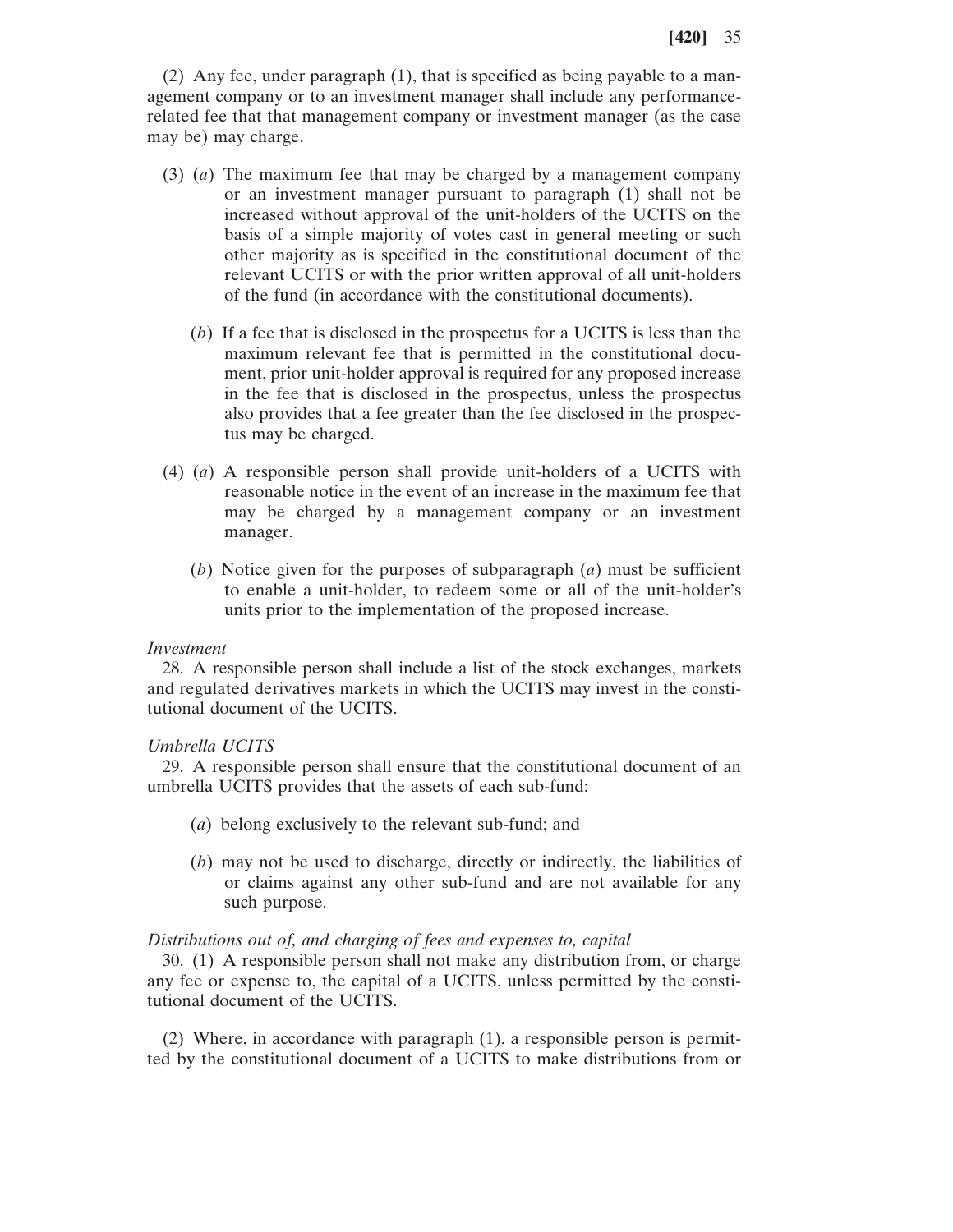(2) Any fee, under paragraph (1), that is specified as being payable to a management company or to an investment manager shall include any performancerelated fee that that management company or investment manager (as the case may be) may charge.

- (3) (*a*) The maximum fee that may be charged by a management company or an investment manager pursuant to paragraph (1) shall not be increased without approval of the unit-holders of the UCITS on the basis of a simple majority of votes cast in general meeting or such other majority as is specified in the constitutional document of the relevant UCITS or with the prior written approval of all unit-holders of the fund (in accordance with the constitutional documents).
	- (*b*) If a fee that is disclosed in the prospectus for a UCITS is less than the maximum relevant fee that is permitted in the constitutional document, prior unit-holder approval is required for any proposed increase in the fee that is disclosed in the prospectus, unless the prospectus also provides that a fee greater than the fee disclosed in the prospectus may be charged.
- (4) (*a*) A responsible person shall provide unit-holders of a UCITS with reasonable notice in the event of an increase in the maximum fee that may be charged by a management company or an investment manager.
	- (*b*) Notice given for the purposes of subparagraph (*a*) must be sufficient to enable a unit-holder, to redeem some or all of the unit-holder's units prior to the implementation of the proposed increase.

#### *Investment*

28. A responsible person shall include a list of the stock exchanges, markets and regulated derivatives markets in which the UCITS may invest in the constitutional document of the UCITS.

### *Umbrella UCITS*

29. A responsible person shall ensure that the constitutional document of an umbrella UCITS provides that the assets of each sub-fund:

- (*a*) belong exclusively to the relevant sub-fund; and
- (*b*) may not be used to discharge, directly or indirectly, the liabilities of or claims against any other sub-fund and are not available for any such purpose.

## *Distributions out of, and charging of fees and expenses to, capital*

30. (1) A responsible person shall not make any distribution from, or charge any fee or expense to, the capital of a UCITS, unless permitted by the constitutional document of the UCITS.

(2) Where, in accordance with paragraph (1), a responsible person is permitted by the constitutional document of a UCITS to make distributions from or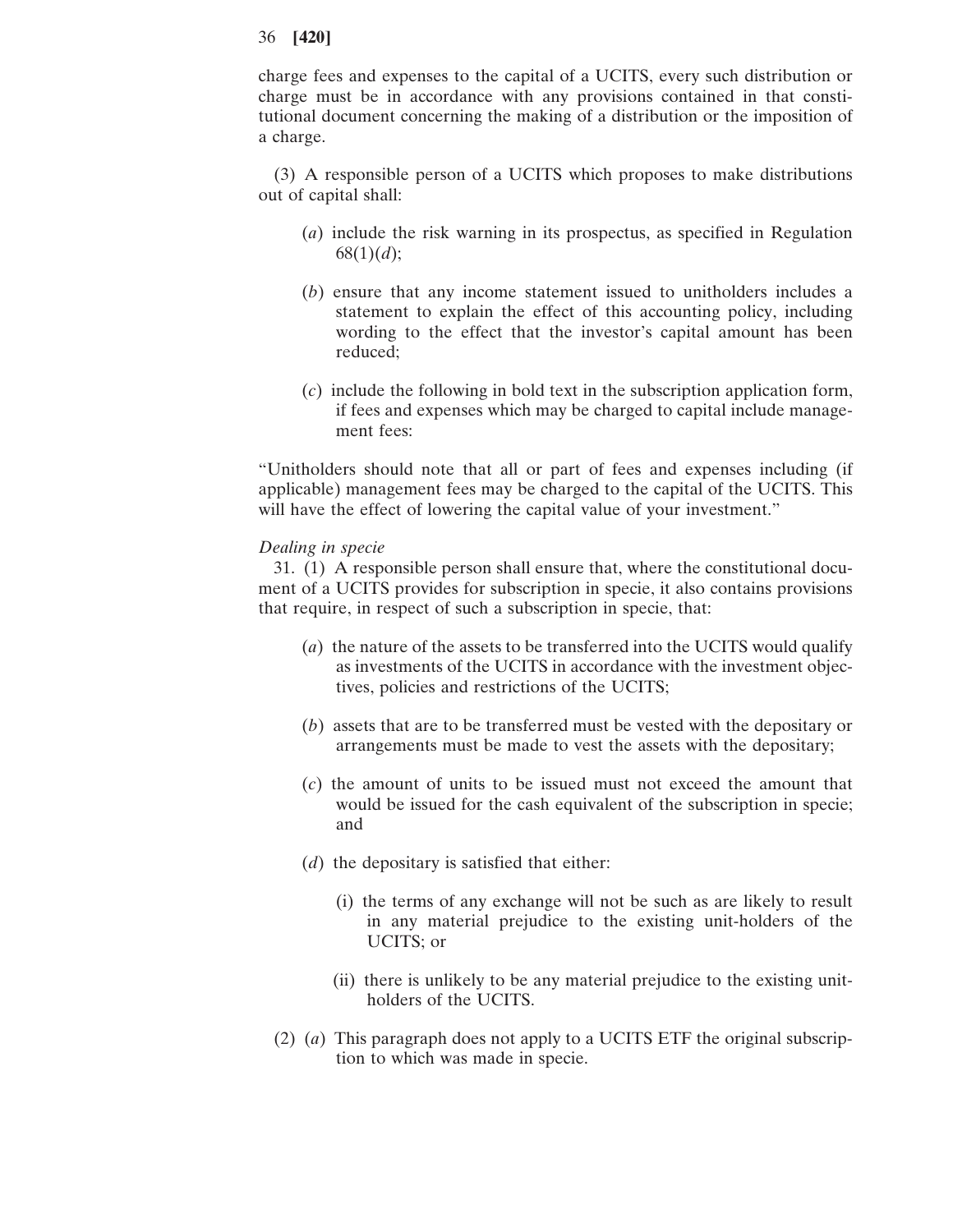charge fees and expenses to the capital of a UCITS, every such distribution or charge must be in accordance with any provisions contained in that constitutional document concerning the making of a distribution or the imposition of a charge.

(3) A responsible person of a UCITS which proposes to make distributions out of capital shall:

- (*a*) include the risk warning in its prospectus, as specified in Regulation 68(1)(*d*);
- (*b*) ensure that any income statement issued to unitholders includes a statement to explain the effect of this accounting policy, including wording to the effect that the investor's capital amount has been reduced;
- (*c*) include the following in bold text in the subscription application form, if fees and expenses which may be charged to capital include management fees:

"Unitholders should note that all or part of fees and expenses including (if applicable) management fees may be charged to the capital of the UCITS. This will have the effect of lowering the capital value of your investment."

## *Dealing in specie*

31. (1) A responsible person shall ensure that, where the constitutional document of a UCITS provides for subscription in specie, it also contains provisions that require, in respect of such a subscription in specie, that:

- (*a*) the nature of the assets to be transferred into the UCITS would qualify as investments of the UCITS in accordance with the investment objectives, policies and restrictions of the UCITS;
- (*b*) assets that are to be transferred must be vested with the depositary or arrangements must be made to vest the assets with the depositary;
- (*c*) the amount of units to be issued must not exceed the amount that would be issued for the cash equivalent of the subscription in specie; and
- (*d*) the depositary is satisfied that either:
	- (i) the terms of any exchange will not be such as are likely to result in any material prejudice to the existing unit-holders of the UCITS; or
	- (ii) there is unlikely to be any material prejudice to the existing unitholders of the UCITS.
- (2) (*a*) This paragraph does not apply to a UCITS ETF the original subscription to which was made in specie.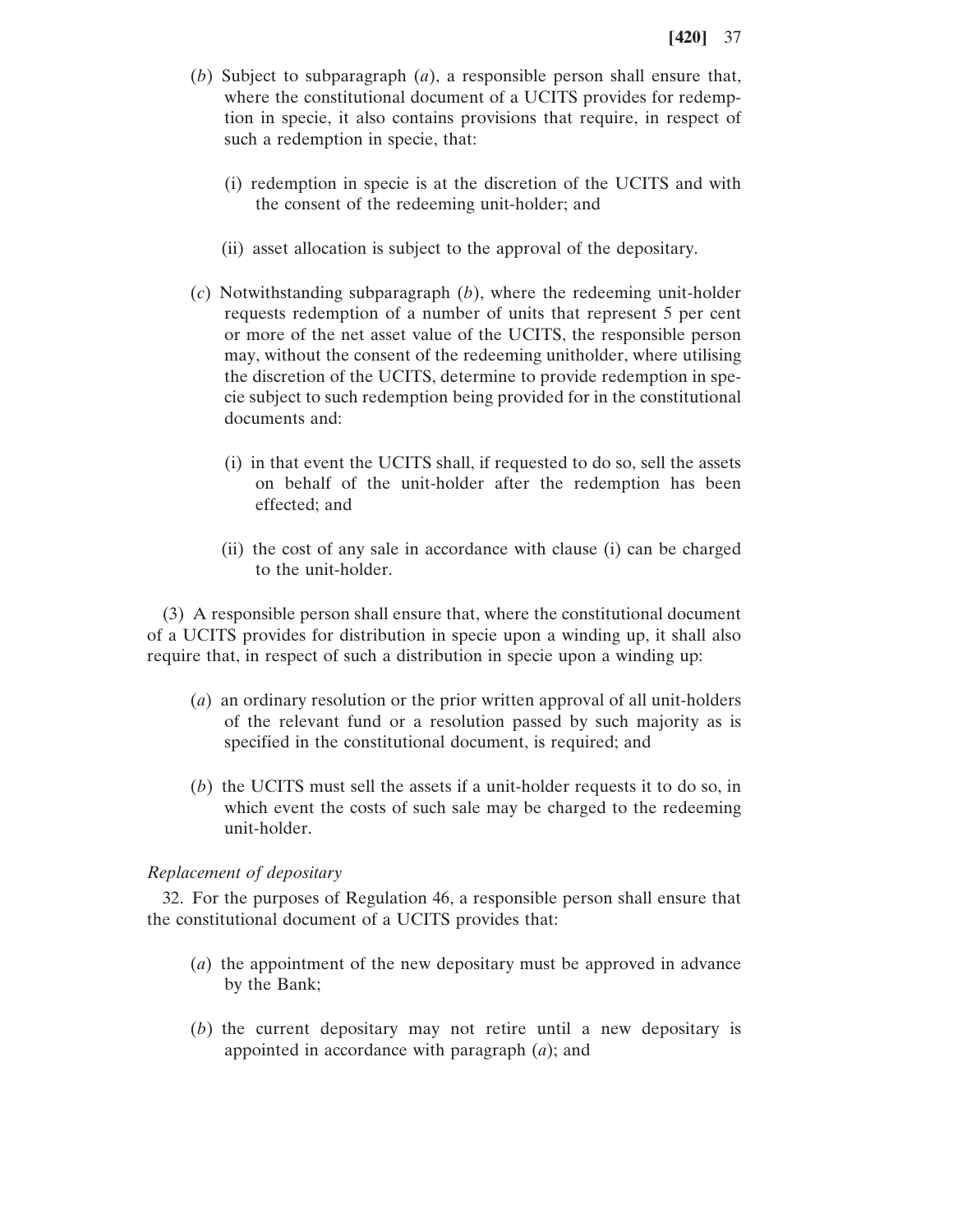- (*b*) Subject to subparagraph (*a*), a responsible person shall ensure that, where the constitutional document of a UCITS provides for redemption in specie, it also contains provisions that require, in respect of such a redemption in specie, that:
	- (i) redemption in specie is at the discretion of the UCITS and with the consent of the redeeming unit-holder; and
	- (ii) asset allocation is subject to the approval of the depositary.
- (*c*) Notwithstanding subparagraph (*b*), where the redeeming unit-holder requests redemption of a number of units that represent 5 per cent or more of the net asset value of the UCITS, the responsible person may, without the consent of the redeeming unitholder, where utilising the discretion of the UCITS, determine to provide redemption in specie subject to such redemption being provided for in the constitutional documents and:
	- (i) in that event the UCITS shall, if requested to do so, sell the assets on behalf of the unit-holder after the redemption has been effected; and
	- (ii) the cost of any sale in accordance with clause (i) can be charged to the unit-holder.

(3) A responsible person shall ensure that, where the constitutional document of a UCITS provides for distribution in specie upon a winding up, it shall also require that, in respect of such a distribution in specie upon a winding up:

- (*a*) an ordinary resolution or the prior written approval of all unit-holders of the relevant fund or a resolution passed by such majority as is specified in the constitutional document, is required; and
- (*b*) the UCITS must sell the assets if a unit-holder requests it to do so, in which event the costs of such sale may be charged to the redeeming unit-holder.

# *Replacement of depositary*

32. For the purposes of Regulation 46, a responsible person shall ensure that the constitutional document of a UCITS provides that:

- (*a*) the appointment of the new depositary must be approved in advance by the Bank;
- (*b*) the current depositary may not retire until a new depositary is appointed in accordance with paragraph (*a*); and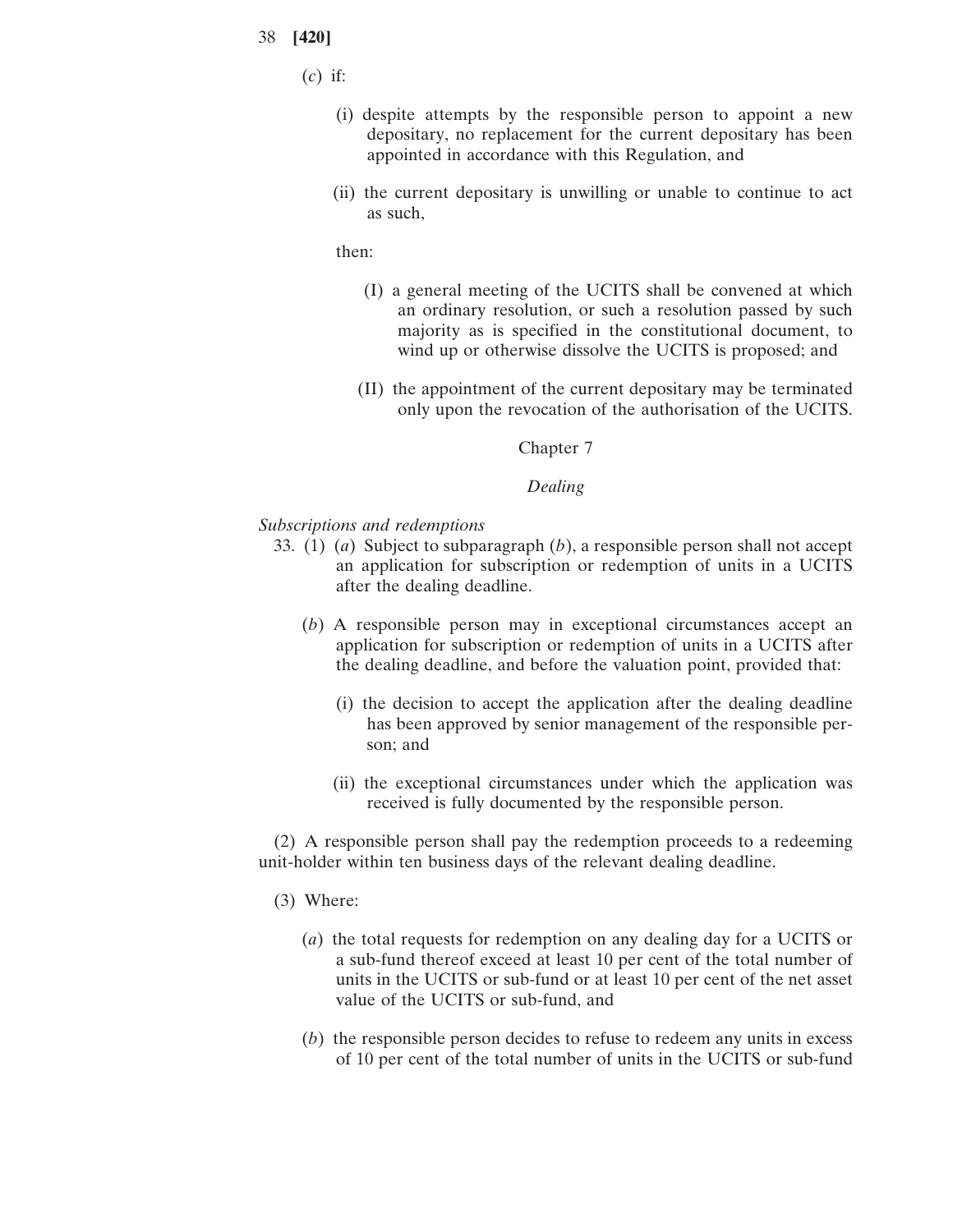(*c*) if:

- (i) despite attempts by the responsible person to appoint a new depositary, no replacement for the current depositary has been appointed in accordance with this Regulation, and
- (ii) the current depositary is unwilling or unable to continue to act as such,

then:

- (I) a general meeting of the UCITS shall be convened at which an ordinary resolution, or such a resolution passed by such majority as is specified in the constitutional document, to wind up or otherwise dissolve the UCITS is proposed; and
- (II) the appointment of the current depositary may be terminated only upon the revocation of the authorisation of the UCITS.

Chapter 7

#### *Dealing*

#### *Subscriptions and redemptions*

- 33. (1) (*a*) Subject to subparagraph (*b*), a responsible person shall not accept an application for subscription or redemption of units in a UCITS after the dealing deadline.
	- (*b*) A responsible person may in exceptional circumstances accept an application for subscription or redemption of units in a UCITS after the dealing deadline, and before the valuation point, provided that:
		- (i) the decision to accept the application after the dealing deadline has been approved by senior management of the responsible person; and
		- (ii) the exceptional circumstances under which the application was received is fully documented by the responsible person.

(2) A responsible person shall pay the redemption proceeds to a redeeming unit-holder within ten business days of the relevant dealing deadline.

- (3) Where:
	- (*a*) the total requests for redemption on any dealing day for a UCITS or a sub-fund thereof exceed at least 10 per cent of the total number of units in the UCITS or sub-fund or at least 10 per cent of the net asset value of the UCITS or sub-fund, and
	- (*b*) the responsible person decides to refuse to redeem any units in excess of 10 per cent of the total number of units in the UCITS or sub-fund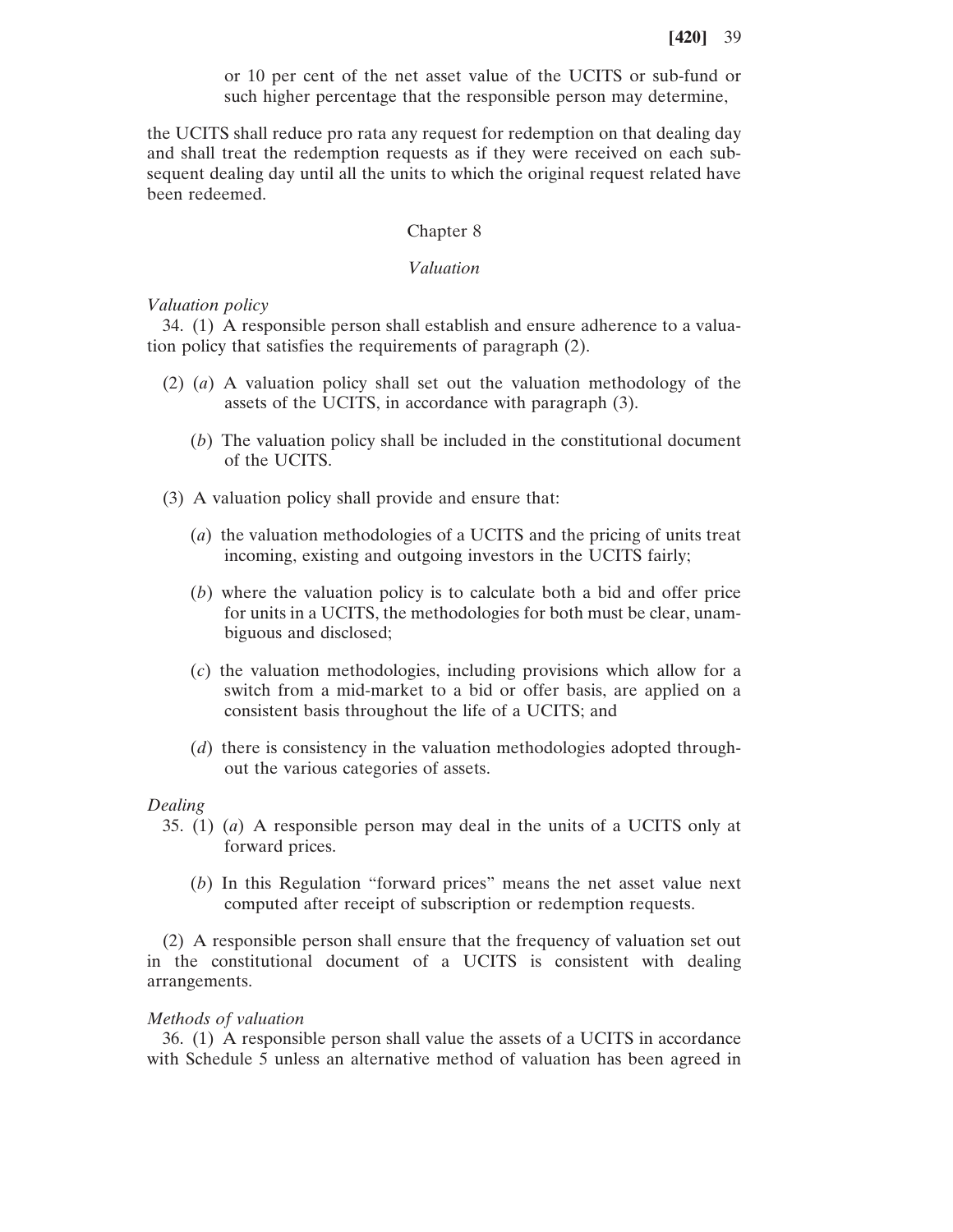or 10 per cent of the net asset value of the UCITS or sub-fund or such higher percentage that the responsible person may determine,

the UCITS shall reduce pro rata any request for redemption on that dealing day and shall treat the redemption requests as if they were received on each subsequent dealing day until all the units to which the original request related have been redeemed.

# Chapter 8

#### *Valuation*

*Valuation policy*

34. (1) A responsible person shall establish and ensure adherence to a valuation policy that satisfies the requirements of paragraph (2).

- (2) (*a*) A valuation policy shall set out the valuation methodology of the assets of the UCITS, in accordance with paragraph (3).
	- (*b*) The valuation policy shall be included in the constitutional document of the UCITS.
- (3) A valuation policy shall provide and ensure that:
	- (*a*) the valuation methodologies of a UCITS and the pricing of units treat incoming, existing and outgoing investors in the UCITS fairly;
	- (*b*) where the valuation policy is to calculate both a bid and offer price for units in a UCITS, the methodologies for both must be clear, unambiguous and disclosed;
	- (*c*) the valuation methodologies, including provisions which allow for a switch from a mid-market to a bid or offer basis, are applied on a consistent basis throughout the life of a UCITS; and
	- (*d*) there is consistency in the valuation methodologies adopted throughout the various categories of assets.

#### *Dealing*

- 35. (1) (*a*) A responsible person may deal in the units of a UCITS only at forward prices.
	- (*b*) In this Regulation "forward prices" means the net asset value next computed after receipt of subscription or redemption requests.

(2) A responsible person shall ensure that the frequency of valuation set out in the constitutional document of a UCITS is consistent with dealing arrangements.

#### *Methods of valuation*

36. (1) A responsible person shall value the assets of a UCITS in accordance with Schedule 5 unless an alternative method of valuation has been agreed in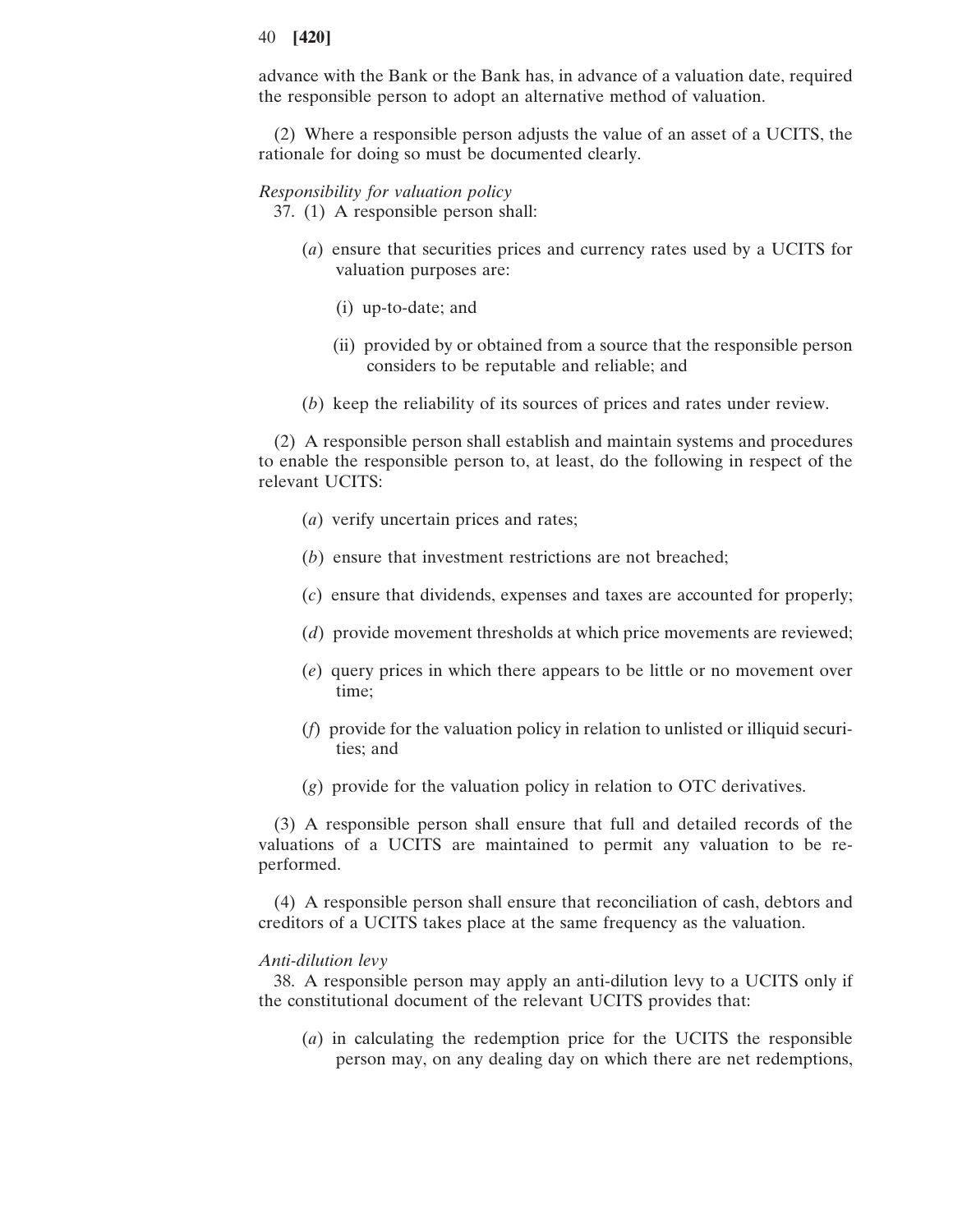advance with the Bank or the Bank has, in advance of a valuation date, required the responsible person to adopt an alternative method of valuation.

(2) Where a responsible person adjusts the value of an asset of a UCITS, the rationale for doing so must be documented clearly.

#### *Responsibility for valuation policy*

37. (1) A responsible person shall:

- (*a*) ensure that securities prices and currency rates used by a UCITS for valuation purposes are:
	- (i) up-to-date; and
	- (ii) provided by or obtained from a source that the responsible person considers to be reputable and reliable; and
- (*b*) keep the reliability of its sources of prices and rates under review.

(2) A responsible person shall establish and maintain systems and procedures to enable the responsible person to, at least, do the following in respect of the relevant UCITS:

- (*a*) verify uncertain prices and rates;
- (*b*) ensure that investment restrictions are not breached;
- (*c*) ensure that dividends, expenses and taxes are accounted for properly;
- (*d*) provide movement thresholds at which price movements are reviewed;
- (*e*) query prices in which there appears to be little or no movement over time;
- (*f*) provide for the valuation policy in relation to unlisted or illiquid securities; and
- (*g*) provide for the valuation policy in relation to OTC derivatives.

(3) A responsible person shall ensure that full and detailed records of the valuations of a UCITS are maintained to permit any valuation to be reperformed.

(4) A responsible person shall ensure that reconciliation of cash, debtors and creditors of a UCITS takes place at the same frequency as the valuation.

#### *Anti-dilution levy*

38. A responsible person may apply an anti-dilution levy to a UCITS only if the constitutional document of the relevant UCITS provides that:

(*a*) in calculating the redemption price for the UCITS the responsible person may, on any dealing day on which there are net redemptions,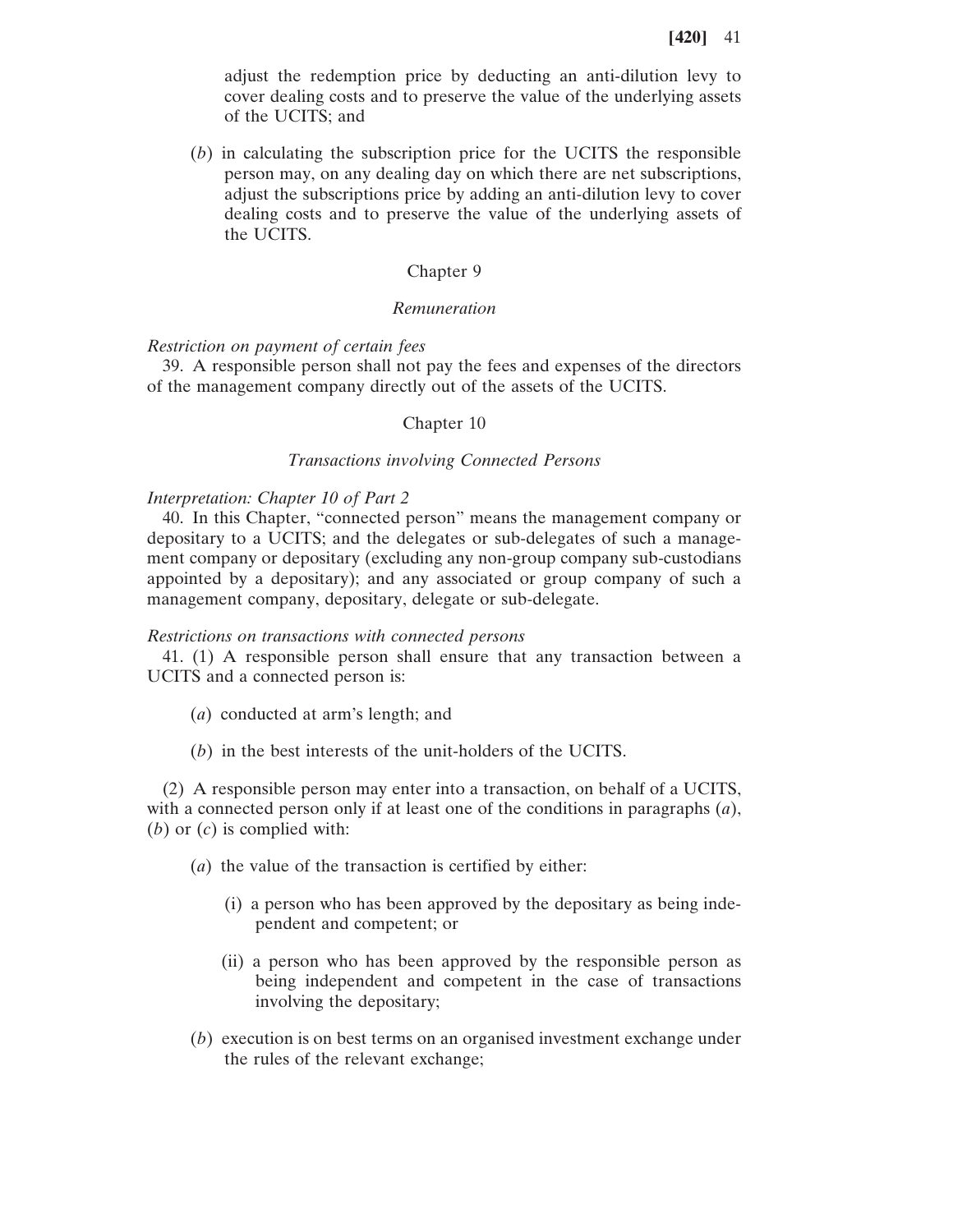adjust the redemption price by deducting an anti-dilution levy to cover dealing costs and to preserve the value of the underlying assets of the UCITS; and

(*b*) in calculating the subscription price for the UCITS the responsible person may, on any dealing day on which there are net subscriptions, adjust the subscriptions price by adding an anti-dilution levy to cover dealing costs and to preserve the value of the underlying assets of the UCITS.

## Chapter 9

### *Remuneration*

#### *Restriction on payment of certain fees*

39. A responsible person shall not pay the fees and expenses of the directors of the management company directly out of the assets of the UCITS.

### Chapter 10

### *Transactions involving Connected Persons*

#### *Interpretation: Chapter 10 of Part 2*

40. In this Chapter, "connected person" means the management company or depositary to a UCITS; and the delegates or sub-delegates of such a management company or depositary (excluding any non-group company sub-custodians appointed by a depositary); and any associated or group company of such a management company, depositary, delegate or sub-delegate.

#### *Restrictions on transactions with connected persons*

41. (1) A responsible person shall ensure that any transaction between a UCITS and a connected person is:

- (*a*) conducted at arm's length; and
- (*b*) in the best interests of the unit-holders of the UCITS.

(2) A responsible person may enter into a transaction, on behalf of a UCITS, with a connected person only if at least one of the conditions in paragraphs (*a*), (*b*) or (*c*) is complied with:

- (*a*) the value of the transaction is certified by either:
	- (i) a person who has been approved by the depositary as being independent and competent; or
	- (ii) a person who has been approved by the responsible person as being independent and competent in the case of transactions involving the depositary;
- (*b*) execution is on best terms on an organised investment exchange under the rules of the relevant exchange;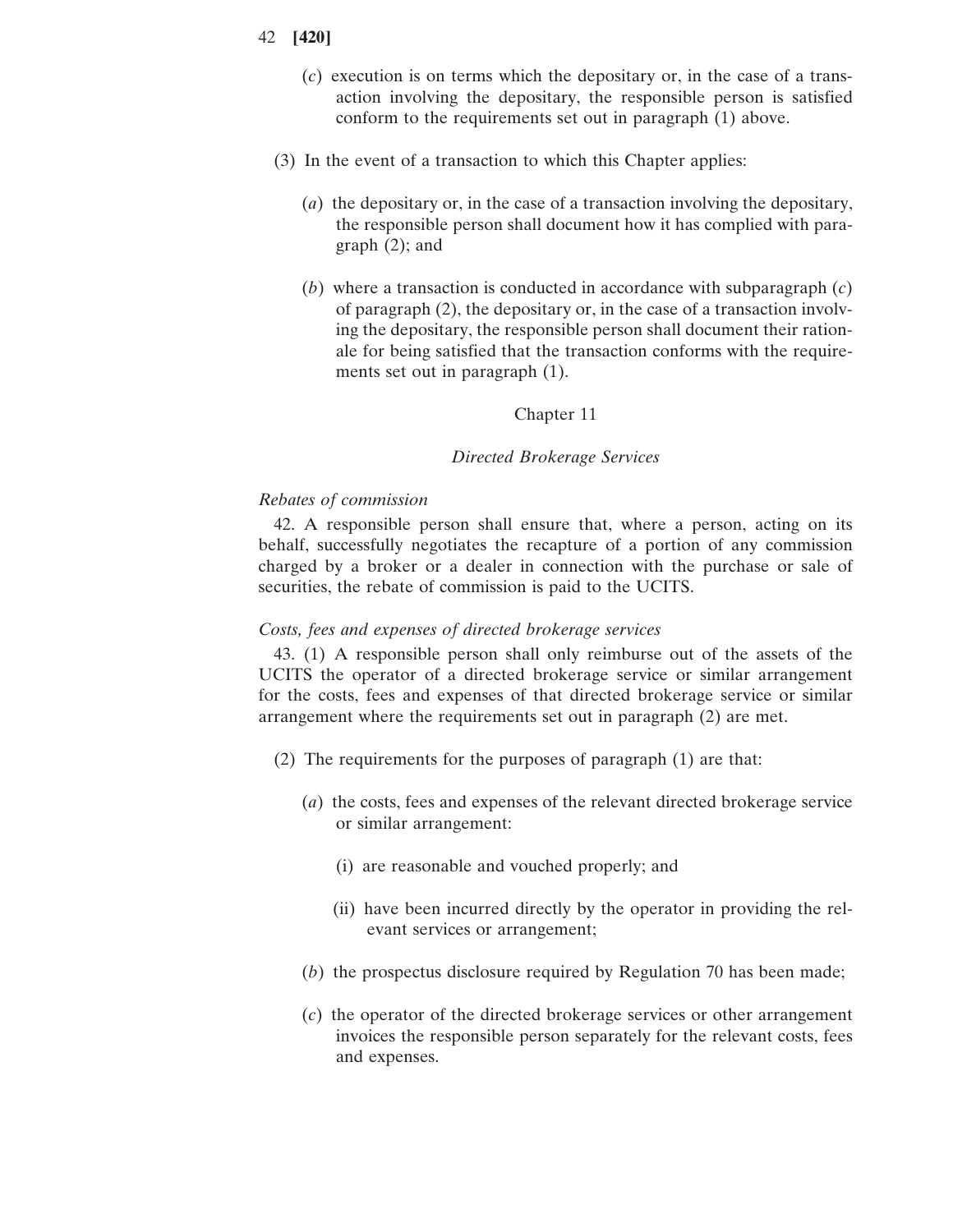- (*c*) execution is on terms which the depositary or, in the case of a transaction involving the depositary, the responsible person is satisfied conform to the requirements set out in paragraph (1) above.
- (3) In the event of a transaction to which this Chapter applies:
	- (*a*) the depositary or, in the case of a transaction involving the depositary, the responsible person shall document how it has complied with paragraph (2); and
	- (*b*) where a transaction is conducted in accordance with subparagraph (*c*) of paragraph (2), the depositary or, in the case of a transaction involving the depositary, the responsible person shall document their rationale for being satisfied that the transaction conforms with the requirements set out in paragraph (1).

# Chapter 11

# *Directed Brokerage Services*

#### *Rebates of commission*

42. A responsible person shall ensure that, where a person, acting on its behalf, successfully negotiates the recapture of a portion of any commission charged by a broker or a dealer in connection with the purchase or sale of securities, the rebate of commission is paid to the UCITS.

# *Costs, fees and expenses of directed brokerage services*

43. (1) A responsible person shall only reimburse out of the assets of the UCITS the operator of a directed brokerage service or similar arrangement for the costs, fees and expenses of that directed brokerage service or similar arrangement where the requirements set out in paragraph (2) are met.

- (2) The requirements for the purposes of paragraph (1) are that:
	- (*a*) the costs, fees and expenses of the relevant directed brokerage service or similar arrangement:
		- (i) are reasonable and vouched properly; and
		- (ii) have been incurred directly by the operator in providing the relevant services or arrangement;
	- (*b*) the prospectus disclosure required by Regulation 70 has been made;
	- (*c*) the operator of the directed brokerage services or other arrangement invoices the responsible person separately for the relevant costs, fees and expenses.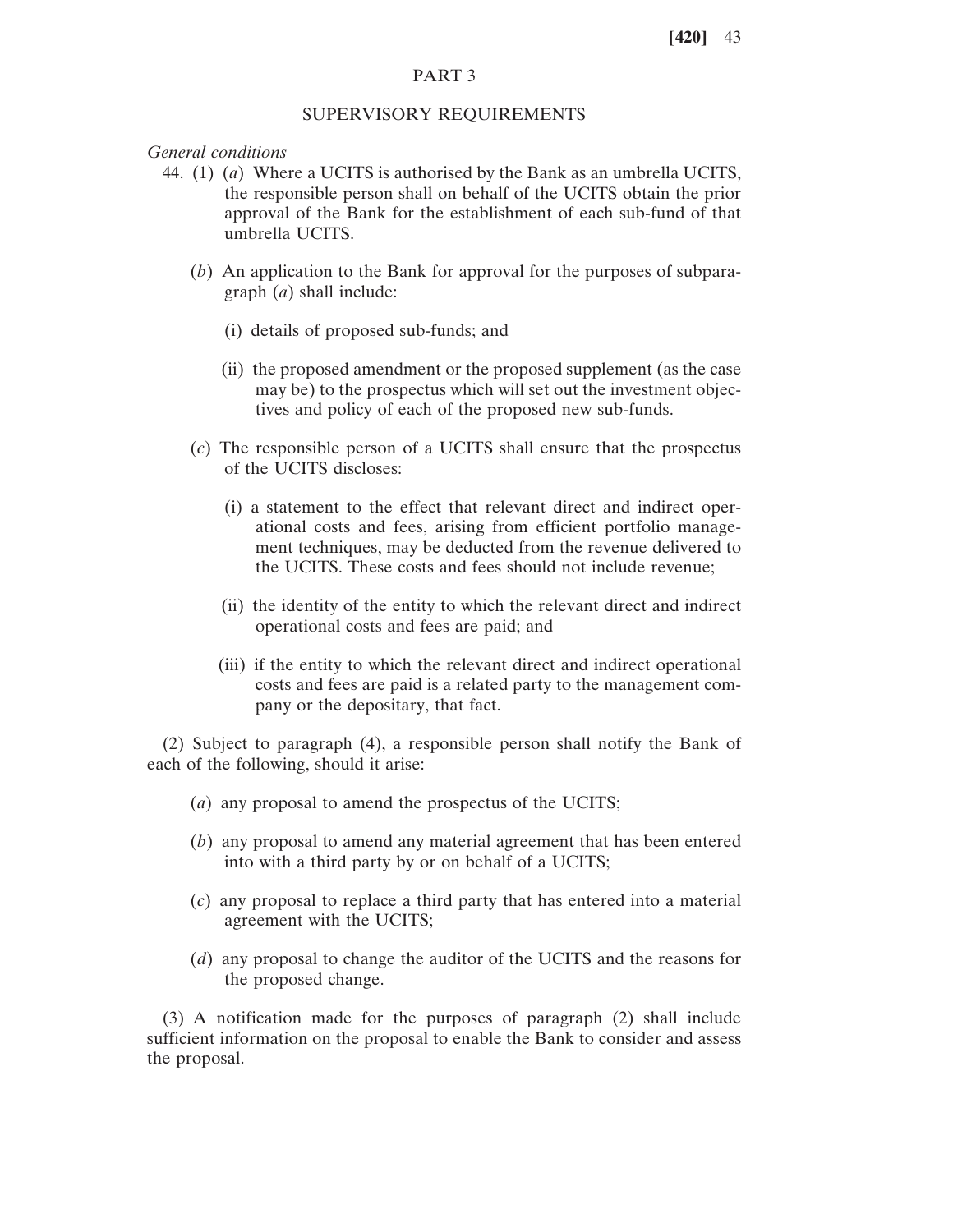# PART 3

# SUPERVISORY REQUIREMENTS

*General conditions*

- 44. (1) (*a*) Where a UCITS is authorised by the Bank as an umbrella UCITS, the responsible person shall on behalf of the UCITS obtain the prior approval of the Bank for the establishment of each sub-fund of that umbrella UCITS.
	- (*b*) An application to the Bank for approval for the purposes of subparagraph (*a*) shall include:
		- (i) details of proposed sub-funds; and
		- (ii) the proposed amendment or the proposed supplement (as the case may be) to the prospectus which will set out the investment objectives and policy of each of the proposed new sub-funds.
	- (*c*) The responsible person of a UCITS shall ensure that the prospectus of the UCITS discloses:
		- (i) a statement to the effect that relevant direct and indirect operational costs and fees, arising from efficient portfolio management techniques, may be deducted from the revenue delivered to the UCITS. These costs and fees should not include revenue;
		- (ii) the identity of the entity to which the relevant direct and indirect operational costs and fees are paid; and
		- (iii) if the entity to which the relevant direct and indirect operational costs and fees are paid is a related party to the management company or the depositary, that fact.

(2) Subject to paragraph (4), a responsible person shall notify the Bank of each of the following, should it arise:

- (*a*) any proposal to amend the prospectus of the UCITS;
- (*b*) any proposal to amend any material agreement that has been entered into with a third party by or on behalf of a UCITS;
- (*c*) any proposal to replace a third party that has entered into a material agreement with the UCITS;
- (*d*) any proposal to change the auditor of the UCITS and the reasons for the proposed change.

(3) A notification made for the purposes of paragraph (2) shall include sufficient information on the proposal to enable the Bank to consider and assess the proposal.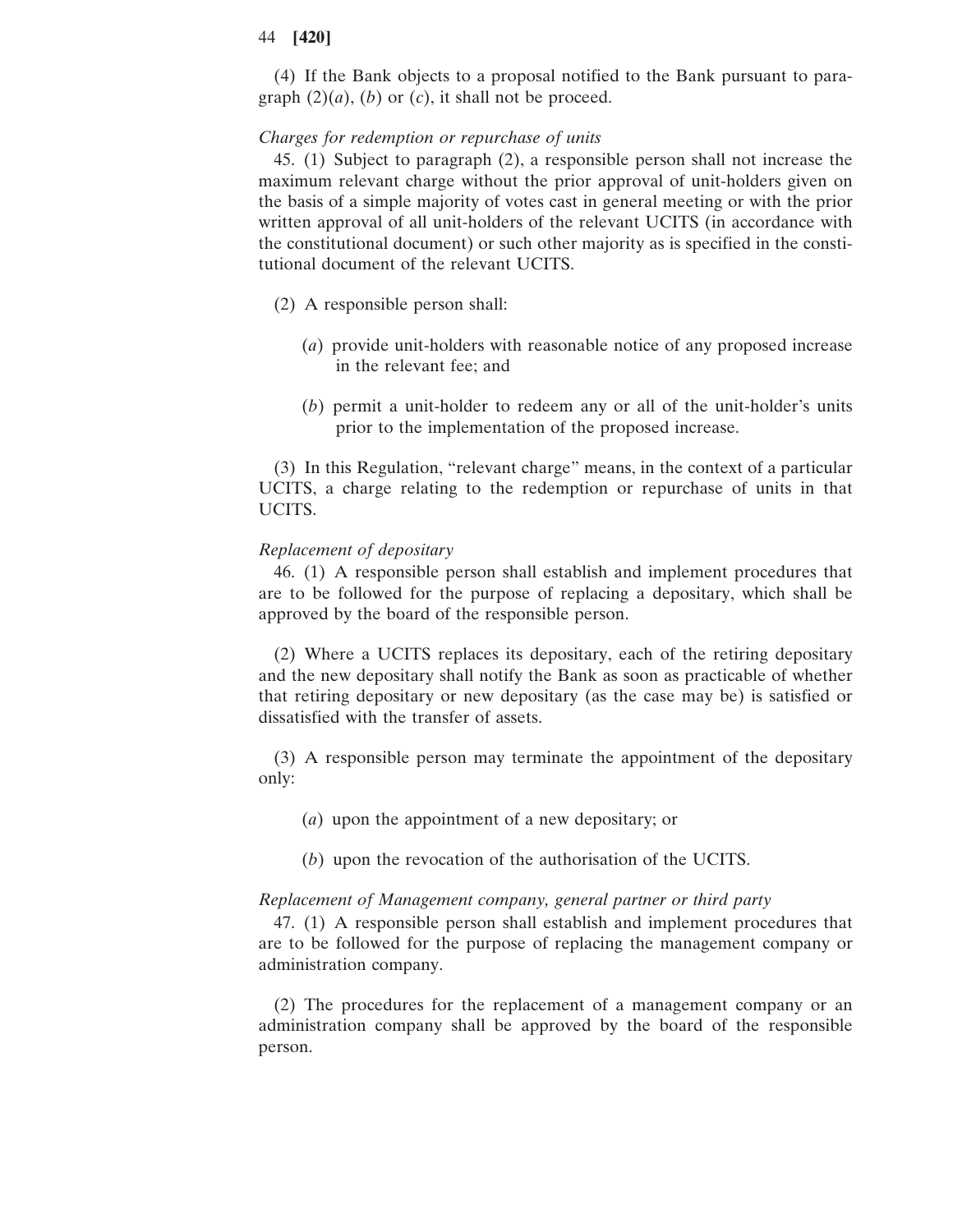(4) If the Bank objects to a proposal notified to the Bank pursuant to paragraph  $(2)(a)$ ,  $(b)$  or  $(c)$ , it shall not be proceed.

### *Charges for redemption or repurchase of units*

45. (1) Subject to paragraph (2), a responsible person shall not increase the maximum relevant charge without the prior approval of unit-holders given on the basis of a simple majority of votes cast in general meeting or with the prior written approval of all unit-holders of the relevant UCITS (in accordance with the constitutional document) or such other majority as is specified in the constitutional document of the relevant UCITS.

- (2) A responsible person shall:
	- (*a*) provide unit-holders with reasonable notice of any proposed increase in the relevant fee; and
	- (*b*) permit a unit-holder to redeem any or all of the unit-holder's units prior to the implementation of the proposed increase.

(3) In this Regulation, "relevant charge" means, in the context of a particular UCITS, a charge relating to the redemption or repurchase of units in that UCITS.

## *Replacement of depositary*

46. (1) A responsible person shall establish and implement procedures that are to be followed for the purpose of replacing a depositary, which shall be approved by the board of the responsible person.

(2) Where a UCITS replaces its depositary, each of the retiring depositary and the new depositary shall notify the Bank as soon as practicable of whether that retiring depositary or new depositary (as the case may be) is satisfied or dissatisfied with the transfer of assets.

(3) A responsible person may terminate the appointment of the depositary only:

(*a*) upon the appointment of a new depositary; or

(*b*) upon the revocation of the authorisation of the UCITS.

### *Replacement of Management company, general partner or third party*

47. (1) A responsible person shall establish and implement procedures that are to be followed for the purpose of replacing the management company or administration company.

(2) The procedures for the replacement of a management company or an administration company shall be approved by the board of the responsible person.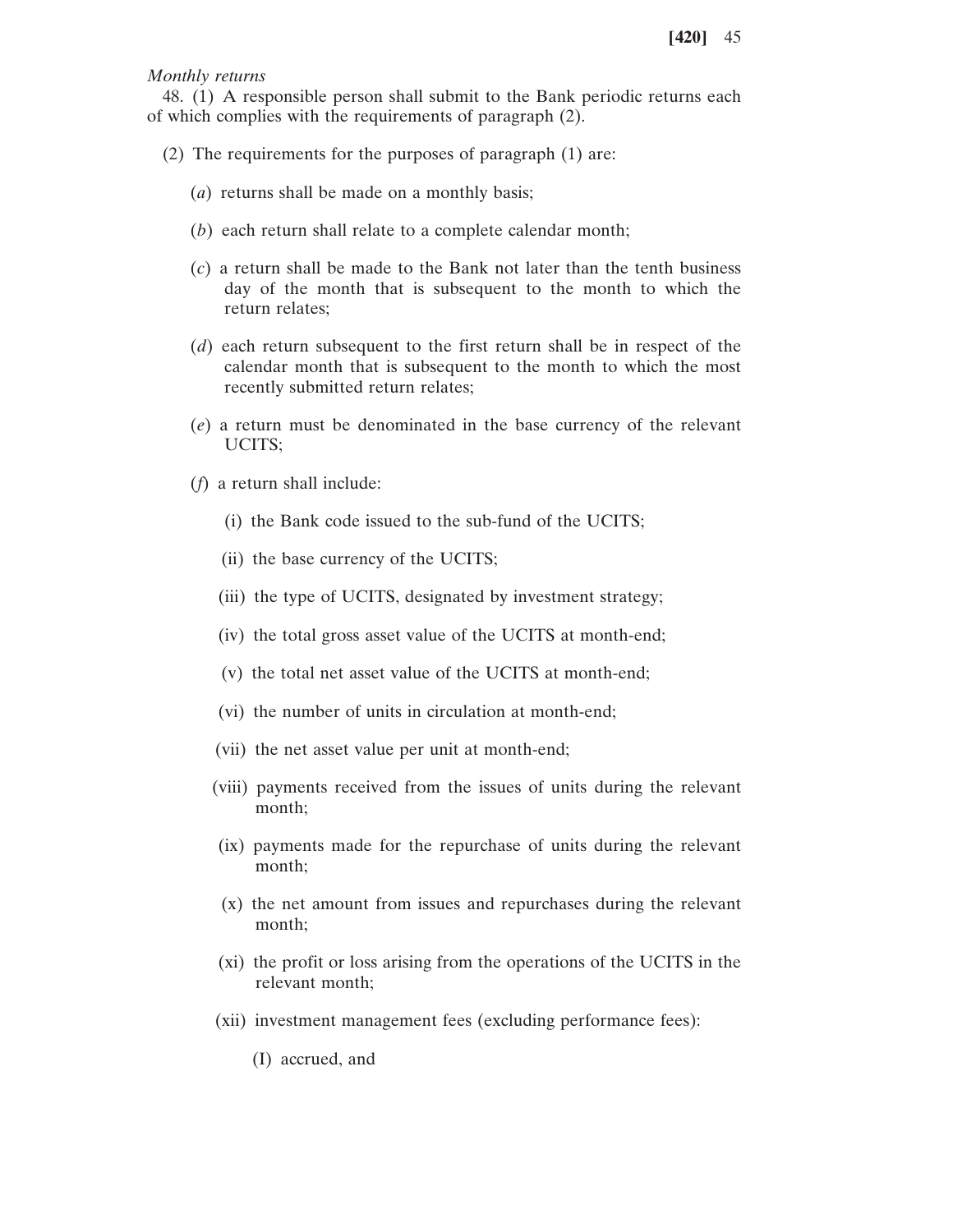*Monthly returns*

48. (1) A responsible person shall submit to the Bank periodic returns each of which complies with the requirements of paragraph (2).

- (2) The requirements for the purposes of paragraph (1) are:
	- (*a*) returns shall be made on a monthly basis;
	- (*b*) each return shall relate to a complete calendar month;
	- (*c*) a return shall be made to the Bank not later than the tenth business day of the month that is subsequent to the month to which the return relates;
	- (*d*) each return subsequent to the first return shall be in respect of the calendar month that is subsequent to the month to which the most recently submitted return relates;
	- (*e*) a return must be denominated in the base currency of the relevant UCITS;
	- (*f*) a return shall include:
		- (i) the Bank code issued to the sub-fund of the UCITS;
		- (ii) the base currency of the UCITS;
		- (iii) the type of UCITS, designated by investment strategy;
		- (iv) the total gross asset value of the UCITS at month-end;
		- (v) the total net asset value of the UCITS at month-end;
		- (vi) the number of units in circulation at month-end;
		- (vii) the net asset value per unit at month-end;
		- (viii) payments received from the issues of units during the relevant month;
		- (ix) payments made for the repurchase of units during the relevant month;
		- (x) the net amount from issues and repurchases during the relevant month;
		- (xi) the profit or loss arising from the operations of the UCITS in the relevant month;
		- (xii) investment management fees (excluding performance fees):
			- (I) accrued, and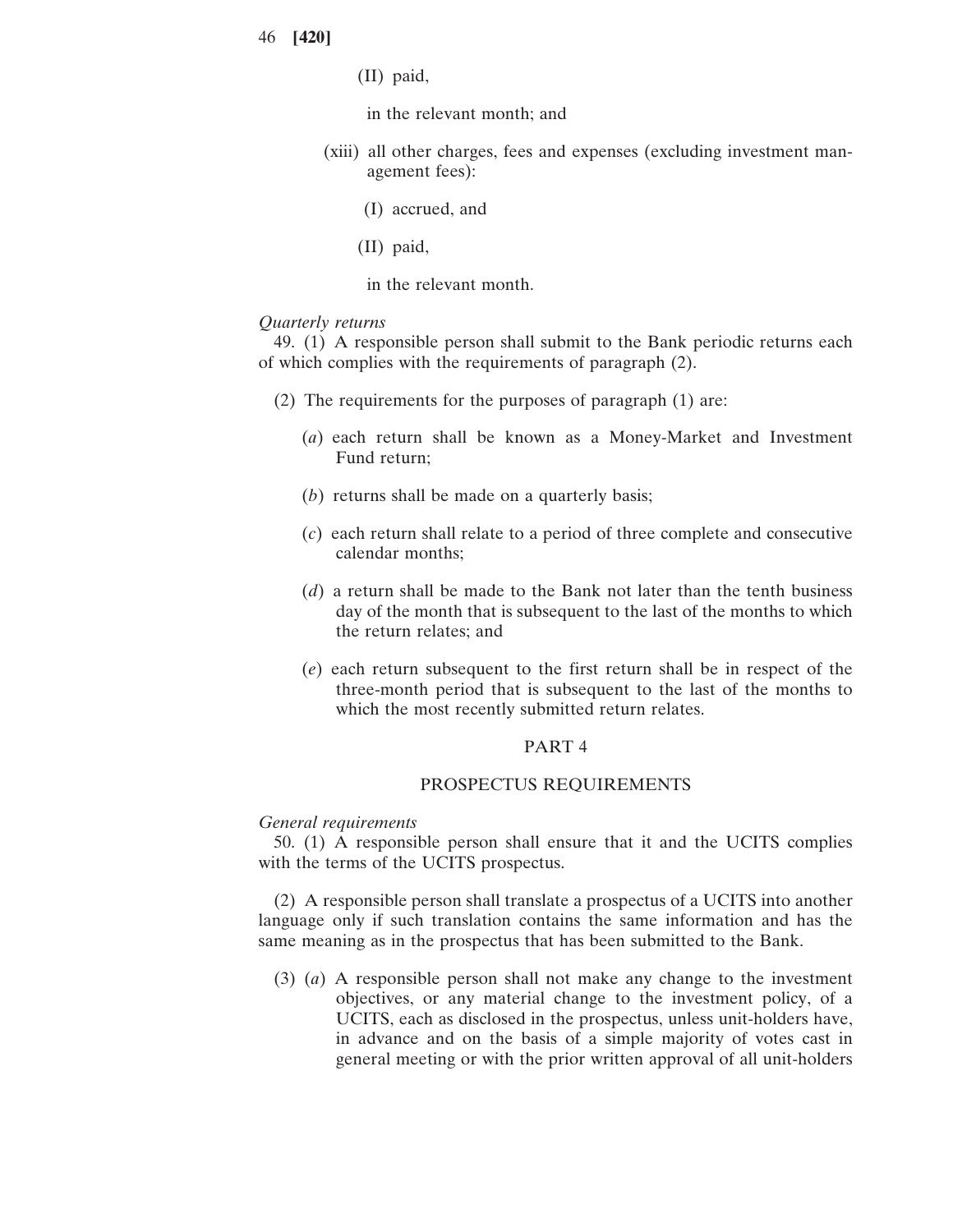(II) paid,

in the relevant month; and

- (xiii) all other charges, fees and expenses (excluding investment management fees):
	- (I) accrued, and
	- (II) paid,

in the relevant month.

#### *Quarterly returns*

49. (1) A responsible person shall submit to the Bank periodic returns each of which complies with the requirements of paragraph (2).

- (2) The requirements for the purposes of paragraph (1) are:
	- (*a*) each return shall be known as a Money-Market and Investment Fund return;
	- (*b*) returns shall be made on a quarterly basis;
	- (*c*) each return shall relate to a period of three complete and consecutive calendar months;
	- (*d*) a return shall be made to the Bank not later than the tenth business day of the month that is subsequent to the last of the months to which the return relates; and
	- (*e*) each return subsequent to the first return shall be in respect of the three-month period that is subsequent to the last of the months to which the most recently submitted return relates.

# PART 4

#### PROSPECTUS REQUIREMENTS

### *General requirements*

50. (1) A responsible person shall ensure that it and the UCITS complies with the terms of the UCITS prospectus.

(2) A responsible person shall translate a prospectus of a UCITS into another language only if such translation contains the same information and has the same meaning as in the prospectus that has been submitted to the Bank.

(3) (*a*) A responsible person shall not make any change to the investment objectives, or any material change to the investment policy, of a UCITS, each as disclosed in the prospectus, unless unit-holders have, in advance and on the basis of a simple majority of votes cast in general meeting or with the prior written approval of all unit-holders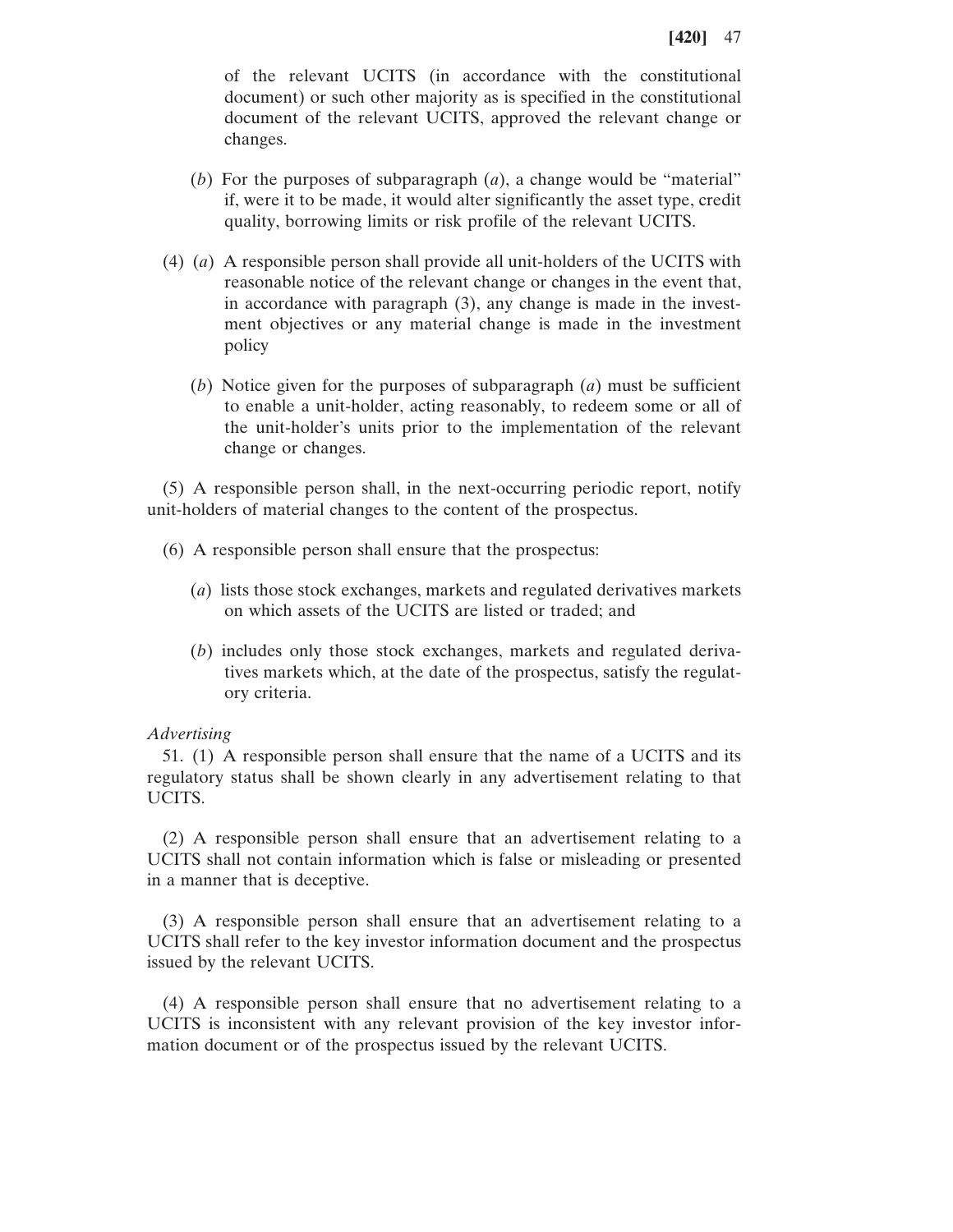of the relevant UCITS (in accordance with the constitutional document) or such other majority as is specified in the constitutional document of the relevant UCITS, approved the relevant change or changes.

- (*b*) For the purposes of subparagraph (*a*), a change would be "material" if, were it to be made, it would alter significantly the asset type, credit quality, borrowing limits or risk profile of the relevant UCITS.
- (4) (*a*) A responsible person shall provide all unit-holders of the UCITS with reasonable notice of the relevant change or changes in the event that, in accordance with paragraph (3), any change is made in the investment objectives or any material change is made in the investment policy
	- (*b*) Notice given for the purposes of subparagraph (*a*) must be sufficient to enable a unit-holder, acting reasonably, to redeem some or all of the unit-holder's units prior to the implementation of the relevant change or changes.

(5) A responsible person shall, in the next-occurring periodic report, notify unit-holders of material changes to the content of the prospectus.

- (6) A responsible person shall ensure that the prospectus:
	- (*a*) lists those stock exchanges, markets and regulated derivatives markets on which assets of the UCITS are listed or traded; and
	- (*b*) includes only those stock exchanges, markets and regulated derivatives markets which, at the date of the prospectus, satisfy the regulatory criteria.

# *Advertising*

51. (1) A responsible person shall ensure that the name of a UCITS and its regulatory status shall be shown clearly in any advertisement relating to that UCITS.

(2) A responsible person shall ensure that an advertisement relating to a UCITS shall not contain information which is false or misleading or presented in a manner that is deceptive.

(3) A responsible person shall ensure that an advertisement relating to a UCITS shall refer to the key investor information document and the prospectus issued by the relevant UCITS.

(4) A responsible person shall ensure that no advertisement relating to a UCITS is inconsistent with any relevant provision of the key investor information document or of the prospectus issued by the relevant UCITS.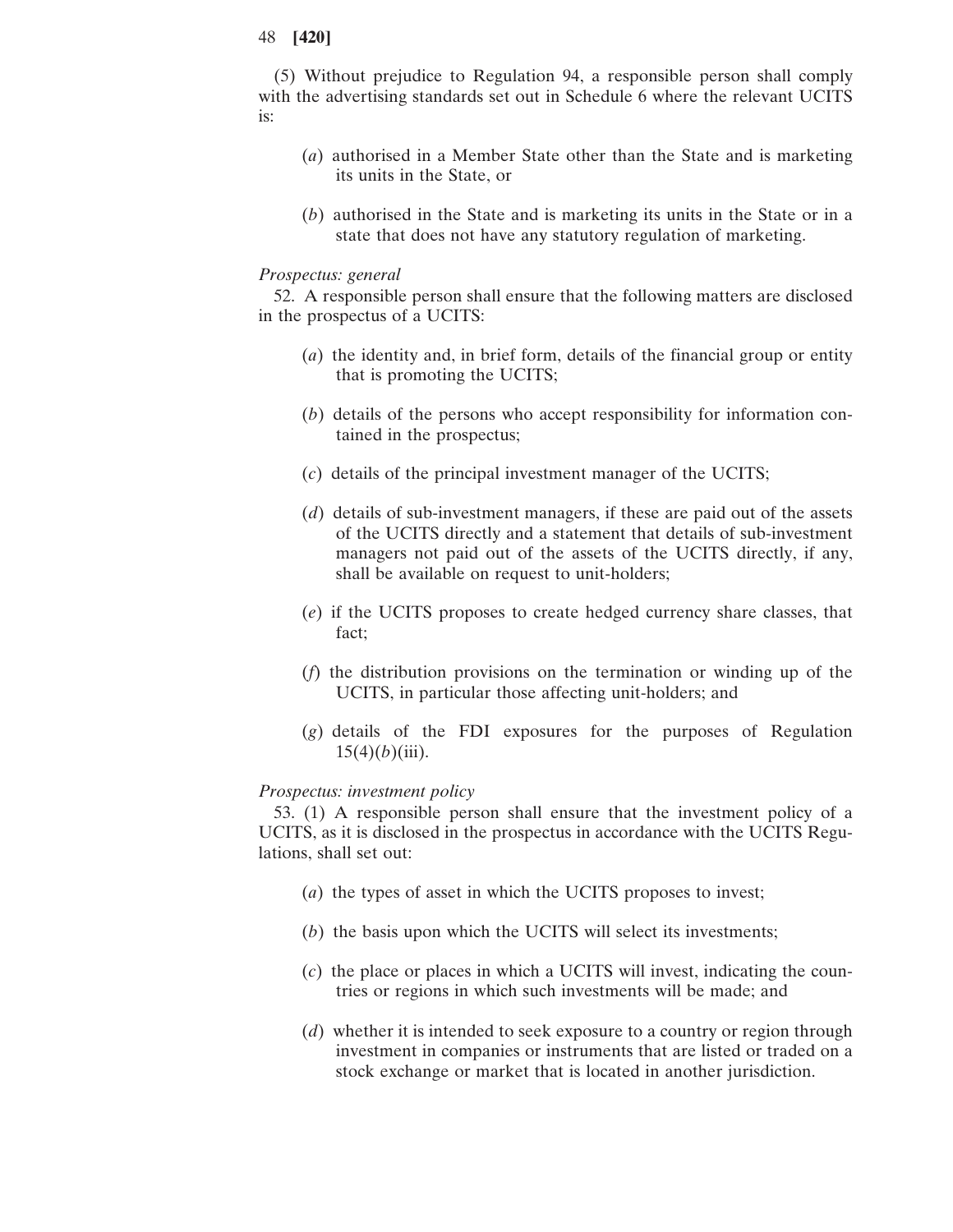(5) Without prejudice to Regulation 94, a responsible person shall comply with the advertising standards set out in Schedule 6 where the relevant UCITS is:

- (*a*) authorised in a Member State other than the State and is marketing its units in the State, or
- (*b*) authorised in the State and is marketing its units in the State or in a state that does not have any statutory regulation of marketing.

### *Prospectus: general*

52. A responsible person shall ensure that the following matters are disclosed in the prospectus of a UCITS:

- (*a*) the identity and, in brief form, details of the financial group or entity that is promoting the UCITS;
- (*b*) details of the persons who accept responsibility for information contained in the prospectus;
- (*c*) details of the principal investment manager of the UCITS;
- (*d*) details of sub-investment managers, if these are paid out of the assets of the UCITS directly and a statement that details of sub-investment managers not paid out of the assets of the UCITS directly, if any, shall be available on request to unit-holders;
- (*e*) if the UCITS proposes to create hedged currency share classes, that fact;
- (*f*) the distribution provisions on the termination or winding up of the UCITS, in particular those affecting unit-holders; and
- (*g*) details of the FDI exposures for the purposes of Regulation  $15(4)(b)(iii)$ .

#### *Prospectus: investment policy*

53. (1) A responsible person shall ensure that the investment policy of a UCITS, as it is disclosed in the prospectus in accordance with the UCITS Regulations, shall set out:

- (*a*) the types of asset in which the UCITS proposes to invest;
- (*b*) the basis upon which the UCITS will select its investments;
- (*c*) the place or places in which a UCITS will invest, indicating the countries or regions in which such investments will be made; and
- (*d*) whether it is intended to seek exposure to a country or region through investment in companies or instruments that are listed or traded on a stock exchange or market that is located in another jurisdiction.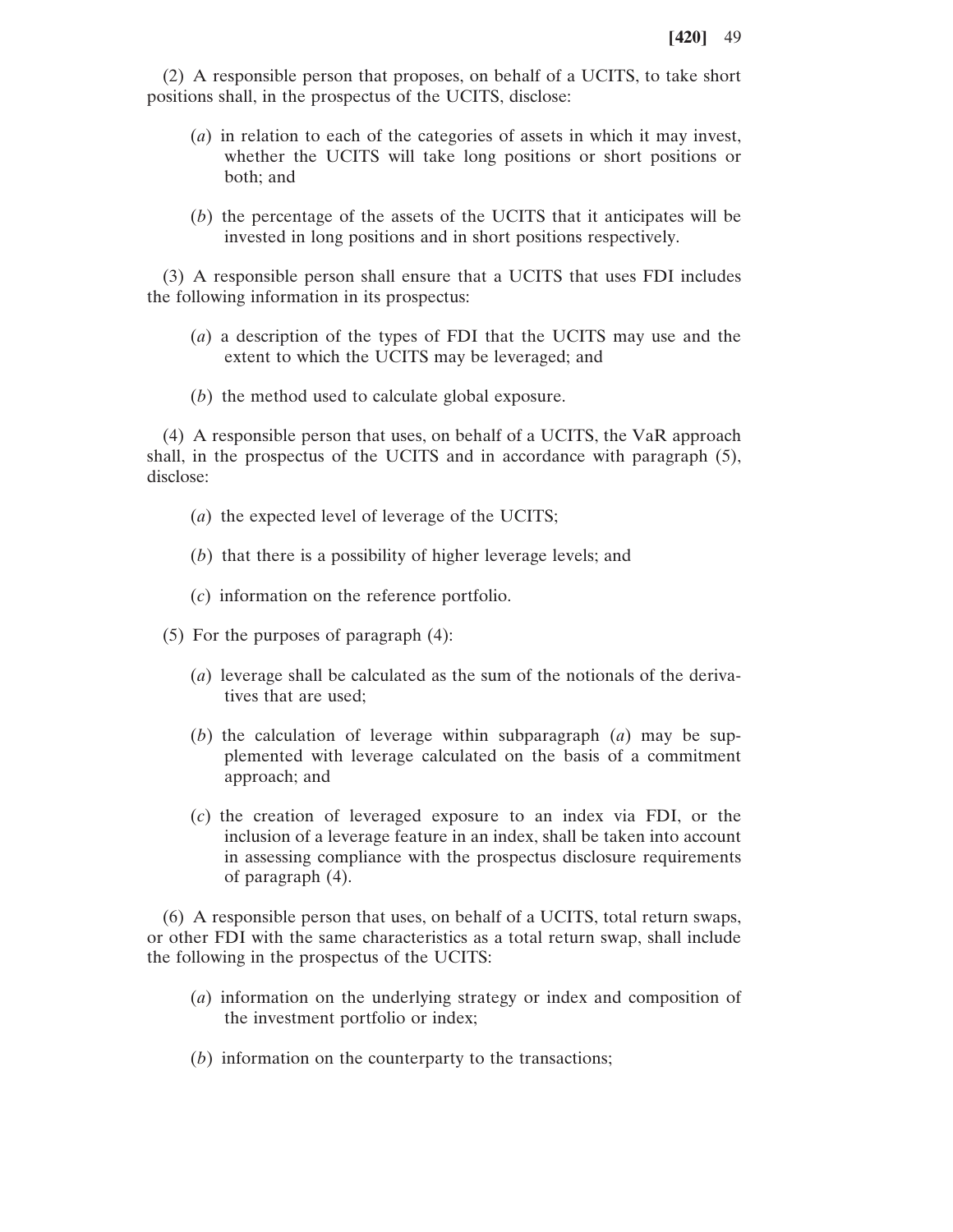(2) A responsible person that proposes, on behalf of a UCITS, to take short positions shall, in the prospectus of the UCITS, disclose:

- (*a*) in relation to each of the categories of assets in which it may invest, whether the UCITS will take long positions or short positions or both; and
- (*b*) the percentage of the assets of the UCITS that it anticipates will be invested in long positions and in short positions respectively.

(3) A responsible person shall ensure that a UCITS that uses FDI includes the following information in its prospectus:

- (*a*) a description of the types of FDI that the UCITS may use and the extent to which the UCITS may be leveraged; and
- (*b*) the method used to calculate global exposure.

(4) A responsible person that uses, on behalf of a UCITS, the VaR approach shall, in the prospectus of the UCITS and in accordance with paragraph (5), disclose:

- (*a*) the expected level of leverage of the UCITS;
- (*b*) that there is a possibility of higher leverage levels; and
- (*c*) information on the reference portfolio.
- (5) For the purposes of paragraph (4):
	- (*a*) leverage shall be calculated as the sum of the notionals of the derivatives that are used;
	- (*b*) the calculation of leverage within subparagraph (*a*) may be supplemented with leverage calculated on the basis of a commitment approach; and
	- (*c*) the creation of leveraged exposure to an index via FDI, or the inclusion of a leverage feature in an index, shall be taken into account in assessing compliance with the prospectus disclosure requirements of paragraph (4).

(6) A responsible person that uses, on behalf of a UCITS, total return swaps, or other FDI with the same characteristics as a total return swap, shall include the following in the prospectus of the UCITS:

- (*a*) information on the underlying strategy or index and composition of the investment portfolio or index;
- (*b*) information on the counterparty to the transactions;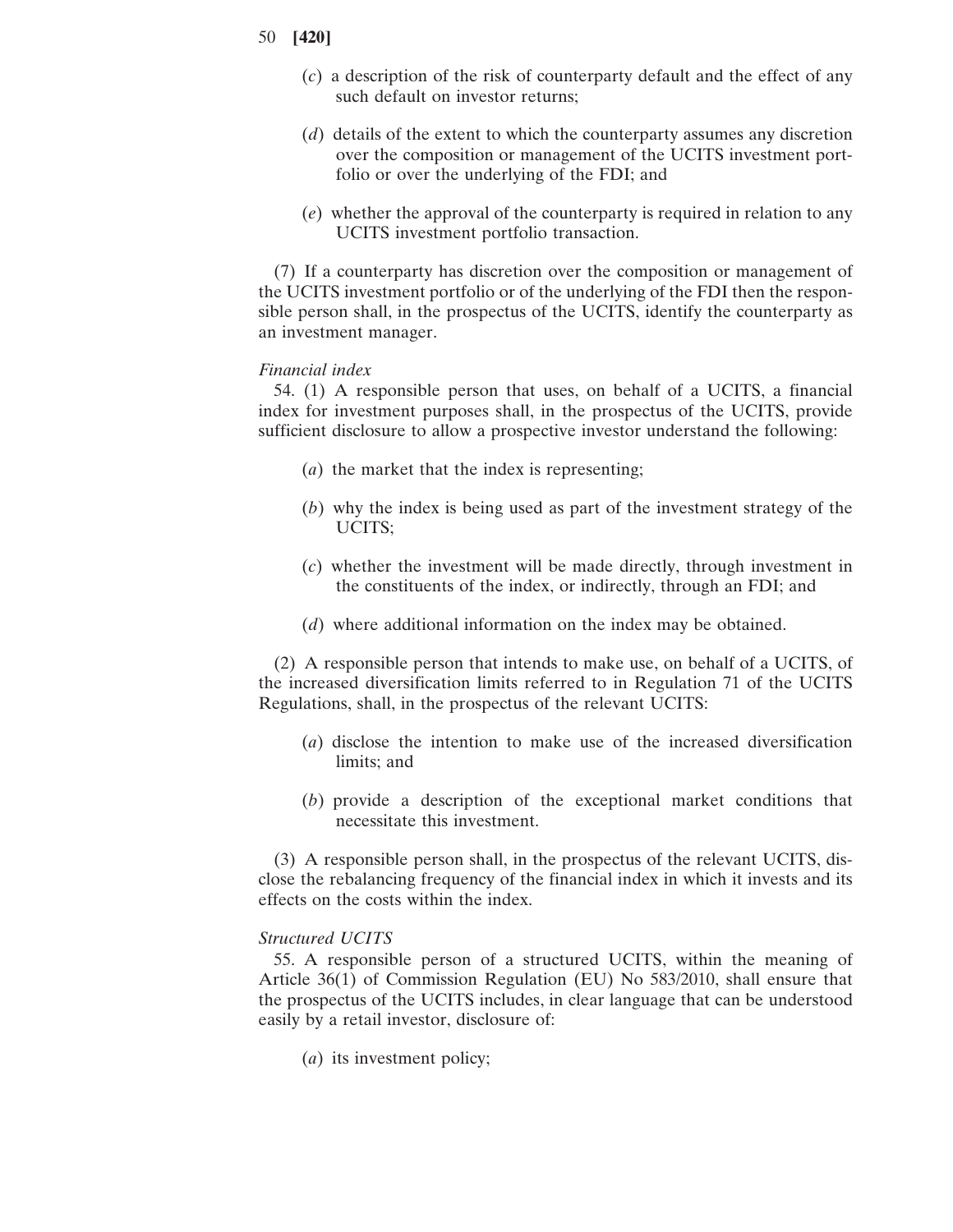- 50 **[420]**
	- (*c*) a description of the risk of counterparty default and the effect of any such default on investor returns;
	- (*d*) details of the extent to which the counterparty assumes any discretion over the composition or management of the UCITS investment portfolio or over the underlying of the FDI; and
	- (*e*) whether the approval of the counterparty is required in relation to any UCITS investment portfolio transaction.

(7) If a counterparty has discretion over the composition or management of the UCITS investment portfolio or of the underlying of the FDI then the responsible person shall, in the prospectus of the UCITS, identify the counterparty as an investment manager.

#### *Financial index*

54. (1) A responsible person that uses, on behalf of a UCITS, a financial index for investment purposes shall, in the prospectus of the UCITS, provide sufficient disclosure to allow a prospective investor understand the following:

- (*a*) the market that the index is representing;
- (*b*) why the index is being used as part of the investment strategy of the UCITS;
- (*c*) whether the investment will be made directly, through investment in the constituents of the index, or indirectly, through an FDI; and
- (*d*) where additional information on the index may be obtained.

(2) A responsible person that intends to make use, on behalf of a UCITS, of the increased diversification limits referred to in Regulation 71 of the UCITS Regulations, shall, in the prospectus of the relevant UCITS:

- (*a*) disclose the intention to make use of the increased diversification limits; and
- (*b*) provide a description of the exceptional market conditions that necessitate this investment.

(3) A responsible person shall, in the prospectus of the relevant UCITS, disclose the rebalancing frequency of the financial index in which it invests and its effects on the costs within the index.

#### *Structured UCITS*

55. A responsible person of a structured UCITS, within the meaning of Article 36(1) of Commission Regulation (EU) No 583/2010, shall ensure that the prospectus of the UCITS includes, in clear language that can be understood easily by a retail investor, disclosure of:

(*a*) its investment policy;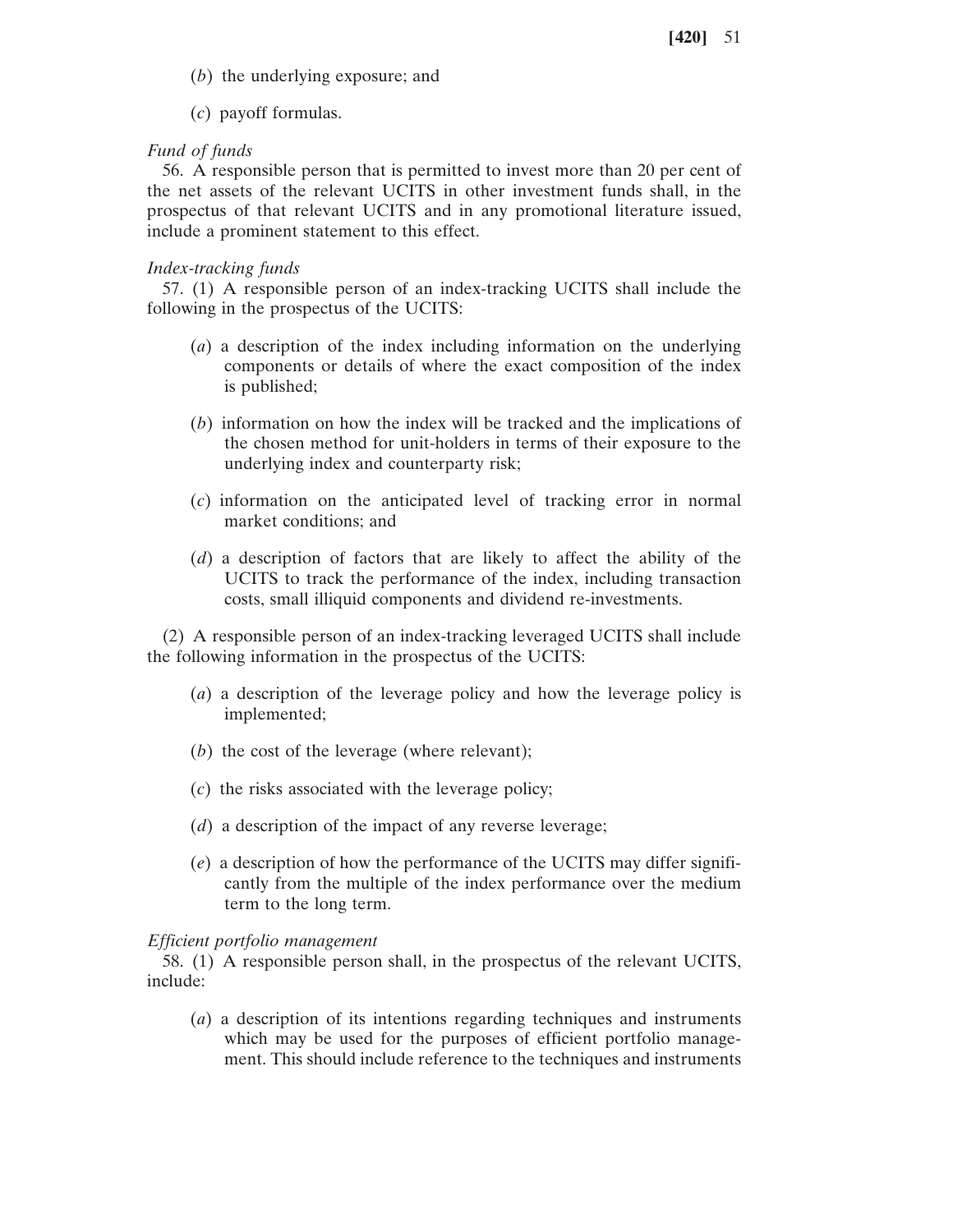- (*b*) the underlying exposure; and
- (*c*) payoff formulas.

# *Fund of funds*

56. A responsible person that is permitted to invest more than 20 per cent of the net assets of the relevant UCITS in other investment funds shall, in the prospectus of that relevant UCITS and in any promotional literature issued, include a prominent statement to this effect.

# *Index-tracking funds*

57. (1) A responsible person of an index-tracking UCITS shall include the following in the prospectus of the UCITS:

- (*a*) a description of the index including information on the underlying components or details of where the exact composition of the index is published;
- (*b*) information on how the index will be tracked and the implications of the chosen method for unit-holders in terms of their exposure to the underlying index and counterparty risk;
- (*c*) information on the anticipated level of tracking error in normal market conditions; and
- (*d*) a description of factors that are likely to affect the ability of the UCITS to track the performance of the index, including transaction costs, small illiquid components and dividend re-investments.

(2) A responsible person of an index-tracking leveraged UCITS shall include the following information in the prospectus of the UCITS:

- (*a*) a description of the leverage policy and how the leverage policy is implemented;
- (*b*) the cost of the leverage (where relevant);
- (*c*) the risks associated with the leverage policy;
- (*d*) a description of the impact of any reverse leverage;
- (*e*) a description of how the performance of the UCITS may differ significantly from the multiple of the index performance over the medium term to the long term.

# *Efficient portfolio management*

58. (1) A responsible person shall, in the prospectus of the relevant UCITS, include:

(*a*) a description of its intentions regarding techniques and instruments which may be used for the purposes of efficient portfolio management. This should include reference to the techniques and instruments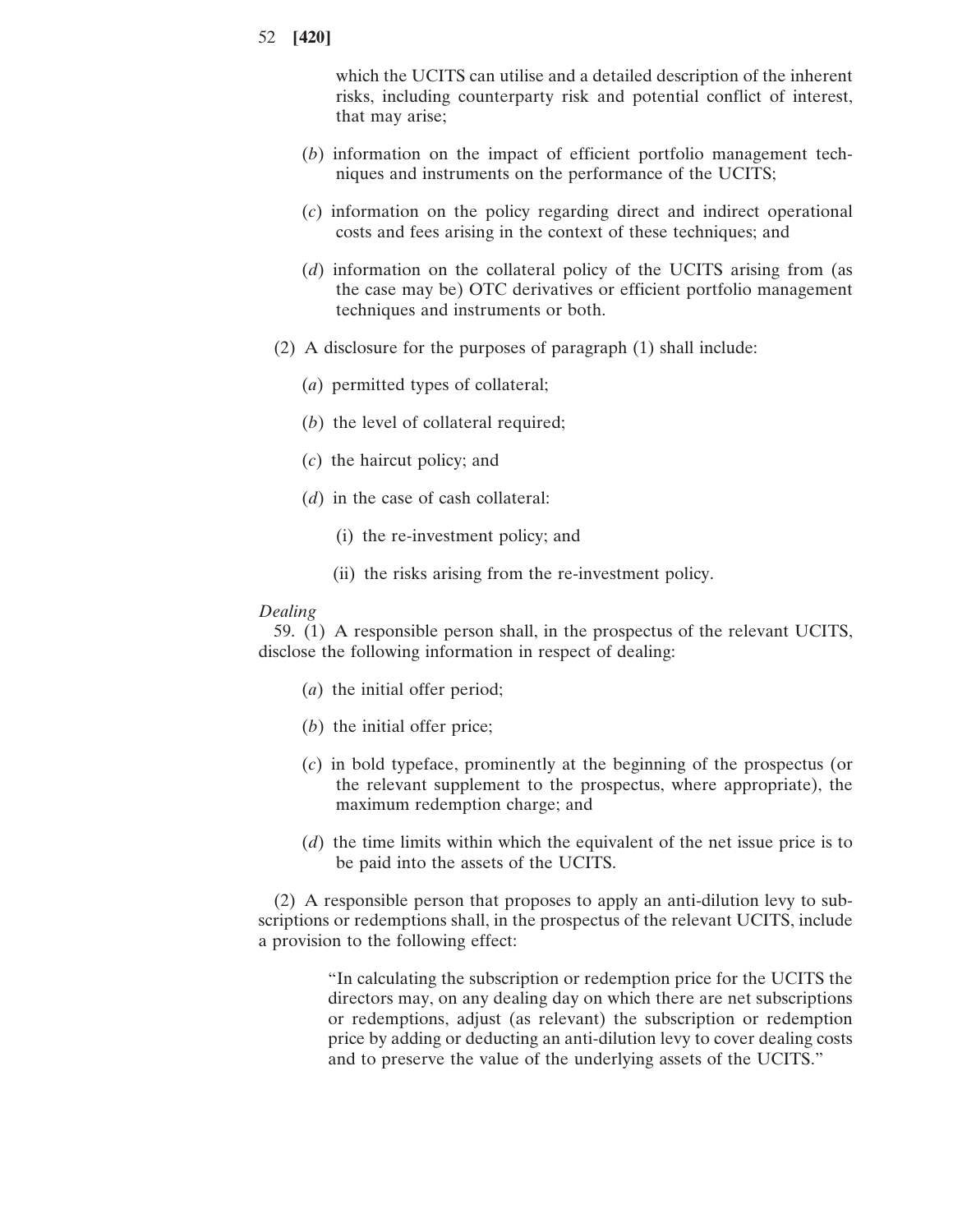which the UCITS can utilise and a detailed description of the inherent risks, including counterparty risk and potential conflict of interest, that may arise;

- (*b*) information on the impact of efficient portfolio management techniques and instruments on the performance of the UCITS;
- (*c*) information on the policy regarding direct and indirect operational costs and fees arising in the context of these techniques; and
- (*d*) information on the collateral policy of the UCITS arising from (as the case may be) OTC derivatives or efficient portfolio management techniques and instruments or both.
- (2) A disclosure for the purposes of paragraph (1) shall include:
	- (*a*) permitted types of collateral;
	- (*b*) the level of collateral required;
	- (*c*) the haircut policy; and
	- (*d*) in the case of cash collateral:
		- (i) the re-investment policy; and
		- (ii) the risks arising from the re-investment policy.

#### *Dealing*

59. (1) A responsible person shall, in the prospectus of the relevant UCITS, disclose the following information in respect of dealing:

- (*a*) the initial offer period;
- (*b*) the initial offer price;
- (*c*) in bold typeface, prominently at the beginning of the prospectus (or the relevant supplement to the prospectus, where appropriate), the maximum redemption charge; and
- (*d*) the time limits within which the equivalent of the net issue price is to be paid into the assets of the UCITS.

(2) A responsible person that proposes to apply an anti-dilution levy to subscriptions or redemptions shall, in the prospectus of the relevant UCITS, include a provision to the following effect:

> "In calculating the subscription or redemption price for the UCITS the directors may, on any dealing day on which there are net subscriptions or redemptions, adjust (as relevant) the subscription or redemption price by adding or deducting an anti-dilution levy to cover dealing costs and to preserve the value of the underlying assets of the UCITS."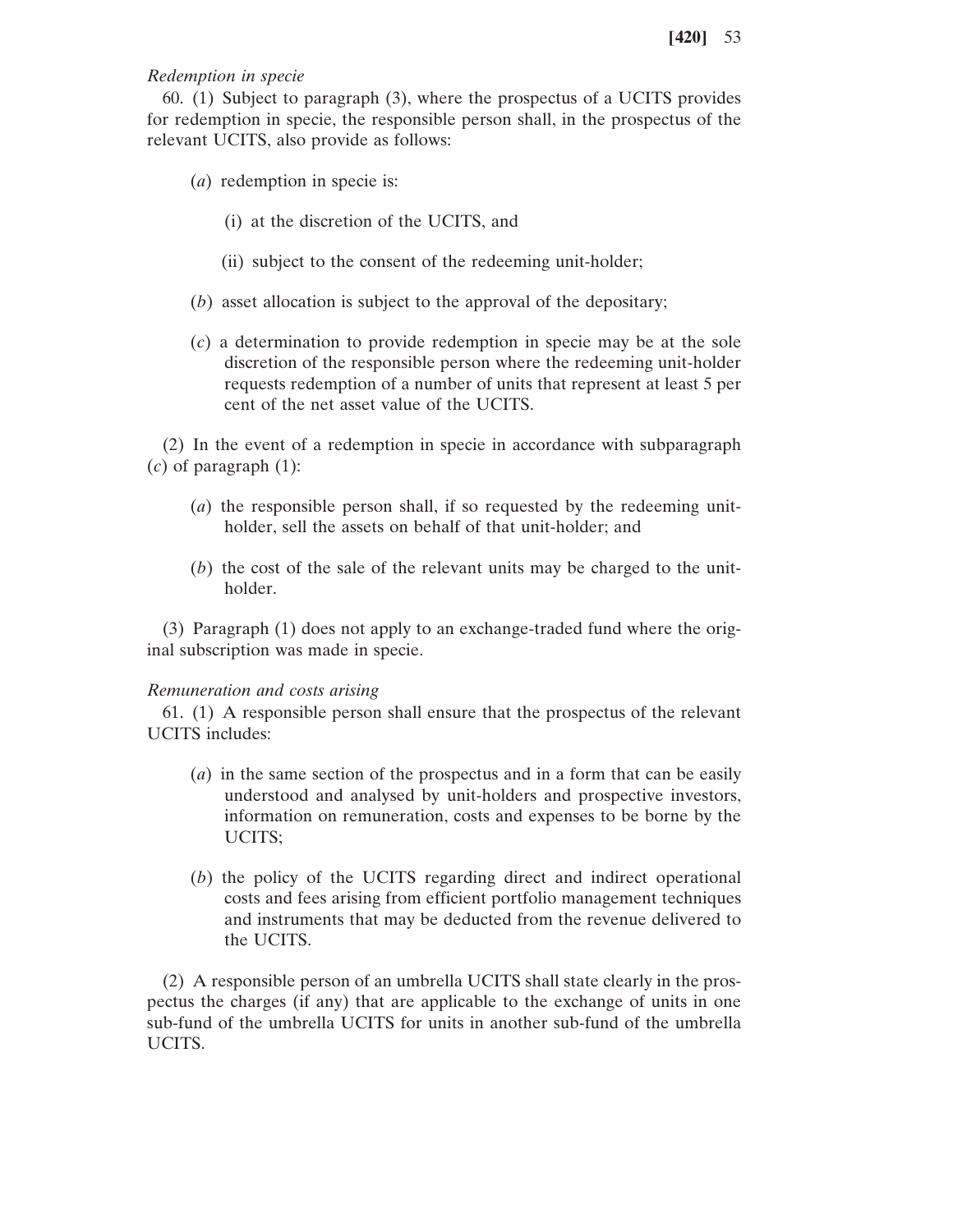# *Redemption in specie*

60. (1) Subject to paragraph (3), where the prospectus of a UCITS provides for redemption in specie, the responsible person shall, in the prospectus of the relevant UCITS, also provide as follows:

- (*a*) redemption in specie is:
	- (i) at the discretion of the UCITS, and
	- (ii) subject to the consent of the redeeming unit-holder;
- (*b*) asset allocation is subject to the approval of the depositary;
- (*c*) a determination to provide redemption in specie may be at the sole discretion of the responsible person where the redeeming unit-holder requests redemption of a number of units that represent at least 5 per cent of the net asset value of the UCITS.

(2) In the event of a redemption in specie in accordance with subparagraph (*c*) of paragraph (1):

- (*a*) the responsible person shall, if so requested by the redeeming unitholder, sell the assets on behalf of that unit-holder; and
- (*b*) the cost of the sale of the relevant units may be charged to the unitholder.

(3) Paragraph (1) does not apply to an exchange-traded fund where the original subscription was made in specie.

# *Remuneration and costs arising*

61. (1) A responsible person shall ensure that the prospectus of the relevant UCITS includes:

- (*a*) in the same section of the prospectus and in a form that can be easily understood and analysed by unit-holders and prospective investors, information on remuneration, costs and expenses to be borne by the UCITS;
- (*b*) the policy of the UCITS regarding direct and indirect operational costs and fees arising from efficient portfolio management techniques and instruments that may be deducted from the revenue delivered to the UCITS.

(2) A responsible person of an umbrella UCITS shall state clearly in the prospectus the charges (if any) that are applicable to the exchange of units in one sub-fund of the umbrella UCITS for units in another sub-fund of the umbrella UCITS.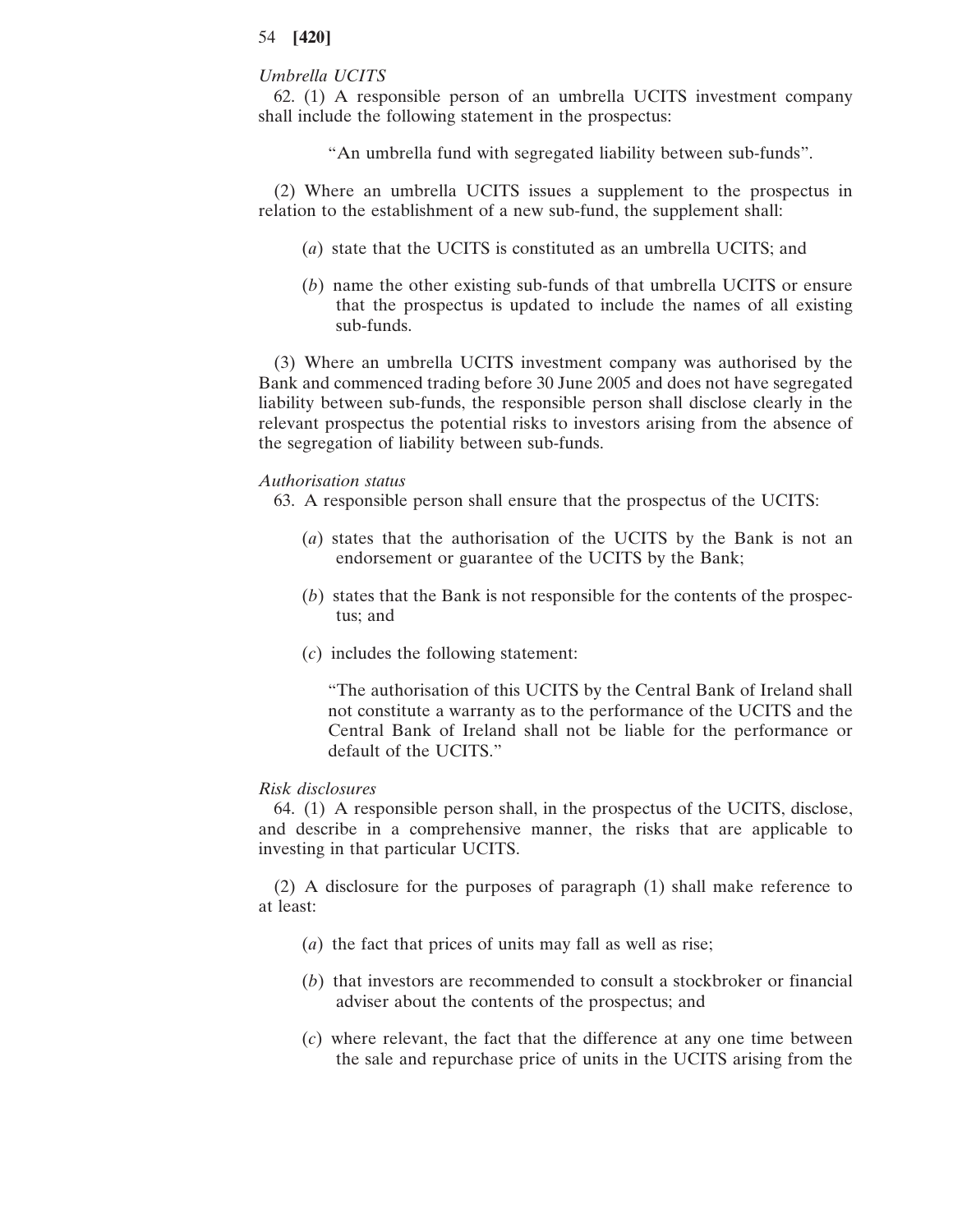# *Umbrella UCITS*

62. (1) A responsible person of an umbrella UCITS investment company shall include the following statement in the prospectus:

"An umbrella fund with segregated liability between sub-funds".

(2) Where an umbrella UCITS issues a supplement to the prospectus in relation to the establishment of a new sub-fund, the supplement shall:

- (*a*) state that the UCITS is constituted as an umbrella UCITS; and
- (*b*) name the other existing sub-funds of that umbrella UCITS or ensure that the prospectus is updated to include the names of all existing sub-funds.

(3) Where an umbrella UCITS investment company was authorised by the Bank and commenced trading before 30 June 2005 and does not have segregated liability between sub-funds, the responsible person shall disclose clearly in the relevant prospectus the potential risks to investors arising from the absence of the segregation of liability between sub-funds.

#### *Authorisation status*

63. A responsible person shall ensure that the prospectus of the UCITS:

- (*a*) states that the authorisation of the UCITS by the Bank is not an endorsement or guarantee of the UCITS by the Bank;
- (*b*) states that the Bank is not responsible for the contents of the prospectus; and
- (*c*) includes the following statement:

"The authorisation of this UCITS by the Central Bank of Ireland shall not constitute a warranty as to the performance of the UCITS and the Central Bank of Ireland shall not be liable for the performance or default of the UCITS."

### *Risk disclosures*

64. (1) A responsible person shall, in the prospectus of the UCITS, disclose, and describe in a comprehensive manner, the risks that are applicable to investing in that particular UCITS.

(2) A disclosure for the purposes of paragraph (1) shall make reference to at least:

- (*a*) the fact that prices of units may fall as well as rise;
- (*b*) that investors are recommended to consult a stockbroker or financial adviser about the contents of the prospectus; and
- (*c*) where relevant, the fact that the difference at any one time between the sale and repurchase price of units in the UCITS arising from the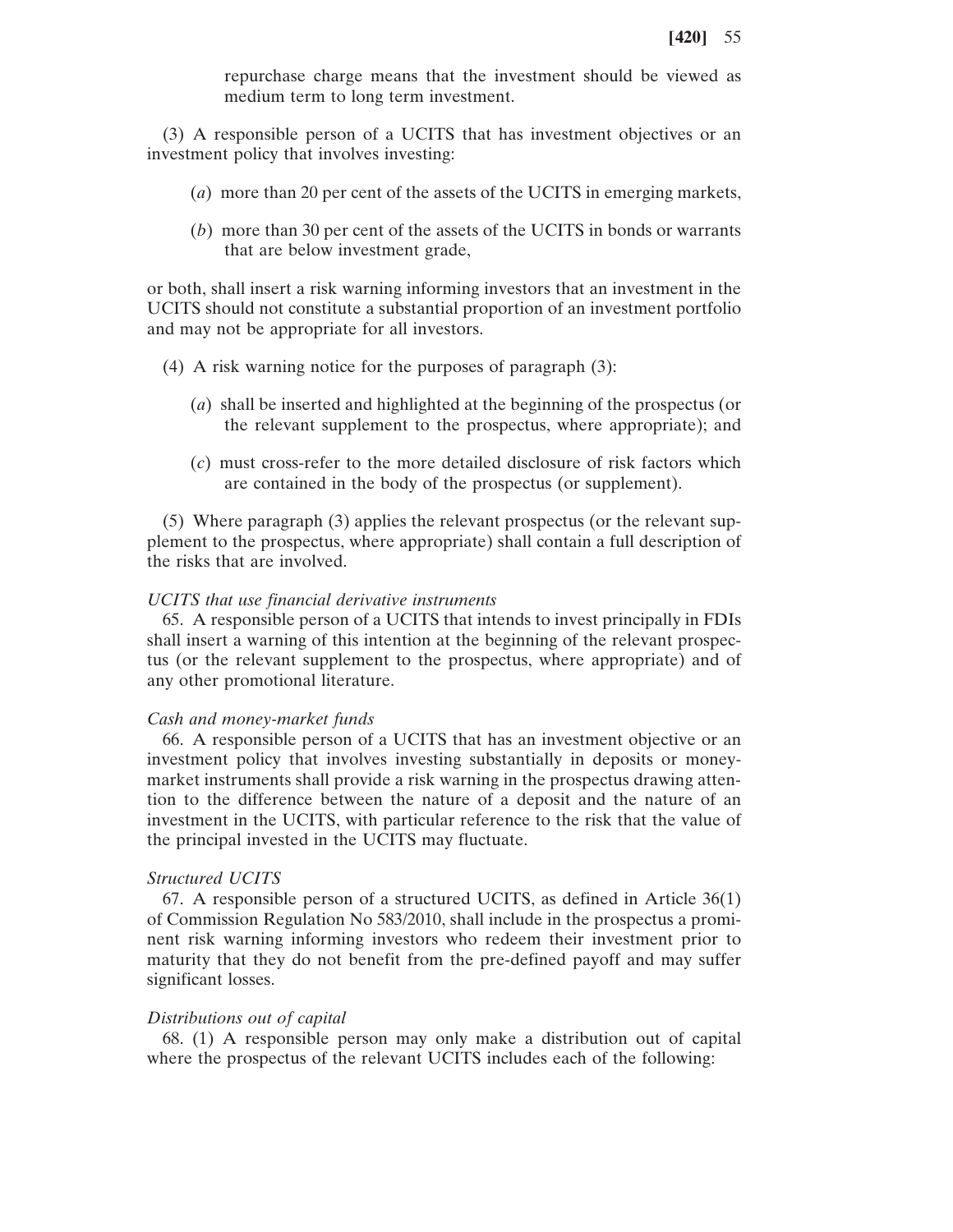repurchase charge means that the investment should be viewed as medium term to long term investment.

(3) A responsible person of a UCITS that has investment objectives or an investment policy that involves investing:

- (*a*) more than 20 per cent of the assets of the UCITS in emerging markets,
- (*b*) more than 30 per cent of the assets of the UCITS in bonds or warrants that are below investment grade,

or both, shall insert a risk warning informing investors that an investment in the UCITS should not constitute a substantial proportion of an investment portfolio and may not be appropriate for all investors.

- (4) A risk warning notice for the purposes of paragraph (3):
	- (*a*) shall be inserted and highlighted at the beginning of the prospectus (or the relevant supplement to the prospectus, where appropriate); and
	- (*c*) must cross-refer to the more detailed disclosure of risk factors which are contained in the body of the prospectus (or supplement).

(5) Where paragraph (3) applies the relevant prospectus (or the relevant supplement to the prospectus, where appropriate) shall contain a full description of the risks that are involved.

#### *UCITS that use financial derivative instruments*

65. A responsible person of a UCITS that intends to invest principally in FDIs shall insert a warning of this intention at the beginning of the relevant prospectus (or the relevant supplement to the prospectus, where appropriate) and of any other promotional literature.

#### *Cash and money-market funds*

66. A responsible person of a UCITS that has an investment objective or an investment policy that involves investing substantially in deposits or moneymarket instruments shall provide a risk warning in the prospectus drawing attention to the difference between the nature of a deposit and the nature of an investment in the UCITS, with particular reference to the risk that the value of the principal invested in the UCITS may fluctuate.

### *Structured UCITS*

67. A responsible person of a structured UCITS, as defined in Article 36(1) of Commission Regulation No 583/2010, shall include in the prospectus a prominent risk warning informing investors who redeem their investment prior to maturity that they do not benefit from the pre-defined payoff and may suffer significant losses.

#### *Distributions out of capital*

68. (1) A responsible person may only make a distribution out of capital where the prospectus of the relevant UCITS includes each of the following: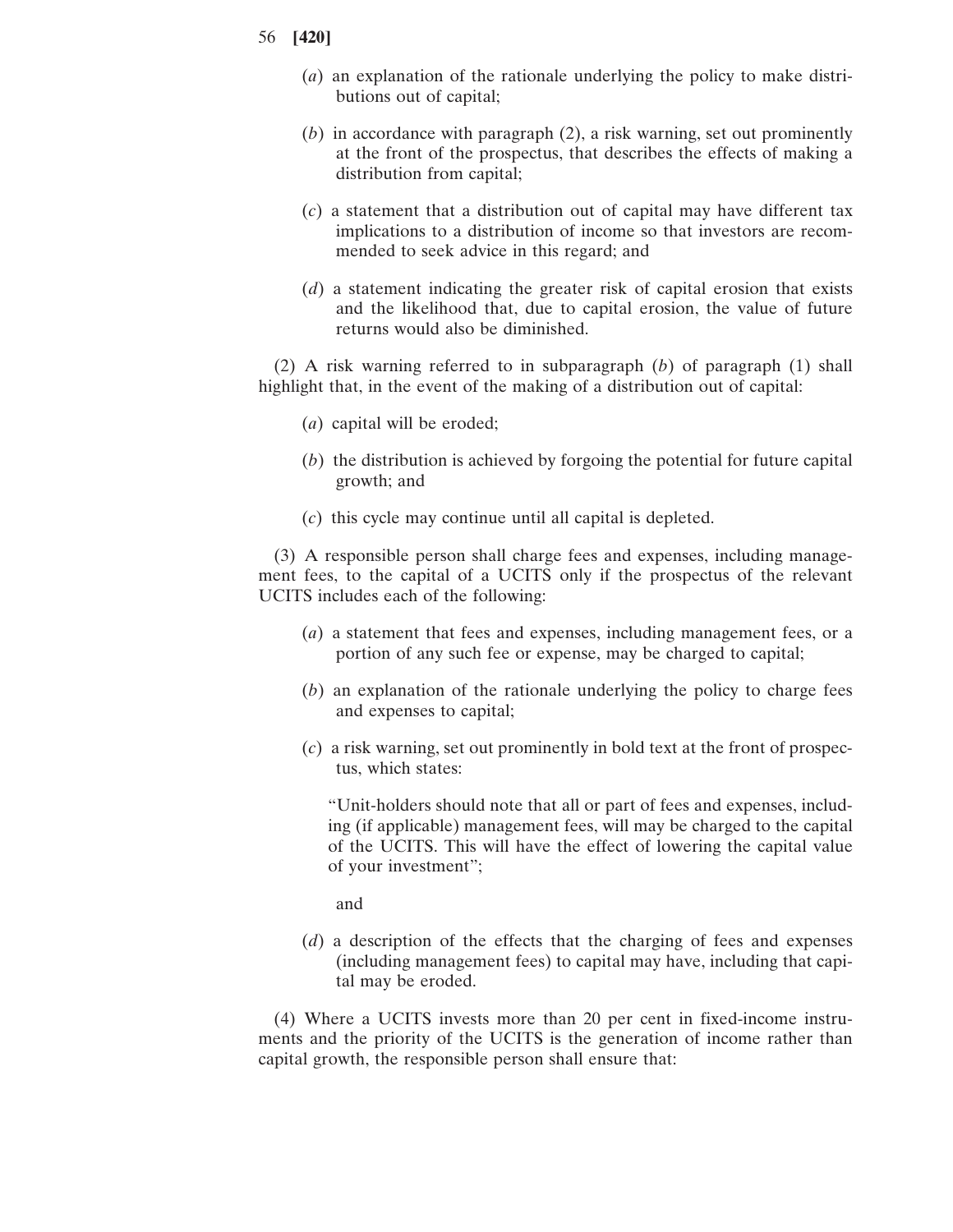- 56 **[420]**
	- (*a*) an explanation of the rationale underlying the policy to make distributions out of capital;
	- (*b*) in accordance with paragraph (2), a risk warning, set out prominently at the front of the prospectus, that describes the effects of making a distribution from capital;
	- (*c*) a statement that a distribution out of capital may have different tax implications to a distribution of income so that investors are recommended to seek advice in this regard; and
	- (*d*) a statement indicating the greater risk of capital erosion that exists and the likelihood that, due to capital erosion, the value of future returns would also be diminished.

(2) A risk warning referred to in subparagraph (*b*) of paragraph (1) shall highlight that, in the event of the making of a distribution out of capital:

- (*a*) capital will be eroded;
- (*b*) the distribution is achieved by forgoing the potential for future capital growth; and
- (*c*) this cycle may continue until all capital is depleted.

(3) A responsible person shall charge fees and expenses, including management fees, to the capital of a UCITS only if the prospectus of the relevant UCITS includes each of the following:

- (*a*) a statement that fees and expenses, including management fees, or a portion of any such fee or expense, may be charged to capital;
- (*b*) an explanation of the rationale underlying the policy to charge fees and expenses to capital;
- (*c*) a risk warning, set out prominently in bold text at the front of prospectus, which states:

"Unit-holders should note that all or part of fees and expenses, including (if applicable) management fees, will may be charged to the capital of the UCITS. This will have the effect of lowering the capital value of your investment";

and

(*d*) a description of the effects that the charging of fees and expenses (including management fees) to capital may have, including that capital may be eroded.

(4) Where a UCITS invests more than 20 per cent in fixed-income instruments and the priority of the UCITS is the generation of income rather than capital growth, the responsible person shall ensure that: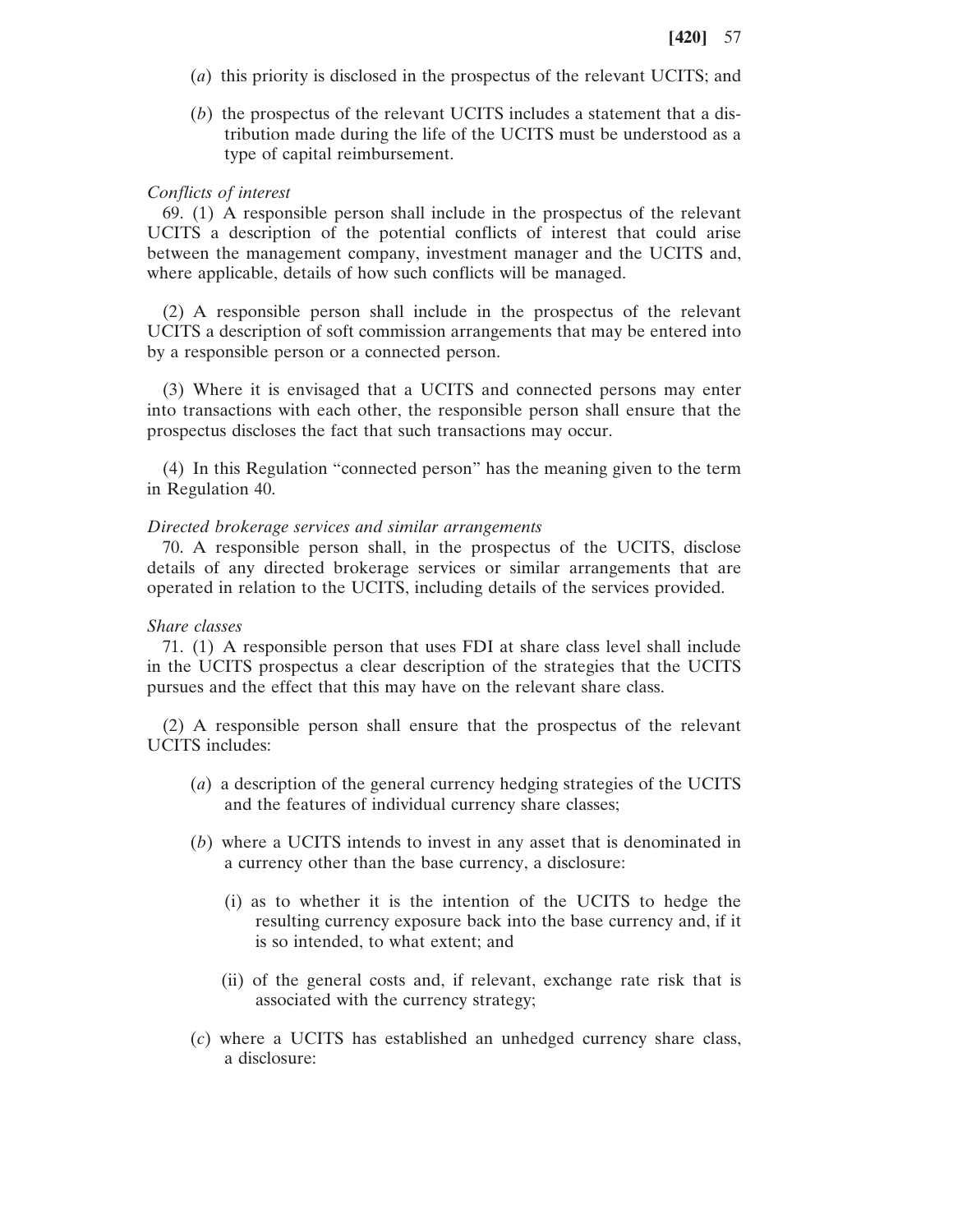- (*a*) this priority is disclosed in the prospectus of the relevant UCITS; and
- (*b*) the prospectus of the relevant UCITS includes a statement that a distribution made during the life of the UCITS must be understood as a type of capital reimbursement.

#### *Conflicts of interest*

69. (1) A responsible person shall include in the prospectus of the relevant UCITS a description of the potential conflicts of interest that could arise between the management company, investment manager and the UCITS and, where applicable, details of how such conflicts will be managed.

(2) A responsible person shall include in the prospectus of the relevant UCITS a description of soft commission arrangements that may be entered into by a responsible person or a connected person.

(3) Where it is envisaged that a UCITS and connected persons may enter into transactions with each other, the responsible person shall ensure that the prospectus discloses the fact that such transactions may occur.

(4) In this Regulation "connected person" has the meaning given to the term in Regulation 40.

#### *Directed brokerage services and similar arrangements*

70. A responsible person shall, in the prospectus of the UCITS, disclose details of any directed brokerage services or similar arrangements that are operated in relation to the UCITS, including details of the services provided.

#### *Share classes*

71. (1) A responsible person that uses FDI at share class level shall include in the UCITS prospectus a clear description of the strategies that the UCITS pursues and the effect that this may have on the relevant share class.

(2) A responsible person shall ensure that the prospectus of the relevant UCITS includes:

- (*a*) a description of the general currency hedging strategies of the UCITS and the features of individual currency share classes;
- (*b*) where a UCITS intends to invest in any asset that is denominated in a currency other than the base currency, a disclosure:
	- (i) as to whether it is the intention of the UCITS to hedge the resulting currency exposure back into the base currency and, if it is so intended, to what extent; and
	- (ii) of the general costs and, if relevant, exchange rate risk that is associated with the currency strategy;
- (*c*) where a UCITS has established an unhedged currency share class, a disclosure: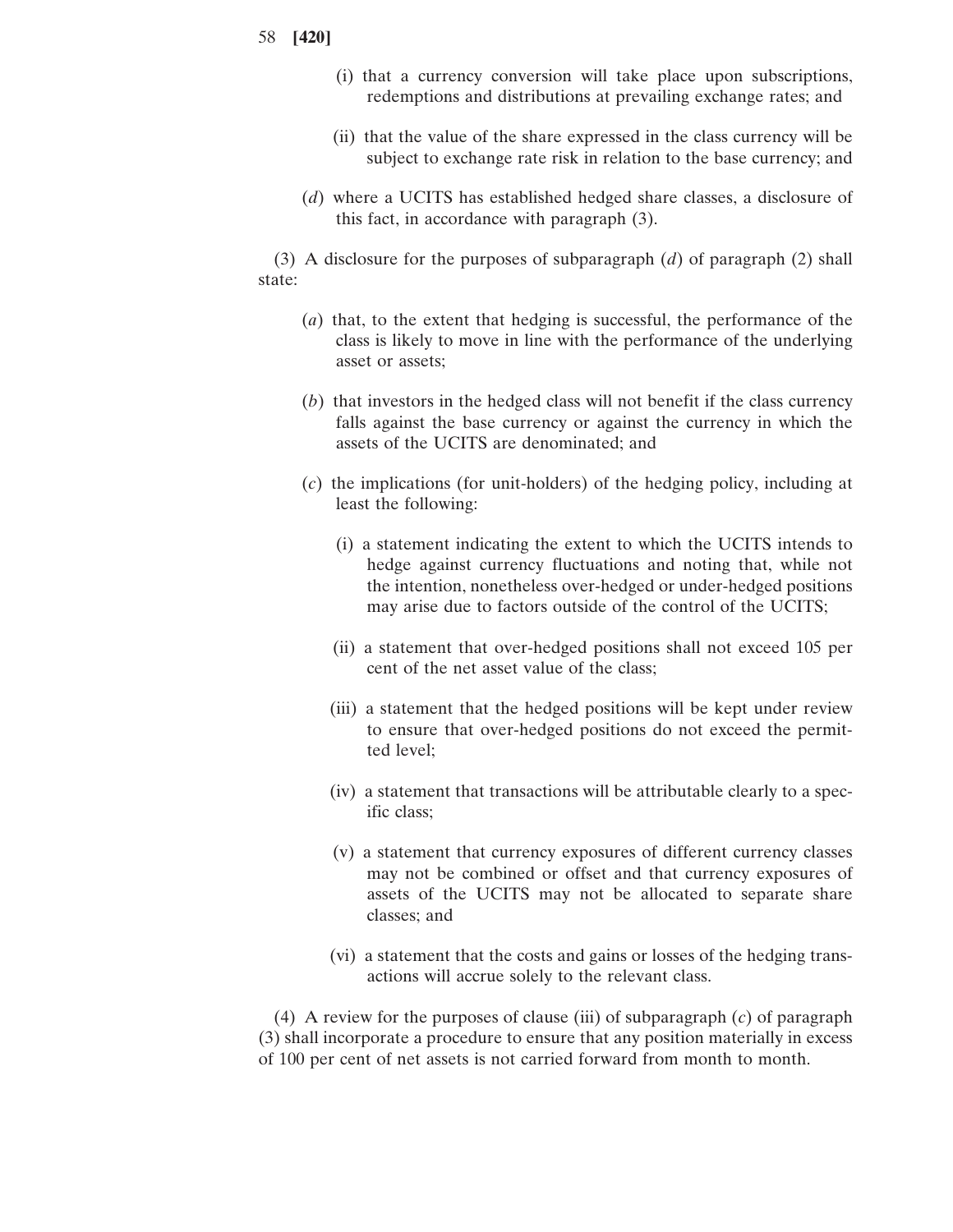- (i) that a currency conversion will take place upon subscriptions, redemptions and distributions at prevailing exchange rates; and
- (ii) that the value of the share expressed in the class currency will be subject to exchange rate risk in relation to the base currency; and
- (*d*) where a UCITS has established hedged share classes, a disclosure of this fact, in accordance with paragraph (3).

(3) A disclosure for the purposes of subparagraph (*d*) of paragraph (2) shall state:

- (*a*) that, to the extent that hedging is successful, the performance of the class is likely to move in line with the performance of the underlying asset or assets;
- (*b*) that investors in the hedged class will not benefit if the class currency falls against the base currency or against the currency in which the assets of the UCITS are denominated; and
- (*c*) the implications (for unit-holders) of the hedging policy, including at least the following:
	- (i) a statement indicating the extent to which the UCITS intends to hedge against currency fluctuations and noting that, while not the intention, nonetheless over-hedged or under-hedged positions may arise due to factors outside of the control of the UCITS;
	- (ii) a statement that over-hedged positions shall not exceed 105 per cent of the net asset value of the class;
	- (iii) a statement that the hedged positions will be kept under review to ensure that over-hedged positions do not exceed the permitted level;
	- (iv) a statement that transactions will be attributable clearly to a specific class;
	- (v) a statement that currency exposures of different currency classes may not be combined or offset and that currency exposures of assets of the UCITS may not be allocated to separate share classes; and
	- (vi) a statement that the costs and gains or losses of the hedging transactions will accrue solely to the relevant class.

(4) A review for the purposes of clause (iii) of subparagraph (*c*) of paragraph (3) shall incorporate a procedure to ensure that any position materially in excess of 100 per cent of net assets is not carried forward from month to month.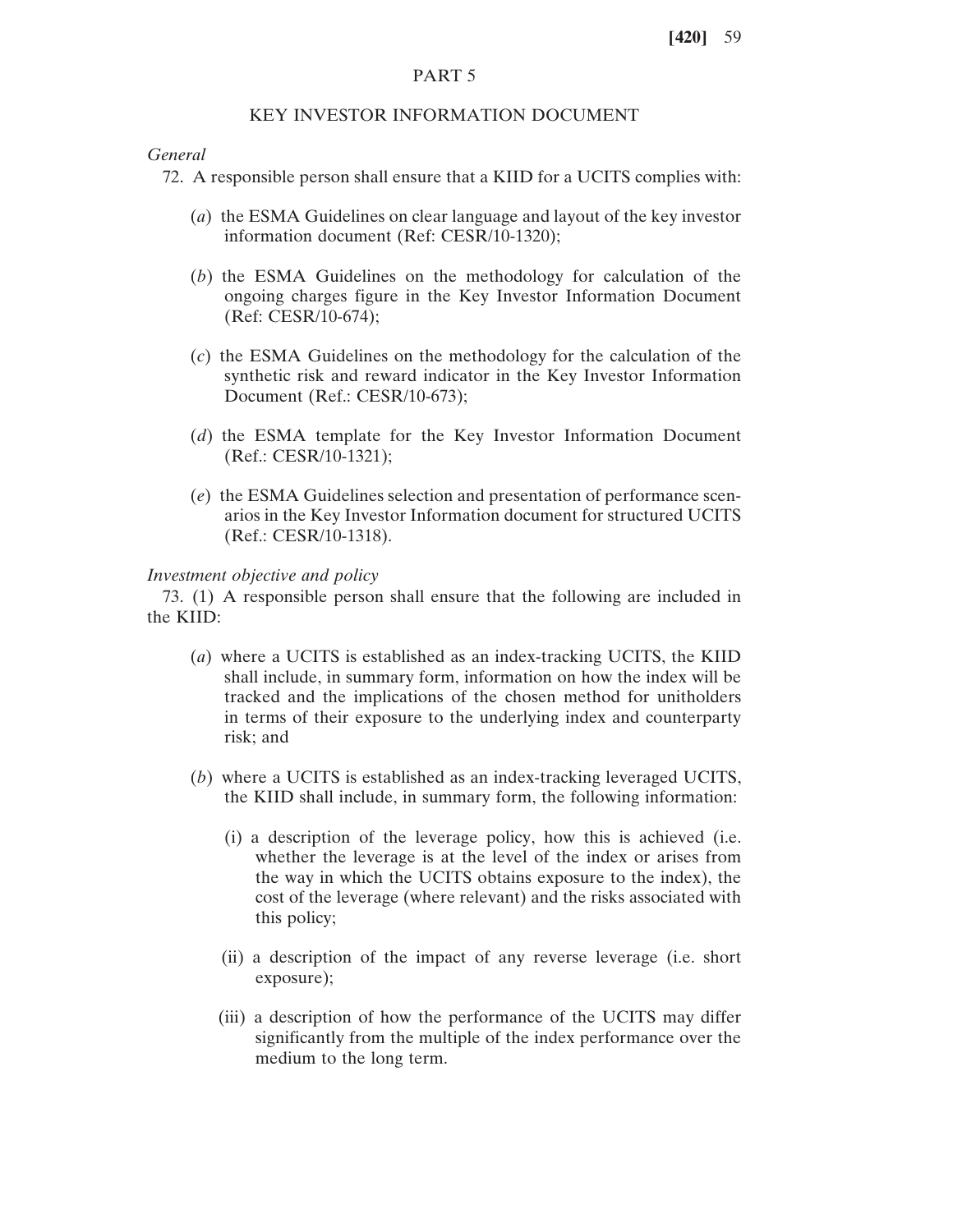## PART 5

### KEY INVESTOR INFORMATION DOCUMENT

# *General*

72. A responsible person shall ensure that a KIID for a UCITS complies with:

- (*a*) the ESMA Guidelines on clear language and layout of the key investor information document (Ref: CESR/10-1320);
- (*b*) the ESMA Guidelines on the methodology for calculation of the ongoing charges figure in the Key Investor Information Document (Ref: CESR/10-674);
- (*c*) the ESMA Guidelines on the methodology for the calculation of the synthetic risk and reward indicator in the Key Investor Information Document (Ref.: CESR/10-673);
- (*d*) the ESMA template for the Key Investor Information Document (Ref.: CESR/10-1321);
- (*e*) the ESMA Guidelines selection and presentation of performance scenarios in the Key Investor Information document for structured UCITS (Ref.: CESR/10-1318).

# *Investment objective and policy*

73. (1) A responsible person shall ensure that the following are included in the KIID:

- (*a*) where a UCITS is established as an index-tracking UCITS, the KIID shall include, in summary form, information on how the index will be tracked and the implications of the chosen method for unitholders in terms of their exposure to the underlying index and counterparty risk; and
- (*b*) where a UCITS is established as an index-tracking leveraged UCITS, the KIID shall include, in summary form, the following information:
	- (i) a description of the leverage policy, how this is achieved (i.e. whether the leverage is at the level of the index or arises from the way in which the UCITS obtains exposure to the index), the cost of the leverage (where relevant) and the risks associated with this policy;
	- (ii) a description of the impact of any reverse leverage (i.e. short exposure);
	- (iii) a description of how the performance of the UCITS may differ significantly from the multiple of the index performance over the medium to the long term.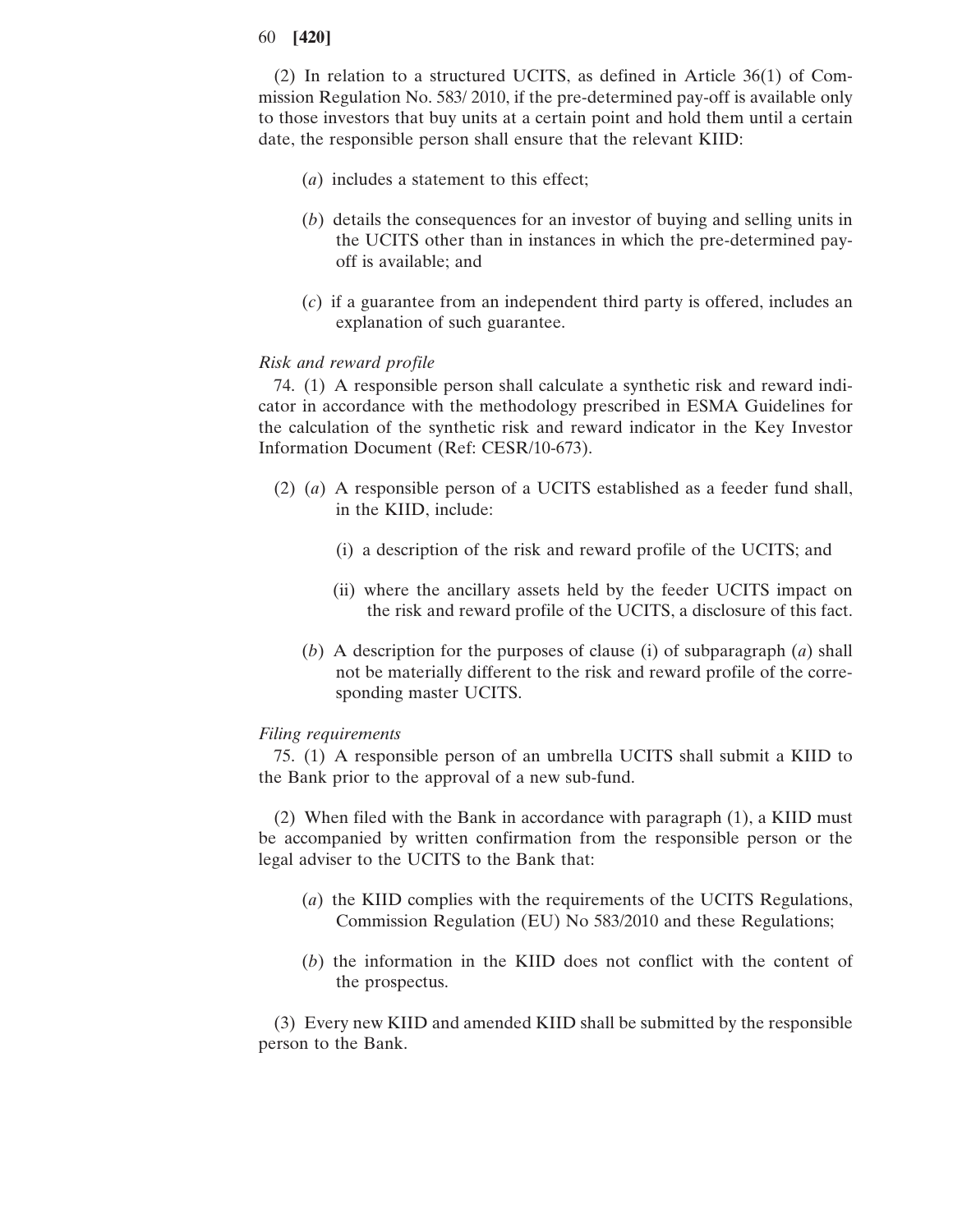(2) In relation to a structured UCITS, as defined in Article 36(1) of Commission Regulation No. 583/ 2010, if the pre-determined pay-off is available only to those investors that buy units at a certain point and hold them until a certain date, the responsible person shall ensure that the relevant KIID:

- (*a*) includes a statement to this effect;
- (*b*) details the consequences for an investor of buying and selling units in the UCITS other than in instances in which the pre-determined payoff is available; and
- (*c*) if a guarantee from an independent third party is offered, includes an explanation of such guarantee.

# *Risk and reward profile*

74. (1) A responsible person shall calculate a synthetic risk and reward indicator in accordance with the methodology prescribed in ESMA Guidelines for the calculation of the synthetic risk and reward indicator in the Key Investor Information Document (Ref: CESR/10-673).

- (2) (*a*) A responsible person of a UCITS established as a feeder fund shall, in the KIID, include:
	- (i) a description of the risk and reward profile of the UCITS; and
	- (ii) where the ancillary assets held by the feeder UCITS impact on the risk and reward profile of the UCITS, a disclosure of this fact.
	- (*b*) A description for the purposes of clause (i) of subparagraph (*a*) shall not be materially different to the risk and reward profile of the corresponding master UCITS.

## *Filing requirements*

75. (1) A responsible person of an umbrella UCITS shall submit a KIID to the Bank prior to the approval of a new sub-fund.

(2) When filed with the Bank in accordance with paragraph (1), a KIID must be accompanied by written confirmation from the responsible person or the legal adviser to the UCITS to the Bank that:

- (*a*) the KIID complies with the requirements of the UCITS Regulations, Commission Regulation (EU) No 583/2010 and these Regulations;
- (*b*) the information in the KIID does not conflict with the content of the prospectus.

(3) Every new KIID and amended KIID shall be submitted by the responsible person to the Bank.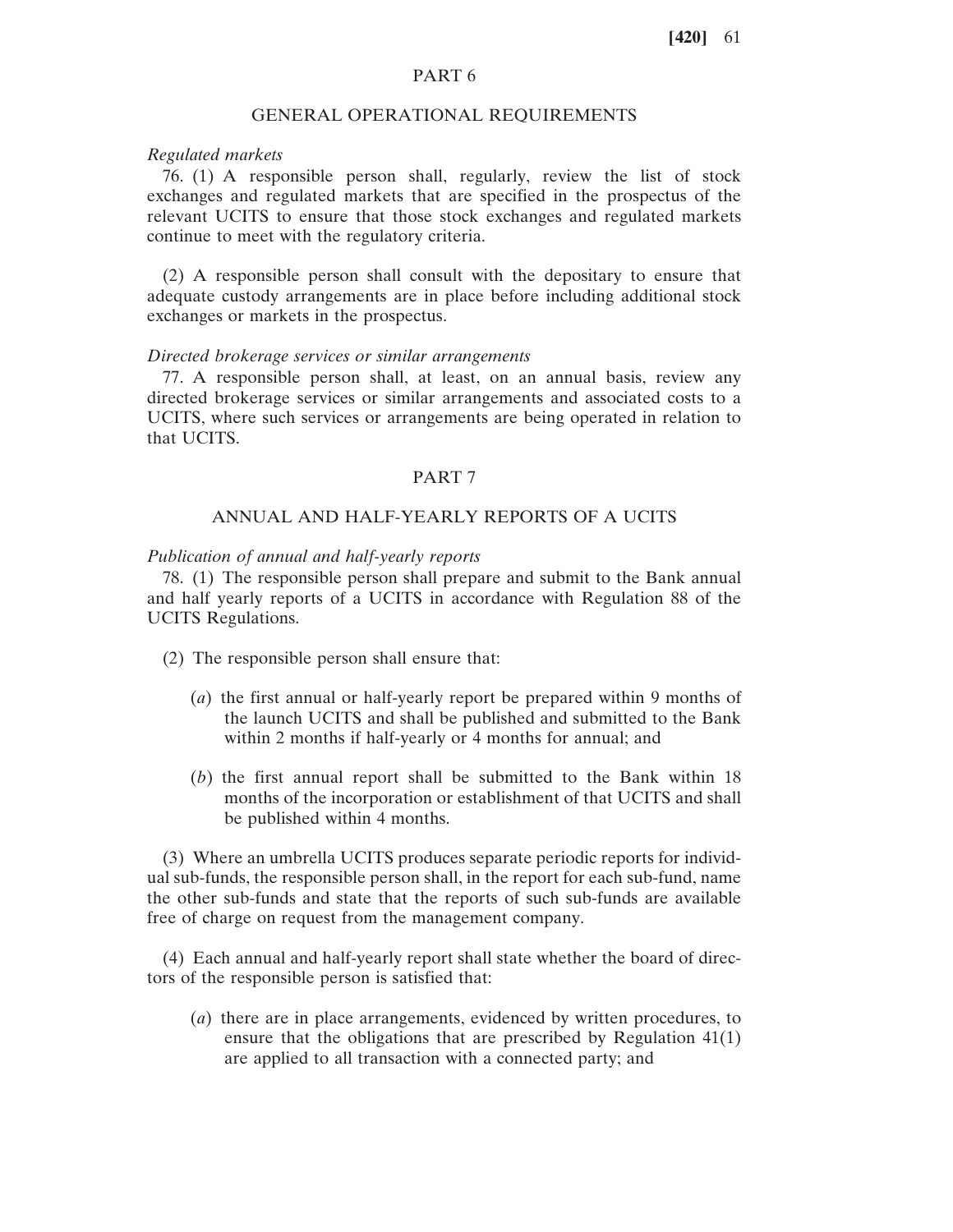# PART 6

### GENERAL OPERATIONAL REQUIREMENTS

### *Regulated markets*

76. (1) A responsible person shall, regularly, review the list of stock exchanges and regulated markets that are specified in the prospectus of the relevant UCITS to ensure that those stock exchanges and regulated markets continue to meet with the regulatory criteria.

(2) A responsible person shall consult with the depositary to ensure that adequate custody arrangements are in place before including additional stock exchanges or markets in the prospectus.

#### *Directed brokerage services or similar arrangements*

77. A responsible person shall, at least, on an annual basis, review any directed brokerage services or similar arrangements and associated costs to a UCITS, where such services or arrangements are being operated in relation to that UCITS.

#### PART 7

## ANNUAL AND HALF-YEARLY REPORTS OF A UCITS

#### *Publication of annual and half-yearly reports*

78. (1) The responsible person shall prepare and submit to the Bank annual and half yearly reports of a UCITS in accordance with Regulation 88 of the UCITS Regulations.

- (2) The responsible person shall ensure that:
	- (*a*) the first annual or half-yearly report be prepared within 9 months of the launch UCITS and shall be published and submitted to the Bank within 2 months if half-yearly or 4 months for annual; and
	- (*b*) the first annual report shall be submitted to the Bank within 18 months of the incorporation or establishment of that UCITS and shall be published within 4 months.

(3) Where an umbrella UCITS produces separate periodic reports for individual sub-funds, the responsible person shall, in the report for each sub-fund, name the other sub-funds and state that the reports of such sub-funds are available free of charge on request from the management company.

(4) Each annual and half-yearly report shall state whether the board of directors of the responsible person is satisfied that:

(*a*) there are in place arrangements, evidenced by written procedures, to ensure that the obligations that are prescribed by Regulation 41(1) are applied to all transaction with a connected party; and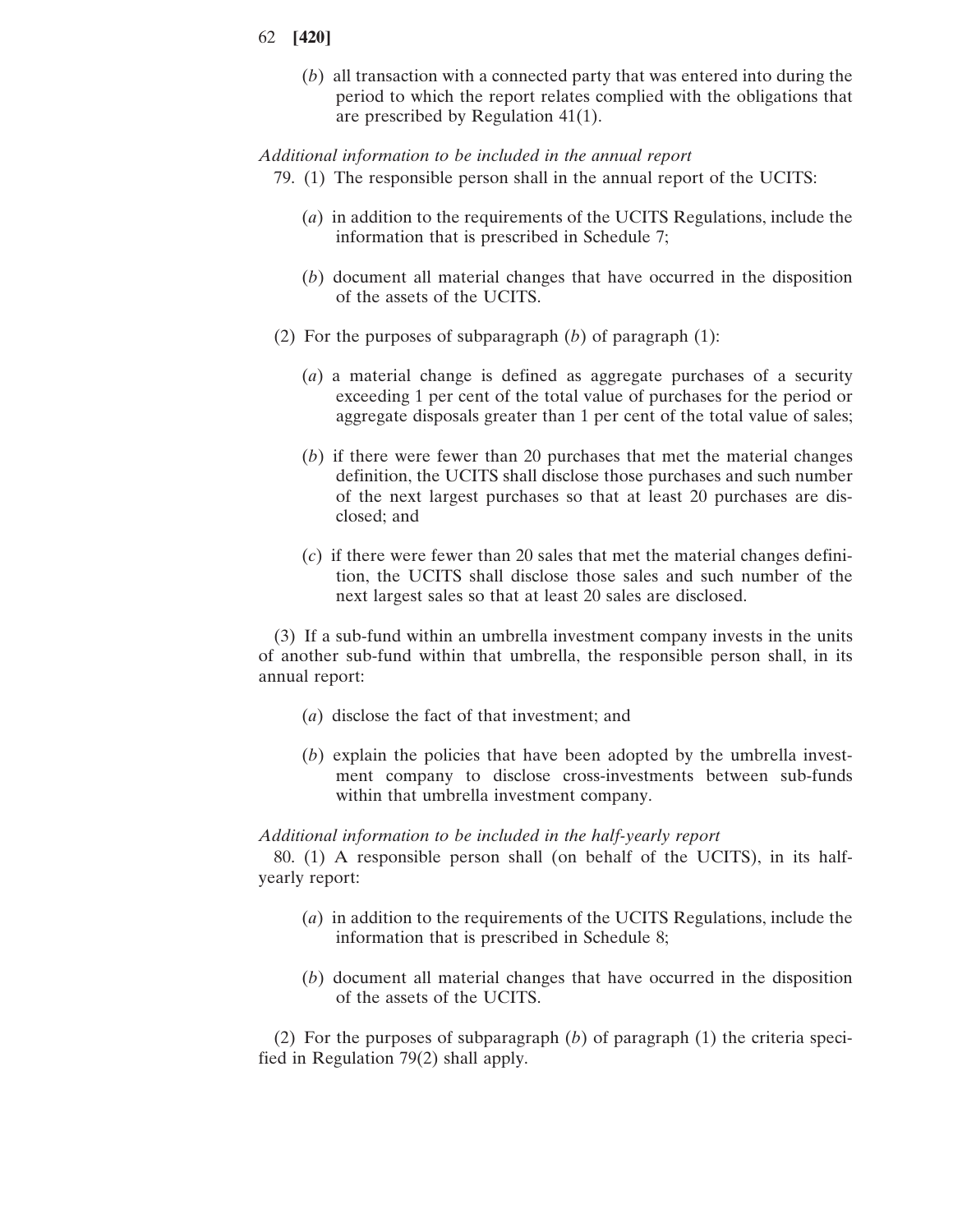- 62 **[420]**
	- (*b*) all transaction with a connected party that was entered into during the period to which the report relates complied with the obligations that are prescribed by Regulation 41(1).

## *Additional information to be included in the annual report*

- 79. (1) The responsible person shall in the annual report of the UCITS:
	- (*a*) in addition to the requirements of the UCITS Regulations, include the information that is prescribed in Schedule 7;
	- (*b*) document all material changes that have occurred in the disposition of the assets of the UCITS.
- (2) For the purposes of subparagraph (*b*) of paragraph (1):
	- (*a*) a material change is defined as aggregate purchases of a security exceeding 1 per cent of the total value of purchases for the period or aggregate disposals greater than 1 per cent of the total value of sales;
	- (*b*) if there were fewer than 20 purchases that met the material changes definition, the UCITS shall disclose those purchases and such number of the next largest purchases so that at least 20 purchases are disclosed; and
	- (*c*) if there were fewer than 20 sales that met the material changes definition, the UCITS shall disclose those sales and such number of the next largest sales so that at least 20 sales are disclosed.

(3) If a sub-fund within an umbrella investment company invests in the units of another sub-fund within that umbrella, the responsible person shall, in its annual report:

- (*a*) disclose the fact of that investment; and
- (*b*) explain the policies that have been adopted by the umbrella investment company to disclose cross-investments between sub-funds within that umbrella investment company.

#### *Additional information to be included in the half-yearly report*

80. (1) A responsible person shall (on behalf of the UCITS), in its halfyearly report:

- (*a*) in addition to the requirements of the UCITS Regulations, include the information that is prescribed in Schedule 8;
- (*b*) document all material changes that have occurred in the disposition of the assets of the UCITS.

(2) For the purposes of subparagraph (*b*) of paragraph (1) the criteria specified in Regulation 79(2) shall apply.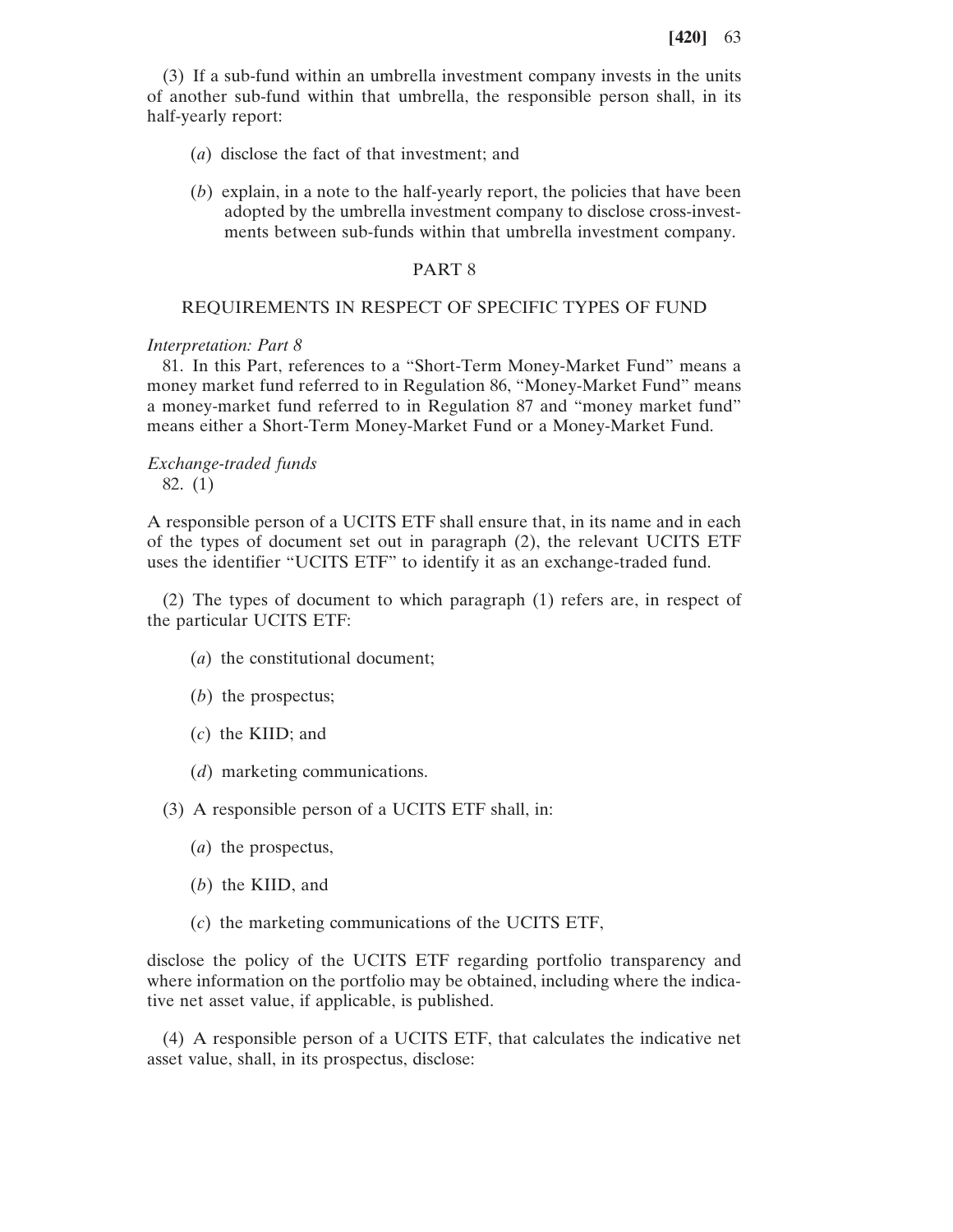(3) If a sub-fund within an umbrella investment company invests in the units of another sub-fund within that umbrella, the responsible person shall, in its half-yearly report:

- (*a*) disclose the fact of that investment; and
- (*b*) explain, in a note to the half-yearly report, the policies that have been adopted by the umbrella investment company to disclose cross-investments between sub-funds within that umbrella investment company.

### PART 8

# REQUIREMENTS IN RESPECT OF SPECIFIC TYPES OF FUND

#### *Interpretation: Part 8*

81. In this Part, references to a "Short-Term Money-Market Fund" means a money market fund referred to in Regulation 86, "Money-Market Fund" means a money-market fund referred to in Regulation 87 and "money market fund" means either a Short-Term Money-Market Fund or a Money-Market Fund.

# *Exchange-traded funds* 82. (1)

A responsible person of a UCITS ETF shall ensure that, in its name and in each of the types of document set out in paragraph (2), the relevant UCITS ETF uses the identifier "UCITS ETF" to identify it as an exchange-traded fund.

(2) The types of document to which paragraph (1) refers are, in respect of the particular UCITS ETF:

- (*a*) the constitutional document;
- (*b*) the prospectus;
- (*c*) the KIID; and
- (*d*) marketing communications.

(3) A responsible person of a UCITS ETF shall, in:

- (*a*) the prospectus,
- (*b*) the KIID, and
- (*c*) the marketing communications of the UCITS ETF,

disclose the policy of the UCITS ETF regarding portfolio transparency and where information on the portfolio may be obtained, including where the indicative net asset value, if applicable, is published.

(4) A responsible person of a UCITS ETF, that calculates the indicative net asset value, shall, in its prospectus, disclose: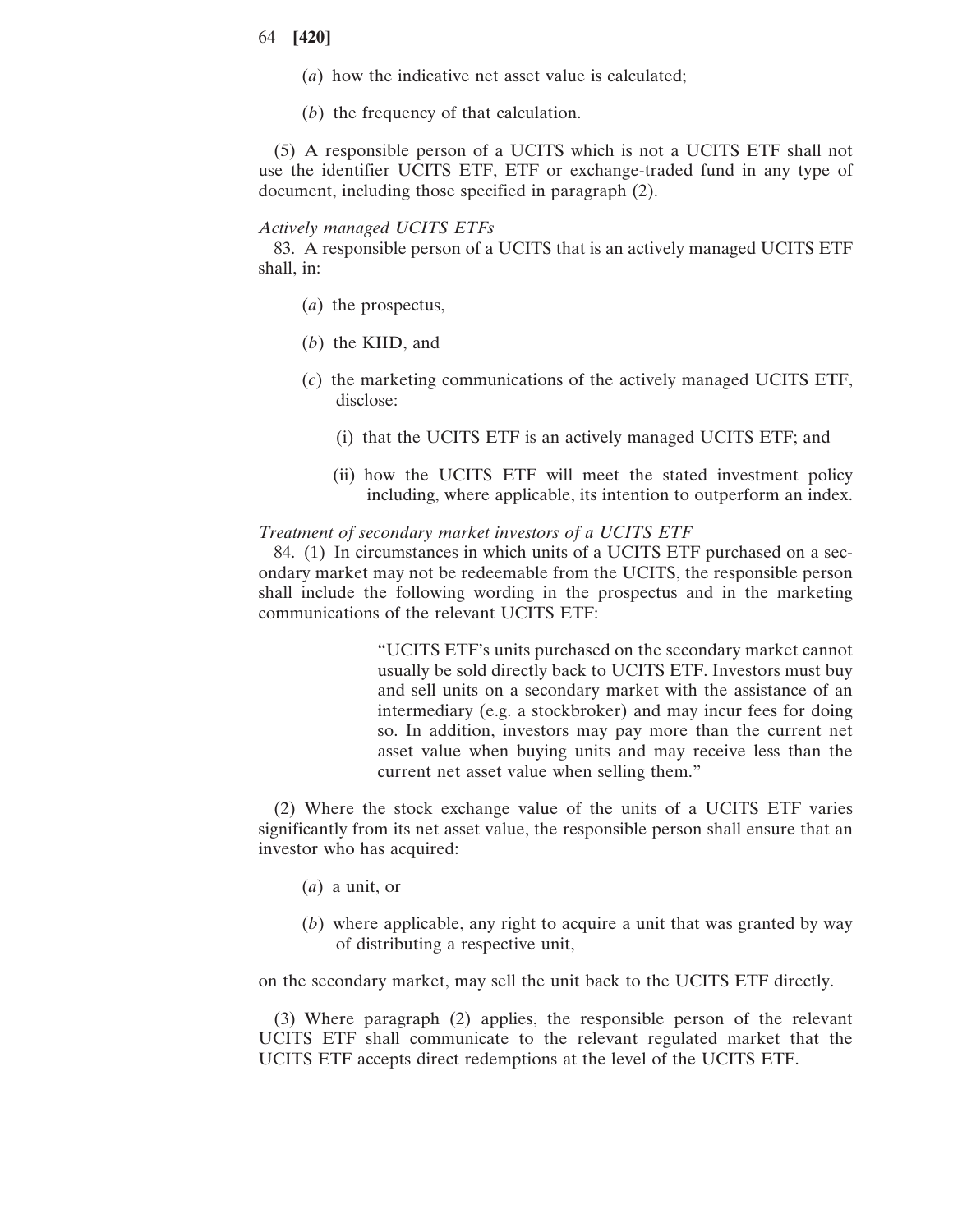- (*a*) how the indicative net asset value is calculated;
- (*b*) the frequency of that calculation.

(5) A responsible person of a UCITS which is not a UCITS ETF shall not use the identifier UCITS ETF, ETF or exchange-traded fund in any type of document, including those specified in paragraph (2).

### *Actively managed UCITS ETFs*

83. A responsible person of a UCITS that is an actively managed UCITS ETF shall, in:

- (*a*) the prospectus,
- (*b*) the KIID, and
- (*c*) the marketing communications of the actively managed UCITS ETF, disclose:
	- (i) that the UCITS ETF is an actively managed UCITS ETF; and
	- (ii) how the UCITS ETF will meet the stated investment policy including, where applicable, its intention to outperform an index.

# *Treatment of secondary market investors of a UCITS ETF*

84. (1) In circumstances in which units of a UCITS ETF purchased on a secondary market may not be redeemable from the UCITS, the responsible person shall include the following wording in the prospectus and in the marketing communications of the relevant UCITS ETF:

> "UCITS ETF's units purchased on the secondary market cannot usually be sold directly back to UCITS ETF. Investors must buy and sell units on a secondary market with the assistance of an intermediary (e.g. a stockbroker) and may incur fees for doing so. In addition, investors may pay more than the current net asset value when buying units and may receive less than the current net asset value when selling them."

(2) Where the stock exchange value of the units of a UCITS ETF varies significantly from its net asset value, the responsible person shall ensure that an investor who has acquired:

- (*a*) a unit, or
- (*b*) where applicable, any right to acquire a unit that was granted by way of distributing a respective unit,

on the secondary market, may sell the unit back to the UCITS ETF directly.

(3) Where paragraph (2) applies, the responsible person of the relevant UCITS ETF shall communicate to the relevant regulated market that the UCITS ETF accepts direct redemptions at the level of the UCITS ETF.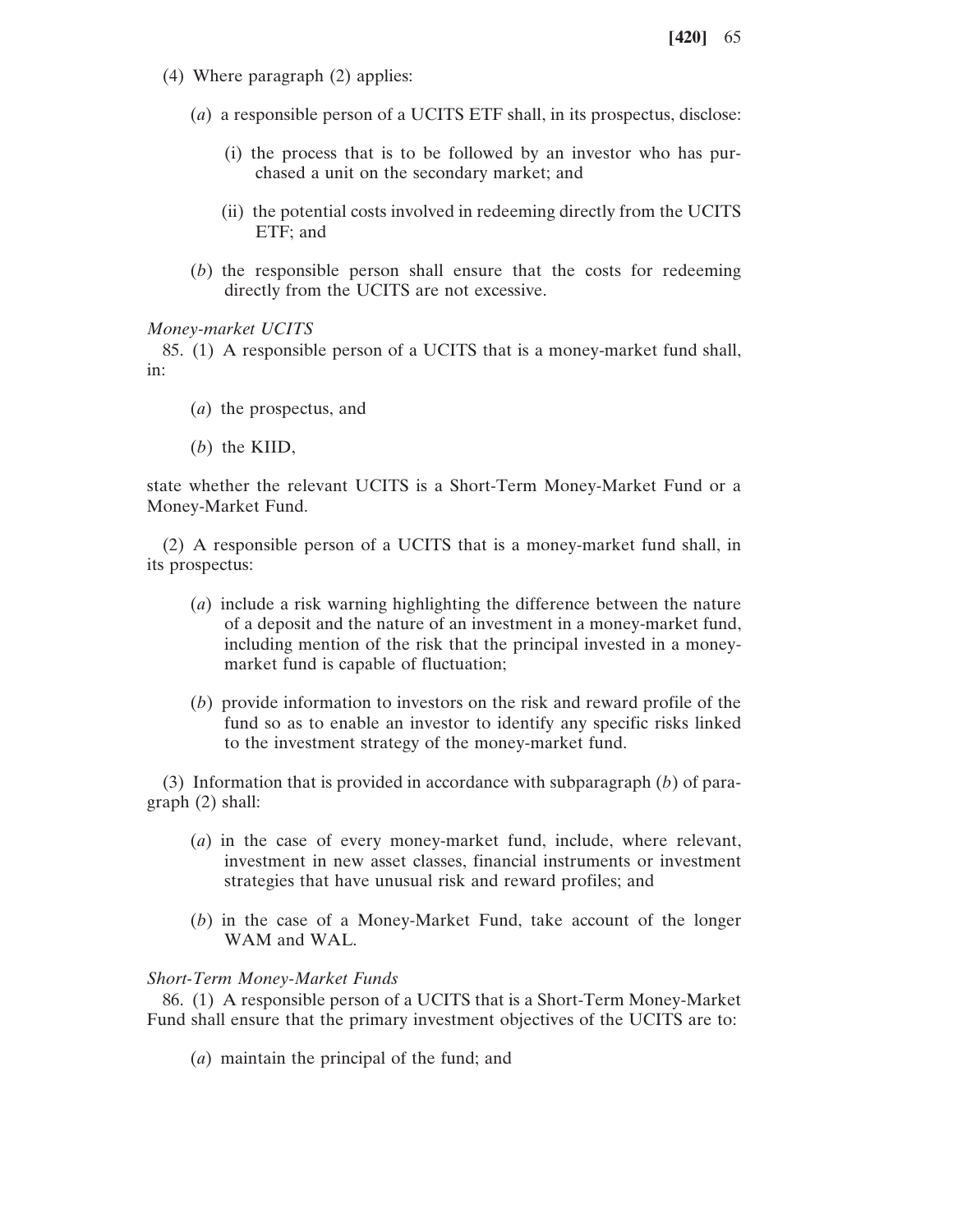- (4) Where paragraph (2) applies:
	- (*a*) a responsible person of a UCITS ETF shall, in its prospectus, disclose:
		- (i) the process that is to be followed by an investor who has purchased a unit on the secondary market; and
		- (ii) the potential costs involved in redeeming directly from the UCITS ETF; and
	- (*b*) the responsible person shall ensure that the costs for redeeming directly from the UCITS are not excessive.

### *Money-market UCITS*

85. (1) A responsible person of a UCITS that is a money-market fund shall, in:

- (*a*) the prospectus, and
- (*b*) the KIID,

state whether the relevant UCITS is a Short-Term Money-Market Fund or a Money-Market Fund.

(2) A responsible person of a UCITS that is a money-market fund shall, in its prospectus:

- (*a*) include a risk warning highlighting the difference between the nature of a deposit and the nature of an investment in a money-market fund, including mention of the risk that the principal invested in a moneymarket fund is capable of fluctuation;
- (*b*) provide information to investors on the risk and reward profile of the fund so as to enable an investor to identify any specific risks linked to the investment strategy of the money-market fund.

(3) Information that is provided in accordance with subparagraph (*b*) of paragraph (2) shall:

- (*a*) in the case of every money-market fund, include, where relevant, investment in new asset classes, financial instruments or investment strategies that have unusual risk and reward profiles; and
- (*b*) in the case of a Money-Market Fund, take account of the longer WAM and WAL.

### *Short-Term Money-Market Funds*

86. (1) A responsible person of a UCITS that is a Short-Term Money-Market Fund shall ensure that the primary investment objectives of the UCITS are to:

(*a*) maintain the principal of the fund; and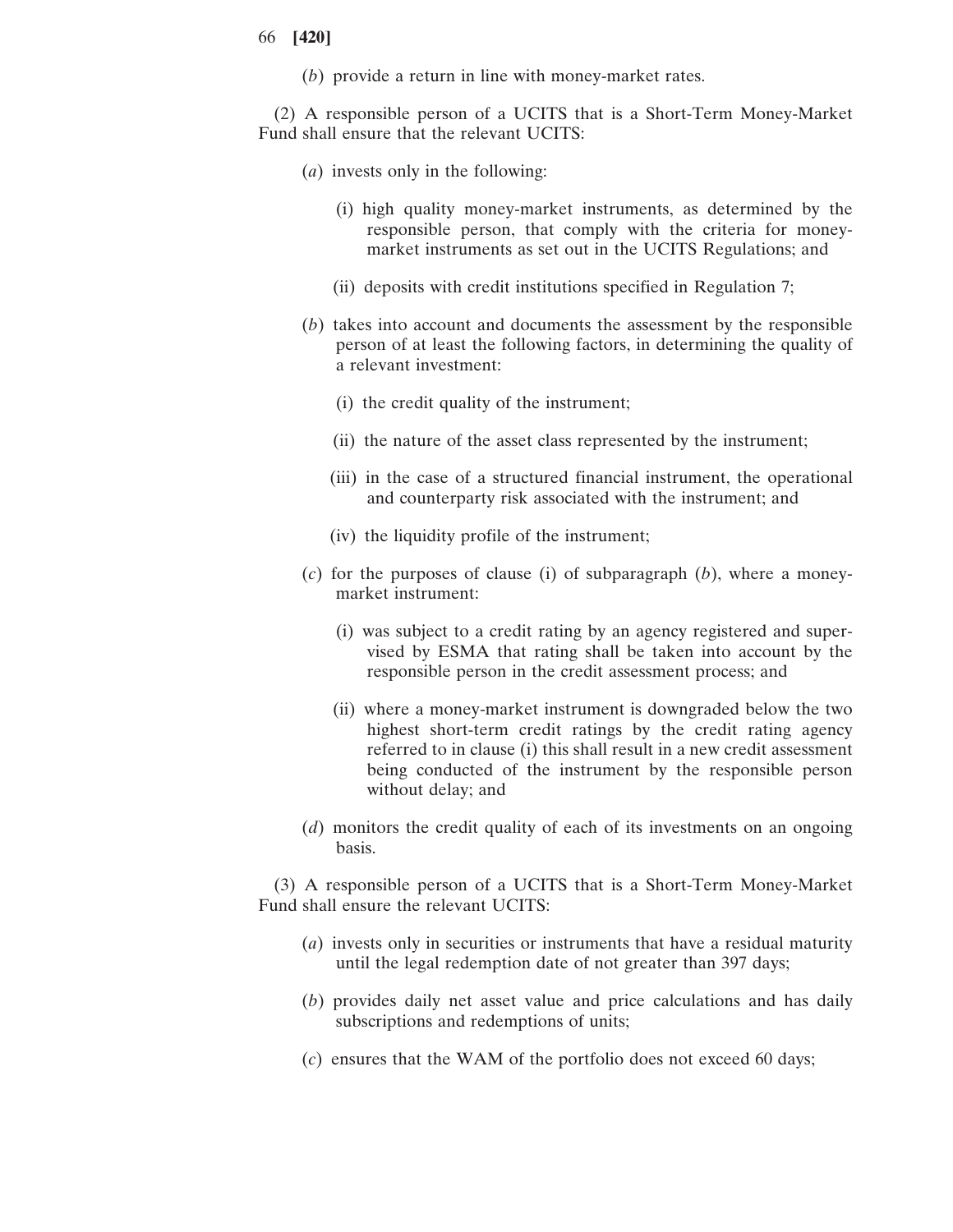(*b*) provide a return in line with money-market rates.

(2) A responsible person of a UCITS that is a Short-Term Money-Market Fund shall ensure that the relevant UCITS:

- (*a*) invests only in the following:
	- (i) high quality money-market instruments, as determined by the responsible person, that comply with the criteria for moneymarket instruments as set out in the UCITS Regulations; and
	- (ii) deposits with credit institutions specified in Regulation 7;
- (*b*) takes into account and documents the assessment by the responsible person of at least the following factors, in determining the quality of a relevant investment:
	- (i) the credit quality of the instrument;
	- (ii) the nature of the asset class represented by the instrument;
	- (iii) in the case of a structured financial instrument, the operational and counterparty risk associated with the instrument; and
	- (iv) the liquidity profile of the instrument;
- (*c*) for the purposes of clause (i) of subparagraph (*b*), where a moneymarket instrument:
	- (i) was subject to a credit rating by an agency registered and supervised by ESMA that rating shall be taken into account by the responsible person in the credit assessment process; and
	- (ii) where a money-market instrument is downgraded below the two highest short-term credit ratings by the credit rating agency referred to in clause (i) this shall result in a new credit assessment being conducted of the instrument by the responsible person without delay; and
- (*d*) monitors the credit quality of each of its investments on an ongoing basis.

(3) A responsible person of a UCITS that is a Short-Term Money-Market Fund shall ensure the relevant UCITS:

- (*a*) invests only in securities or instruments that have a residual maturity until the legal redemption date of not greater than 397 days;
- (*b*) provides daily net asset value and price calculations and has daily subscriptions and redemptions of units;
- (*c*) ensures that the WAM of the portfolio does not exceed 60 days;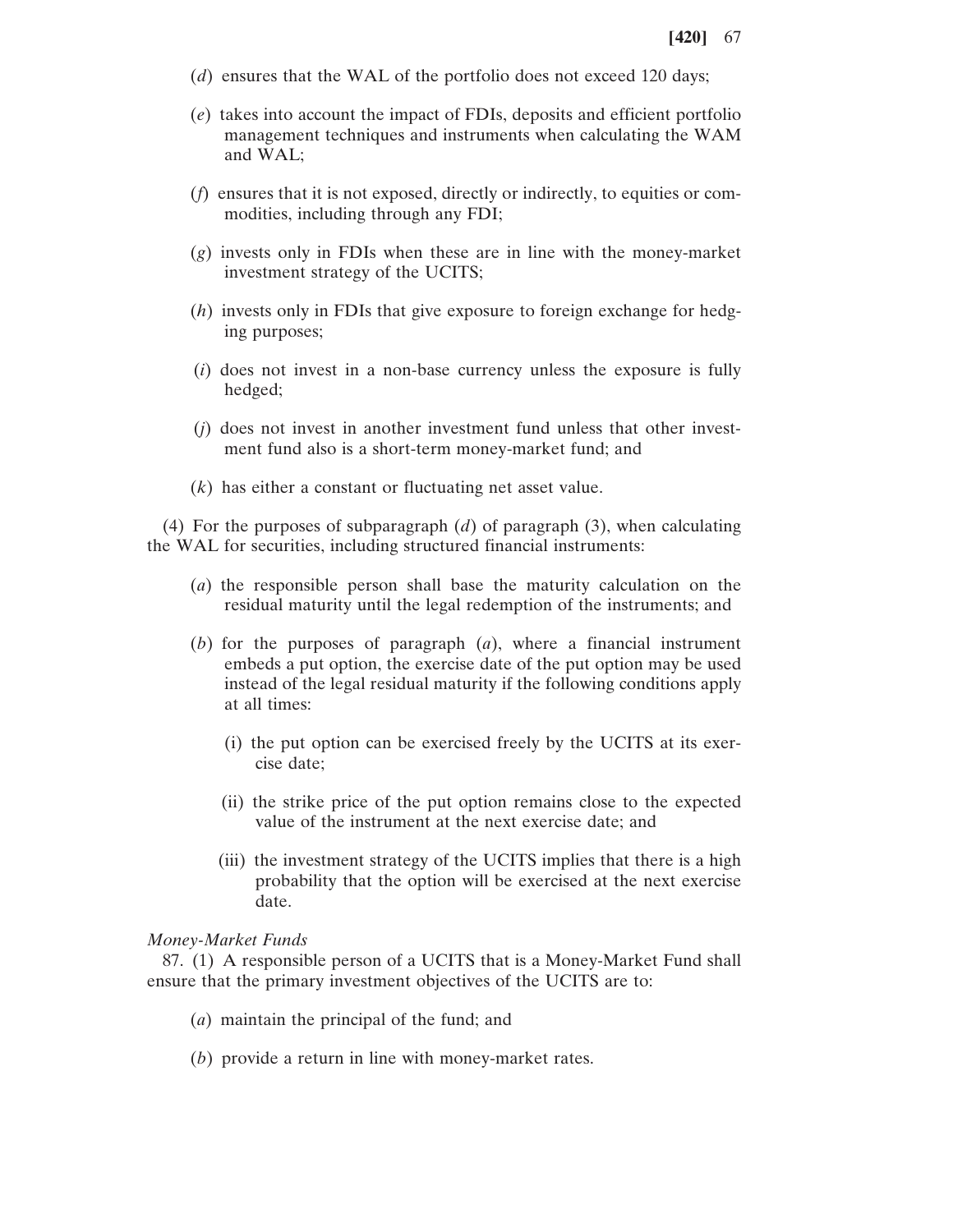- (*d*) ensures that the WAL of the portfolio does not exceed 120 days;
- (*e*) takes into account the impact of FDIs, deposits and efficient portfolio management techniques and instruments when calculating the WAM and WAL;
- (*f*) ensures that it is not exposed, directly or indirectly, to equities or commodities, including through any FDI;
- (*g*) invests only in FDIs when these are in line with the money-market investment strategy of the UCITS;
- (*h*) invests only in FDIs that give exposure to foreign exchange for hedging purposes;
- (*i*) does not invest in a non-base currency unless the exposure is fully hedged;
- (*j*) does not invest in another investment fund unless that other investment fund also is a short-term money-market fund; and
- (*k*) has either a constant or fluctuating net asset value.

(4) For the purposes of subparagraph (*d*) of paragraph (3), when calculating the WAL for securities, including structured financial instruments:

- (*a*) the responsible person shall base the maturity calculation on the residual maturity until the legal redemption of the instruments; and
- (*b*) for the purposes of paragraph (*a*), where a financial instrument embeds a put option, the exercise date of the put option may be used instead of the legal residual maturity if the following conditions apply at all times:
	- (i) the put option can be exercised freely by the UCITS at its exercise date;
	- (ii) the strike price of the put option remains close to the expected value of the instrument at the next exercise date; and
	- (iii) the investment strategy of the UCITS implies that there is a high probability that the option will be exercised at the next exercise date.

### *Money-Market Funds*

87. (1) A responsible person of a UCITS that is a Money-Market Fund shall ensure that the primary investment objectives of the UCITS are to:

- (*a*) maintain the principal of the fund; and
- (*b*) provide a return in line with money-market rates.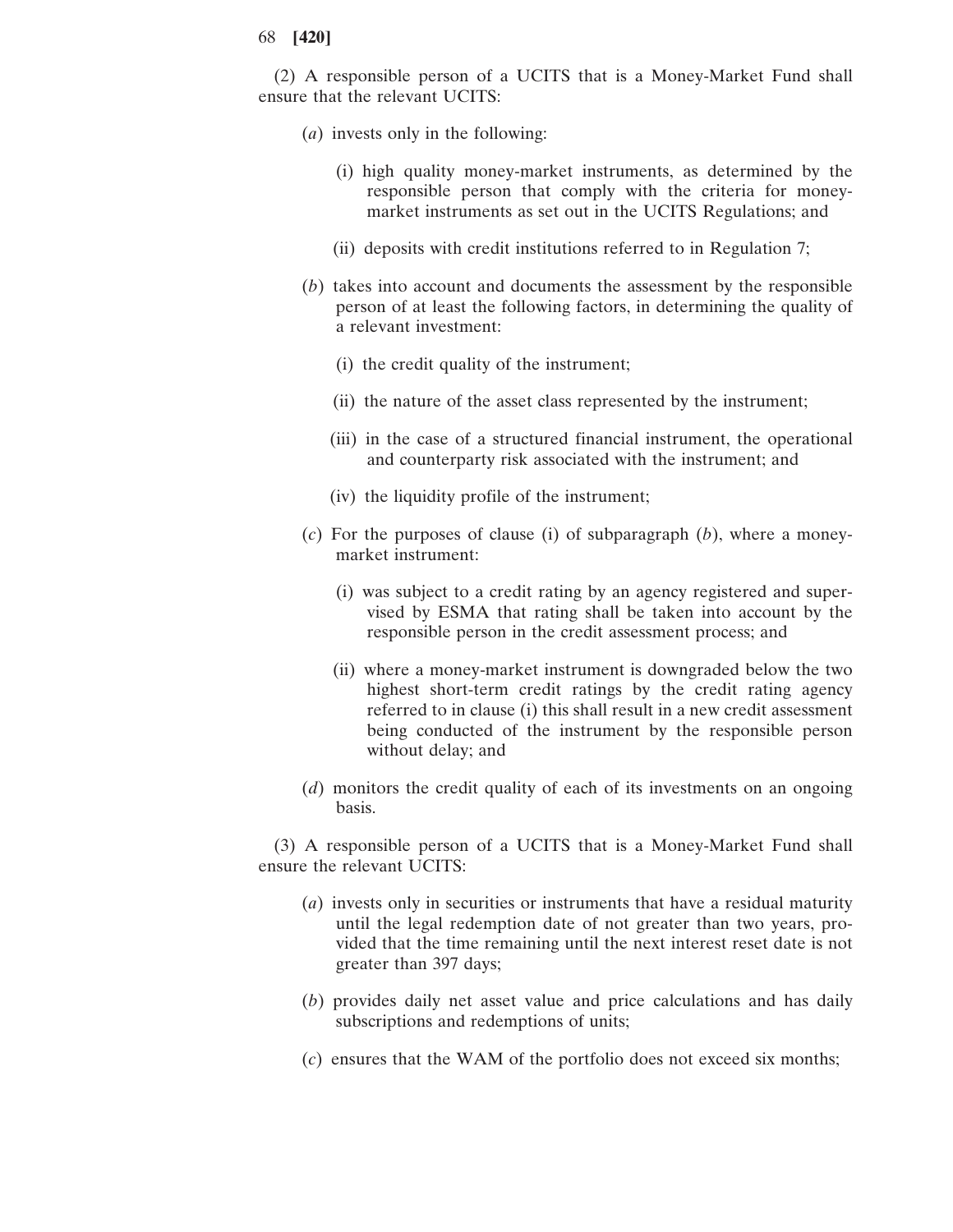(2) A responsible person of a UCITS that is a Money-Market Fund shall ensure that the relevant UCITS:

- (*a*) invests only in the following:
	- (i) high quality money-market instruments, as determined by the responsible person that comply with the criteria for moneymarket instruments as set out in the UCITS Regulations; and
	- (ii) deposits with credit institutions referred to in Regulation 7;
- (*b*) takes into account and documents the assessment by the responsible person of at least the following factors, in determining the quality of a relevant investment:
	- (i) the credit quality of the instrument;
	- (ii) the nature of the asset class represented by the instrument;
	- (iii) in the case of a structured financial instrument, the operational and counterparty risk associated with the instrument; and
	- (iv) the liquidity profile of the instrument;
- (*c*) For the purposes of clause (i) of subparagraph (*b*), where a moneymarket instrument:
	- (i) was subject to a credit rating by an agency registered and supervised by ESMA that rating shall be taken into account by the responsible person in the credit assessment process; and
	- (ii) where a money-market instrument is downgraded below the two highest short-term credit ratings by the credit rating agency referred to in clause (i) this shall result in a new credit assessment being conducted of the instrument by the responsible person without delay; and
- (*d*) monitors the credit quality of each of its investments on an ongoing basis.

(3) A responsible person of a UCITS that is a Money-Market Fund shall ensure the relevant UCITS:

- (*a*) invests only in securities or instruments that have a residual maturity until the legal redemption date of not greater than two years, provided that the time remaining until the next interest reset date is not greater than 397 days;
- (*b*) provides daily net asset value and price calculations and has daily subscriptions and redemptions of units;
- (*c*) ensures that the WAM of the portfolio does not exceed six months;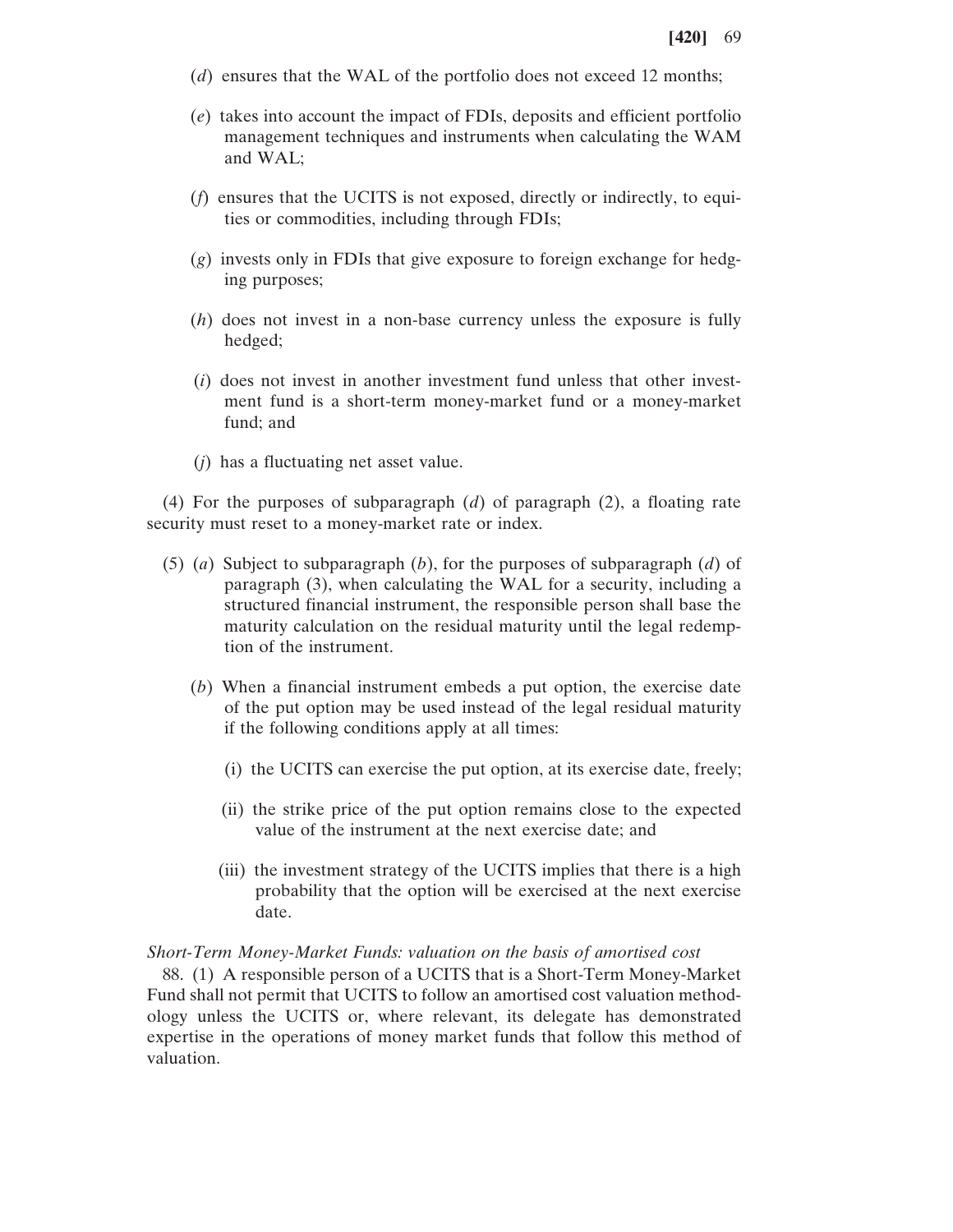- (*d*) ensures that the WAL of the portfolio does not exceed 12 months;
- (*e*) takes into account the impact of FDIs, deposits and efficient portfolio management techniques and instruments when calculating the WAM and WAL;
- (*f*) ensures that the UCITS is not exposed, directly or indirectly, to equities or commodities, including through FDIs;
- (*g*) invests only in FDIs that give exposure to foreign exchange for hedging purposes;
- (*h*) does not invest in a non-base currency unless the exposure is fully hedged;
- (*i*) does not invest in another investment fund unless that other investment fund is a short-term money-market fund or a money-market fund; and
- (*j*) has a fluctuating net asset value.

(4) For the purposes of subparagraph (*d*) of paragraph (2), a floating rate security must reset to a money-market rate or index.

- (5) (*a*) Subject to subparagraph (*b*), for the purposes of subparagraph (*d*) of paragraph (3), when calculating the WAL for a security, including a structured financial instrument, the responsible person shall base the maturity calculation on the residual maturity until the legal redemption of the instrument.
	- (*b*) When a financial instrument embeds a put option, the exercise date of the put option may be used instead of the legal residual maturity if the following conditions apply at all times:
		- (i) the UCITS can exercise the put option, at its exercise date, freely;
		- (ii) the strike price of the put option remains close to the expected value of the instrument at the next exercise date; and
		- (iii) the investment strategy of the UCITS implies that there is a high probability that the option will be exercised at the next exercise date.

#### *Short-Term Money-Market Funds: valuation on the basis of amortised cost*

88. (1) A responsible person of a UCITS that is a Short-Term Money-Market Fund shall not permit that UCITS to follow an amortised cost valuation methodology unless the UCITS or, where relevant, its delegate has demonstrated expertise in the operations of money market funds that follow this method of valuation.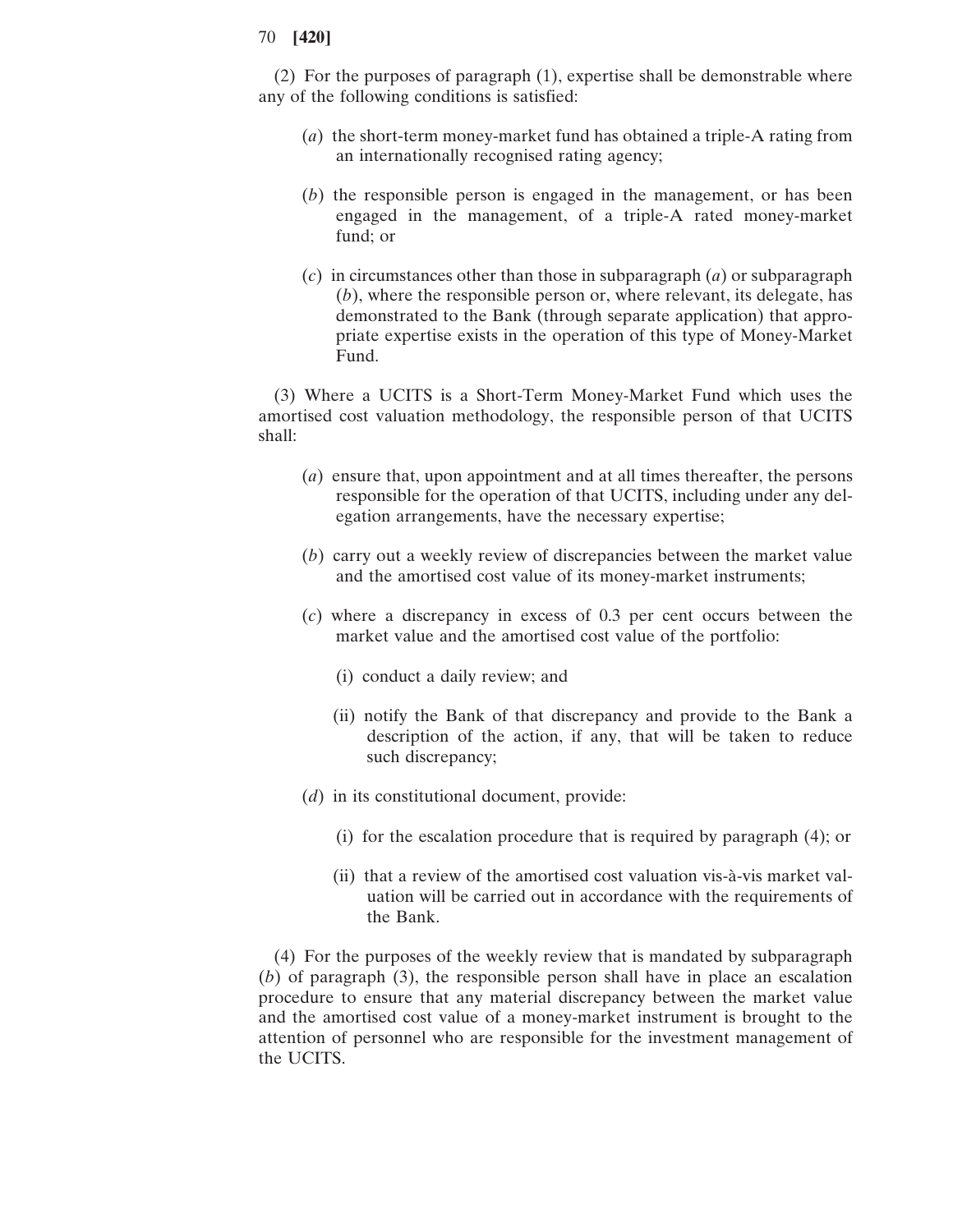(2) For the purposes of paragraph (1), expertise shall be demonstrable where any of the following conditions is satisfied:

- (*a*) the short-term money-market fund has obtained a triple-A rating from an internationally recognised rating agency;
- (*b*) the responsible person is engaged in the management, or has been engaged in the management, of a triple-A rated money-market fund; or
- (*c*) in circumstances other than those in subparagraph (*a*) or subparagraph (*b*), where the responsible person or, where relevant, its delegate, has demonstrated to the Bank (through separate application) that appropriate expertise exists in the operation of this type of Money-Market Fund.

(3) Where a UCITS is a Short-Term Money-Market Fund which uses the amortised cost valuation methodology, the responsible person of that UCITS shall:

- (*a*) ensure that, upon appointment and at all times thereafter, the persons responsible for the operation of that UCITS, including under any delegation arrangements, have the necessary expertise;
- (*b*) carry out a weekly review of discrepancies between the market value and the amortised cost value of its money-market instruments;
- (*c*) where a discrepancy in excess of 0.3 per cent occurs between the market value and the amortised cost value of the portfolio:
	- (i) conduct a daily review; and
	- (ii) notify the Bank of that discrepancy and provide to the Bank a description of the action, if any, that will be taken to reduce such discrepancy;
- (*d*) in its constitutional document, provide:
	- (i) for the escalation procedure that is required by paragraph (4); or
	- (ii) that a review of the amortised cost valuation vis-à-vis market valuation will be carried out in accordance with the requirements of the Bank.

(4) For the purposes of the weekly review that is mandated by subparagraph (*b*) of paragraph (3), the responsible person shall have in place an escalation procedure to ensure that any material discrepancy between the market value and the amortised cost value of a money-market instrument is brought to the attention of personnel who are responsible for the investment management of the UCITS.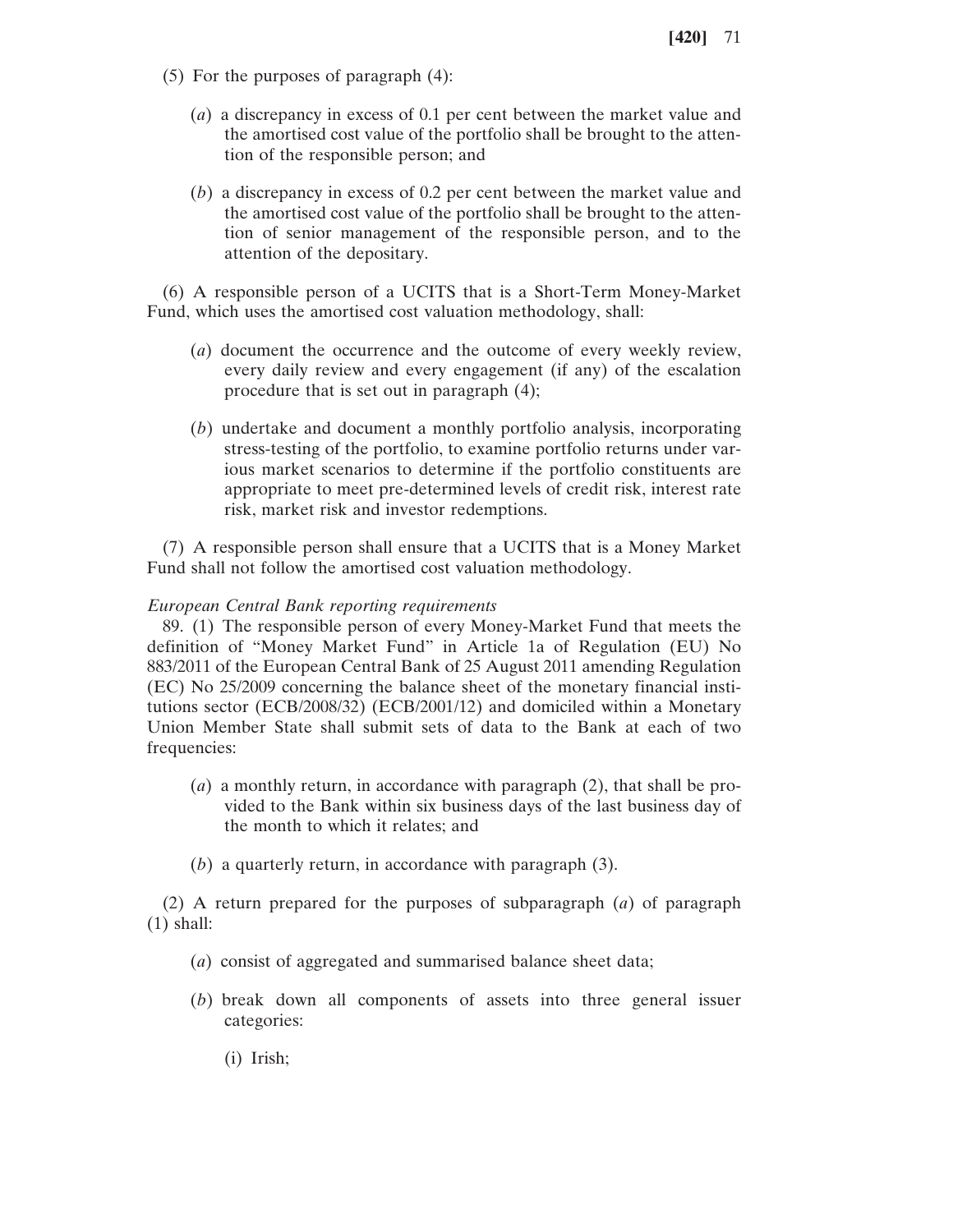- (5) For the purposes of paragraph (4):
	- (*a*) a discrepancy in excess of 0.1 per cent between the market value and the amortised cost value of the portfolio shall be brought to the attention of the responsible person; and
	- (*b*) a discrepancy in excess of 0.2 per cent between the market value and the amortised cost value of the portfolio shall be brought to the attention of senior management of the responsible person, and to the attention of the depositary.

(6) A responsible person of a UCITS that is a Short-Term Money-Market Fund, which uses the amortised cost valuation methodology, shall:

- (*a*) document the occurrence and the outcome of every weekly review, every daily review and every engagement (if any) of the escalation procedure that is set out in paragraph (4);
- (*b*) undertake and document a monthly portfolio analysis, incorporating stress-testing of the portfolio, to examine portfolio returns under various market scenarios to determine if the portfolio constituents are appropriate to meet pre-determined levels of credit risk, interest rate risk, market risk and investor redemptions.

(7) A responsible person shall ensure that a UCITS that is a Money Market Fund shall not follow the amortised cost valuation methodology.

### *European Central Bank reporting requirements*

89. (1) The responsible person of every Money-Market Fund that meets the definition of "Money Market Fund" in Article 1a of Regulation (EU) No 883/2011 of the European Central Bank of 25 August 2011 amending Regulation (EC) No 25/2009 concerning the balance sheet of the monetary financial institutions sector (ECB/2008/32) (ECB/2001/12) and domiciled within a Monetary Union Member State shall submit sets of data to the Bank at each of two frequencies:

- (*a*) a monthly return, in accordance with paragraph (2), that shall be provided to the Bank within six business days of the last business day of the month to which it relates; and
- (*b*) a quarterly return, in accordance with paragraph (3).

(2) A return prepared for the purposes of subparagraph (*a*) of paragraph (1) shall:

- (*a*) consist of aggregated and summarised balance sheet data;
- (*b*) break down all components of assets into three general issuer categories:
	- (i) Irish;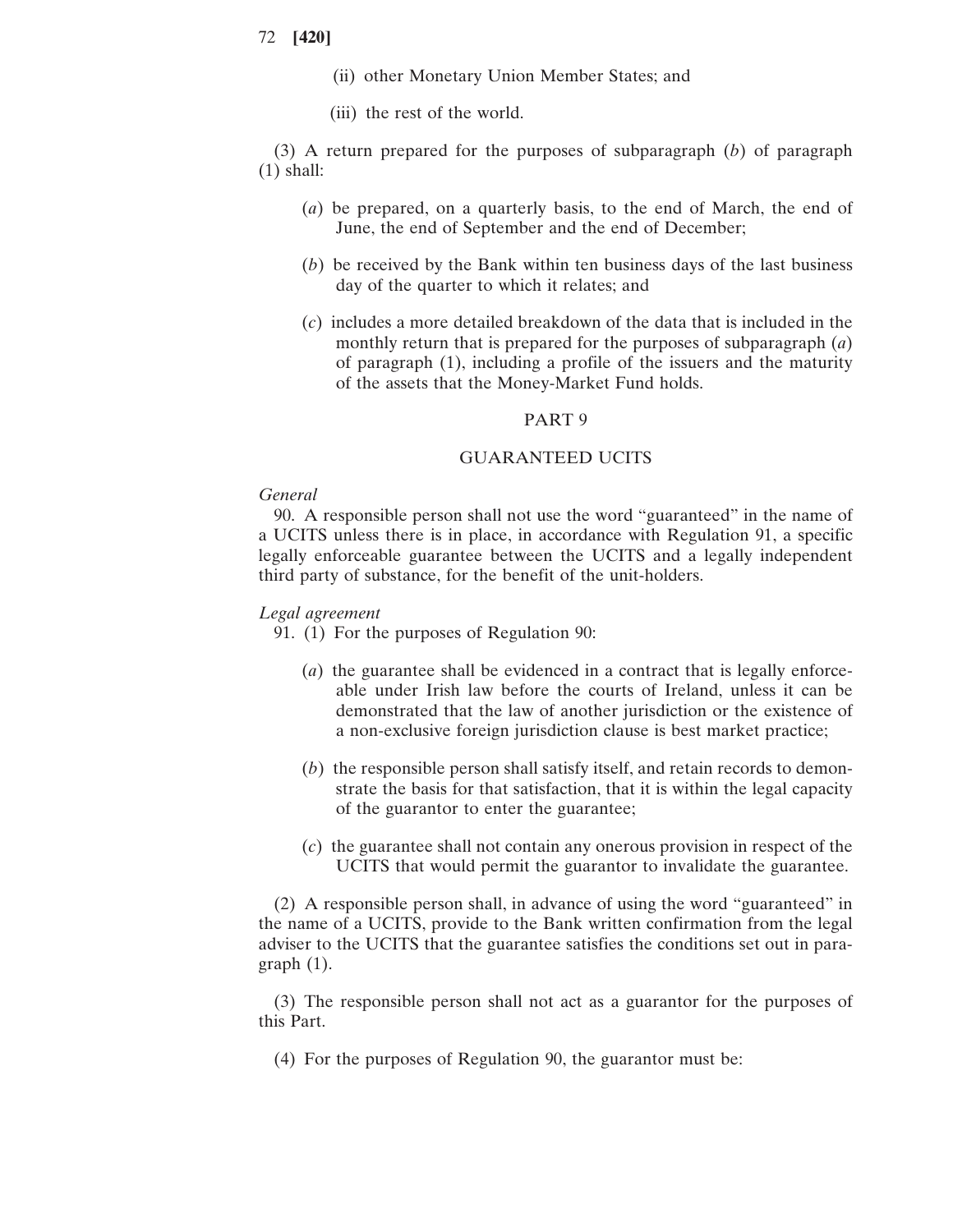- (ii) other Monetary Union Member States; and
- (iii) the rest of the world.

(3) A return prepared for the purposes of subparagraph (*b*) of paragraph (1) shall:

- (*a*) be prepared, on a quarterly basis, to the end of March, the end of June, the end of September and the end of December;
- (*b*) be received by the Bank within ten business days of the last business day of the quarter to which it relates; and
- (*c*) includes a more detailed breakdown of the data that is included in the monthly return that is prepared for the purposes of subparagraph (*a*) of paragraph (1), including a profile of the issuers and the maturity of the assets that the Money-Market Fund holds.

# PART 9

### GUARANTEED UCITS

#### *General*

90. A responsible person shall not use the word "guaranteed" in the name of a UCITS unless there is in place, in accordance with Regulation 91, a specific legally enforceable guarantee between the UCITS and a legally independent third party of substance, for the benefit of the unit-holders.

#### *Legal agreement*

91. (1) For the purposes of Regulation 90:

- (*a*) the guarantee shall be evidenced in a contract that is legally enforceable under Irish law before the courts of Ireland, unless it can be demonstrated that the law of another jurisdiction or the existence of a non-exclusive foreign jurisdiction clause is best market practice;
- (*b*) the responsible person shall satisfy itself, and retain records to demonstrate the basis for that satisfaction, that it is within the legal capacity of the guarantor to enter the guarantee;
- (*c*) the guarantee shall not contain any onerous provision in respect of the UCITS that would permit the guarantor to invalidate the guarantee.

(2) A responsible person shall, in advance of using the word "guaranteed" in the name of a UCITS, provide to the Bank written confirmation from the legal adviser to the UCITS that the guarantee satisfies the conditions set out in para $graph(1)$ .

(3) The responsible person shall not act as a guarantor for the purposes of this Part.

(4) For the purposes of Regulation 90, the guarantor must be: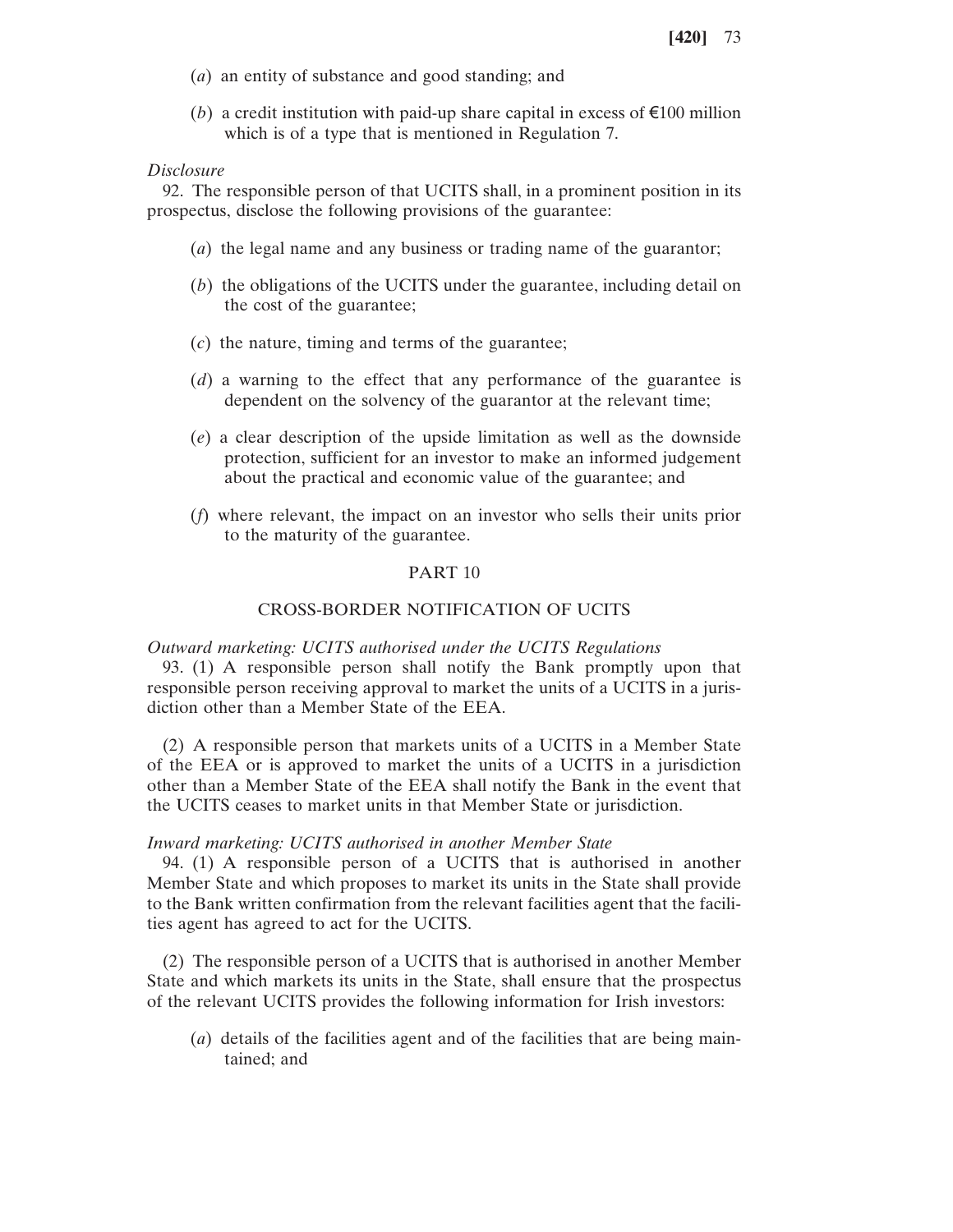- (*a*) an entity of substance and good standing; and
- (*b*) a credit institution with paid-up share capital in excess of  $\epsilon$ 100 million which is of a type that is mentioned in Regulation 7.

#### *Disclosure*

92. The responsible person of that UCITS shall, in a prominent position in its prospectus, disclose the following provisions of the guarantee:

- (*a*) the legal name and any business or trading name of the guarantor;
- (*b*) the obligations of the UCITS under the guarantee, including detail on the cost of the guarantee;
- (*c*) the nature, timing and terms of the guarantee;
- (*d*) a warning to the effect that any performance of the guarantee is dependent on the solvency of the guarantor at the relevant time;
- (*e*) a clear description of the upside limitation as well as the downside protection, sufficient for an investor to make an informed judgement about the practical and economic value of the guarantee; and
- (*f*) where relevant, the impact on an investor who sells their units prior to the maturity of the guarantee.

# PART 10

# CROSS-BORDER NOTIFICATION OF UCITS

#### *Outward marketing: UCITS authorised under the UCITS Regulations*

93. (1) A responsible person shall notify the Bank promptly upon that responsible person receiving approval to market the units of a UCITS in a jurisdiction other than a Member State of the EEA.

(2) A responsible person that markets units of a UCITS in a Member State of the EEA or is approved to market the units of a UCITS in a jurisdiction other than a Member State of the EEA shall notify the Bank in the event that the UCITS ceases to market units in that Member State or jurisdiction.

# *Inward marketing: UCITS authorised in another Member State*

94. (1) A responsible person of a UCITS that is authorised in another Member State and which proposes to market its units in the State shall provide to the Bank written confirmation from the relevant facilities agent that the facilities agent has agreed to act for the UCITS.

(2) The responsible person of a UCITS that is authorised in another Member State and which markets its units in the State, shall ensure that the prospectus of the relevant UCITS provides the following information for Irish investors:

(*a*) details of the facilities agent and of the facilities that are being maintained; and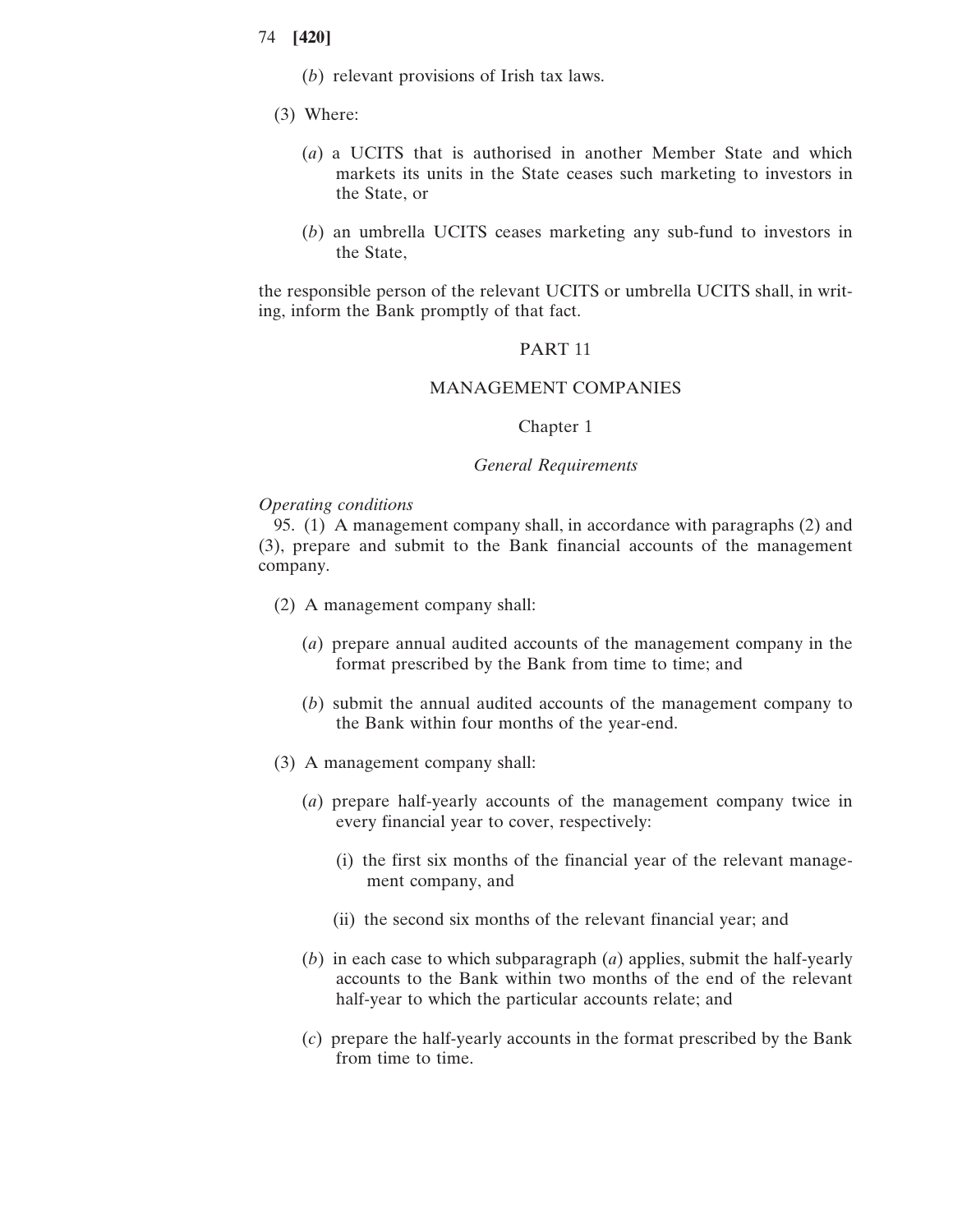- (*b*) relevant provisions of Irish tax laws.
- (3) Where:
	- (*a*) a UCITS that is authorised in another Member State and which markets its units in the State ceases such marketing to investors in the State, or
	- (*b*) an umbrella UCITS ceases marketing any sub-fund to investors in the State,

the responsible person of the relevant UCITS or umbrella UCITS shall, in writing, inform the Bank promptly of that fact.

# PART 11

# MANAGEMENT COMPANIES

#### Chapter 1

#### *General Requirements*

#### *Operating conditions*

95. (1) A management company shall, in accordance with paragraphs (2) and (3), prepare and submit to the Bank financial accounts of the management company.

- (2) A management company shall:
	- (*a*) prepare annual audited accounts of the management company in the format prescribed by the Bank from time to time; and
	- (*b*) submit the annual audited accounts of the management company to the Bank within four months of the year-end.
- (3) A management company shall:
	- (*a*) prepare half-yearly accounts of the management company twice in every financial year to cover, respectively:
		- (i) the first six months of the financial year of the relevant management company, and
		- (ii) the second six months of the relevant financial year; and
	- (*b*) in each case to which subparagraph (*a*) applies, submit the half-yearly accounts to the Bank within two months of the end of the relevant half-year to which the particular accounts relate; and
	- (*c*) prepare the half-yearly accounts in the format prescribed by the Bank from time to time.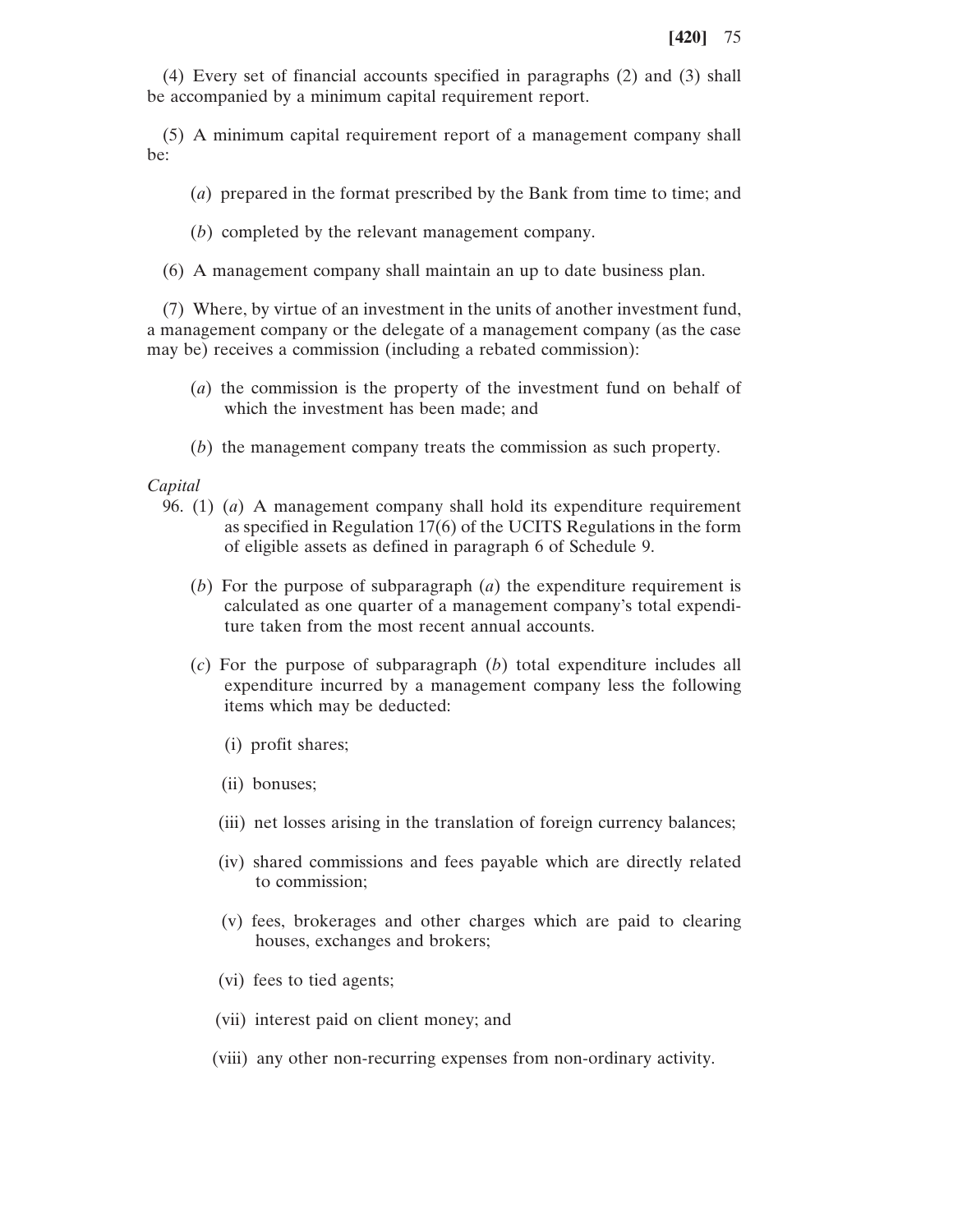(4) Every set of financial accounts specified in paragraphs (2) and (3) shall be accompanied by a minimum capital requirement report.

(5) A minimum capital requirement report of a management company shall be:

- (*a*) prepared in the format prescribed by the Bank from time to time; and
- (*b*) completed by the relevant management company.
- (6) A management company shall maintain an up to date business plan.

(7) Where, by virtue of an investment in the units of another investment fund, a management company or the delegate of a management company (as the case may be) receives a commission (including a rebated commission):

- (*a*) the commission is the property of the investment fund on behalf of which the investment has been made; and
- (*b*) the management company treats the commission as such property.

# *Capital*

- 96. (1) (*a*) A management company shall hold its expenditure requirement as specified in Regulation 17(6) of the UCITS Regulations in the form of eligible assets as defined in paragraph 6 of Schedule 9.
	- (*b*) For the purpose of subparagraph (*a*) the expenditure requirement is calculated as one quarter of a management company's total expenditure taken from the most recent annual accounts.
	- (*c*) For the purpose of subparagraph (*b*) total expenditure includes all expenditure incurred by a management company less the following items which may be deducted:
		- (i) profit shares;
		- (ii) bonuses;
		- (iii) net losses arising in the translation of foreign currency balances;
		- (iv) shared commissions and fees payable which are directly related to commission;
		- (v) fees, brokerages and other charges which are paid to clearing houses, exchanges and brokers;
		- (vi) fees to tied agents;
		- (vii) interest paid on client money; and
		- (viii) any other non-recurring expenses from non-ordinary activity.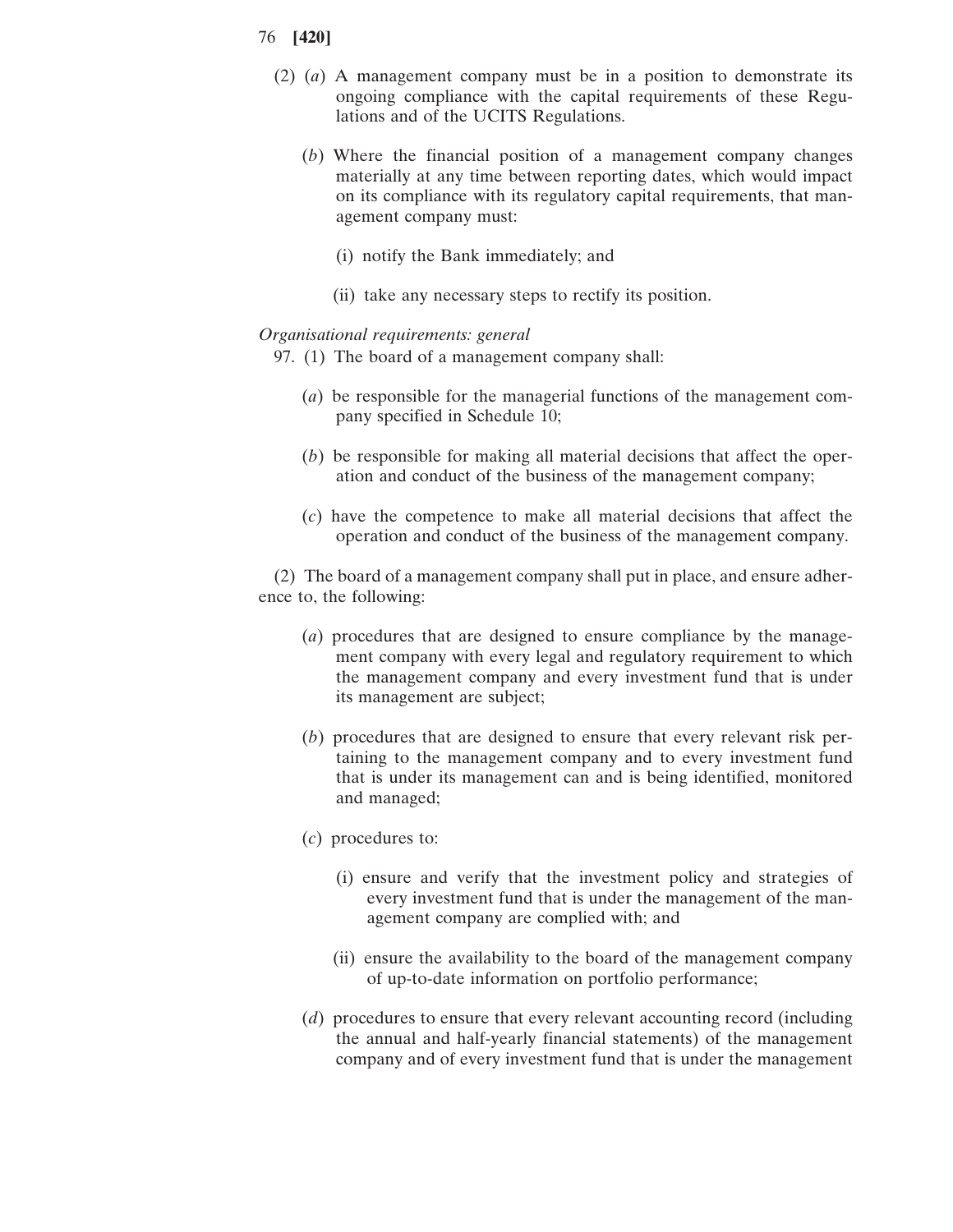- 76 **[420]**
	- (2) (*a*) A management company must be in a position to demonstrate its ongoing compliance with the capital requirements of these Regulations and of the UCITS Regulations.
		- (*b*) Where the financial position of a management company changes materially at any time between reporting dates, which would impact on its compliance with its regulatory capital requirements, that management company must:
			- (i) notify the Bank immediately; and
			- (ii) take any necessary steps to rectify its position.

## *Organisational requirements: general*

97. (1) The board of a management company shall:

- (*a*) be responsible for the managerial functions of the management company specified in Schedule 10;
- (*b*) be responsible for making all material decisions that affect the operation and conduct of the business of the management company;
- (*c*) have the competence to make all material decisions that affect the operation and conduct of the business of the management company.

(2) The board of a management company shall put in place, and ensure adherence to, the following:

- (*a*) procedures that are designed to ensure compliance by the management company with every legal and regulatory requirement to which the management company and every investment fund that is under its management are subject;
- (*b*) procedures that are designed to ensure that every relevant risk pertaining to the management company and to every investment fund that is under its management can and is being identified, monitored and managed;
- (*c*) procedures to:
	- (i) ensure and verify that the investment policy and strategies of every investment fund that is under the management of the management company are complied with; and
	- (ii) ensure the availability to the board of the management company of up-to-date information on portfolio performance;
- (*d*) procedures to ensure that every relevant accounting record (including the annual and half-yearly financial statements) of the management company and of every investment fund that is under the management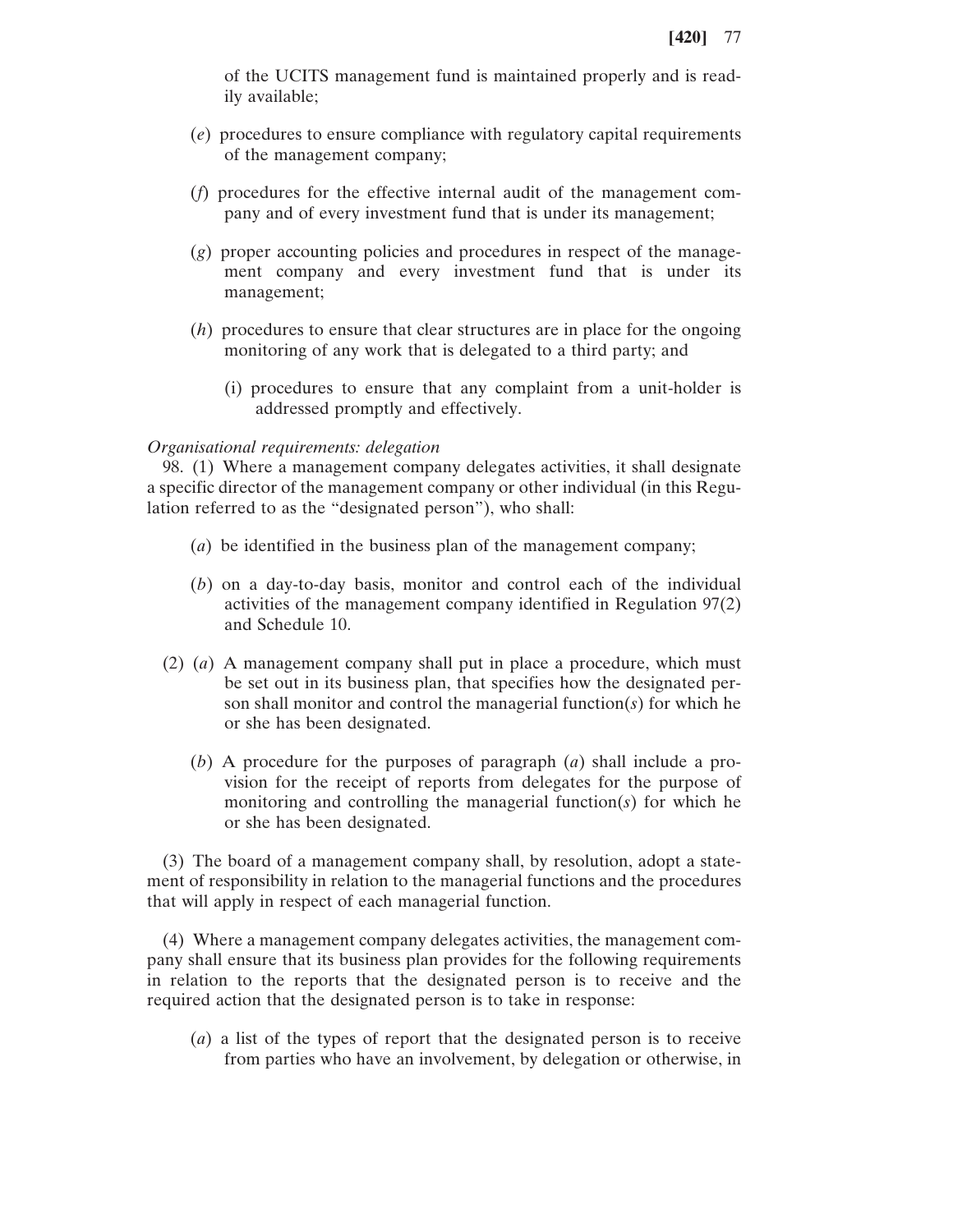of the UCITS management fund is maintained properly and is readily available;

- (*e*) procedures to ensure compliance with regulatory capital requirements of the management company;
- (*f*) procedures for the effective internal audit of the management company and of every investment fund that is under its management;
- (*g*) proper accounting policies and procedures in respect of the management company and every investment fund that is under its management;
- (*h*) procedures to ensure that clear structures are in place for the ongoing monitoring of any work that is delegated to a third party; and
	- (i) procedures to ensure that any complaint from a unit-holder is addressed promptly and effectively.

## *Organisational requirements: delegation*

98. (1) Where a management company delegates activities, it shall designate a specific director of the management company or other individual (in this Regulation referred to as the "designated person"), who shall:

- (*a*) be identified in the business plan of the management company;
- (*b*) on a day-to-day basis, monitor and control each of the individual activities of the management company identified in Regulation 97(2) and Schedule 10.
- (2) (*a*) A management company shall put in place a procedure, which must be set out in its business plan, that specifies how the designated person shall monitor and control the managerial function(*s*) for which he or she has been designated.
	- (*b*) A procedure for the purposes of paragraph (*a*) shall include a provision for the receipt of reports from delegates for the purpose of monitoring and controlling the managerial function(*s*) for which he or she has been designated.

(3) The board of a management company shall, by resolution, adopt a statement of responsibility in relation to the managerial functions and the procedures that will apply in respect of each managerial function.

(4) Where a management company delegates activities, the management company shall ensure that its business plan provides for the following requirements in relation to the reports that the designated person is to receive and the required action that the designated person is to take in response:

(*a*) a list of the types of report that the designated person is to receive from parties who have an involvement, by delegation or otherwise, in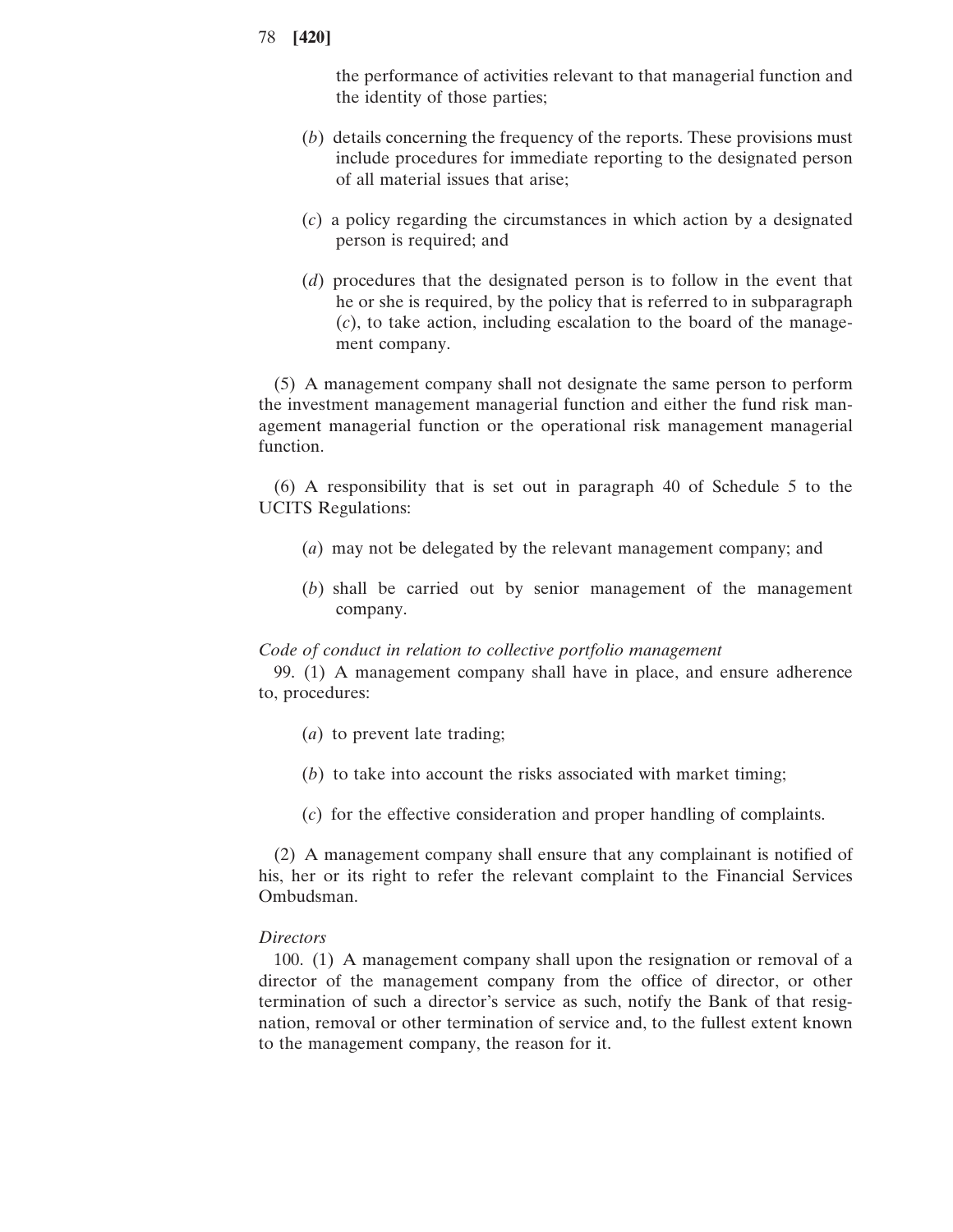the performance of activities relevant to that managerial function and the identity of those parties;

- (*b*) details concerning the frequency of the reports. These provisions must include procedures for immediate reporting to the designated person of all material issues that arise;
- (*c*) a policy regarding the circumstances in which action by a designated person is required; and
- (*d*) procedures that the designated person is to follow in the event that he or she is required, by the policy that is referred to in subparagraph (*c*), to take action, including escalation to the board of the management company.

(5) A management company shall not designate the same person to perform the investment management managerial function and either the fund risk management managerial function or the operational risk management managerial function.

(6) A responsibility that is set out in paragraph 40 of Schedule 5 to the UCITS Regulations:

- (*a*) may not be delegated by the relevant management company; and
- (*b*) shall be carried out by senior management of the management company.

# *Code of conduct in relation to collective portfolio management*

99. (1) A management company shall have in place, and ensure adherence to, procedures:

- (*a*) to prevent late trading;
- (*b*) to take into account the risks associated with market timing;
- (*c*) for the effective consideration and proper handling of complaints.

(2) A management company shall ensure that any complainant is notified of his, her or its right to refer the relevant complaint to the Financial Services Ombudsman.

#### *Directors*

100. (1) A management company shall upon the resignation or removal of a director of the management company from the office of director, or other termination of such a director's service as such, notify the Bank of that resignation, removal or other termination of service and, to the fullest extent known to the management company, the reason for it.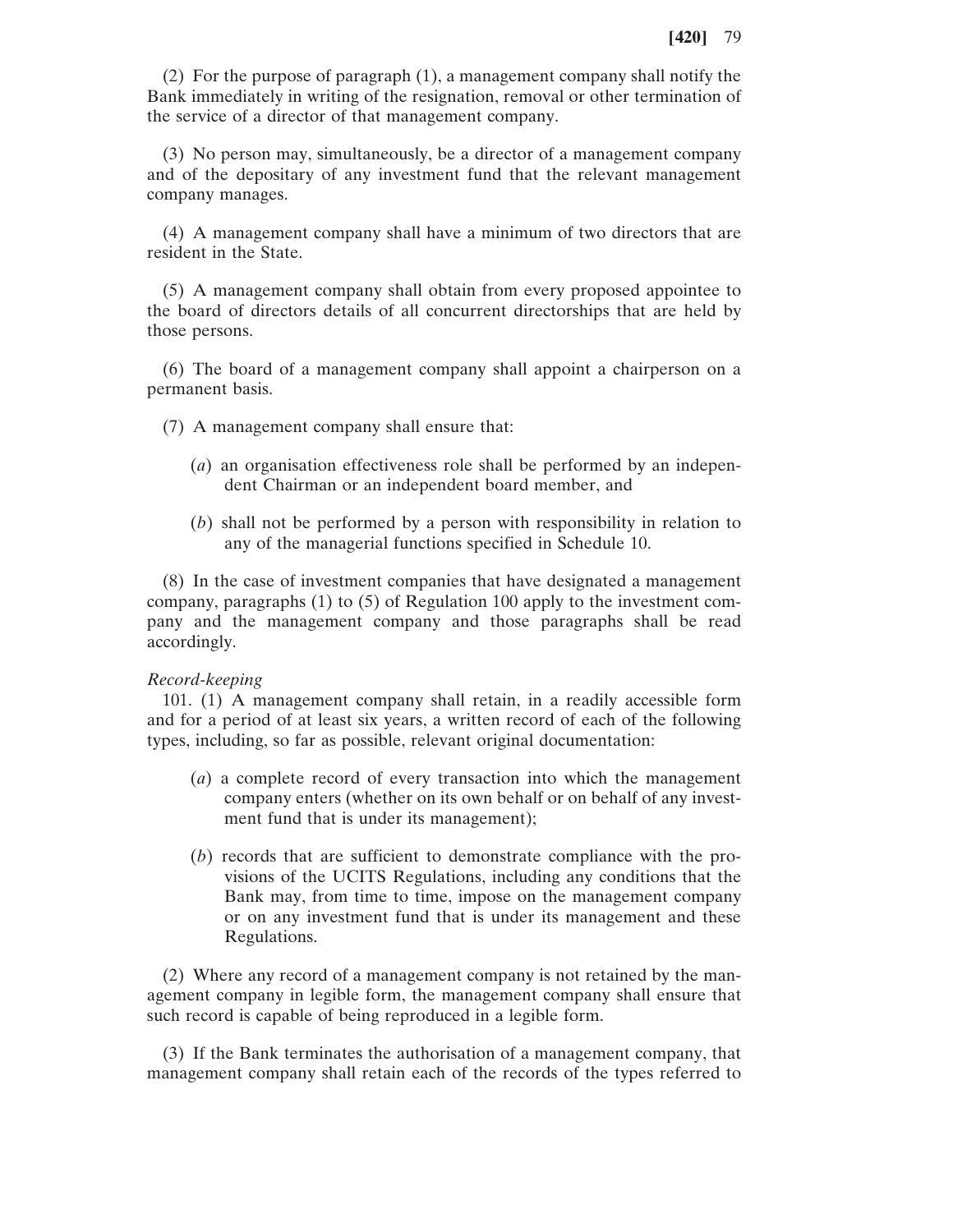(2) For the purpose of paragraph (1), a management company shall notify the Bank immediately in writing of the resignation, removal or other termination of the service of a director of that management company.

(3) No person may, simultaneously, be a director of a management company and of the depositary of any investment fund that the relevant management company manages.

(4) A management company shall have a minimum of two directors that are resident in the State.

(5) A management company shall obtain from every proposed appointee to the board of directors details of all concurrent directorships that are held by those persons.

(6) The board of a management company shall appoint a chairperson on a permanent basis.

(7) A management company shall ensure that:

- (*a*) an organisation effectiveness role shall be performed by an independent Chairman or an independent board member, and
- (*b*) shall not be performed by a person with responsibility in relation to any of the managerial functions specified in Schedule 10.

(8) In the case of investment companies that have designated a management company, paragraphs (1) to (5) of Regulation 100 apply to the investment company and the management company and those paragraphs shall be read accordingly.

#### *Record-keeping*

101. (1) A management company shall retain, in a readily accessible form and for a period of at least six years, a written record of each of the following types, including, so far as possible, relevant original documentation:

- (*a*) a complete record of every transaction into which the management company enters (whether on its own behalf or on behalf of any investment fund that is under its management);
- (*b*) records that are sufficient to demonstrate compliance with the provisions of the UCITS Regulations, including any conditions that the Bank may, from time to time, impose on the management company or on any investment fund that is under its management and these Regulations.

(2) Where any record of a management company is not retained by the management company in legible form, the management company shall ensure that such record is capable of being reproduced in a legible form.

(3) If the Bank terminates the authorisation of a management company, that management company shall retain each of the records of the types referred to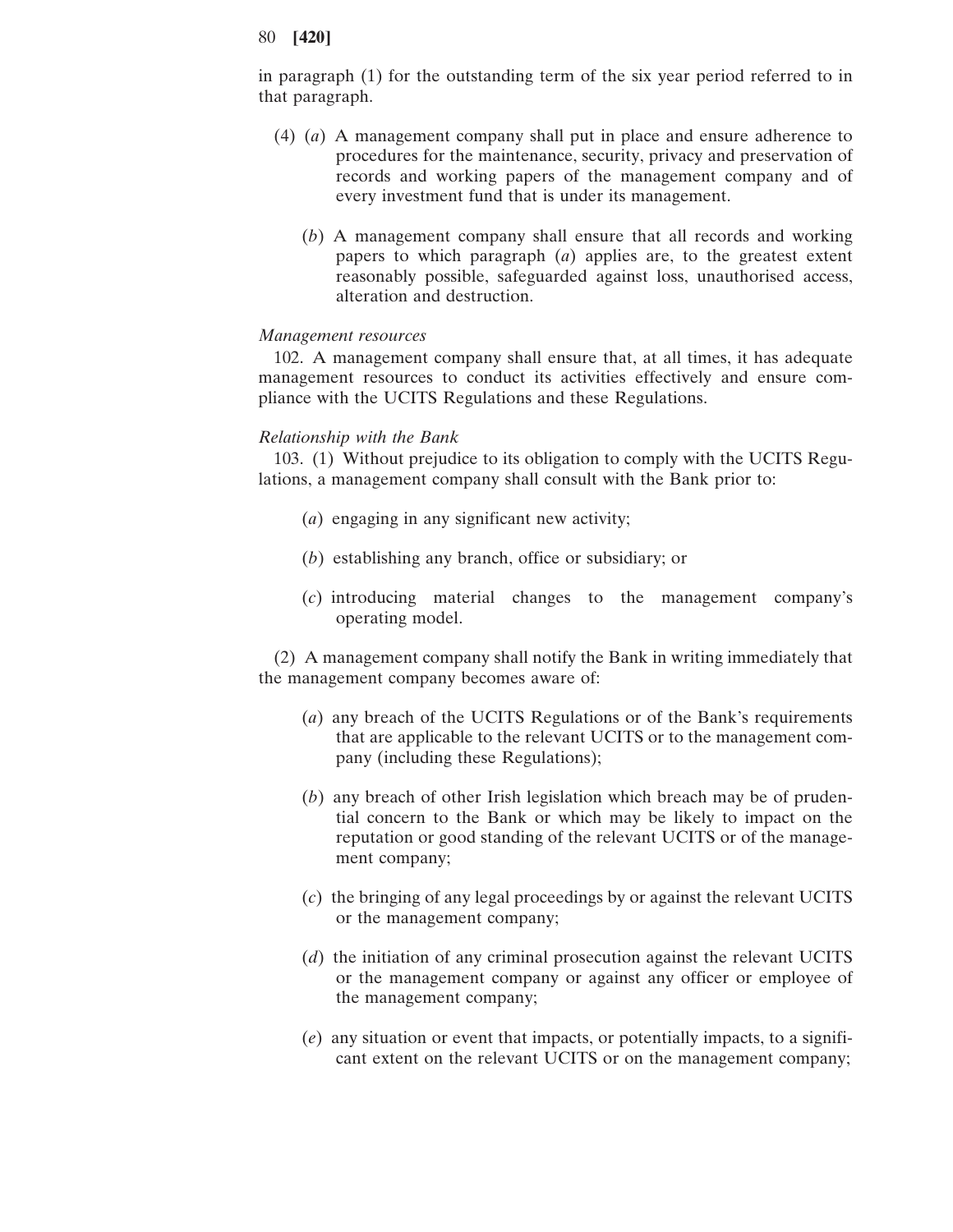in paragraph (1) for the outstanding term of the six year period referred to in that paragraph.

- (4) (*a*) A management company shall put in place and ensure adherence to procedures for the maintenance, security, privacy and preservation of records and working papers of the management company and of every investment fund that is under its management.
	- (*b*) A management company shall ensure that all records and working papers to which paragraph (*a*) applies are, to the greatest extent reasonably possible, safeguarded against loss, unauthorised access, alteration and destruction.

#### *Management resources*

102. A management company shall ensure that, at all times, it has adequate management resources to conduct its activities effectively and ensure compliance with the UCITS Regulations and these Regulations.

#### *Relationship with the Bank*

103. (1) Without prejudice to its obligation to comply with the UCITS Regulations, a management company shall consult with the Bank prior to:

- (*a*) engaging in any significant new activity;
- (*b*) establishing any branch, office or subsidiary; or
- (*c*) introducing material changes to the management company's operating model.

(2) A management company shall notify the Bank in writing immediately that the management company becomes aware of:

- (*a*) any breach of the UCITS Regulations or of the Bank's requirements that are applicable to the relevant UCITS or to the management company (including these Regulations);
- (*b*) any breach of other Irish legislation which breach may be of prudential concern to the Bank or which may be likely to impact on the reputation or good standing of the relevant UCITS or of the management company;
- (*c*) the bringing of any legal proceedings by or against the relevant UCITS or the management company;
- (*d*) the initiation of any criminal prosecution against the relevant UCITS or the management company or against any officer or employee of the management company;
- (*e*) any situation or event that impacts, or potentially impacts, to a significant extent on the relevant UCITS or on the management company;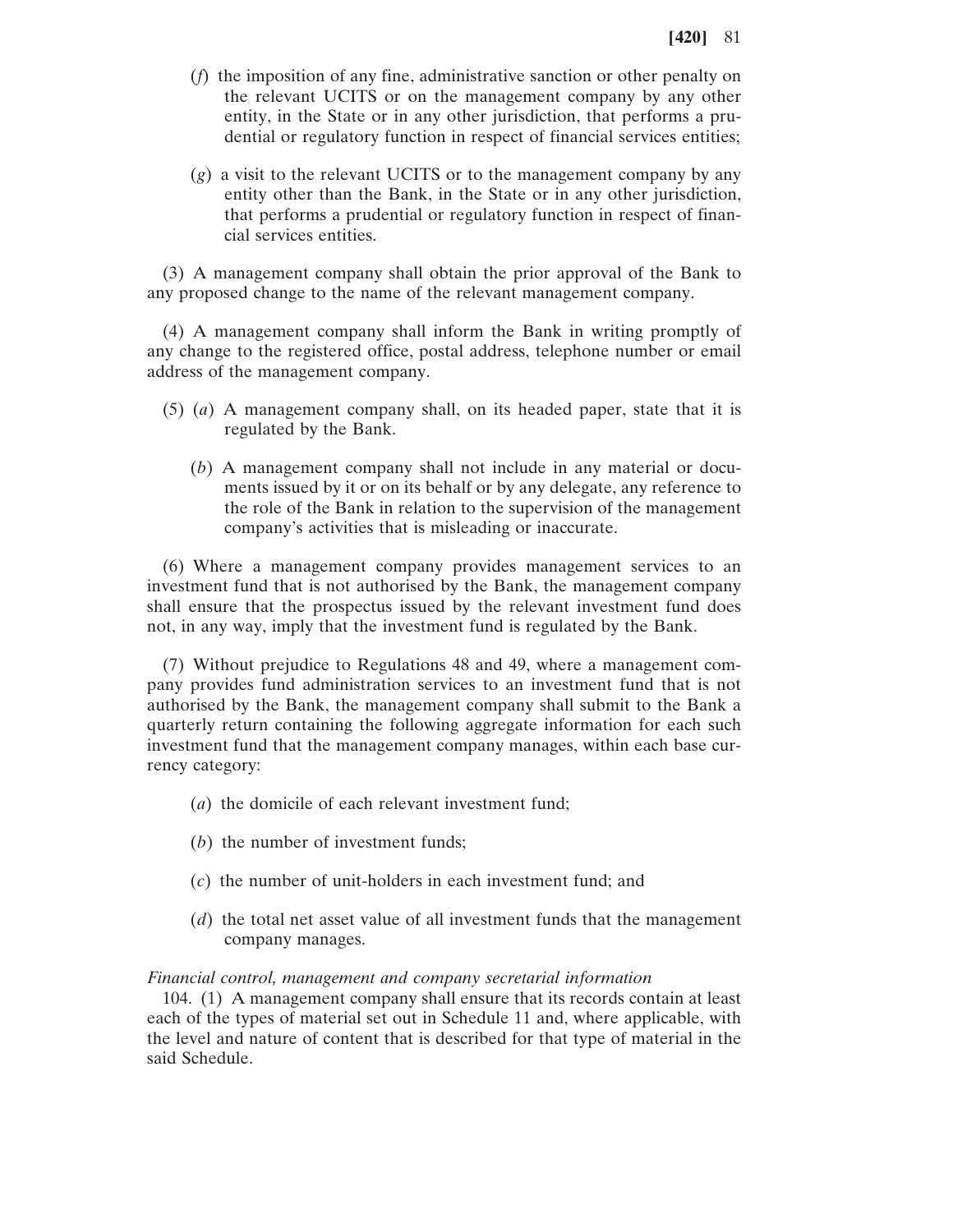- (*f*) the imposition of any fine, administrative sanction or other penalty on the relevant UCITS or on the management company by any other entity, in the State or in any other jurisdiction, that performs a prudential or regulatory function in respect of financial services entities;
- (*g*) a visit to the relevant UCITS or to the management company by any entity other than the Bank, in the State or in any other jurisdiction, that performs a prudential or regulatory function in respect of financial services entities.

(3) A management company shall obtain the prior approval of the Bank to any proposed change to the name of the relevant management company.

(4) A management company shall inform the Bank in writing promptly of any change to the registered office, postal address, telephone number or email address of the management company.

- (5) (*a*) A management company shall, on its headed paper, state that it is regulated by the Bank.
	- (*b*) A management company shall not include in any material or documents issued by it or on its behalf or by any delegate, any reference to the role of the Bank in relation to the supervision of the management company's activities that is misleading or inaccurate.

(6) Where a management company provides management services to an investment fund that is not authorised by the Bank, the management company shall ensure that the prospectus issued by the relevant investment fund does not, in any way, imply that the investment fund is regulated by the Bank.

(7) Without prejudice to Regulations 48 and 49, where a management company provides fund administration services to an investment fund that is not authorised by the Bank, the management company shall submit to the Bank a quarterly return containing the following aggregate information for each such investment fund that the management company manages, within each base currency category:

- (*a*) the domicile of each relevant investment fund;
- (*b*) the number of investment funds;
- (*c*) the number of unit-holders in each investment fund; and
- (*d*) the total net asset value of all investment funds that the management company manages.

# *Financial control, management and company secretarial information*

104. (1) A management company shall ensure that its records contain at least each of the types of material set out in Schedule 11 and, where applicable, with the level and nature of content that is described for that type of material in the said Schedule.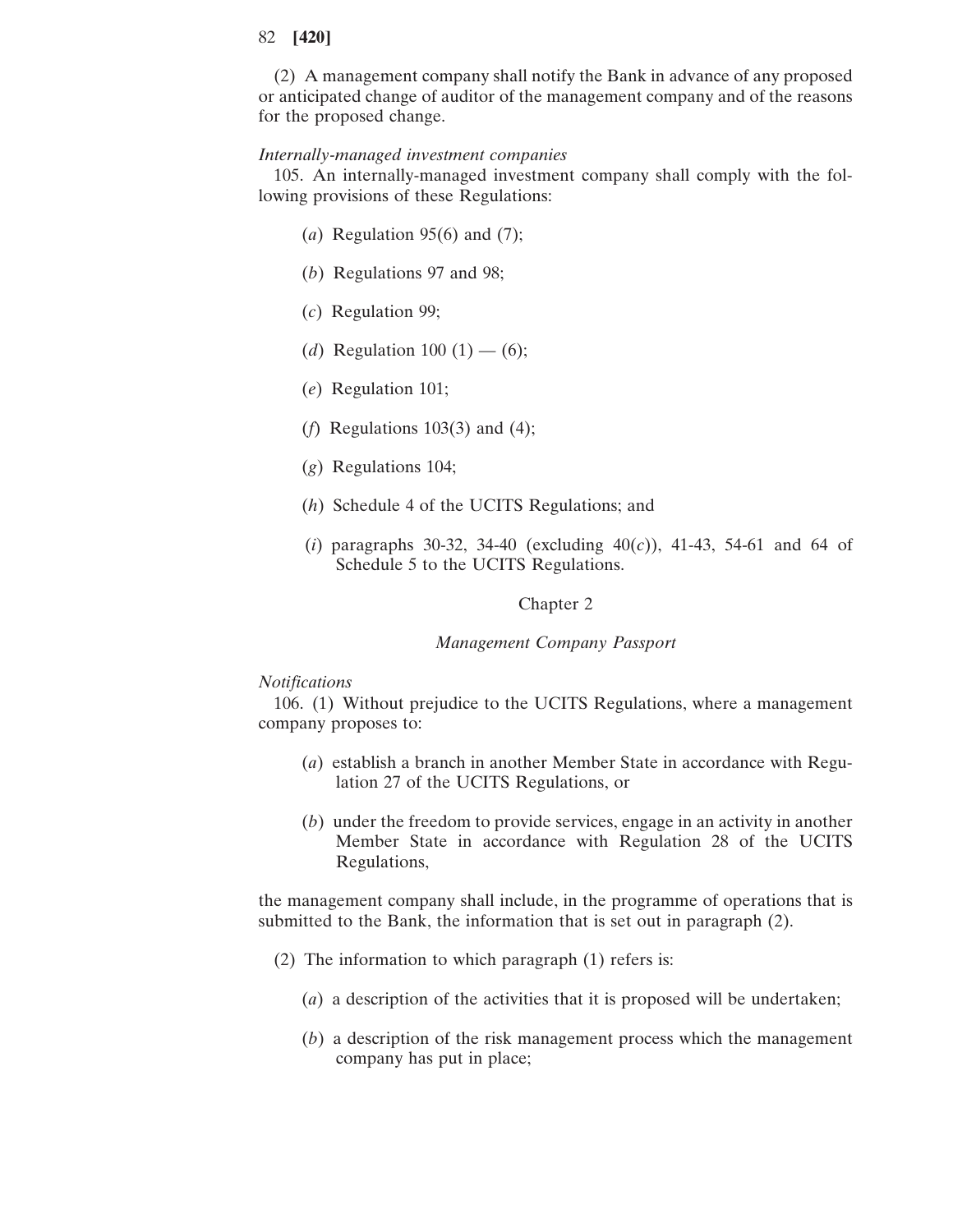(2) A management company shall notify the Bank in advance of any proposed or anticipated change of auditor of the management company and of the reasons for the proposed change.

## *Internally-managed investment companies*

105. An internally-managed investment company shall comply with the following provisions of these Regulations:

- (*a*) Regulation 95(6) and (7);
- (*b*) Regulations 97 and 98;
- (*c*) Regulation 99;
- (*d*) Regulation 100 (1) (6);
- (*e*) Regulation 101;
- (*f*) Regulations 103(3) and (4);
- (*g*) Regulations 104;
- (*h*) Schedule 4 of the UCITS Regulations; and
- (*i*) paragraphs 30-32, 34-40 (excluding 40(*c*)), 41-43, 54-61 and 64 of Schedule 5 to the UCITS Regulations.

## Chapter 2

#### *Management Company Passport*

#### *Notifications*

106. (1) Without prejudice to the UCITS Regulations, where a management company proposes to:

- (*a*) establish a branch in another Member State in accordance with Regulation 27 of the UCITS Regulations, or
- (*b*) under the freedom to provide services, engage in an activity in another Member State in accordance with Regulation 28 of the UCITS Regulations,

the management company shall include, in the programme of operations that is submitted to the Bank, the information that is set out in paragraph (2).

- (2) The information to which paragraph (1) refers is:
	- (*a*) a description of the activities that it is proposed will be undertaken;
	- (*b*) a description of the risk management process which the management company has put in place;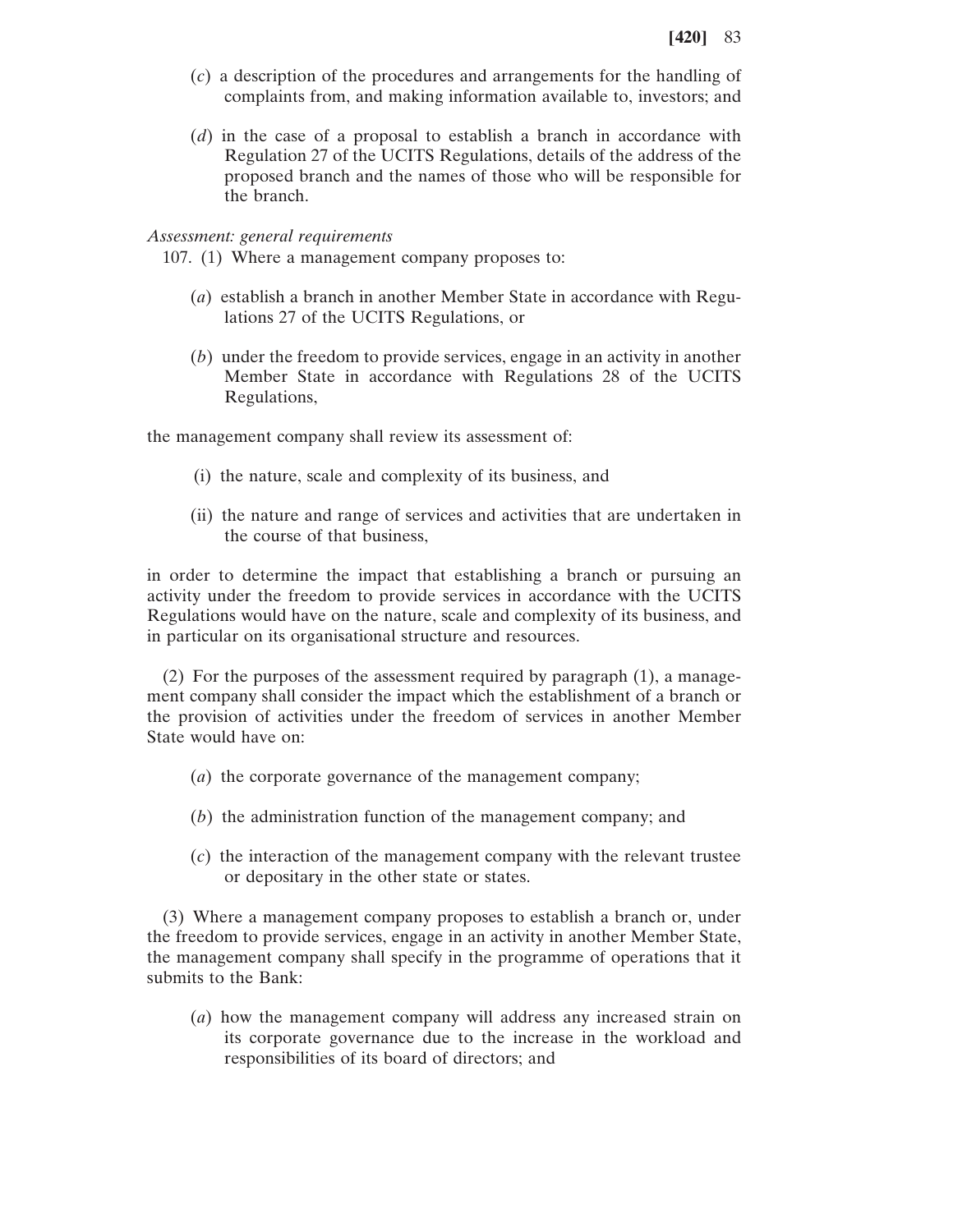- (*c*) a description of the procedures and arrangements for the handling of complaints from, and making information available to, investors; and
- (*d*) in the case of a proposal to establish a branch in accordance with Regulation 27 of the UCITS Regulations, details of the address of the proposed branch and the names of those who will be responsible for the branch.

## *Assessment: general requirements*

107. (1) Where a management company proposes to:

- (*a*) establish a branch in another Member State in accordance with Regulations 27 of the UCITS Regulations, or
- (*b*) under the freedom to provide services, engage in an activity in another Member State in accordance with Regulations 28 of the UCITS Regulations,

the management company shall review its assessment of:

- (i) the nature, scale and complexity of its business, and
- (ii) the nature and range of services and activities that are undertaken in the course of that business,

in order to determine the impact that establishing a branch or pursuing an activity under the freedom to provide services in accordance with the UCITS Regulations would have on the nature, scale and complexity of its business, and in particular on its organisational structure and resources.

(2) For the purposes of the assessment required by paragraph (1), a management company shall consider the impact which the establishment of a branch or the provision of activities under the freedom of services in another Member State would have on:

- (*a*) the corporate governance of the management company;
- (*b*) the administration function of the management company; and
- (*c*) the interaction of the management company with the relevant trustee or depositary in the other state or states.

(3) Where a management company proposes to establish a branch or, under the freedom to provide services, engage in an activity in another Member State, the management company shall specify in the programme of operations that it submits to the Bank:

(*a*) how the management company will address any increased strain on its corporate governance due to the increase in the workload and responsibilities of its board of directors; and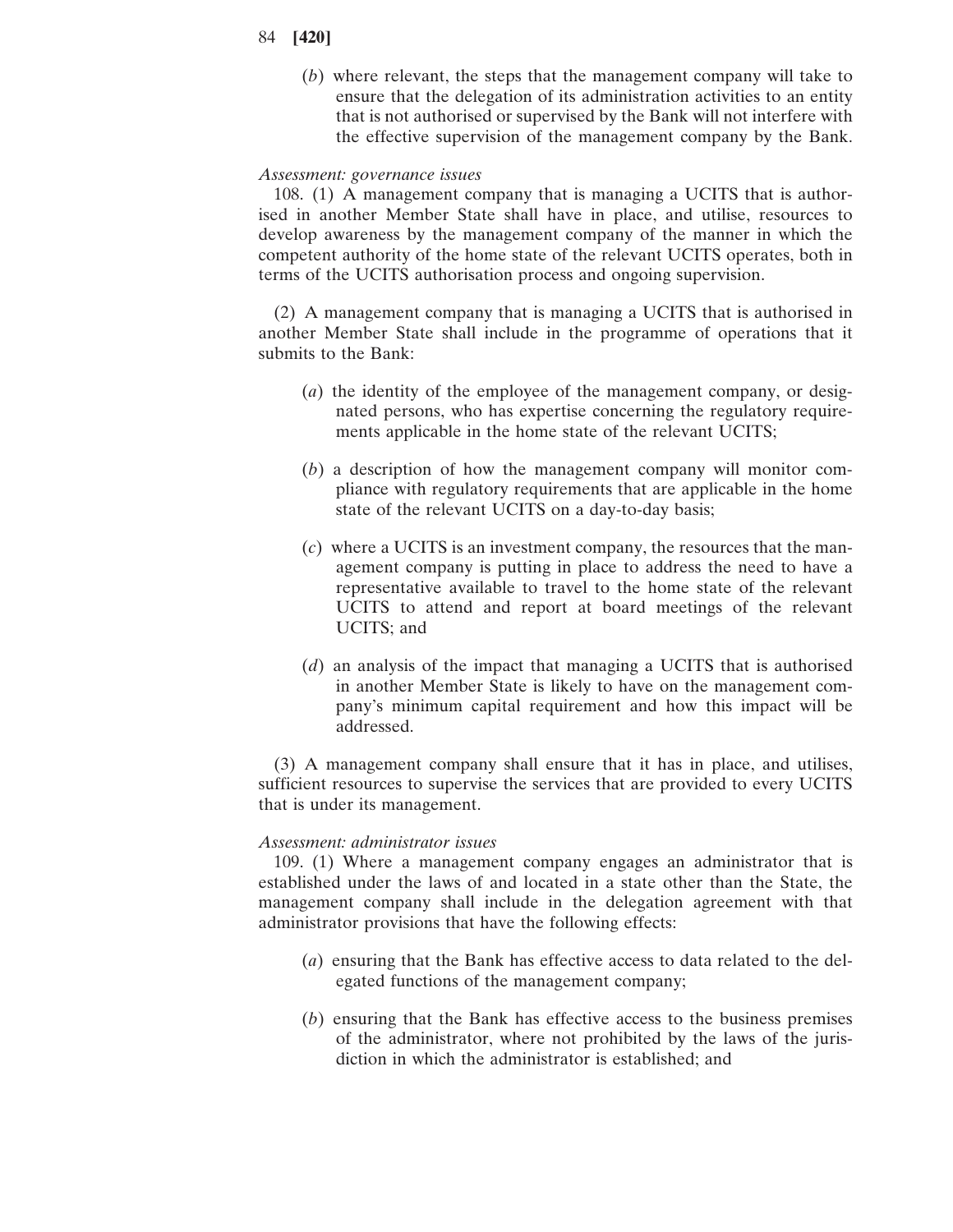(*b*) where relevant, the steps that the management company will take to ensure that the delegation of its administration activities to an entity that is not authorised or supervised by the Bank will not interfere with the effective supervision of the management company by the Bank.

## *Assessment: governance issues*

108. (1) A management company that is managing a UCITS that is authorised in another Member State shall have in place, and utilise, resources to develop awareness by the management company of the manner in which the competent authority of the home state of the relevant UCITS operates, both in terms of the UCITS authorisation process and ongoing supervision.

(2) A management company that is managing a UCITS that is authorised in another Member State shall include in the programme of operations that it submits to the Bank:

- (*a*) the identity of the employee of the management company, or designated persons, who has expertise concerning the regulatory requirements applicable in the home state of the relevant UCITS;
- (*b*) a description of how the management company will monitor compliance with regulatory requirements that are applicable in the home state of the relevant UCITS on a day-to-day basis;
- (*c*) where a UCITS is an investment company, the resources that the management company is putting in place to address the need to have a representative available to travel to the home state of the relevant UCITS to attend and report at board meetings of the relevant UCITS; and
- (*d*) an analysis of the impact that managing a UCITS that is authorised in another Member State is likely to have on the management company's minimum capital requirement and how this impact will be addressed.

(3) A management company shall ensure that it has in place, and utilises, sufficient resources to supervise the services that are provided to every UCITS that is under its management.

# *Assessment: administrator issues*

109. (1) Where a management company engages an administrator that is established under the laws of and located in a state other than the State, the management company shall include in the delegation agreement with that administrator provisions that have the following effects:

- (*a*) ensuring that the Bank has effective access to data related to the delegated functions of the management company;
- (*b*) ensuring that the Bank has effective access to the business premises of the administrator, where not prohibited by the laws of the jurisdiction in which the administrator is established; and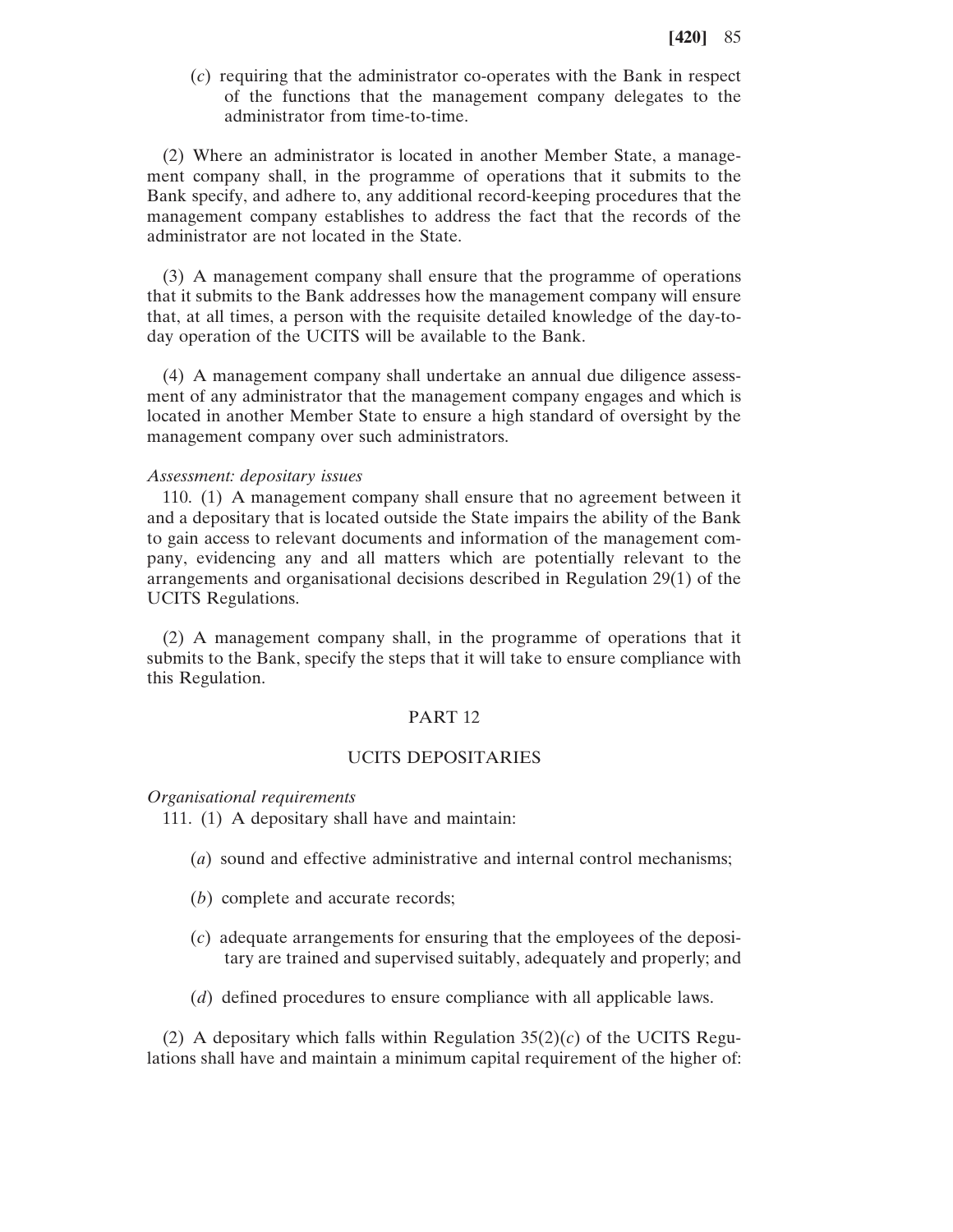(*c*) requiring that the administrator co-operates with the Bank in respect of the functions that the management company delegates to the administrator from time-to-time.

(2) Where an administrator is located in another Member State, a management company shall, in the programme of operations that it submits to the Bank specify, and adhere to, any additional record-keeping procedures that the management company establishes to address the fact that the records of the administrator are not located in the State.

(3) A management company shall ensure that the programme of operations that it submits to the Bank addresses how the management company will ensure that, at all times, a person with the requisite detailed knowledge of the day-today operation of the UCITS will be available to the Bank.

(4) A management company shall undertake an annual due diligence assessment of any administrator that the management company engages and which is located in another Member State to ensure a high standard of oversight by the management company over such administrators.

#### *Assessment: depositary issues*

110. (1) A management company shall ensure that no agreement between it and a depositary that is located outside the State impairs the ability of the Bank to gain access to relevant documents and information of the management company, evidencing any and all matters which are potentially relevant to the arrangements and organisational decisions described in Regulation 29(1) of the UCITS Regulations.

(2) A management company shall, in the programme of operations that it submits to the Bank, specify the steps that it will take to ensure compliance with this Regulation.

## PART 12

## UCITS DEPOSITARIES

*Organisational requirements*

111. (1) A depositary shall have and maintain:

- (*a*) sound and effective administrative and internal control mechanisms;
- (*b*) complete and accurate records;
- (*c*) adequate arrangements for ensuring that the employees of the depositary are trained and supervised suitably, adequately and properly; and
- (*d*) defined procedures to ensure compliance with all applicable laws.

(2) A depositary which falls within Regulation  $35(2)(c)$  of the UCITS Regulations shall have and maintain a minimum capital requirement of the higher of: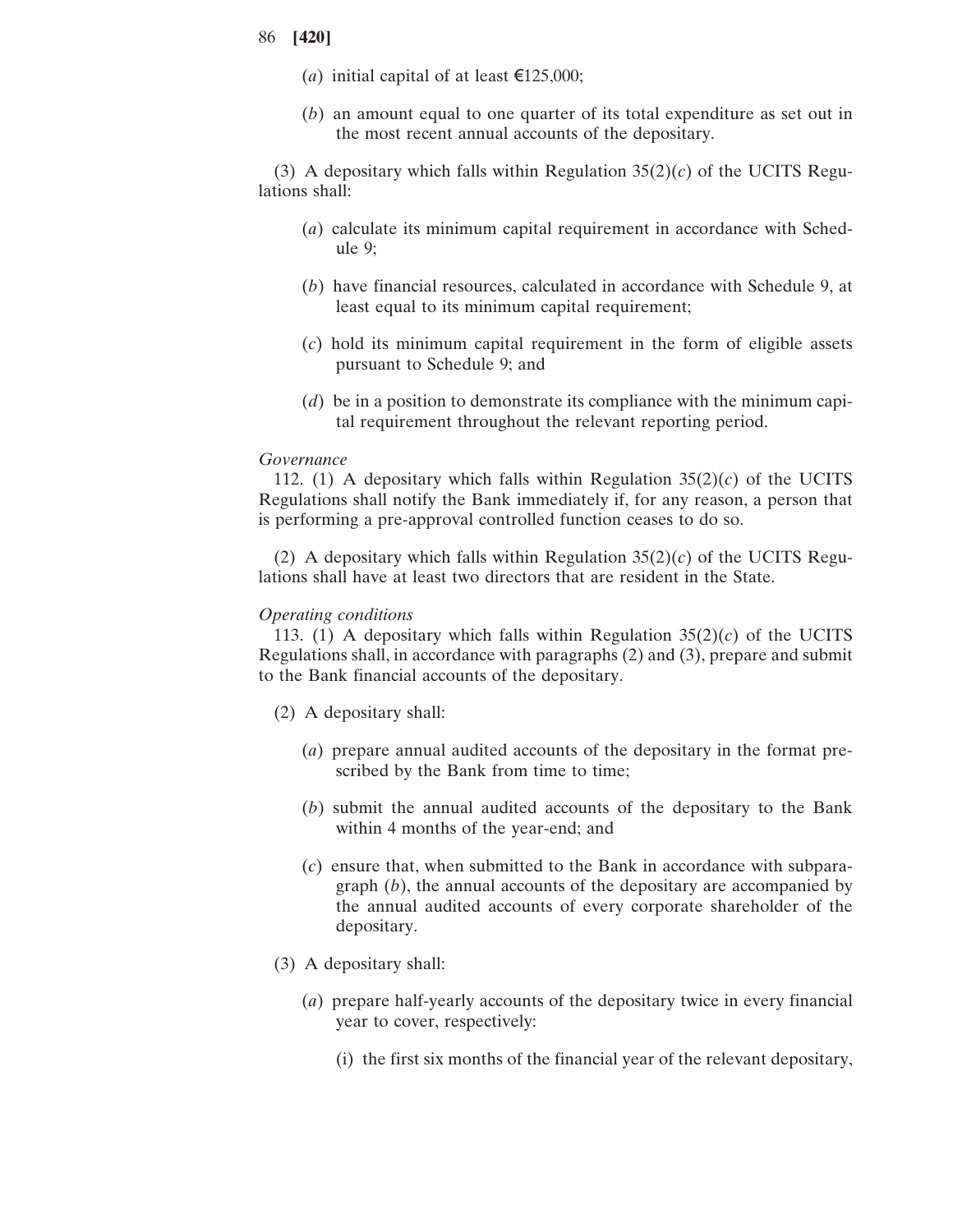- (*a*) initial capital of at least  $\epsilon$ 125,000;
- (*b*) an amount equal to one quarter of its total expenditure as set out in the most recent annual accounts of the depositary.

(3) A depositary which falls within Regulation  $35(2)(c)$  of the UCITS Regulations shall:

- (*a*) calculate its minimum capital requirement in accordance with Schedule 9;
- (*b*) have financial resources, calculated in accordance with Schedule 9, at least equal to its minimum capital requirement;
- (*c*) hold its minimum capital requirement in the form of eligible assets pursuant to Schedule 9; and
- (*d*) be in a position to demonstrate its compliance with the minimum capital requirement throughout the relevant reporting period.

# *Governance*

112. (1) A depositary which falls within Regulation  $35(2)(c)$  of the UCITS Regulations shall notify the Bank immediately if, for any reason, a person that is performing a pre-approval controlled function ceases to do so.

(2) A depositary which falls within Regulation  $35(2)(c)$  of the UCITS Regulations shall have at least two directors that are resident in the State.

## *Operating conditions*

113. (1) A depositary which falls within Regulation  $35(2)(c)$  of the UCITS Regulations shall, in accordance with paragraphs (2) and (3), prepare and submit to the Bank financial accounts of the depositary.

- (2) A depositary shall:
	- (*a*) prepare annual audited accounts of the depositary in the format prescribed by the Bank from time to time;
	- (*b*) submit the annual audited accounts of the depositary to the Bank within 4 months of the year-end; and
	- (*c*) ensure that, when submitted to the Bank in accordance with subparagraph (*b*), the annual accounts of the depositary are accompanied by the annual audited accounts of every corporate shareholder of the depositary.
- (3) A depositary shall:
	- (*a*) prepare half-yearly accounts of the depositary twice in every financial year to cover, respectively:
		- (i) the first six months of the financial year of the relevant depositary,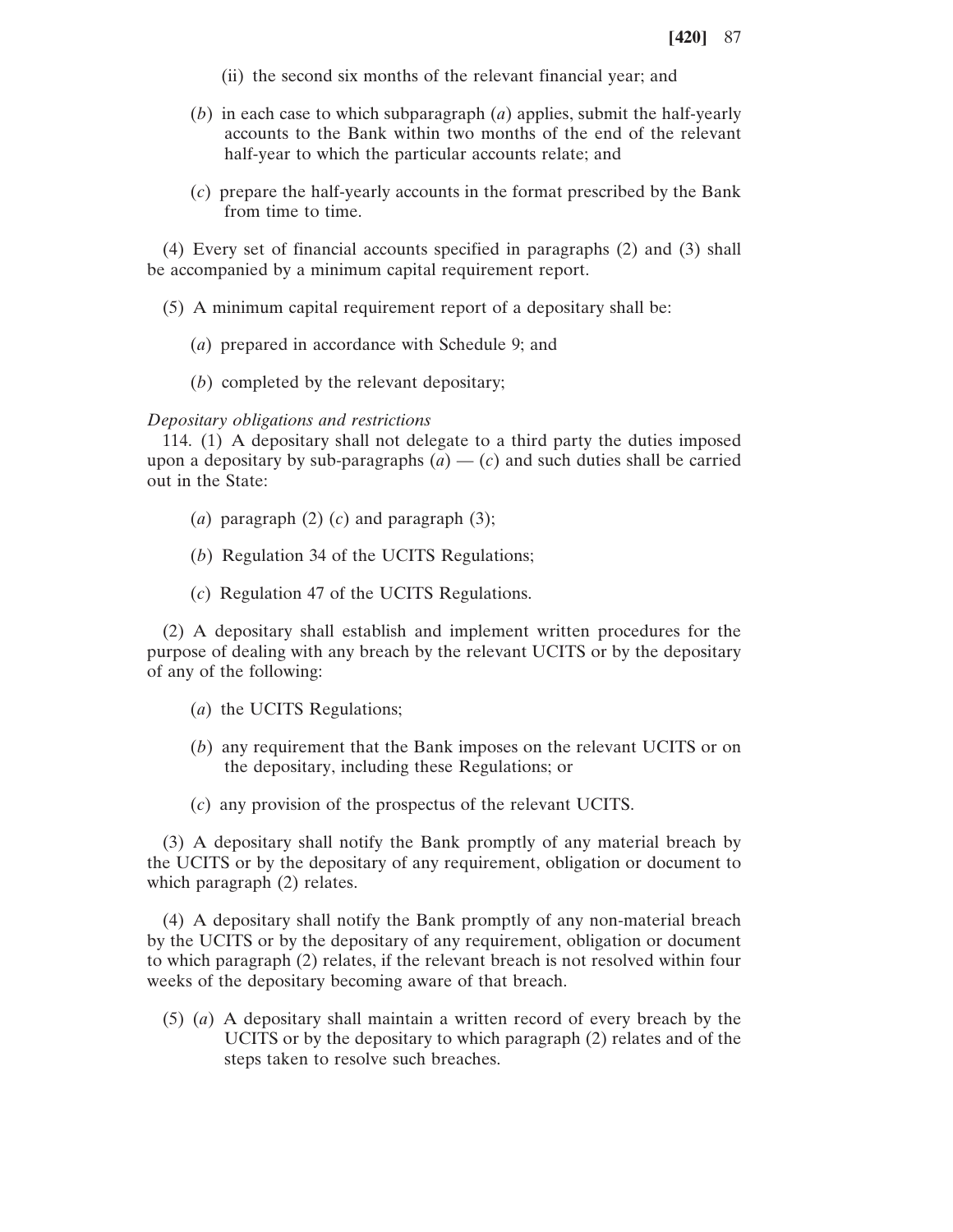- (ii) the second six months of the relevant financial year; and
- (*b*) in each case to which subparagraph (*a*) applies, submit the half-yearly accounts to the Bank within two months of the end of the relevant half-year to which the particular accounts relate; and
- (*c*) prepare the half-yearly accounts in the format prescribed by the Bank from time to time.

(4) Every set of financial accounts specified in paragraphs (2) and (3) shall be accompanied by a minimum capital requirement report.

- (5) A minimum capital requirement report of a depositary shall be:
	- (*a*) prepared in accordance with Schedule 9; and
	- (*b*) completed by the relevant depositary;

## *Depositary obligations and restrictions*

114. (1) A depositary shall not delegate to a third party the duties imposed upon a depositary by sub-paragraphs  $(a) - (c)$  and such duties shall be carried out in the State:

- (*a*) paragraph (2) (*c*) and paragraph (3);
- (*b*) Regulation 34 of the UCITS Regulations;
- (*c*) Regulation 47 of the UCITS Regulations.

(2) A depositary shall establish and implement written procedures for the purpose of dealing with any breach by the relevant UCITS or by the depositary of any of the following:

- (*a*) the UCITS Regulations;
- (*b*) any requirement that the Bank imposes on the relevant UCITS or on the depositary, including these Regulations; or
- (*c*) any provision of the prospectus of the relevant UCITS.

(3) A depositary shall notify the Bank promptly of any material breach by the UCITS or by the depositary of any requirement, obligation or document to which paragraph (2) relates.

(4) A depositary shall notify the Bank promptly of any non-material breach by the UCITS or by the depositary of any requirement, obligation or document to which paragraph (2) relates, if the relevant breach is not resolved within four weeks of the depositary becoming aware of that breach.

(5) (*a*) A depositary shall maintain a written record of every breach by the UCITS or by the depositary to which paragraph (2) relates and of the steps taken to resolve such breaches.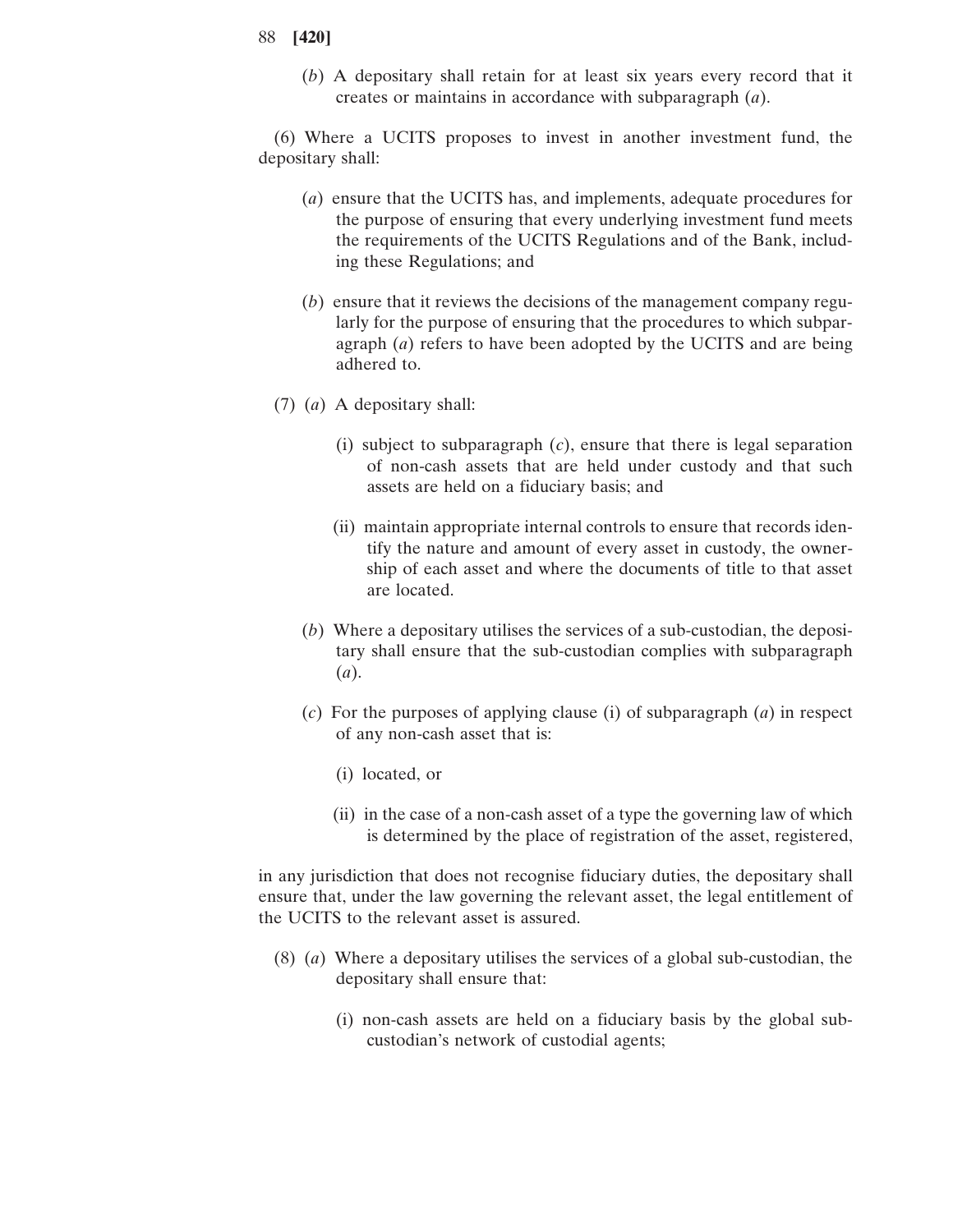(*b*) A depositary shall retain for at least six years every record that it creates or maintains in accordance with subparagraph (*a*).

(6) Where a UCITS proposes to invest in another investment fund, the depositary shall:

- (*a*) ensure that the UCITS has, and implements, adequate procedures for the purpose of ensuring that every underlying investment fund meets the requirements of the UCITS Regulations and of the Bank, including these Regulations; and
- (*b*) ensure that it reviews the decisions of the management company regularly for the purpose of ensuring that the procedures to which subparagraph (*a*) refers to have been adopted by the UCITS and are being adhered to.
- (7) (*a*) A depositary shall:
	- (i) subject to subparagraph (*c*), ensure that there is legal separation of non-cash assets that are held under custody and that such assets are held on a fiduciary basis; and
	- (ii) maintain appropriate internal controls to ensure that records identify the nature and amount of every asset in custody, the ownership of each asset and where the documents of title to that asset are located.
	- (*b*) Where a depositary utilises the services of a sub-custodian, the depositary shall ensure that the sub-custodian complies with subparagraph (*a*).
	- (*c*) For the purposes of applying clause (i) of subparagraph (*a*) in respect of any non-cash asset that is:
		- (i) located, or
		- (ii) in the case of a non-cash asset of a type the governing law of which is determined by the place of registration of the asset, registered,

in any jurisdiction that does not recognise fiduciary duties, the depositary shall ensure that, under the law governing the relevant asset, the legal entitlement of the UCITS to the relevant asset is assured.

- (8) (*a*) Where a depositary utilises the services of a global sub-custodian, the depositary shall ensure that:
	- (i) non-cash assets are held on a fiduciary basis by the global subcustodian's network of custodial agents;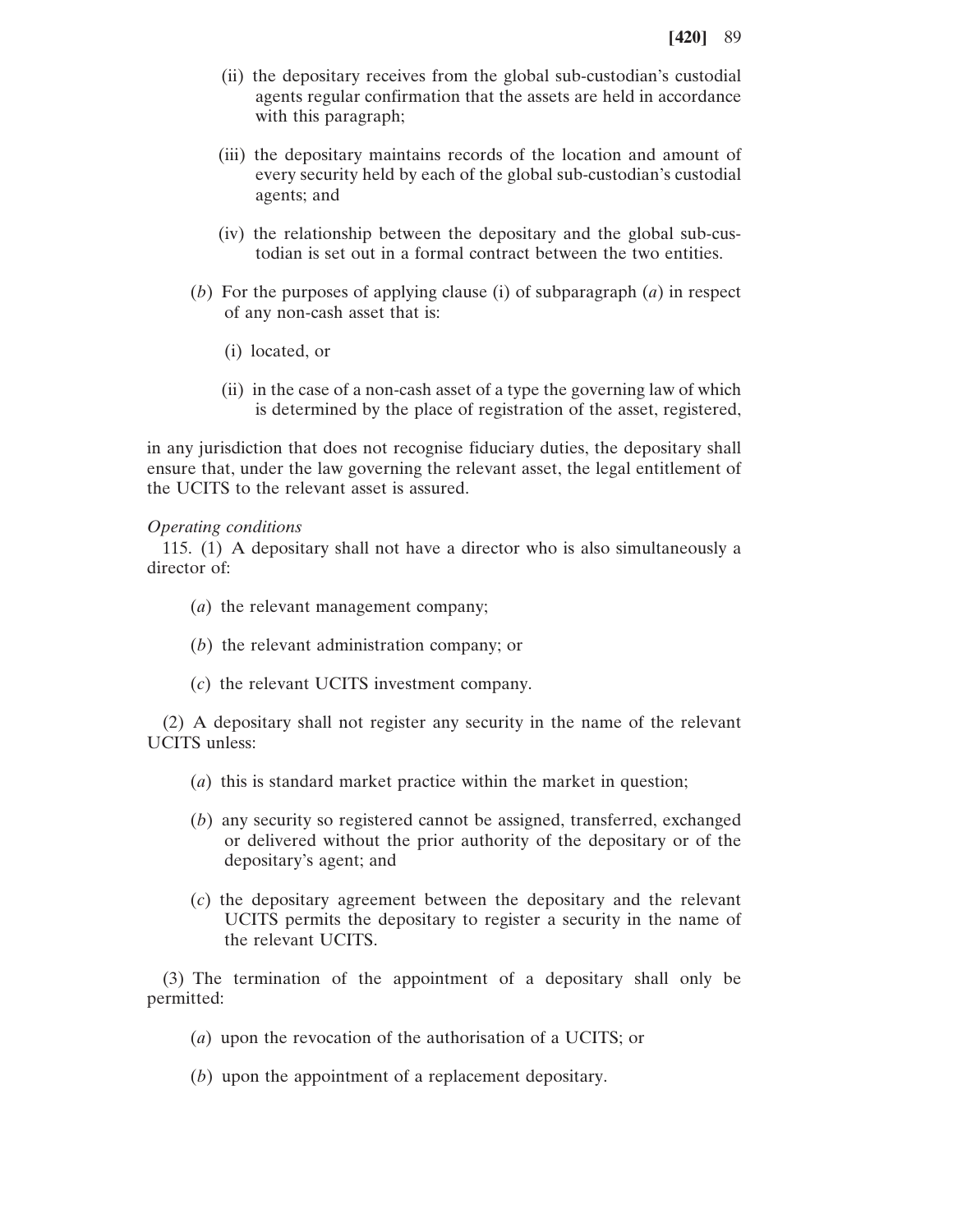- (ii) the depositary receives from the global sub-custodian's custodial agents regular confirmation that the assets are held in accordance with this paragraph;
- (iii) the depositary maintains records of the location and amount of every security held by each of the global sub-custodian's custodial agents; and
- (iv) the relationship between the depositary and the global sub-custodian is set out in a formal contract between the two entities.
- (*b*) For the purposes of applying clause (i) of subparagraph (*a*) in respect of any non-cash asset that is:
	- (i) located, or
	- (ii) in the case of a non-cash asset of a type the governing law of which is determined by the place of registration of the asset, registered,

in any jurisdiction that does not recognise fiduciary duties, the depositary shall ensure that, under the law governing the relevant asset, the legal entitlement of the UCITS to the relevant asset is assured.

#### *Operating conditions*

115. (1) A depositary shall not have a director who is also simultaneously a director of:

- (*a*) the relevant management company;
- (*b*) the relevant administration company; or
- (*c*) the relevant UCITS investment company.

(2) A depositary shall not register any security in the name of the relevant UCITS unless:

- (*a*) this is standard market practice within the market in question;
- (*b*) any security so registered cannot be assigned, transferred, exchanged or delivered without the prior authority of the depositary or of the depositary's agent; and
- (*c*) the depositary agreement between the depositary and the relevant UCITS permits the depositary to register a security in the name of the relevant UCITS.

(3) The termination of the appointment of a depositary shall only be permitted:

- (*a*) upon the revocation of the authorisation of a UCITS; or
- (*b*) upon the appointment of a replacement depositary.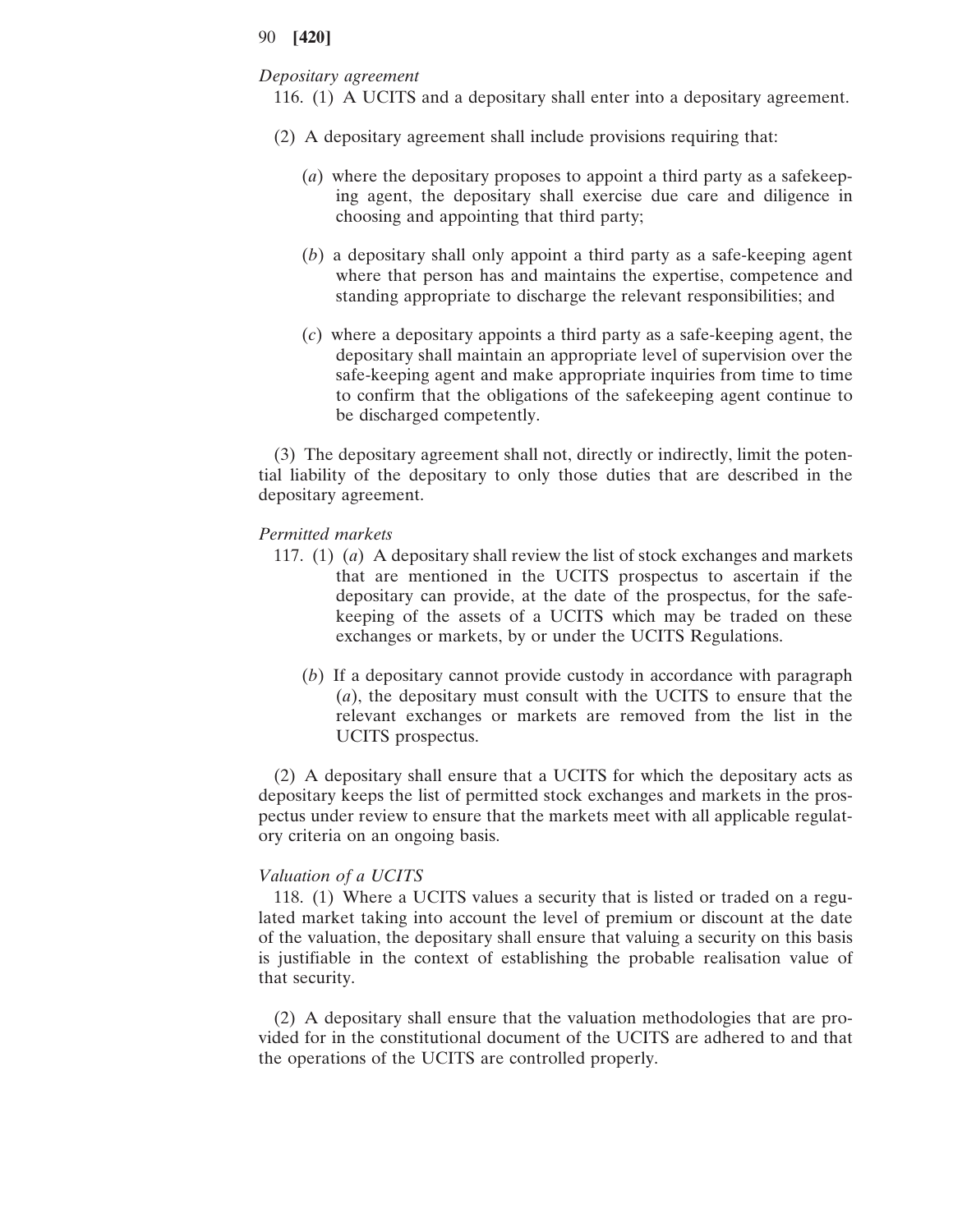## *Depositary agreement*

- 116. (1) A UCITS and a depositary shall enter into a depositary agreement.
- (2) A depositary agreement shall include provisions requiring that:
	- (*a*) where the depositary proposes to appoint a third party as a safekeeping agent, the depositary shall exercise due care and diligence in choosing and appointing that third party;
	- (*b*) a depositary shall only appoint a third party as a safe-keeping agent where that person has and maintains the expertise, competence and standing appropriate to discharge the relevant responsibilities; and
	- (*c*) where a depositary appoints a third party as a safe-keeping agent, the depositary shall maintain an appropriate level of supervision over the safe-keeping agent and make appropriate inquiries from time to time to confirm that the obligations of the safekeeping agent continue to be discharged competently.

(3) The depositary agreement shall not, directly or indirectly, limit the potential liability of the depositary to only those duties that are described in the depositary agreement.

#### *Permitted markets*

- 117. (1) (*a*) A depositary shall review the list of stock exchanges and markets that are mentioned in the UCITS prospectus to ascertain if the depositary can provide, at the date of the prospectus, for the safekeeping of the assets of a UCITS which may be traded on these exchanges or markets, by or under the UCITS Regulations.
	- (*b*) If a depositary cannot provide custody in accordance with paragraph (*a*), the depositary must consult with the UCITS to ensure that the relevant exchanges or markets are removed from the list in the UCITS prospectus.

(2) A depositary shall ensure that a UCITS for which the depositary acts as depositary keeps the list of permitted stock exchanges and markets in the prospectus under review to ensure that the markets meet with all applicable regulatory criteria on an ongoing basis.

# *Valuation of a UCITS*

118. (1) Where a UCITS values a security that is listed or traded on a regulated market taking into account the level of premium or discount at the date of the valuation, the depositary shall ensure that valuing a security on this basis is justifiable in the context of establishing the probable realisation value of that security.

(2) A depositary shall ensure that the valuation methodologies that are provided for in the constitutional document of the UCITS are adhered to and that the operations of the UCITS are controlled properly.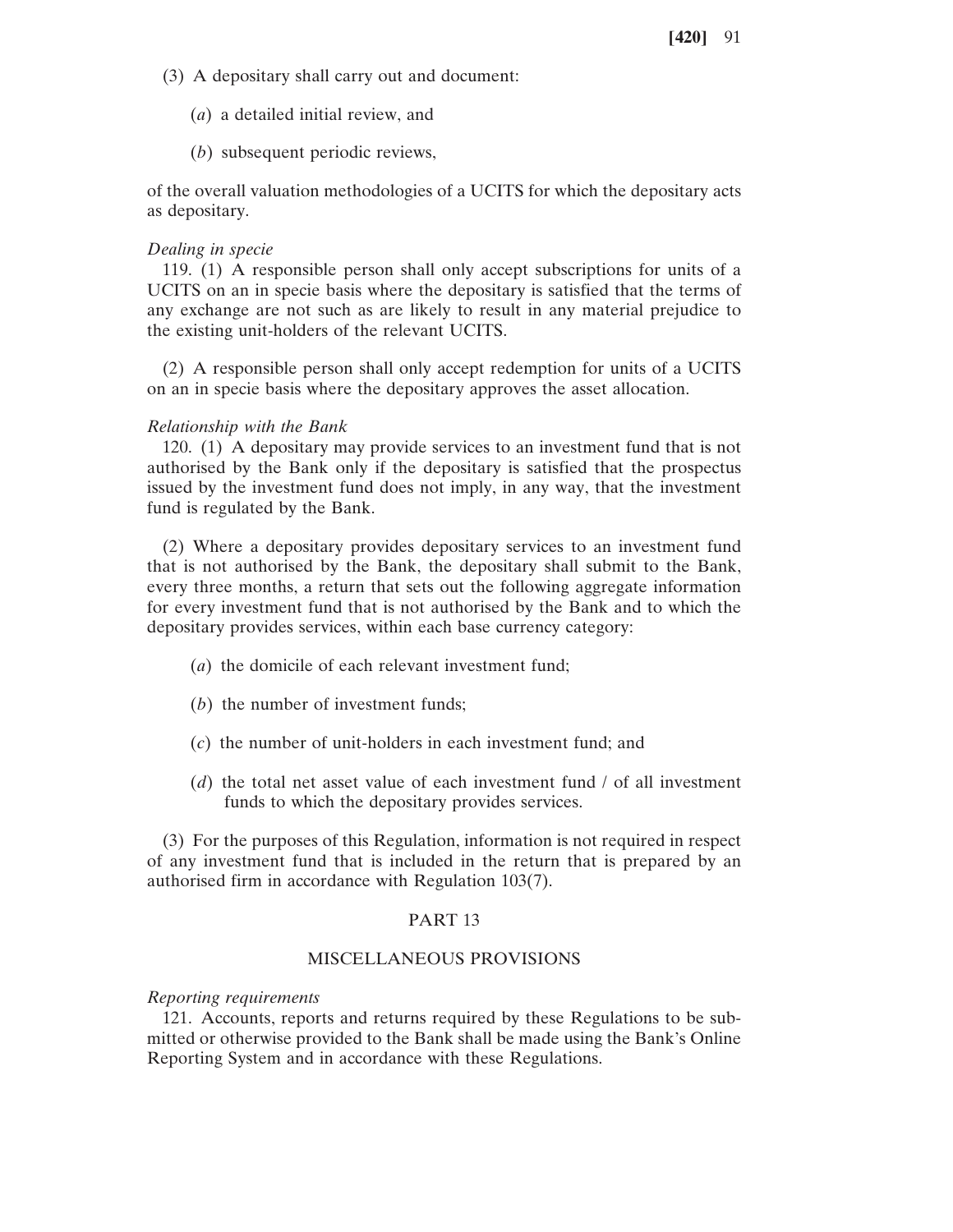- (3) A depositary shall carry out and document:
	- (*a*) a detailed initial review, and
	- (*b*) subsequent periodic reviews,

of the overall valuation methodologies of a UCITS for which the depositary acts as depositary.

#### *Dealing in specie*

119. (1) A responsible person shall only accept subscriptions for units of a UCITS on an in specie basis where the depositary is satisfied that the terms of any exchange are not such as are likely to result in any material prejudice to the existing unit-holders of the relevant UCITS.

(2) A responsible person shall only accept redemption for units of a UCITS on an in specie basis where the depositary approves the asset allocation.

## *Relationship with the Bank*

120. (1) A depositary may provide services to an investment fund that is not authorised by the Bank only if the depositary is satisfied that the prospectus issued by the investment fund does not imply, in any way, that the investment fund is regulated by the Bank.

(2) Where a depositary provides depositary services to an investment fund that is not authorised by the Bank, the depositary shall submit to the Bank, every three months, a return that sets out the following aggregate information for every investment fund that is not authorised by the Bank and to which the depositary provides services, within each base currency category:

- (*a*) the domicile of each relevant investment fund;
- (*b*) the number of investment funds;
- (*c*) the number of unit-holders in each investment fund; and
- (*d*) the total net asset value of each investment fund / of all investment funds to which the depositary provides services.

(3) For the purposes of this Regulation, information is not required in respect of any investment fund that is included in the return that is prepared by an authorised firm in accordance with Regulation 103(7).

# PART 13

# MISCELLANEOUS PROVISIONS

#### *Reporting requirements*

121. Accounts, reports and returns required by these Regulations to be submitted or otherwise provided to the Bank shall be made using the Bank's Online Reporting System and in accordance with these Regulations.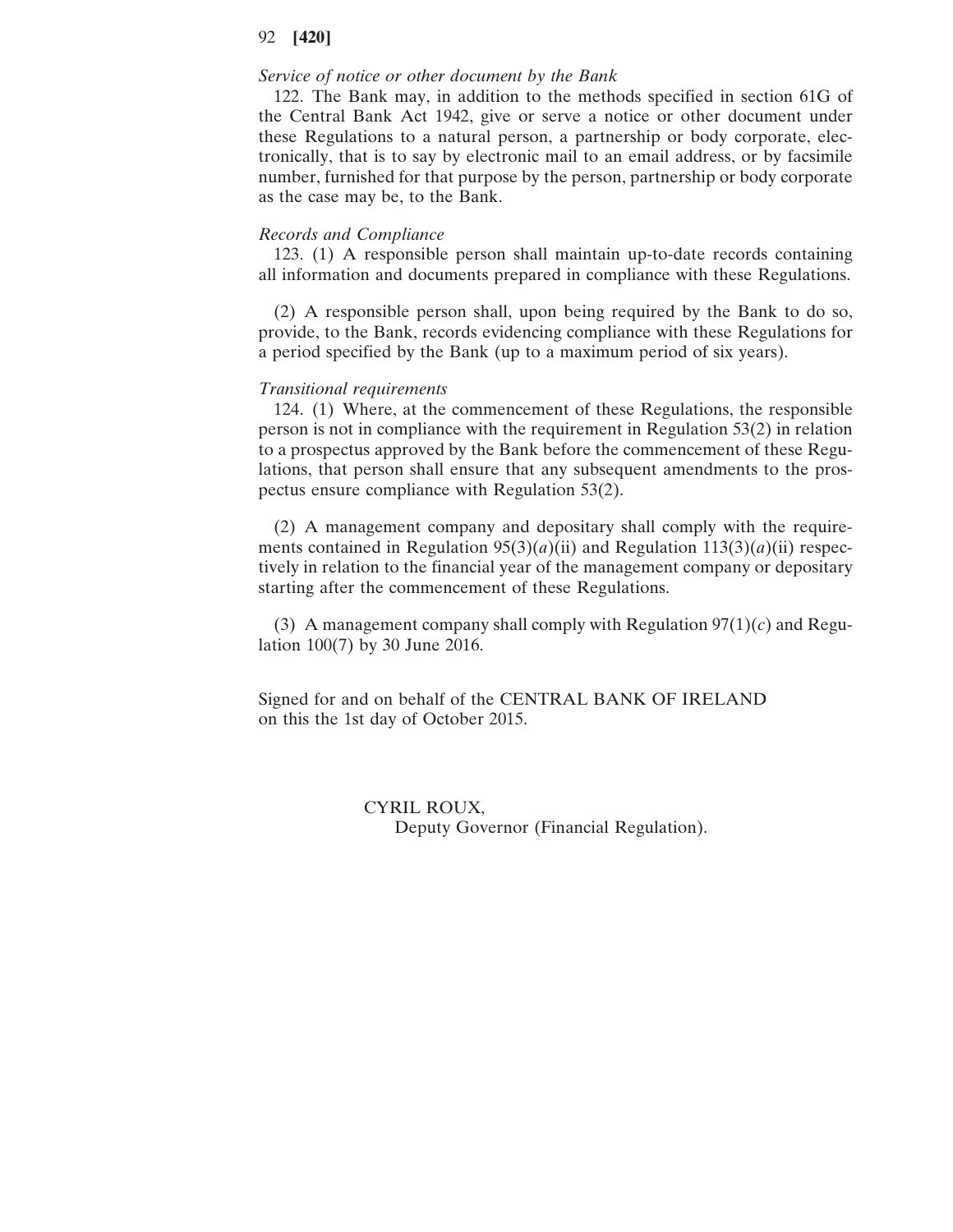## *Service of notice or other document by the Bank*

122. The Bank may, in addition to the methods specified in section 61G of the Central Bank Act 1942, give or serve a notice or other document under these Regulations to a natural person, a partnership or body corporate, electronically, that is to say by electronic mail to an email address, or by facsimile number, furnished for that purpose by the person, partnership or body corporate as the case may be, to the Bank.

#### *Records and Compliance*

123. (1) A responsible person shall maintain up-to-date records containing all information and documents prepared in compliance with these Regulations.

(2) A responsible person shall, upon being required by the Bank to do so, provide, to the Bank, records evidencing compliance with these Regulations for a period specified by the Bank (up to a maximum period of six years).

#### *Transitional requirements*

124. (1) Where, at the commencement of these Regulations, the responsible person is not in compliance with the requirement in Regulation 53(2) in relation to a prospectus approved by the Bank before the commencement of these Regulations, that person shall ensure that any subsequent amendments to the prospectus ensure compliance with Regulation 53(2).

(2) A management company and depositary shall comply with the requirements contained in Regulation  $95(3)(a)(ii)$  and Regulation  $113(3)(a)(ii)$  respectively in relation to the financial year of the management company or depositary starting after the commencement of these Regulations.

(3) A management company shall comply with Regulation 97(1)(*c*) and Regulation 100(7) by 30 June 2016.

Signed for and on behalf of the CENTRAL BANK OF IRELAND on this the 1st day of October 2015.

> CYRIL ROUX, Deputy Governor (Financial Regulation).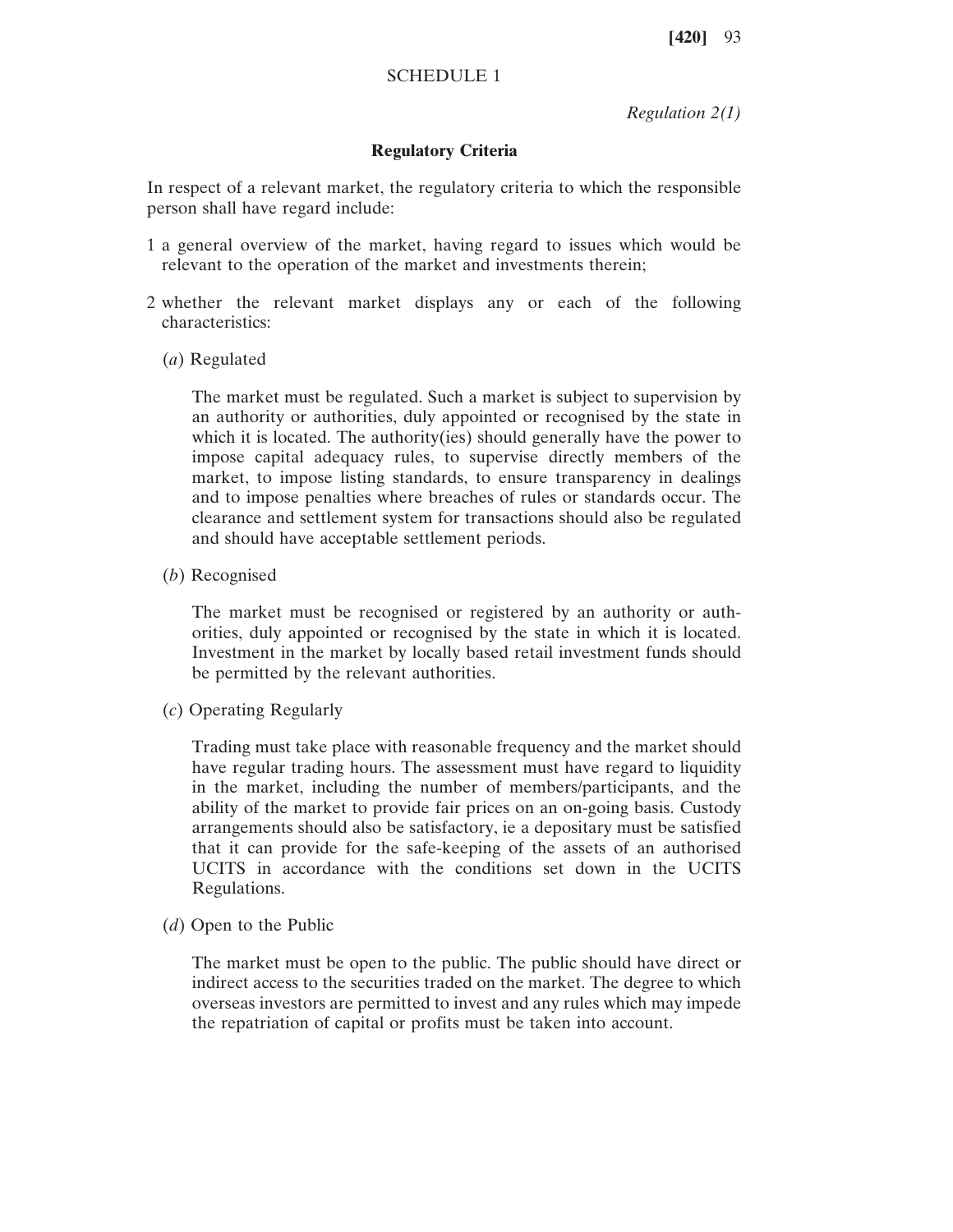# SCHEDULE 1

*Regulation 2(1)*

# **Regulatory Criteria**

In respect of a relevant market, the regulatory criteria to which the responsible person shall have regard include:

- 1 a general overview of the market, having regard to issues which would be relevant to the operation of the market and investments therein;
- 2 whether the relevant market displays any or each of the following characteristics:
	- (*a*) Regulated

The market must be regulated. Such a market is subject to supervision by an authority or authorities, duly appointed or recognised by the state in which it is located. The authority(ies) should generally have the power to impose capital adequacy rules, to supervise directly members of the market, to impose listing standards, to ensure transparency in dealings and to impose penalties where breaches of rules or standards occur. The clearance and settlement system for transactions should also be regulated and should have acceptable settlement periods.

(*b*) Recognised

The market must be recognised or registered by an authority or authorities, duly appointed or recognised by the state in which it is located. Investment in the market by locally based retail investment funds should be permitted by the relevant authorities.

(*c*) Operating Regularly

Trading must take place with reasonable frequency and the market should have regular trading hours. The assessment must have regard to liquidity in the market, including the number of members/participants, and the ability of the market to provide fair prices on an on-going basis. Custody arrangements should also be satisfactory, ie a depositary must be satisfied that it can provide for the safe-keeping of the assets of an authorised UCITS in accordance with the conditions set down in the UCITS Regulations.

(*d*) Open to the Public

The market must be open to the public. The public should have direct or indirect access to the securities traded on the market. The degree to which overseas investors are permitted to invest and any rules which may impede the repatriation of capital or profits must be taken into account.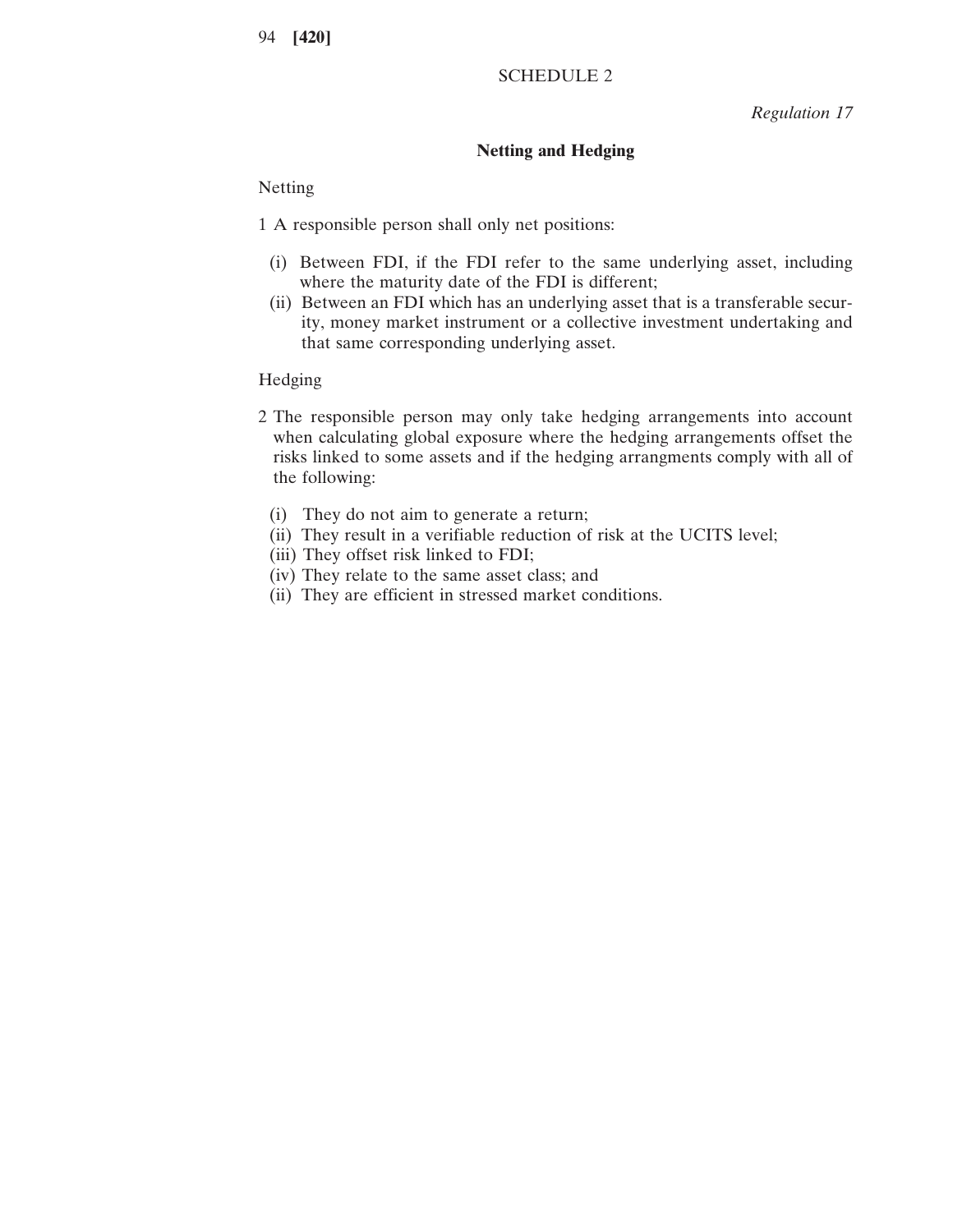# SCHEDULE 2

*Regulation 17*

## **Netting and Hedging**

Netting

1 A responsible person shall only net positions:

- (i) Between FDI, if the FDI refer to the same underlying asset, including where the maturity date of the FDI is different;
- (ii) Between an FDI which has an underlying asset that is a transferable security, money market instrument or a collective investment undertaking and that same corresponding underlying asset.

Hedging

- 2 The responsible person may only take hedging arrangements into account when calculating global exposure where the hedging arrangements offset the risks linked to some assets and if the hedging arrangments comply with all of the following:
	- (i) They do not aim to generate a return;
- (ii) They result in a verifiable reduction of risk at the UCITS level;
- (iii) They offset risk linked to FDI;
- (iv) They relate to the same asset class; and
- (ii) They are efficient in stressed market conditions.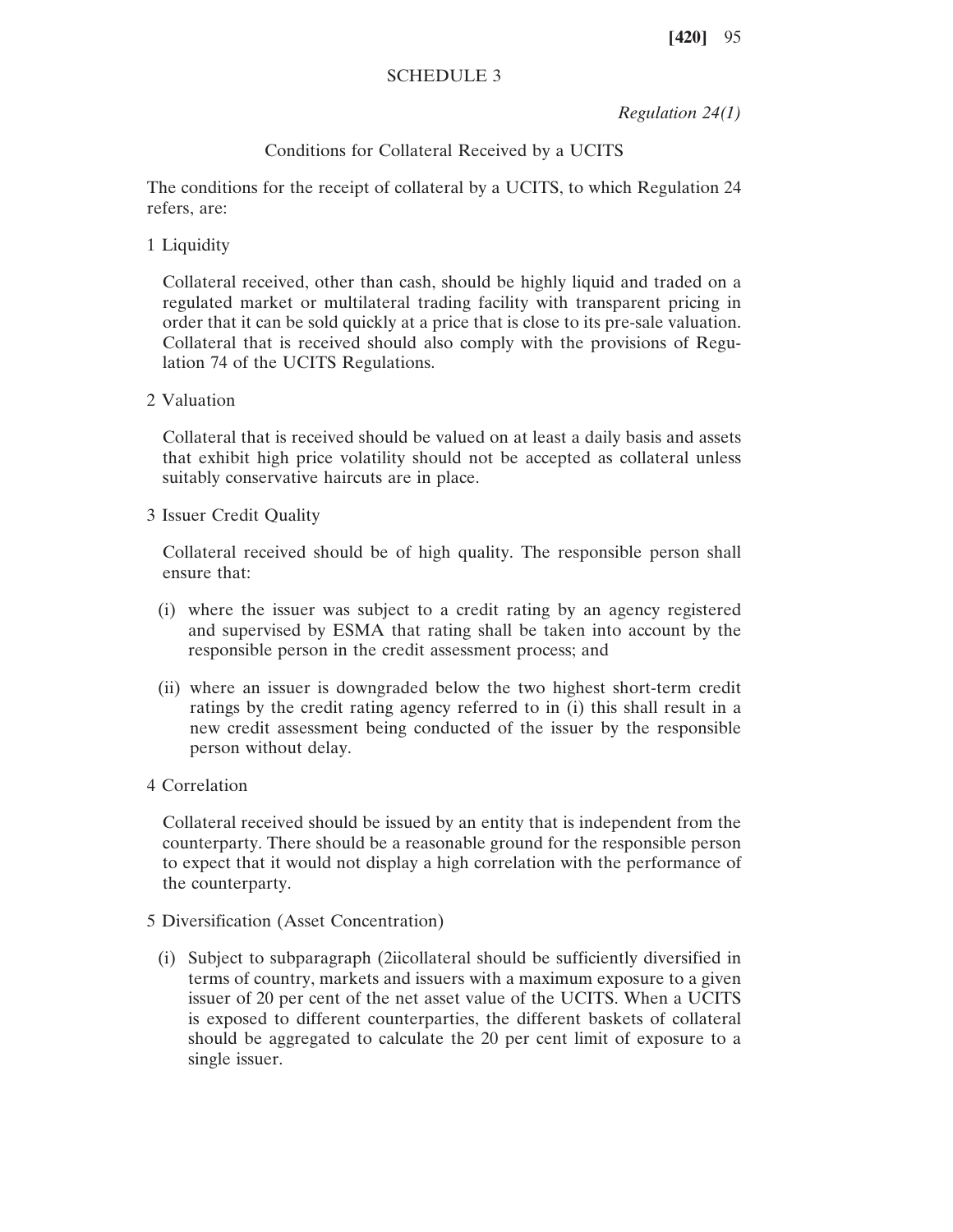# SCHEDULE 3

*Regulation 24(1)*

# Conditions for Collateral Received by a UCITS

The conditions for the receipt of collateral by a UCITS, to which Regulation 24 refers, are:

1 Liquidity

Collateral received, other than cash, should be highly liquid and traded on a regulated market or multilateral trading facility with transparent pricing in order that it can be sold quickly at a price that is close to its pre-sale valuation. Collateral that is received should also comply with the provisions of Regulation 74 of the UCITS Regulations.

2 Valuation

Collateral that is received should be valued on at least a daily basis and assets that exhibit high price volatility should not be accepted as collateral unless suitably conservative haircuts are in place.

3 Issuer Credit Quality

Collateral received should be of high quality. The responsible person shall ensure that:

- (i) where the issuer was subject to a credit rating by an agency registered and supervised by ESMA that rating shall be taken into account by the responsible person in the credit assessment process; and
- (ii) where an issuer is downgraded below the two highest short-term credit ratings by the credit rating agency referred to in (i) this shall result in a new credit assessment being conducted of the issuer by the responsible person without delay.
- 4 Correlation

Collateral received should be issued by an entity that is independent from the counterparty. There should be a reasonable ground for the responsible person to expect that it would not display a high correlation with the performance of the counterparty.

- 5 Diversification (Asset Concentration)
	- (i) Subject to subparagraph (2iicollateral should be sufficiently diversified in terms of country, markets and issuers with a maximum exposure to a given issuer of 20 per cent of the net asset value of the UCITS. When a UCITS is exposed to different counterparties, the different baskets of collateral should be aggregated to calculate the 20 per cent limit of exposure to a single issuer.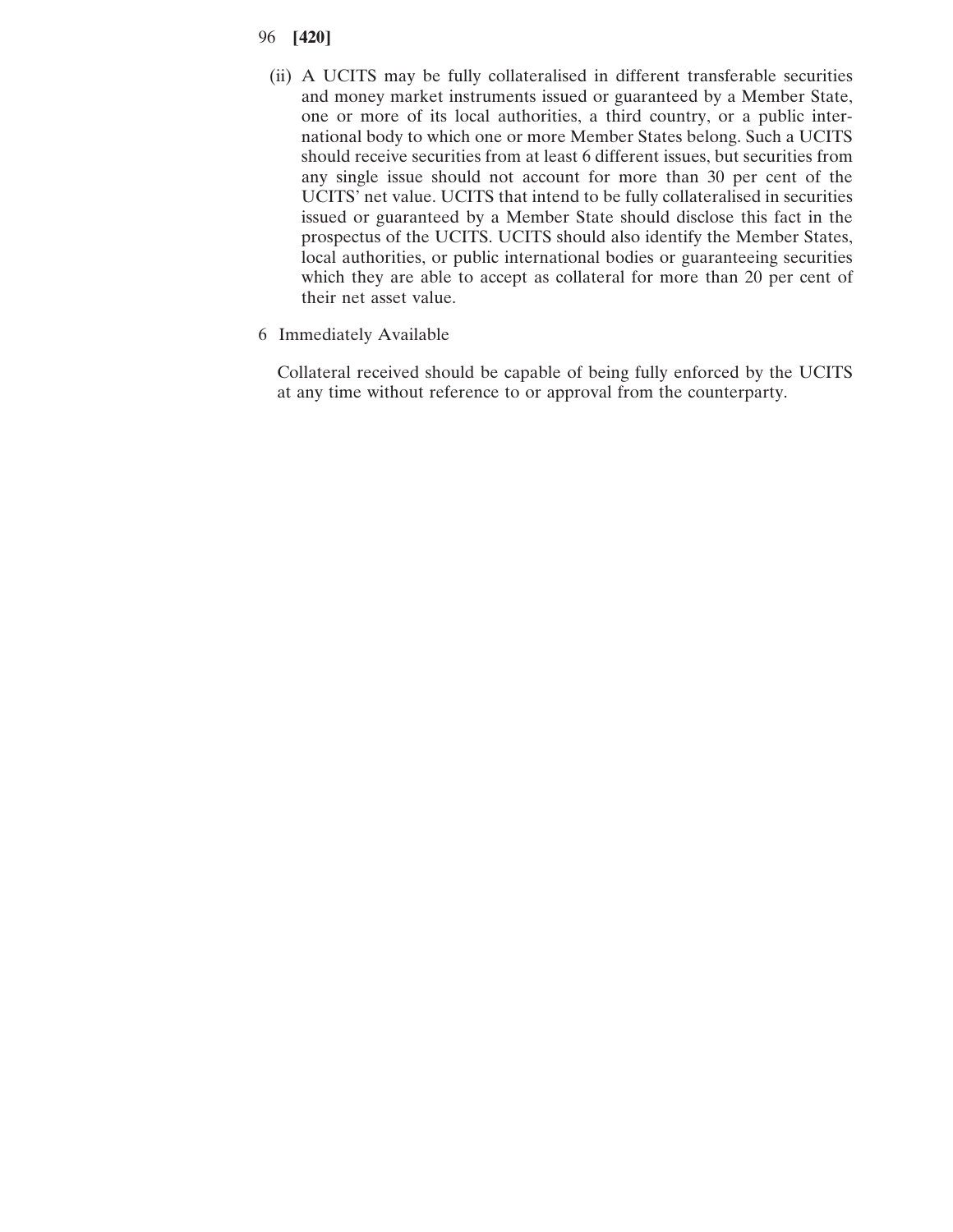- (ii) A UCITS may be fully collateralised in different transferable securities and money market instruments issued or guaranteed by a Member State, one or more of its local authorities, a third country, or a public international body to which one or more Member States belong. Such a UCITS should receive securities from at least 6 different issues, but securities from any single issue should not account for more than 30 per cent of the UCITS' net value. UCITS that intend to be fully collateralised in securities issued or guaranteed by a Member State should disclose this fact in the prospectus of the UCITS. UCITS should also identify the Member States, local authorities, or public international bodies or guaranteeing securities which they are able to accept as collateral for more than 20 per cent of their net asset value.
- 6 Immediately Available

Collateral received should be capable of being fully enforced by the UCITS at any time without reference to or approval from the counterparty.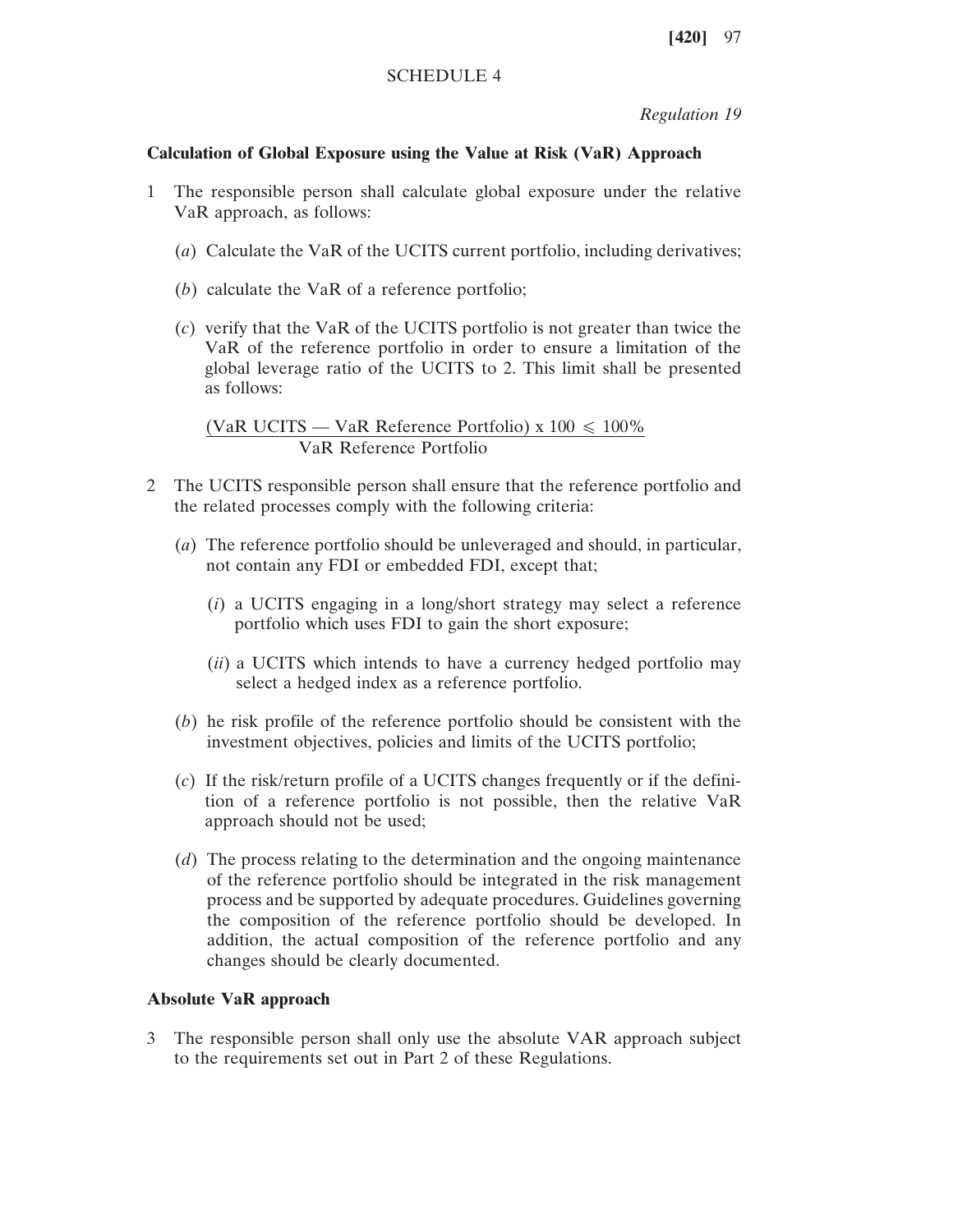# SCHEDULE 4

*Regulation 19*

# **Calculation of Global Exposure using the Value at Risk (VaR) Approach**

- 1 The responsible person shall calculate global exposure under the relative VaR approach, as follows:
	- (*a*) Calculate the VaR of the UCITS current portfolio, including derivatives;
	- (*b*) calculate the VaR of a reference portfolio;
	- (*c*) verify that the VaR of the UCITS portfolio is not greater than twice the VaR of the reference portfolio in order to ensure a limitation of the global leverage ratio of the UCITS to 2. This limit shall be presented as follows:

(VaR UCITS — VaR Reference Portfolio) x  $100 \le 100\%$ VaR Reference Portfolio

- 2 The UCITS responsible person shall ensure that the reference portfolio and the related processes comply with the following criteria:
	- (*a*) The reference portfolio should be unleveraged and should, in particular, not contain any FDI or embedded FDI, except that;
		- (*i*) a UCITS engaging in a long/short strategy may select a reference portfolio which uses FDI to gain the short exposure;
		- (*ii*) a UCITS which intends to have a currency hedged portfolio may select a hedged index as a reference portfolio.
	- (*b*) he risk profile of the reference portfolio should be consistent with the investment objectives, policies and limits of the UCITS portfolio;
	- (*c*) If the risk/return profile of a UCITS changes frequently or if the definition of a reference portfolio is not possible, then the relative VaR approach should not be used;
	- (*d*) The process relating to the determination and the ongoing maintenance of the reference portfolio should be integrated in the risk management process and be supported by adequate procedures. Guidelines governing the composition of the reference portfolio should be developed. In addition, the actual composition of the reference portfolio and any changes should be clearly documented.

# **Absolute VaR approach**

3 The responsible person shall only use the absolute VAR approach subject to the requirements set out in Part 2 of these Regulations.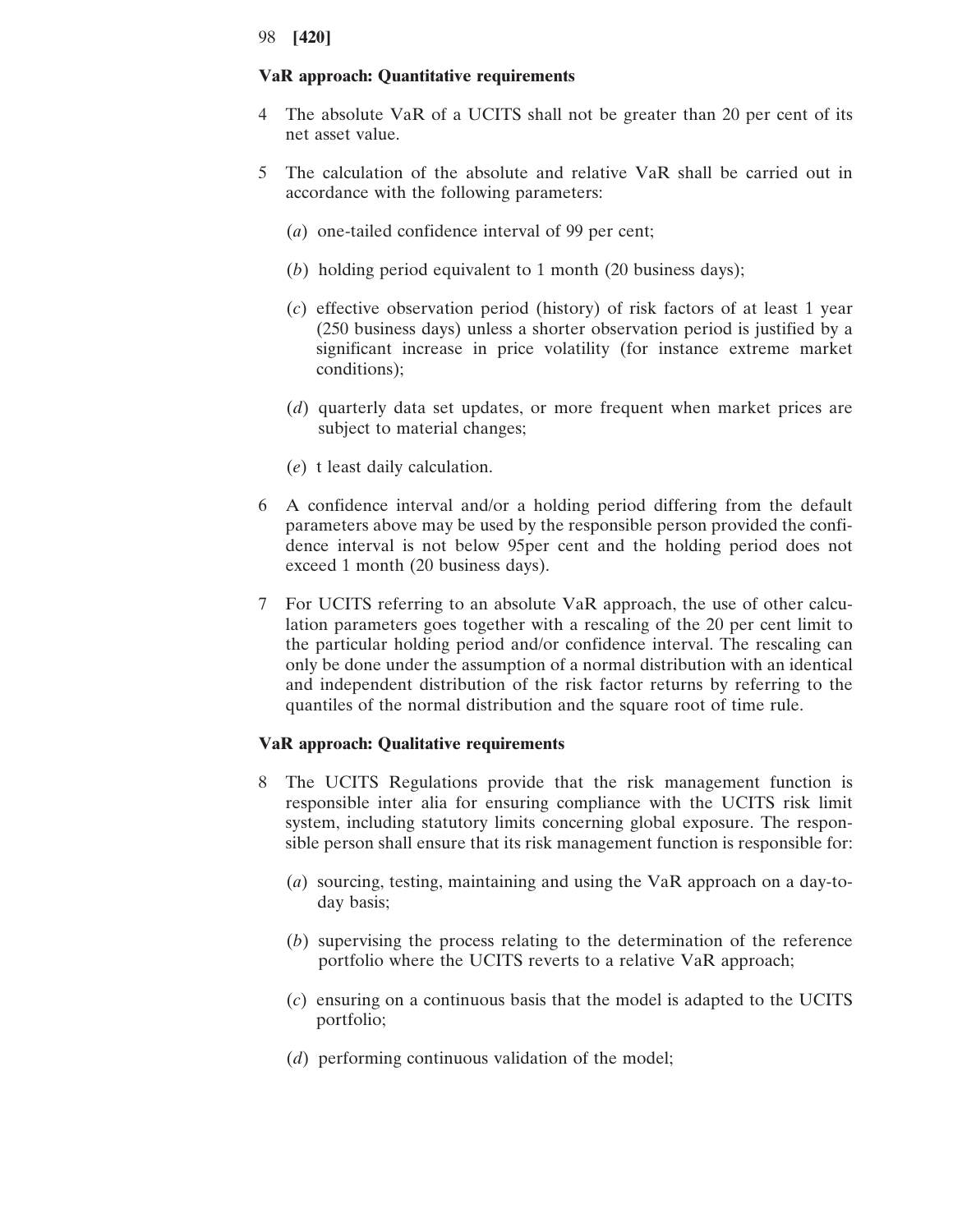# **VaR approach: Quantitative requirements**

- 4 The absolute VaR of a UCITS shall not be greater than 20 per cent of its net asset value.
- 5 The calculation of the absolute and relative VaR shall be carried out in accordance with the following parameters:
	- (*a*) one-tailed confidence interval of 99 per cent;
	- (*b*) holding period equivalent to 1 month (20 business days);
	- (*c*) effective observation period (history) of risk factors of at least 1 year (250 business days) unless a shorter observation period is justified by a significant increase in price volatility (for instance extreme market conditions);
	- (*d*) quarterly data set updates, or more frequent when market prices are subject to material changes;
	- (*e*) t least daily calculation.
- 6 A confidence interval and/or a holding period differing from the default parameters above may be used by the responsible person provided the confidence interval is not below 95per cent and the holding period does not exceed 1 month (20 business days).
- 7 For UCITS referring to an absolute VaR approach, the use of other calculation parameters goes together with a rescaling of the 20 per cent limit to the particular holding period and/or confidence interval. The rescaling can only be done under the assumption of a normal distribution with an identical and independent distribution of the risk factor returns by referring to the quantiles of the normal distribution and the square root of time rule.

# **VaR approach: Qualitative requirements**

- 8 The UCITS Regulations provide that the risk management function is responsible inter alia for ensuring compliance with the UCITS risk limit system, including statutory limits concerning global exposure. The responsible person shall ensure that its risk management function is responsible for:
	- (*a*) sourcing, testing, maintaining and using the VaR approach on a day-today basis;
	- (*b*) supervising the process relating to the determination of the reference portfolio where the UCITS reverts to a relative VaR approach;
	- (*c*) ensuring on a continuous basis that the model is adapted to the UCITS portfolio;
	- (*d*) performing continuous validation of the model;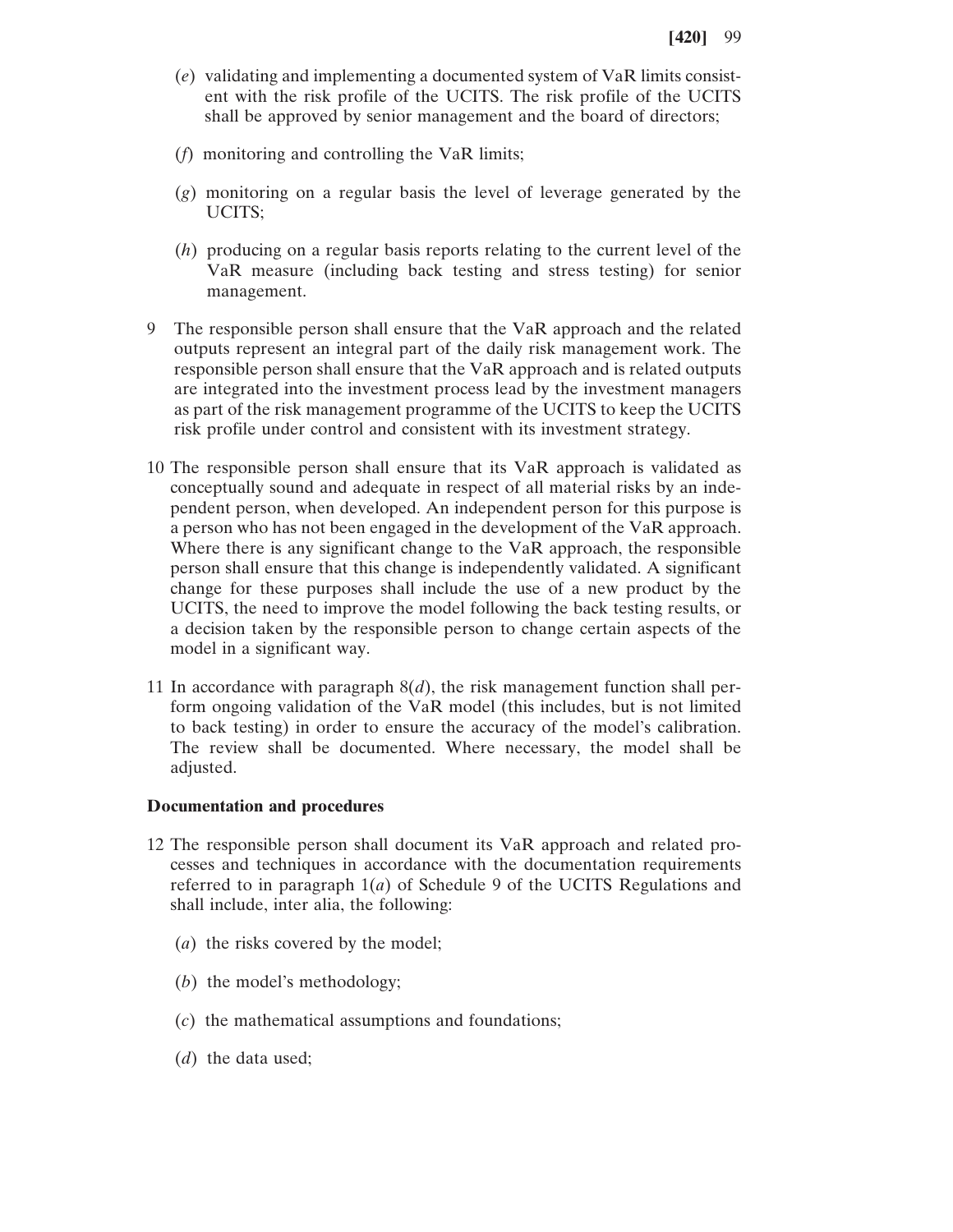- (*e*) validating and implementing a documented system of VaR limits consistent with the risk profile of the UCITS. The risk profile of the UCITS shall be approved by senior management and the board of directors;
- (*f*) monitoring and controlling the VaR limits;
- (*g*) monitoring on a regular basis the level of leverage generated by the UCITS;
- (*h*) producing on a regular basis reports relating to the current level of the VaR measure (including back testing and stress testing) for senior management.
- 9 The responsible person shall ensure that the VaR approach and the related outputs represent an integral part of the daily risk management work. The responsible person shall ensure that the VaR approach and is related outputs are integrated into the investment process lead by the investment managers as part of the risk management programme of the UCITS to keep the UCITS risk profile under control and consistent with its investment strategy.
- 10 The responsible person shall ensure that its VaR approach is validated as conceptually sound and adequate in respect of all material risks by an independent person, when developed. An independent person for this purpose is a person who has not been engaged in the development of the VaR approach. Where there is any significant change to the VaR approach, the responsible person shall ensure that this change is independently validated. A significant change for these purposes shall include the use of a new product by the UCITS, the need to improve the model following the back testing results, or a decision taken by the responsible person to change certain aspects of the model in a significant way.
- 11 In accordance with paragraph  $8(d)$ , the risk management function shall perform ongoing validation of the VaR model (this includes, but is not limited to back testing) in order to ensure the accuracy of the model's calibration. The review shall be documented. Where necessary, the model shall be adjusted.

# **Documentation and procedures**

- 12 The responsible person shall document its VaR approach and related processes and techniques in accordance with the documentation requirements referred to in paragraph 1(*a*) of Schedule 9 of the UCITS Regulations and shall include, inter alia, the following:
	- (*a*) the risks covered by the model;
	- (*b*) the model's methodology;
	- (*c*) the mathematical assumptions and foundations;
	- (*d*) the data used;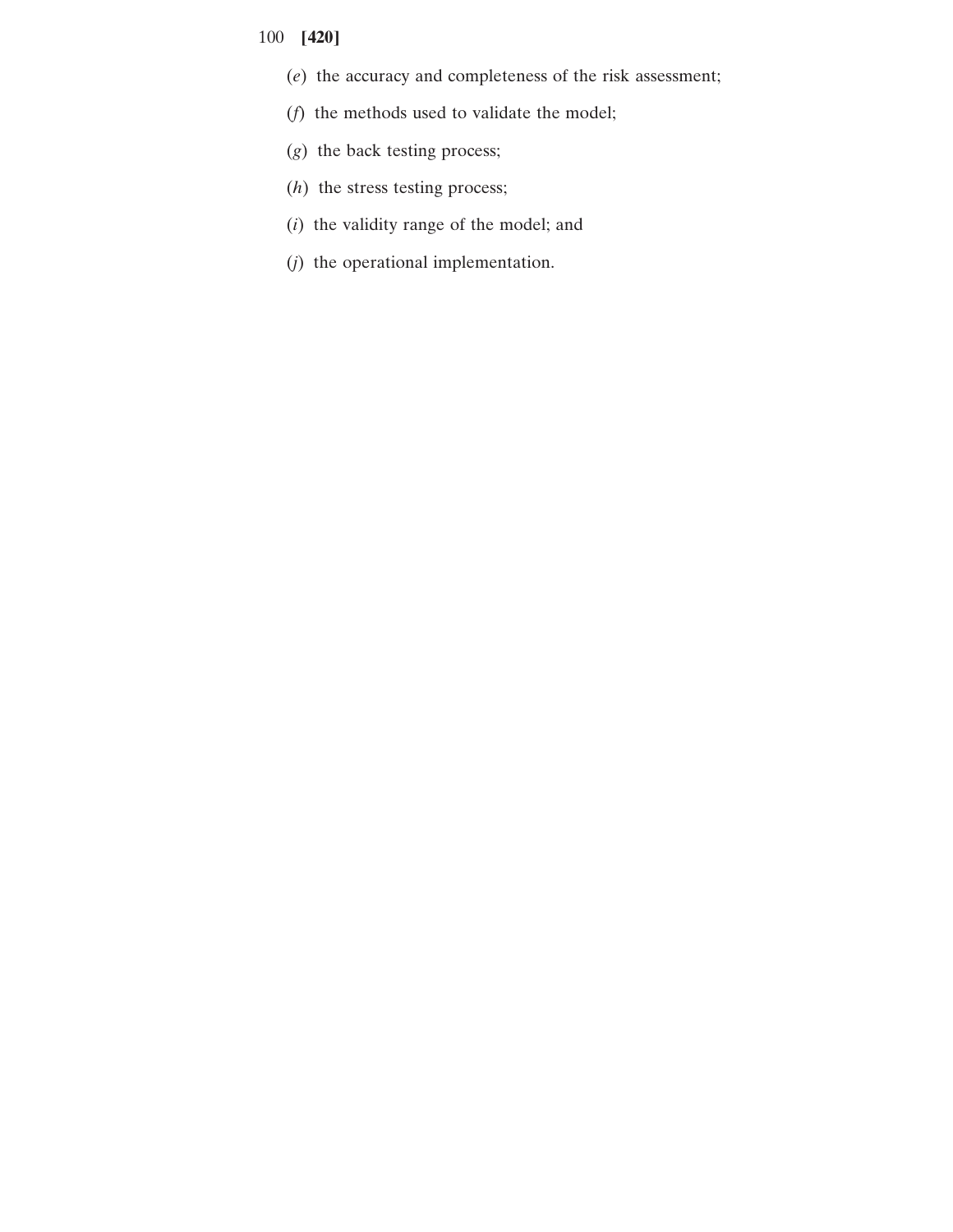- (*e*) the accuracy and completeness of the risk assessment;
- (*f*) the methods used to validate the model;
- (*g*) the back testing process;
- (*h*) the stress testing process;
- (*i*) the validity range of the model; and
- (*j*) the operational implementation.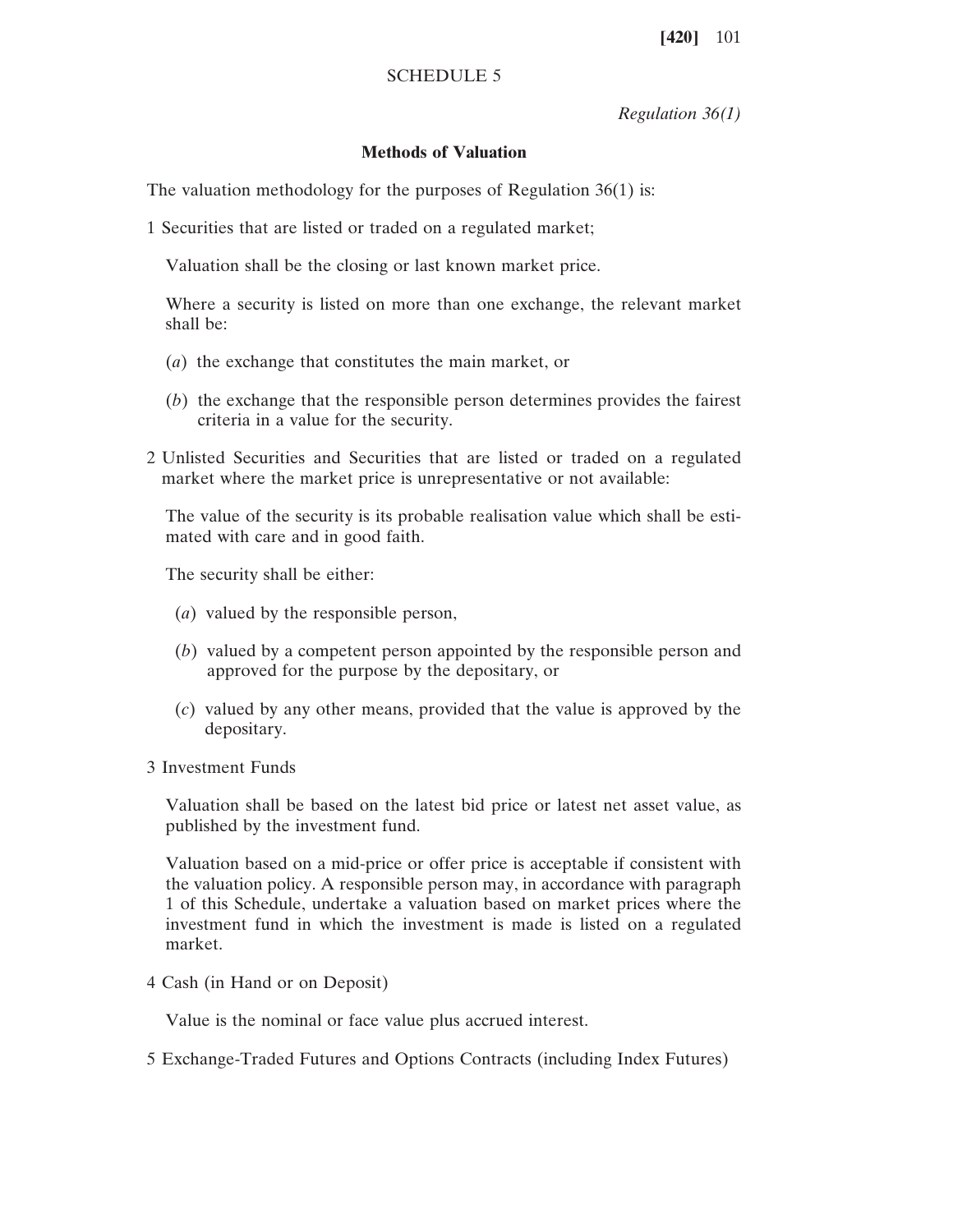# SCHEDULE 5

*Regulation 36(1)*

# **Methods of Valuation**

The valuation methodology for the purposes of Regulation 36(1) is:

1 Securities that are listed or traded on a regulated market;

Valuation shall be the closing or last known market price.

Where a security is listed on more than one exchange, the relevant market shall be:

- (*a*) the exchange that constitutes the main market, or
- (*b*) the exchange that the responsible person determines provides the fairest criteria in a value for the security.
- 2 Unlisted Securities and Securities that are listed or traded on a regulated market where the market price is unrepresentative or not available:

The value of the security is its probable realisation value which shall be estimated with care and in good faith.

The security shall be either:

- (*a*) valued by the responsible person,
- (*b*) valued by a competent person appointed by the responsible person and approved for the purpose by the depositary, or
- (*c*) valued by any other means, provided that the value is approved by the depositary.
- 3 Investment Funds

Valuation shall be based on the latest bid price or latest net asset value, as published by the investment fund.

Valuation based on a mid-price or offer price is acceptable if consistent with the valuation policy. A responsible person may, in accordance with paragraph 1 of this Schedule, undertake a valuation based on market prices where the investment fund in which the investment is made is listed on a regulated market.

4 Cash (in Hand or on Deposit)

Value is the nominal or face value plus accrued interest.

5 Exchange-Traded Futures and Options Contracts (including Index Futures)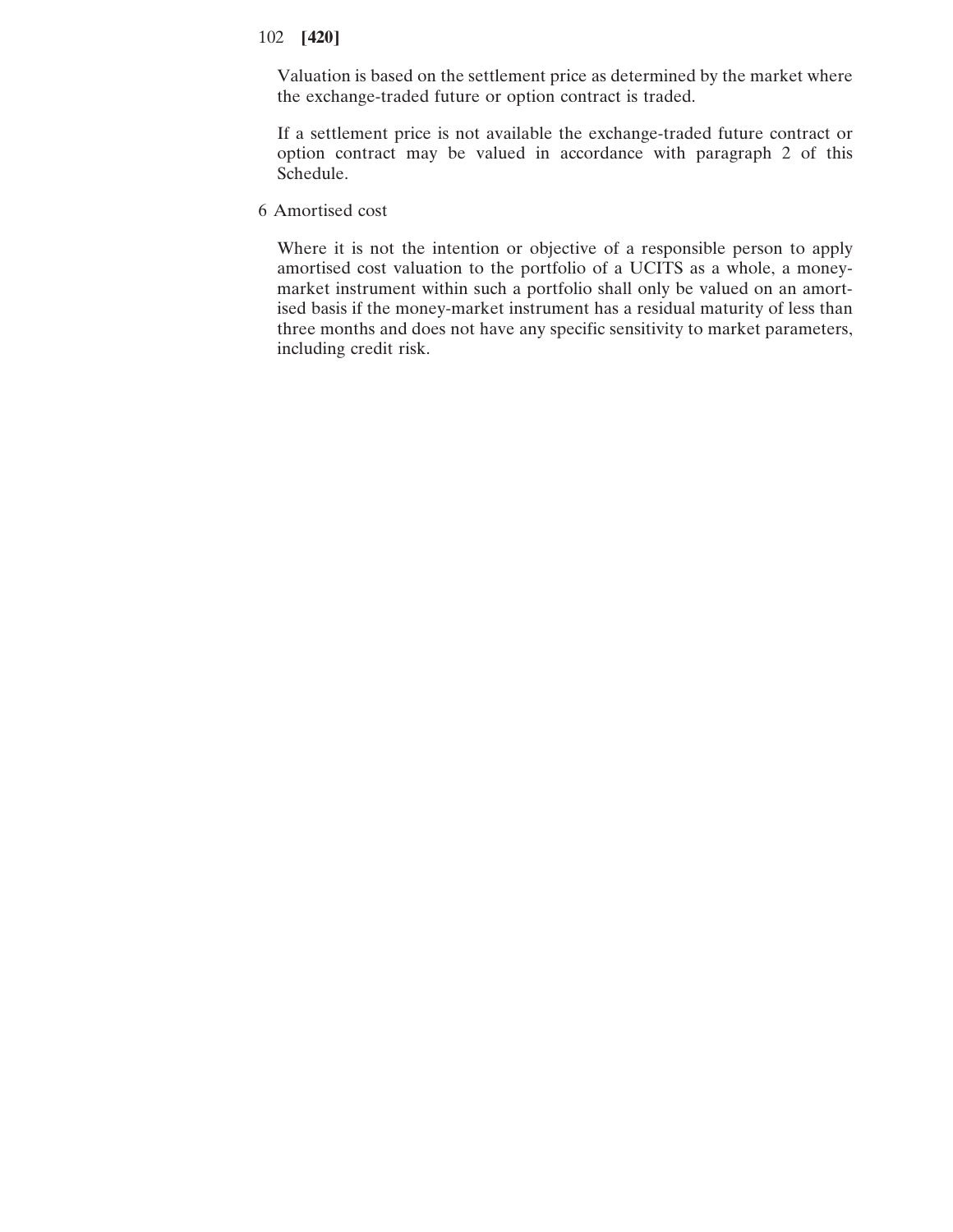Valuation is based on the settlement price as determined by the market where the exchange-traded future or option contract is traded.

If a settlement price is not available the exchange-traded future contract or option contract may be valued in accordance with paragraph 2 of this Schedule.

6 Amortised cost

Where it is not the intention or objective of a responsible person to apply amortised cost valuation to the portfolio of a UCITS as a whole, a moneymarket instrument within such a portfolio shall only be valued on an amortised basis if the money-market instrument has a residual maturity of less than three months and does not have any specific sensitivity to market parameters, including credit risk.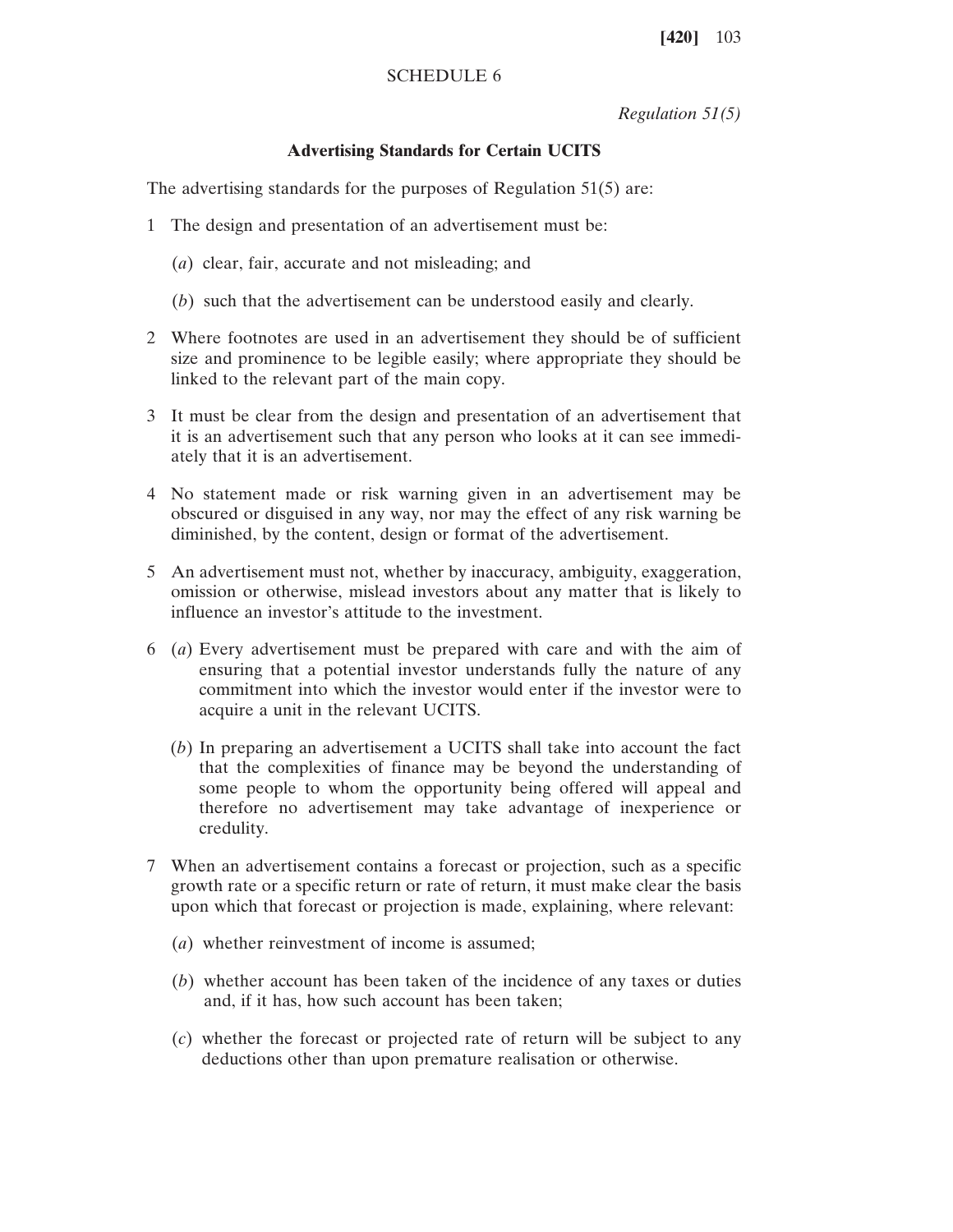# SCHEDULE 6

*Regulation 51(5)*

# **Advertising Standards for Certain UCITS**

The advertising standards for the purposes of Regulation 51(5) are:

- 1 The design and presentation of an advertisement must be:
	- (*a*) clear, fair, accurate and not misleading; and
	- (*b*) such that the advertisement can be understood easily and clearly.
- 2 Where footnotes are used in an advertisement they should be of sufficient size and prominence to be legible easily; where appropriate they should be linked to the relevant part of the main copy.
- 3 It must be clear from the design and presentation of an advertisement that it is an advertisement such that any person who looks at it can see immediately that it is an advertisement.
- 4 No statement made or risk warning given in an advertisement may be obscured or disguised in any way, nor may the effect of any risk warning be diminished, by the content, design or format of the advertisement.
- 5 An advertisement must not, whether by inaccuracy, ambiguity, exaggeration, omission or otherwise, mislead investors about any matter that is likely to influence an investor's attitude to the investment.
- 6 (*a*) Every advertisement must be prepared with care and with the aim of ensuring that a potential investor understands fully the nature of any commitment into which the investor would enter if the investor were to acquire a unit in the relevant UCITS.
	- (*b*) In preparing an advertisement a UCITS shall take into account the fact that the complexities of finance may be beyond the understanding of some people to whom the opportunity being offered will appeal and therefore no advertisement may take advantage of inexperience or credulity.
- 7 When an advertisement contains a forecast or projection, such as a specific growth rate or a specific return or rate of return, it must make clear the basis upon which that forecast or projection is made, explaining, where relevant:
	- (*a*) whether reinvestment of income is assumed;
	- (*b*) whether account has been taken of the incidence of any taxes or duties and, if it has, how such account has been taken;
	- (*c*) whether the forecast or projected rate of return will be subject to any deductions other than upon premature realisation or otherwise.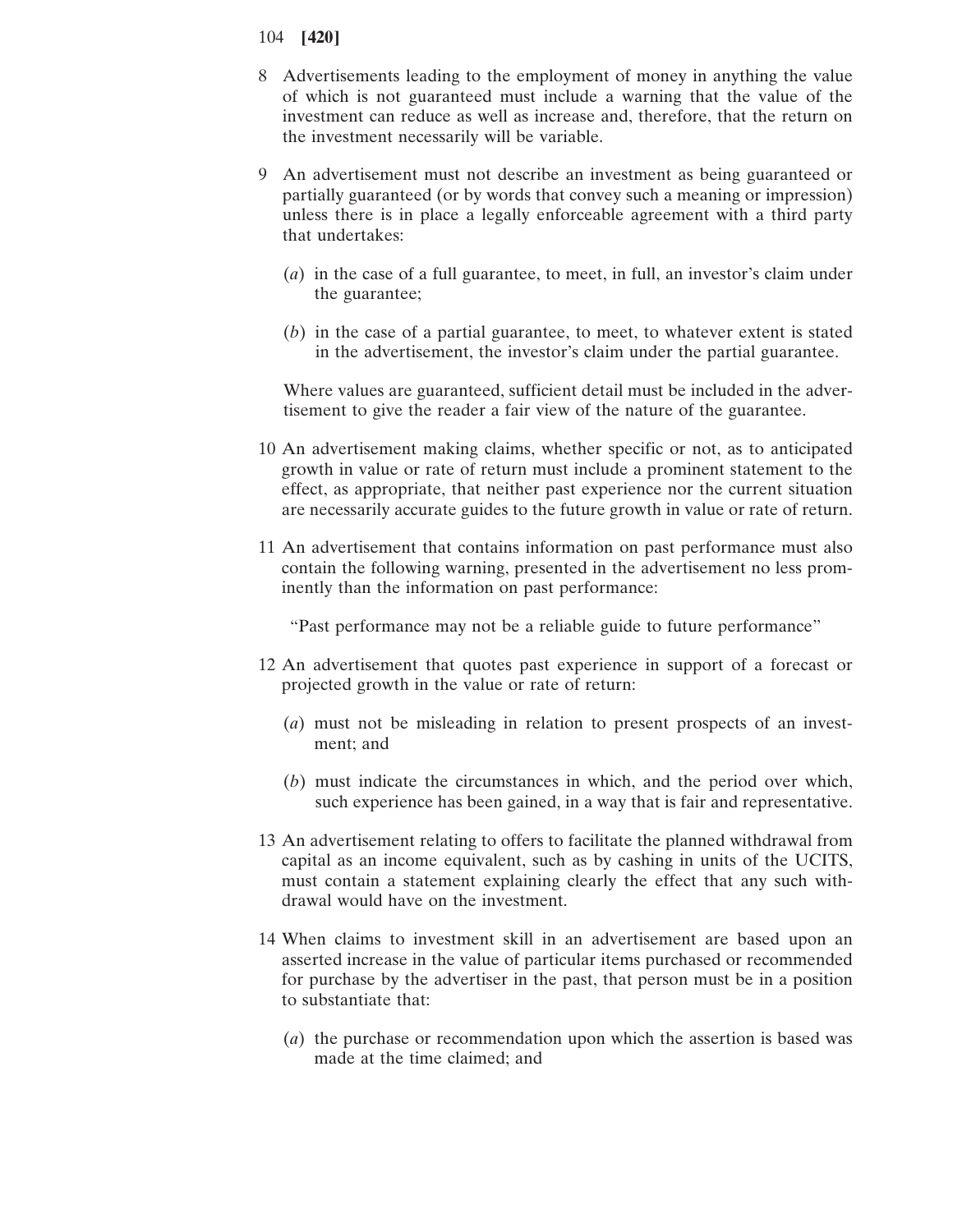- 8 Advertisements leading to the employment of money in anything the value of which is not guaranteed must include a warning that the value of the investment can reduce as well as increase and, therefore, that the return on the investment necessarily will be variable.
- 9 An advertisement must not describe an investment as being guaranteed or partially guaranteed (or by words that convey such a meaning or impression) unless there is in place a legally enforceable agreement with a third party that undertakes:
	- (*a*) in the case of a full guarantee, to meet, in full, an investor's claim under the guarantee;
	- (*b*) in the case of a partial guarantee, to meet, to whatever extent is stated in the advertisement, the investor's claim under the partial guarantee.

Where values are guaranteed, sufficient detail must be included in the advertisement to give the reader a fair view of the nature of the guarantee.

- 10 An advertisement making claims, whether specific or not, as to anticipated growth in value or rate of return must include a prominent statement to the effect, as appropriate, that neither past experience nor the current situation are necessarily accurate guides to the future growth in value or rate of return.
- 11 An advertisement that contains information on past performance must also contain the following warning, presented in the advertisement no less prominently than the information on past performance:

"Past performance may not be a reliable guide to future performance"

- 12 An advertisement that quotes past experience in support of a forecast or projected growth in the value or rate of return:
	- (*a*) must not be misleading in relation to present prospects of an investment; and
	- (*b*) must indicate the circumstances in which, and the period over which, such experience has been gained, in a way that is fair and representative.
- 13 An advertisement relating to offers to facilitate the planned withdrawal from capital as an income equivalent, such as by cashing in units of the UCITS, must contain a statement explaining clearly the effect that any such withdrawal would have on the investment.
- 14 When claims to investment skill in an advertisement are based upon an asserted increase in the value of particular items purchased or recommended for purchase by the advertiser in the past, that person must be in a position to substantiate that:
	- (*a*) the purchase or recommendation upon which the assertion is based was made at the time claimed; and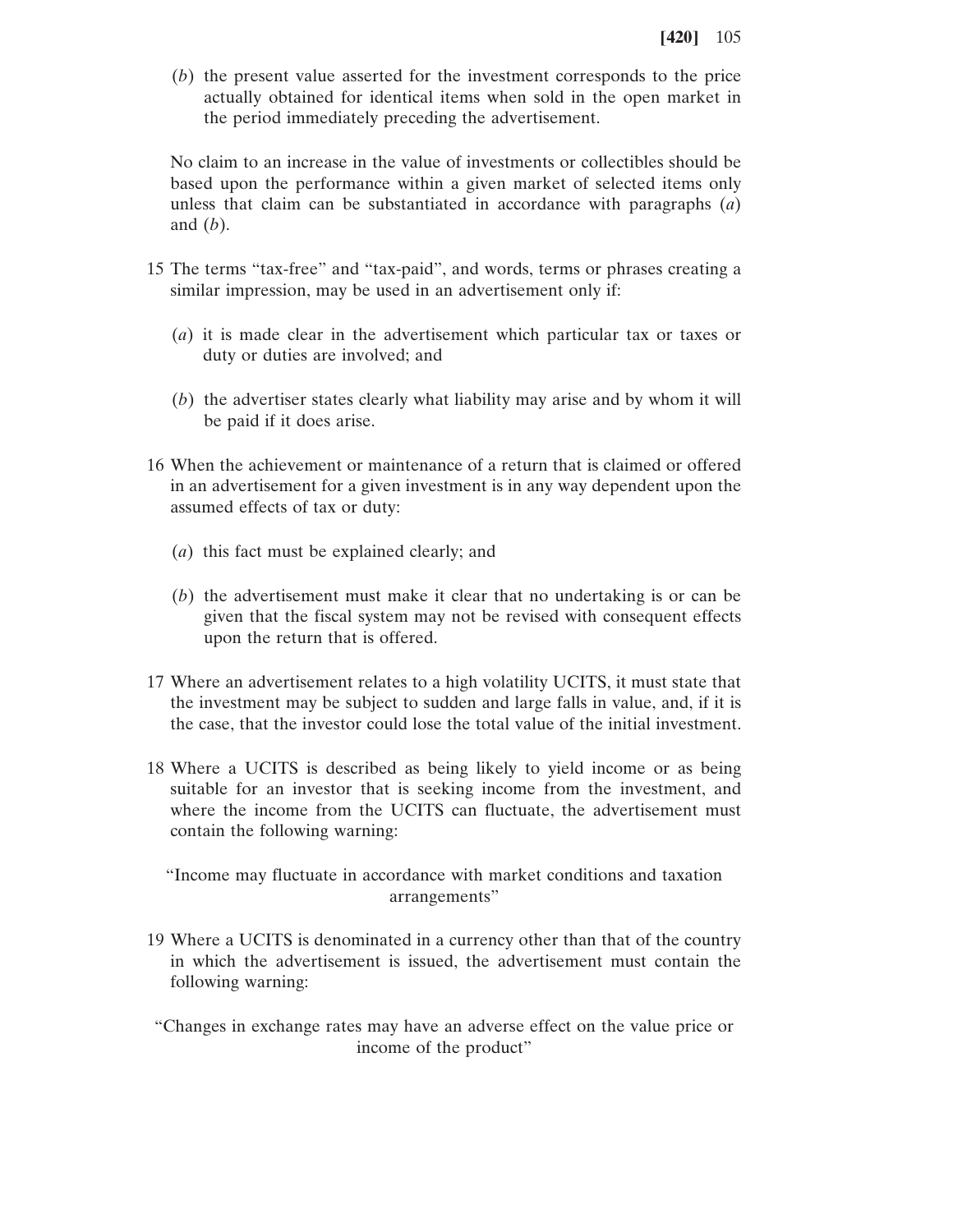(*b*) the present value asserted for the investment corresponds to the price actually obtained for identical items when sold in the open market in the period immediately preceding the advertisement.

No claim to an increase in the value of investments or collectibles should be based upon the performance within a given market of selected items only unless that claim can be substantiated in accordance with paragraphs (*a*) and (*b*).

- 15 The terms "tax-free" and "tax-paid", and words, terms or phrases creating a similar impression, may be used in an advertisement only if:
	- (*a*) it is made clear in the advertisement which particular tax or taxes or duty or duties are involved; and
	- (*b*) the advertiser states clearly what liability may arise and by whom it will be paid if it does arise.
- 16 When the achievement or maintenance of a return that is claimed or offered in an advertisement for a given investment is in any way dependent upon the assumed effects of tax or duty:
	- (*a*) this fact must be explained clearly; and
	- (*b*) the advertisement must make it clear that no undertaking is or can be given that the fiscal system may not be revised with consequent effects upon the return that is offered.
- 17 Where an advertisement relates to a high volatility UCITS, it must state that the investment may be subject to sudden and large falls in value, and, if it is the case, that the investor could lose the total value of the initial investment.
- 18 Where a UCITS is described as being likely to yield income or as being suitable for an investor that is seeking income from the investment, and where the income from the UCITS can fluctuate, the advertisement must contain the following warning:

"Income may fluctuate in accordance with market conditions and taxation arrangements"

- 19 Where a UCITS is denominated in a currency other than that of the country in which the advertisement is issued, the advertisement must contain the following warning:
- "Changes in exchange rates may have an adverse effect on the value price or income of the product"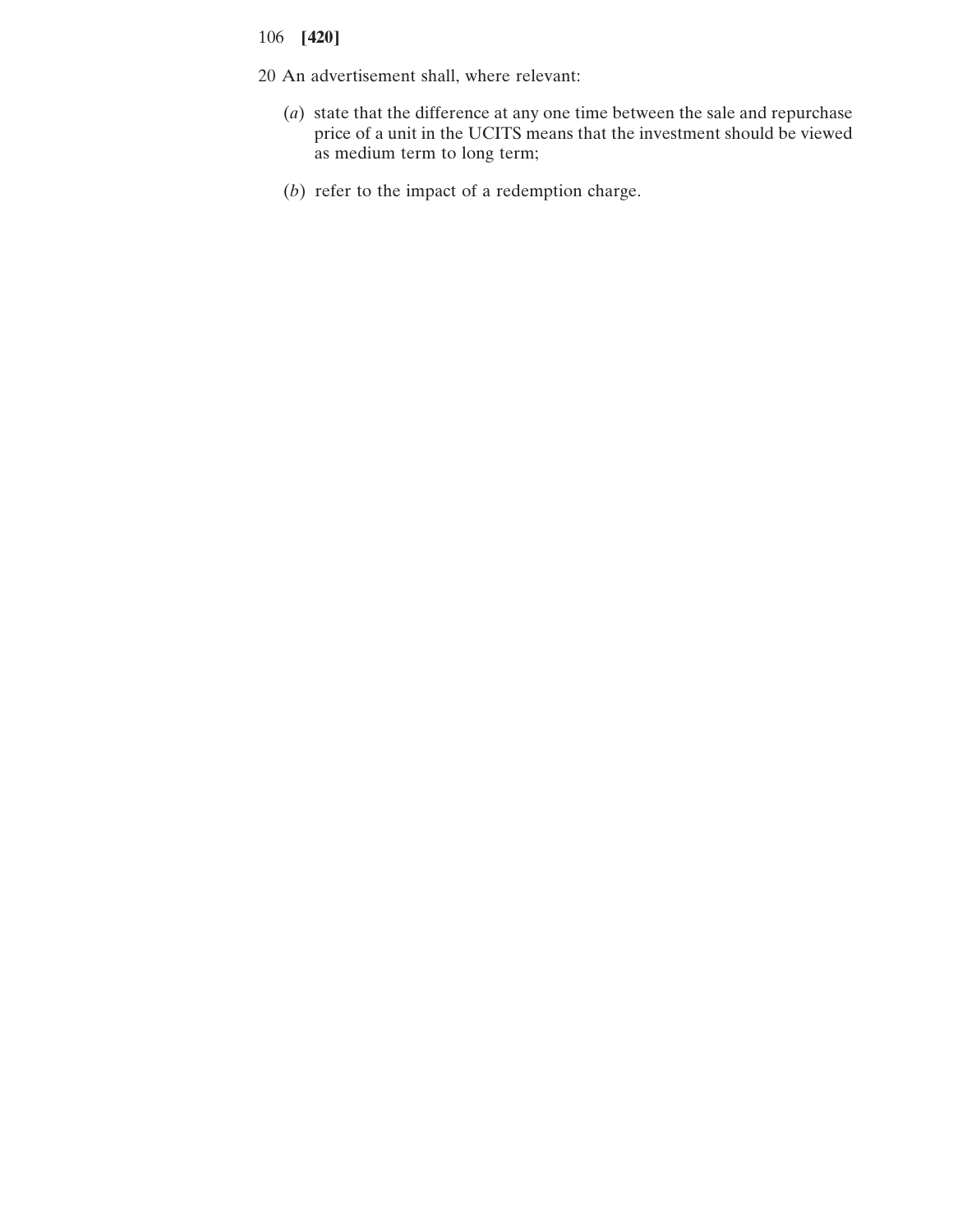- 106 **[420]**
- 20 An advertisement shall, where relevant:
	- (*a*) state that the difference at any one time between the sale and repurchase price of a unit in the UCITS means that the investment should be viewed as medium term to long term;
	- (*b*) refer to the impact of a redemption charge.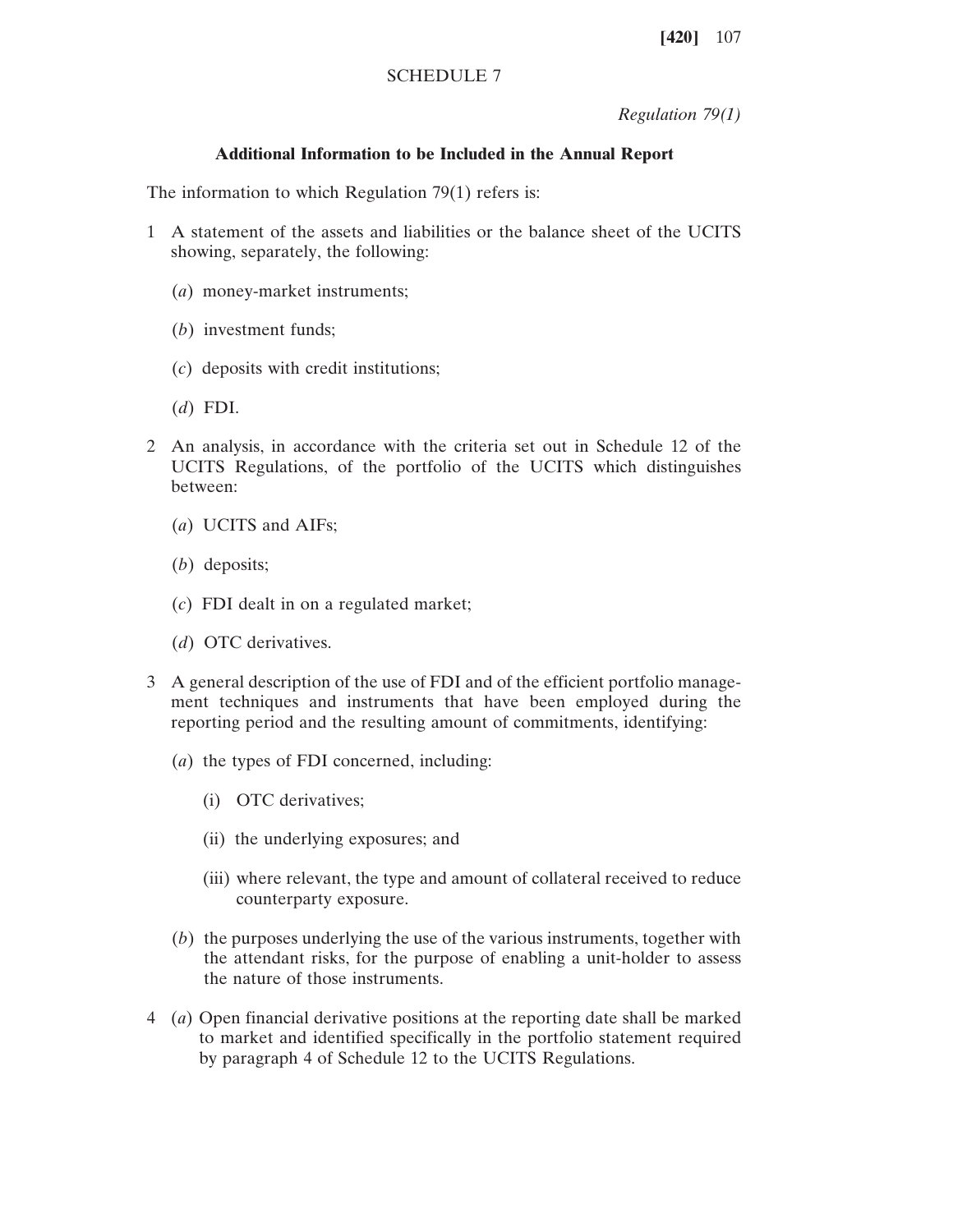# SCHEDULE 7

*Regulation 79(1)*

# **Additional Information to be Included in the Annual Report**

The information to which Regulation 79(1) refers is:

- 1 A statement of the assets and liabilities or the balance sheet of the UCITS showing, separately, the following:
	- (*a*) money-market instruments;
	- (*b*) investment funds;
	- (*c*) deposits with credit institutions;
	- (*d*) FDI.
- 2 An analysis, in accordance with the criteria set out in Schedule 12 of the UCITS Regulations, of the portfolio of the UCITS which distinguishes between:
	- (*a*) UCITS and AIFs;
	- (*b*) deposits;
	- (*c*) FDI dealt in on a regulated market;
	- (*d*) OTC derivatives.
- 3 A general description of the use of FDI and of the efficient portfolio management techniques and instruments that have been employed during the reporting period and the resulting amount of commitments, identifying:
	- (*a*) the types of FDI concerned, including:
		- (i) OTC derivatives;
		- (ii) the underlying exposures; and
		- (iii) where relevant, the type and amount of collateral received to reduce counterparty exposure.
	- (*b*) the purposes underlying the use of the various instruments, together with the attendant risks, for the purpose of enabling a unit-holder to assess the nature of those instruments.
- 4 (*a*) Open financial derivative positions at the reporting date shall be marked to market and identified specifically in the portfolio statement required by paragraph 4 of Schedule 12 to the UCITS Regulations.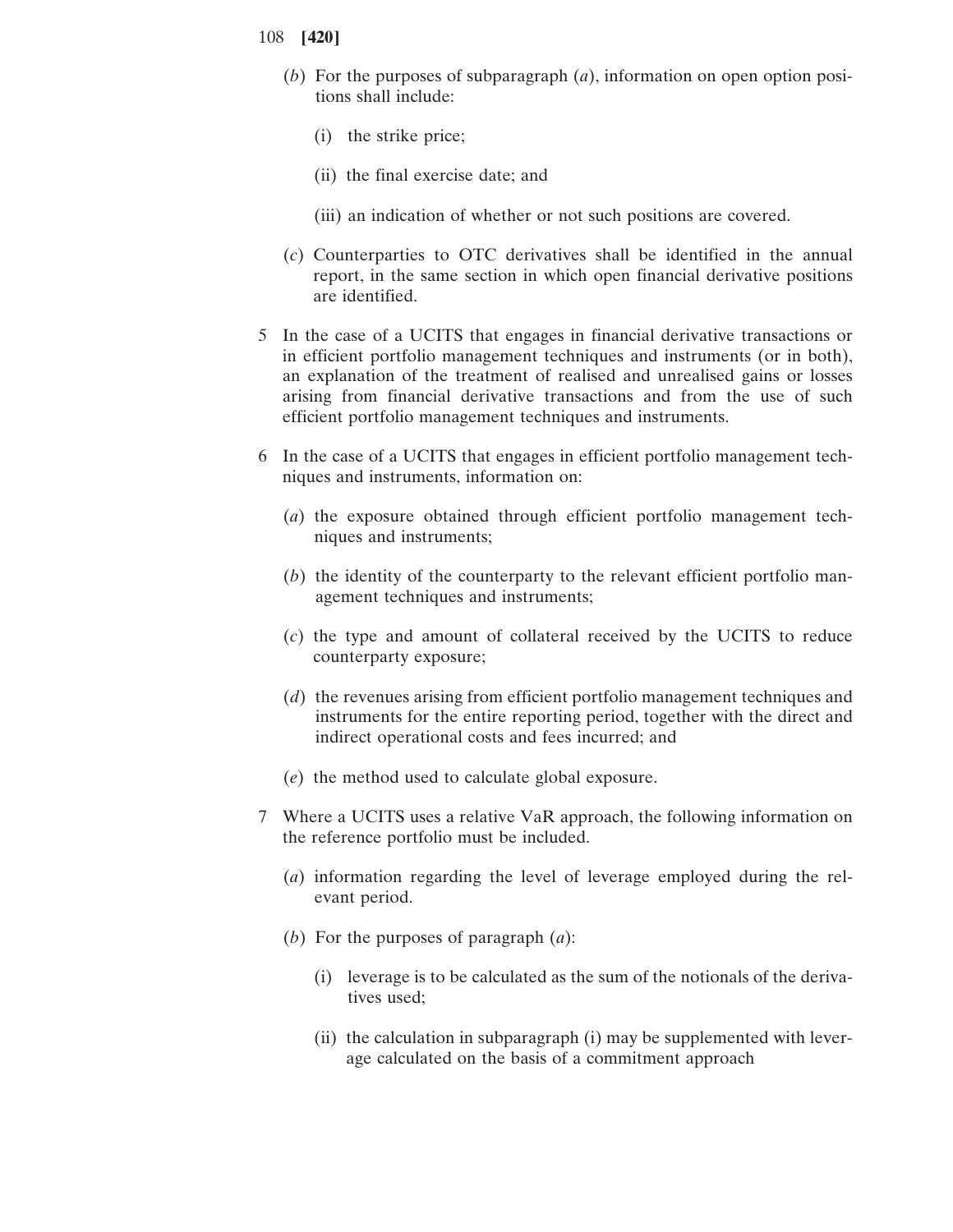- 108 **[420]**
	- (*b*) For the purposes of subparagraph (*a*), information on open option positions shall include:
		- (i) the strike price;
		- (ii) the final exercise date; and
		- (iii) an indication of whether or not such positions are covered.
	- (*c*) Counterparties to OTC derivatives shall be identified in the annual report, in the same section in which open financial derivative positions are identified.
- 5 In the case of a UCITS that engages in financial derivative transactions or in efficient portfolio management techniques and instruments (or in both), an explanation of the treatment of realised and unrealised gains or losses arising from financial derivative transactions and from the use of such efficient portfolio management techniques and instruments.
- 6 In the case of a UCITS that engages in efficient portfolio management techniques and instruments, information on:
	- (*a*) the exposure obtained through efficient portfolio management techniques and instruments;
	- (*b*) the identity of the counterparty to the relevant efficient portfolio management techniques and instruments;
	- (*c*) the type and amount of collateral received by the UCITS to reduce counterparty exposure;
	- (*d*) the revenues arising from efficient portfolio management techniques and instruments for the entire reporting period, together with the direct and indirect operational costs and fees incurred; and
	- (*e*) the method used to calculate global exposure.
- 7 Where a UCITS uses a relative VaR approach, the following information on the reference portfolio must be included.
	- (*a*) information regarding the level of leverage employed during the relevant period.
	- (*b*) For the purposes of paragraph (*a*):
		- (i) leverage is to be calculated as the sum of the notionals of the derivatives used;
		- (ii) the calculation in subparagraph (i) may be supplemented with leverage calculated on the basis of a commitment approach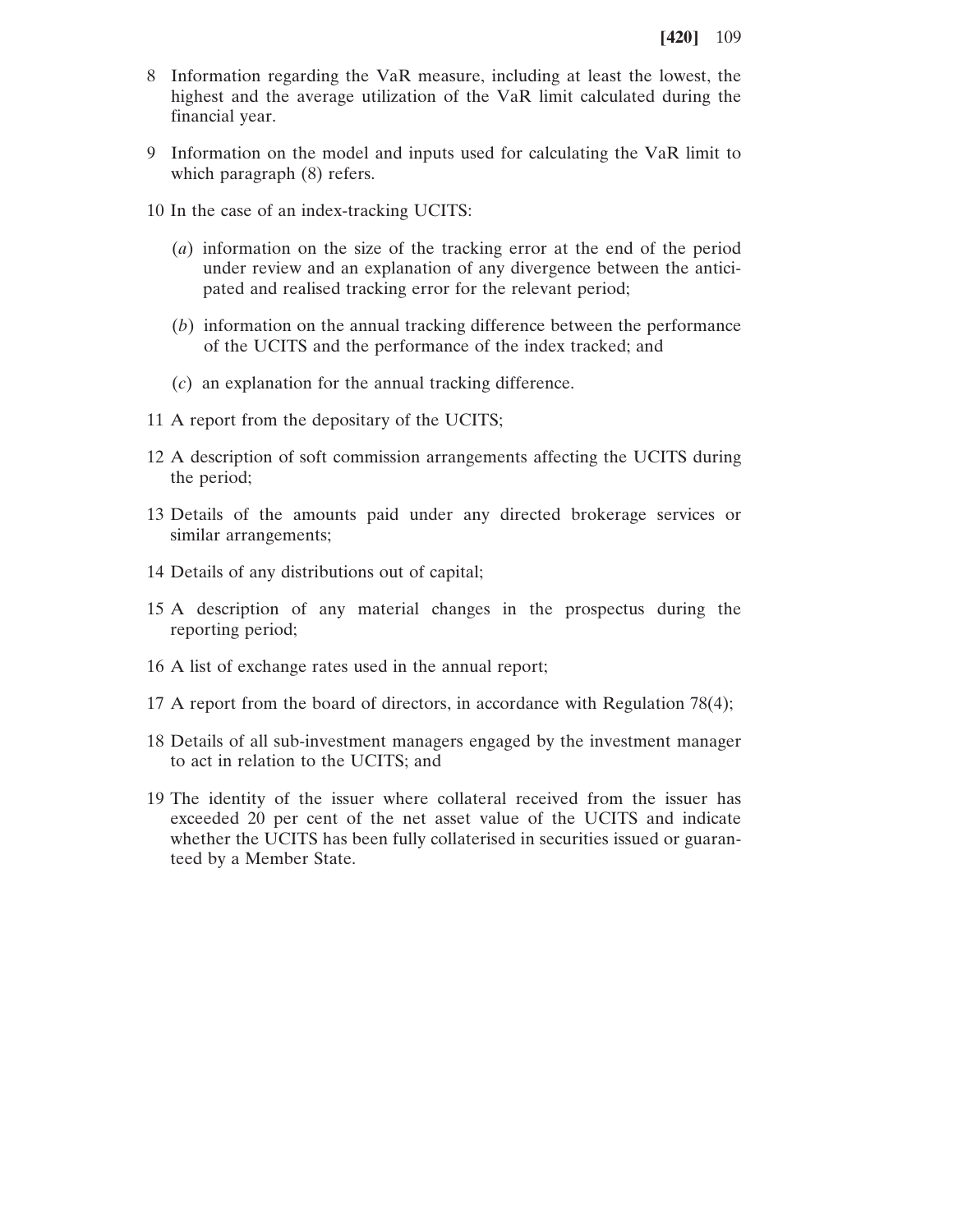- 8 Information regarding the VaR measure, including at least the lowest, the highest and the average utilization of the VaR limit calculated during the financial year.
- 9 Information on the model and inputs used for calculating the VaR limit to which paragraph (8) refers.
- 10 In the case of an index-tracking UCITS:
	- (*a*) information on the size of the tracking error at the end of the period under review and an explanation of any divergence between the anticipated and realised tracking error for the relevant period;
	- (*b*) information on the annual tracking difference between the performance of the UCITS and the performance of the index tracked; and
	- (*c*) an explanation for the annual tracking difference.
- 11 A report from the depositary of the UCITS;
- 12 A description of soft commission arrangements affecting the UCITS during the period;
- 13 Details of the amounts paid under any directed brokerage services or similar arrangements;
- 14 Details of any distributions out of capital;
- 15 A description of any material changes in the prospectus during the reporting period;
- 16 A list of exchange rates used in the annual report;
- 17 A report from the board of directors, in accordance with Regulation 78(4);
- 18 Details of all sub-investment managers engaged by the investment manager to act in relation to the UCITS; and
- 19 The identity of the issuer where collateral received from the issuer has exceeded 20 per cent of the net asset value of the UCITS and indicate whether the UCITS has been fully collaterised in securities issued or guaranteed by a Member State.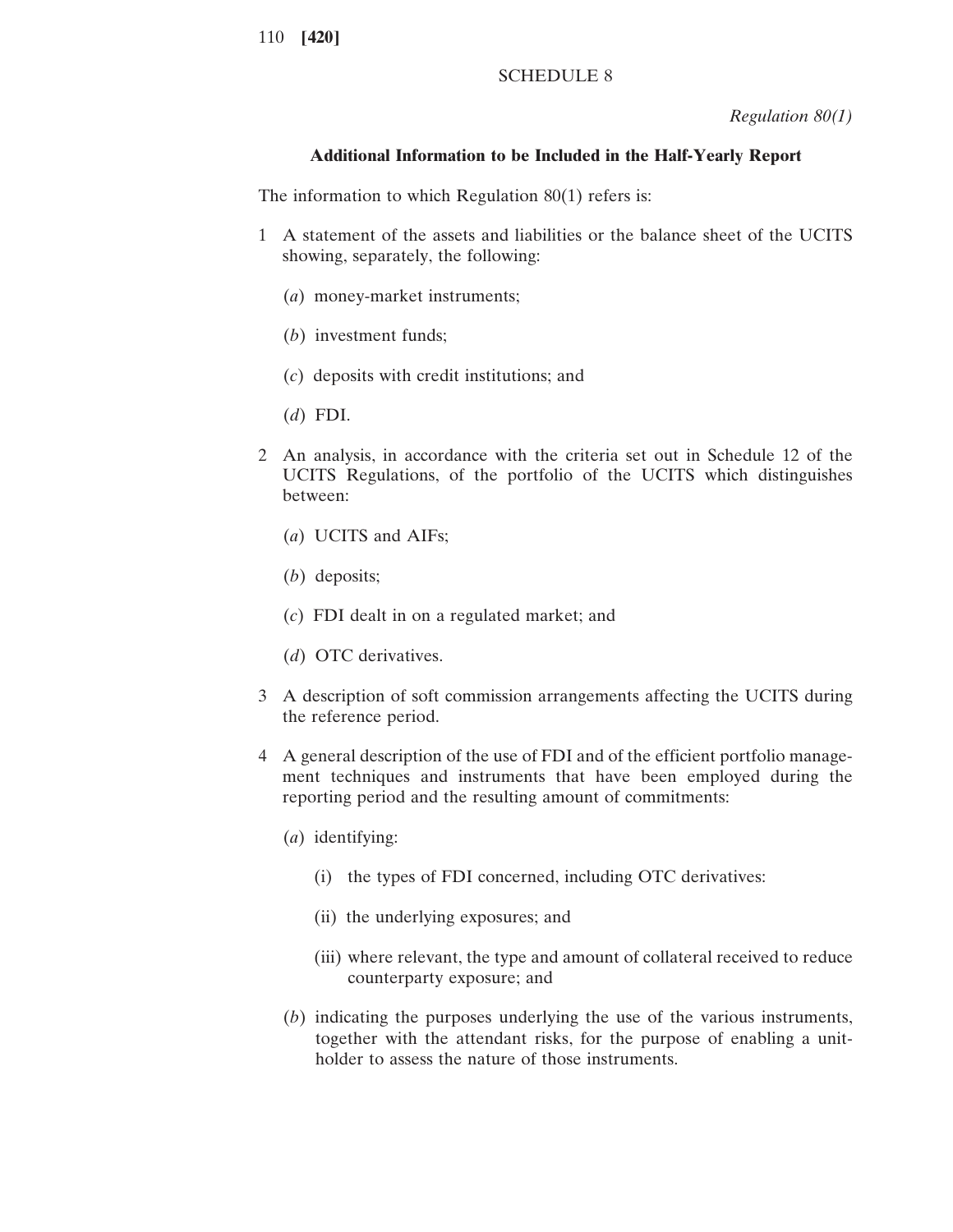# SCHEDULE 8

*Regulation 80(1)*

## **Additional Information to be Included in the Half-Yearly Report**

The information to which Regulation 80(1) refers is:

- 1 A statement of the assets and liabilities or the balance sheet of the UCITS showing, separately, the following:
	- (*a*) money-market instruments;
	- (*b*) investment funds;
	- (*c*) deposits with credit institutions; and
	- (*d*) FDI.
- 2 An analysis, in accordance with the criteria set out in Schedule 12 of the UCITS Regulations, of the portfolio of the UCITS which distinguishes between:
	- (*a*) UCITS and AIFs;
	- (*b*) deposits;
	- (*c*) FDI dealt in on a regulated market; and
	- (*d*) OTC derivatives.
- 3 A description of soft commission arrangements affecting the UCITS during the reference period.
- 4 A general description of the use of FDI and of the efficient portfolio management techniques and instruments that have been employed during the reporting period and the resulting amount of commitments:
	- (*a*) identifying:
		- (i) the types of FDI concerned, including OTC derivatives:
		- (ii) the underlying exposures; and
		- (iii) where relevant, the type and amount of collateral received to reduce counterparty exposure; and
	- (*b*) indicating the purposes underlying the use of the various instruments, together with the attendant risks, for the purpose of enabling a unitholder to assess the nature of those instruments.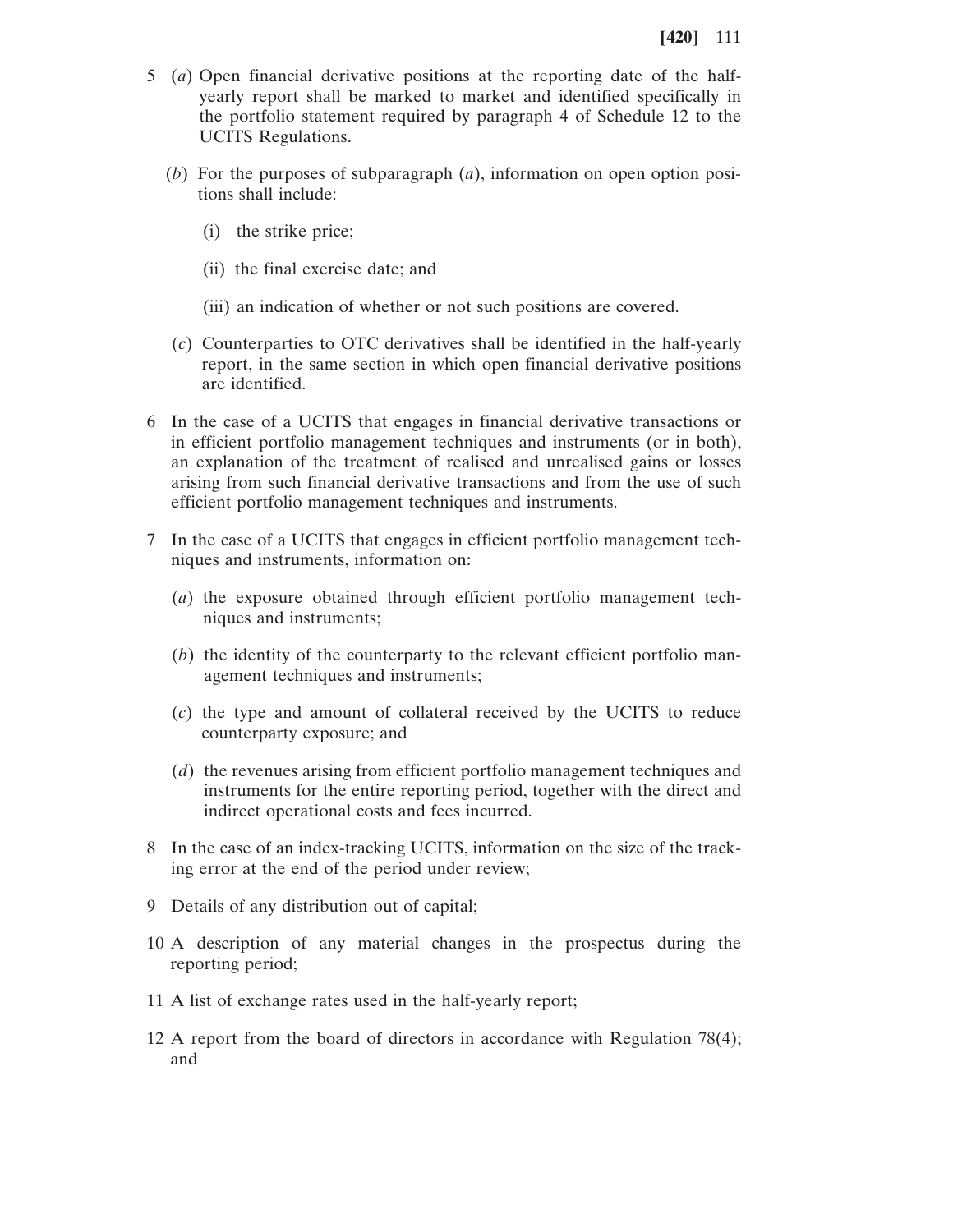- 5 (*a*) Open financial derivative positions at the reporting date of the halfyearly report shall be marked to market and identified specifically in the portfolio statement required by paragraph 4 of Schedule 12 to the UCITS Regulations.
	- (*b*) For the purposes of subparagraph (*a*), information on open option positions shall include:
		- (i) the strike price;
		- (ii) the final exercise date; and
		- (iii) an indication of whether or not such positions are covered.
	- (*c*) Counterparties to OTC derivatives shall be identified in the half-yearly report, in the same section in which open financial derivative positions are identified.
- 6 In the case of a UCITS that engages in financial derivative transactions or in efficient portfolio management techniques and instruments (or in both), an explanation of the treatment of realised and unrealised gains or losses arising from such financial derivative transactions and from the use of such efficient portfolio management techniques and instruments.
- 7 In the case of a UCITS that engages in efficient portfolio management techniques and instruments, information on:
	- (*a*) the exposure obtained through efficient portfolio management techniques and instruments;
	- (*b*) the identity of the counterparty to the relevant efficient portfolio management techniques and instruments;
	- (*c*) the type and amount of collateral received by the UCITS to reduce counterparty exposure; and
	- (*d*) the revenues arising from efficient portfolio management techniques and instruments for the entire reporting period, together with the direct and indirect operational costs and fees incurred.
- 8 In the case of an index-tracking UCITS, information on the size of the tracking error at the end of the period under review;
- 9 Details of any distribution out of capital;
- 10 A description of any material changes in the prospectus during the reporting period;
- 11 A list of exchange rates used in the half-yearly report;
- 12 A report from the board of directors in accordance with Regulation 78(4); and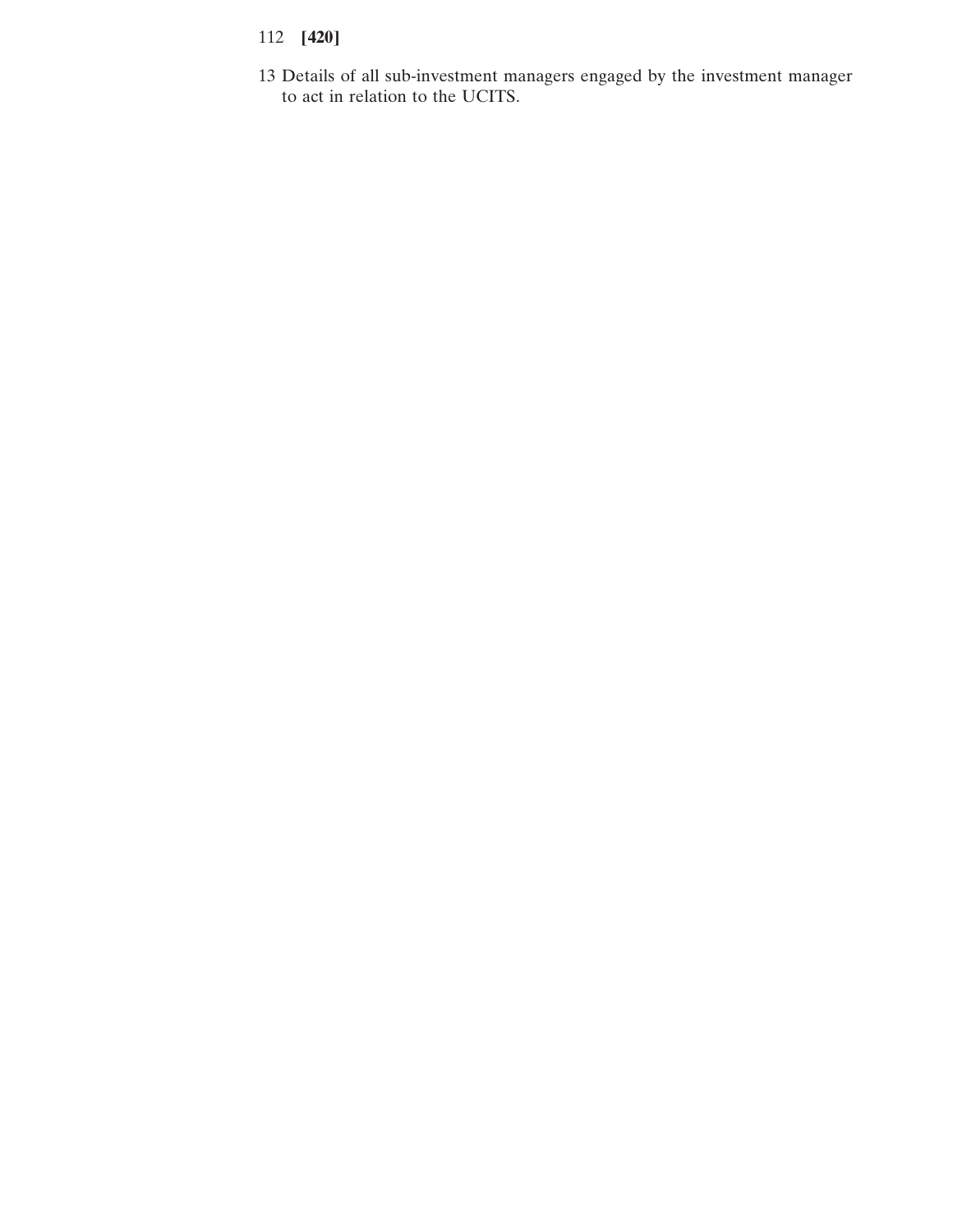- 112 **[420]**
- 13 Details of all sub-investment managers engaged by the investment manager to act in relation to the UCITS.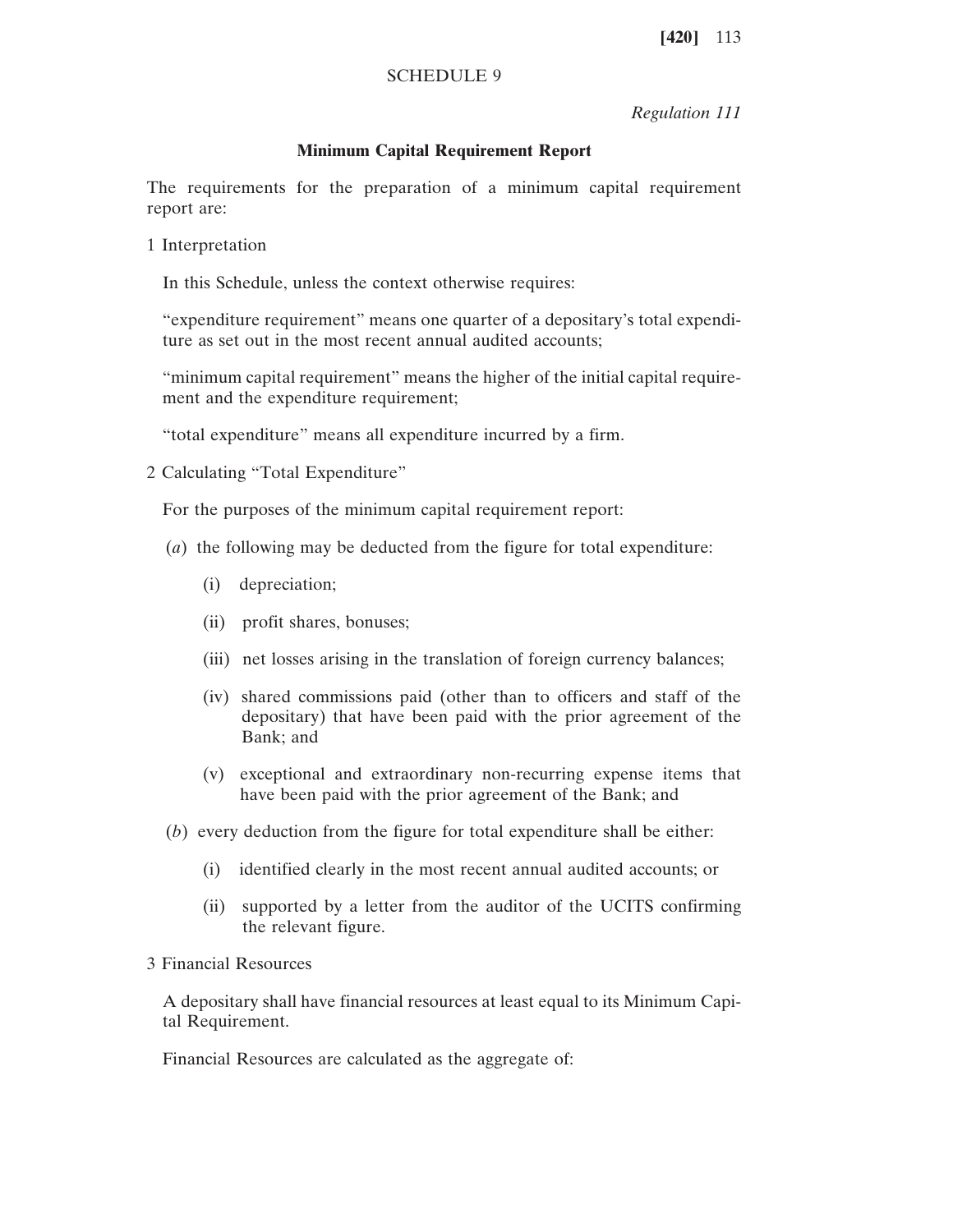# SCHEDULE 9

*Regulation 111*

# **Minimum Capital Requirement Report**

The requirements for the preparation of a minimum capital requirement report are:

1 Interpretation

In this Schedule, unless the context otherwise requires:

"expenditure requirement" means one quarter of a depositary's total expenditure as set out in the most recent annual audited accounts;

"minimum capital requirement" means the higher of the initial capital requirement and the expenditure requirement;

"total expenditure" means all expenditure incurred by a firm.

2 Calculating "Total Expenditure"

For the purposes of the minimum capital requirement report:

- (*a*) the following may be deducted from the figure for total expenditure:
	- (i) depreciation;
	- (ii) profit shares, bonuses;
	- (iii) net losses arising in the translation of foreign currency balances;
	- (iv) shared commissions paid (other than to officers and staff of the depositary) that have been paid with the prior agreement of the Bank; and
	- (v) exceptional and extraordinary non-recurring expense items that have been paid with the prior agreement of the Bank; and
- (*b*) every deduction from the figure for total expenditure shall be either:
	- (i) identified clearly in the most recent annual audited accounts; or
	- (ii) supported by a letter from the auditor of the UCITS confirming the relevant figure.
- 3 Financial Resources

A depositary shall have financial resources at least equal to its Minimum Capital Requirement.

Financial Resources are calculated as the aggregate of: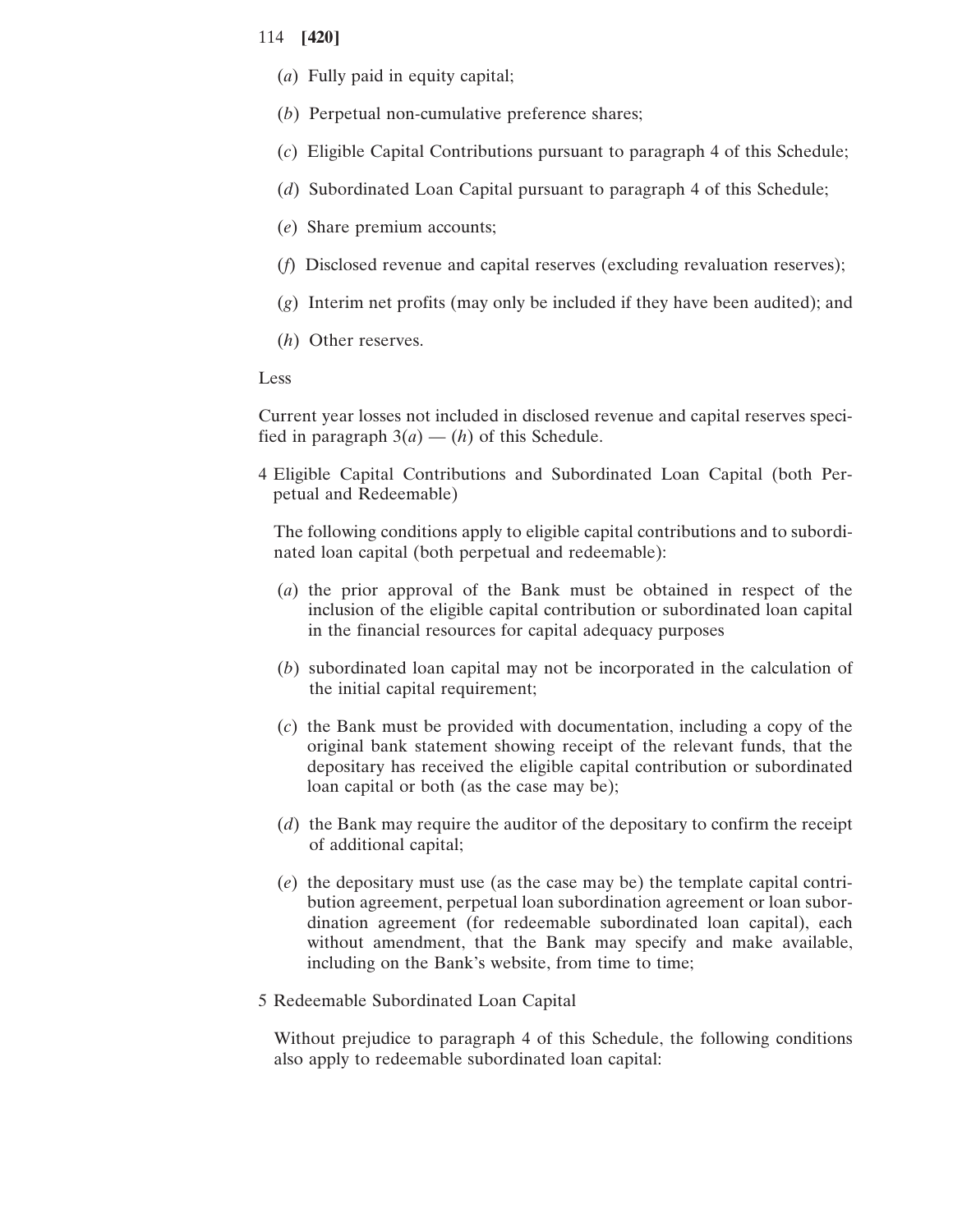- (*a*) Fully paid in equity capital;
- (*b*) Perpetual non-cumulative preference shares;
- (*c*) Eligible Capital Contributions pursuant to paragraph 4 of this Schedule;
- (*d*) Subordinated Loan Capital pursuant to paragraph 4 of this Schedule;
- (*e*) Share premium accounts;
- (*f*) Disclosed revenue and capital reserves (excluding revaluation reserves);
- (*g*) Interim net profits (may only be included if they have been audited); and
- (*h*) Other reserves.

Less

Current year losses not included in disclosed revenue and capital reserves specified in paragraph  $3(a) - (h)$  of this Schedule.

4 Eligible Capital Contributions and Subordinated Loan Capital (both Perpetual and Redeemable)

The following conditions apply to eligible capital contributions and to subordinated loan capital (both perpetual and redeemable):

- (*a*) the prior approval of the Bank must be obtained in respect of the inclusion of the eligible capital contribution or subordinated loan capital in the financial resources for capital adequacy purposes
- (*b*) subordinated loan capital may not be incorporated in the calculation of the initial capital requirement;
- (*c*) the Bank must be provided with documentation, including a copy of the original bank statement showing receipt of the relevant funds, that the depositary has received the eligible capital contribution or subordinated loan capital or both (as the case may be);
- (*d*) the Bank may require the auditor of the depositary to confirm the receipt of additional capital;
- (*e*) the depositary must use (as the case may be) the template capital contribution agreement, perpetual loan subordination agreement or loan subordination agreement (for redeemable subordinated loan capital), each without amendment, that the Bank may specify and make available, including on the Bank's website, from time to time;
- 5 Redeemable Subordinated Loan Capital

Without prejudice to paragraph 4 of this Schedule, the following conditions also apply to redeemable subordinated loan capital: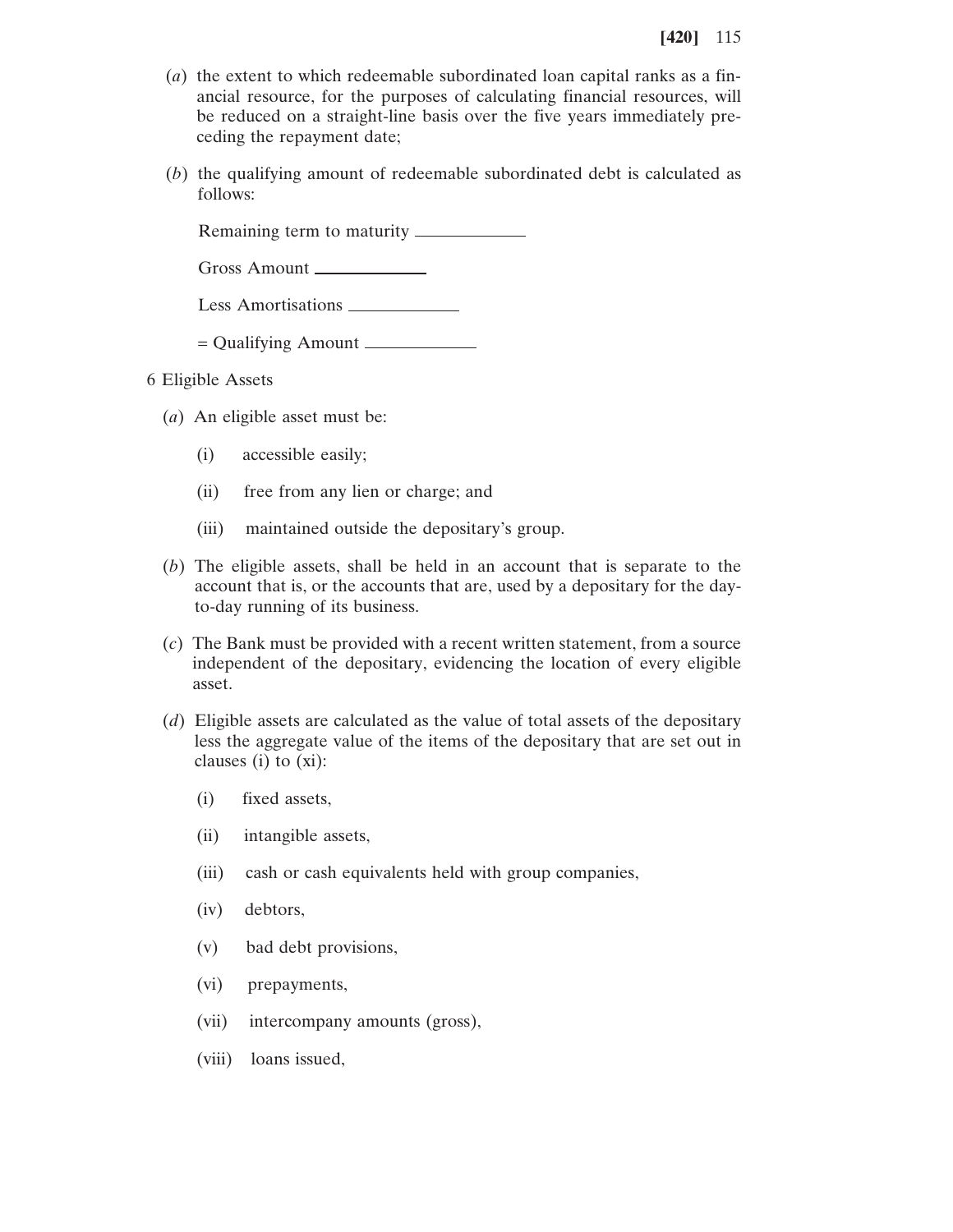- (*a*) the extent to which redeemable subordinated loan capital ranks as a financial resource, for the purposes of calculating financial resources, will be reduced on a straight-line basis over the five years immediately preceding the repayment date;
- (*b*) the qualifying amount of redeemable subordinated debt is calculated as follows:

Remaining term to maturity

Gross Amount

Less Amortisations \_\_\_\_\_\_\_\_\_\_\_\_\_

- $=$  Qualifying Amount  $\sqrt{\frac{1}{2}$
- 6 Eligible Assets
	- (*a*) An eligible asset must be:
		- (i) accessible easily;
		- (ii) free from any lien or charge; and
		- (iii) maintained outside the depositary's group.
	- (*b*) The eligible assets, shall be held in an account that is separate to the account that is, or the accounts that are, used by a depositary for the dayto-day running of its business.
	- (*c*) The Bank must be provided with a recent written statement, from a source independent of the depositary, evidencing the location of every eligible asset.
	- (*d*) Eligible assets are calculated as the value of total assets of the depositary less the aggregate value of the items of the depositary that are set out in clauses (i) to (xi):
		- (i) fixed assets,
		- (ii) intangible assets,
		- (iii) cash or cash equivalents held with group companies,
		- (iv) debtors,
		- (v) bad debt provisions,
		- (vi) prepayments,
		- (vii) intercompany amounts (gross),
		- (viii) loans issued,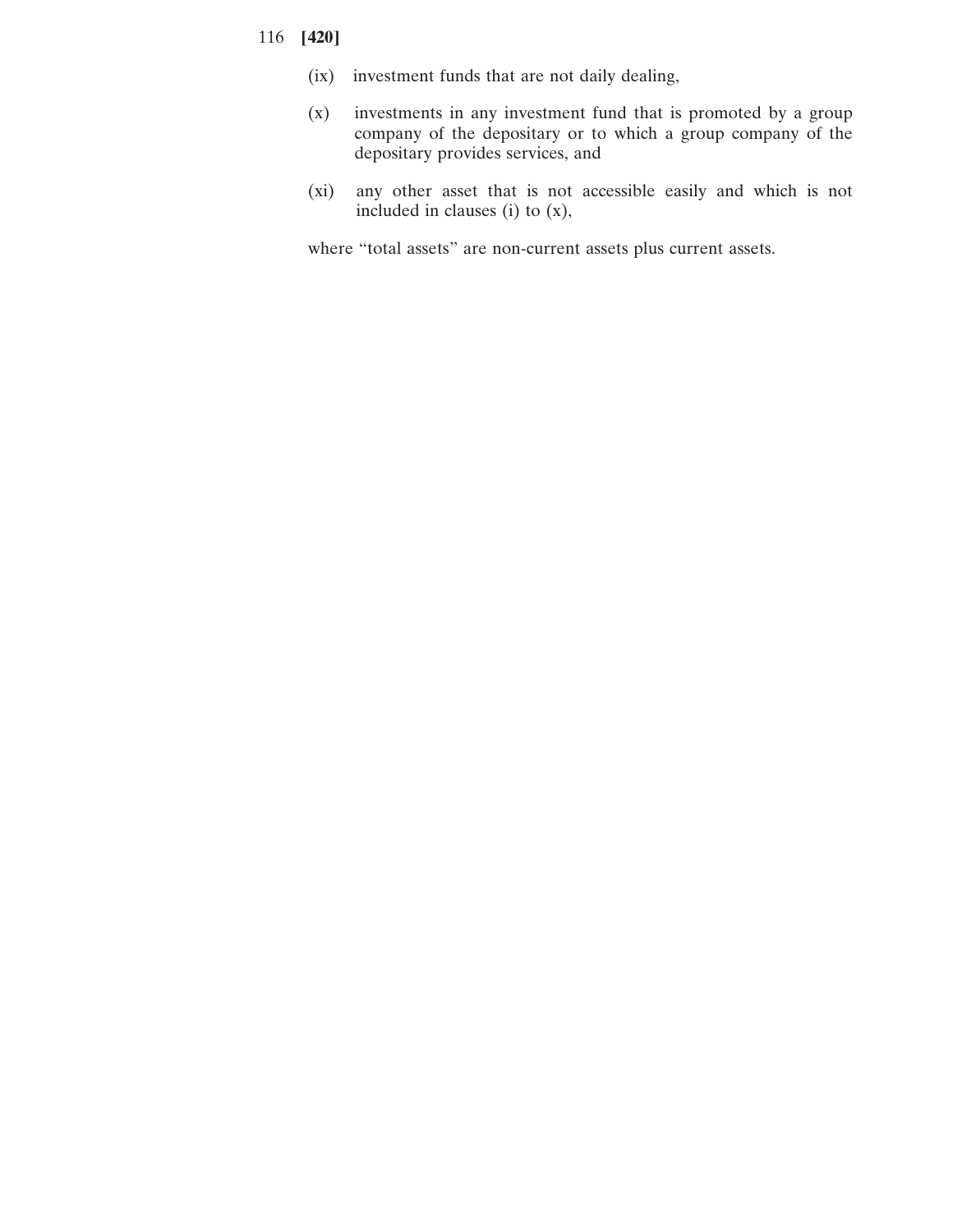- (ix) investment funds that are not daily dealing,
- (x) investments in any investment fund that is promoted by a group company of the depositary or to which a group company of the depositary provides services, and
- (xi) any other asset that is not accessible easily and which is not included in clauses (i) to (x),

where "total assets" are non-current assets plus current assets.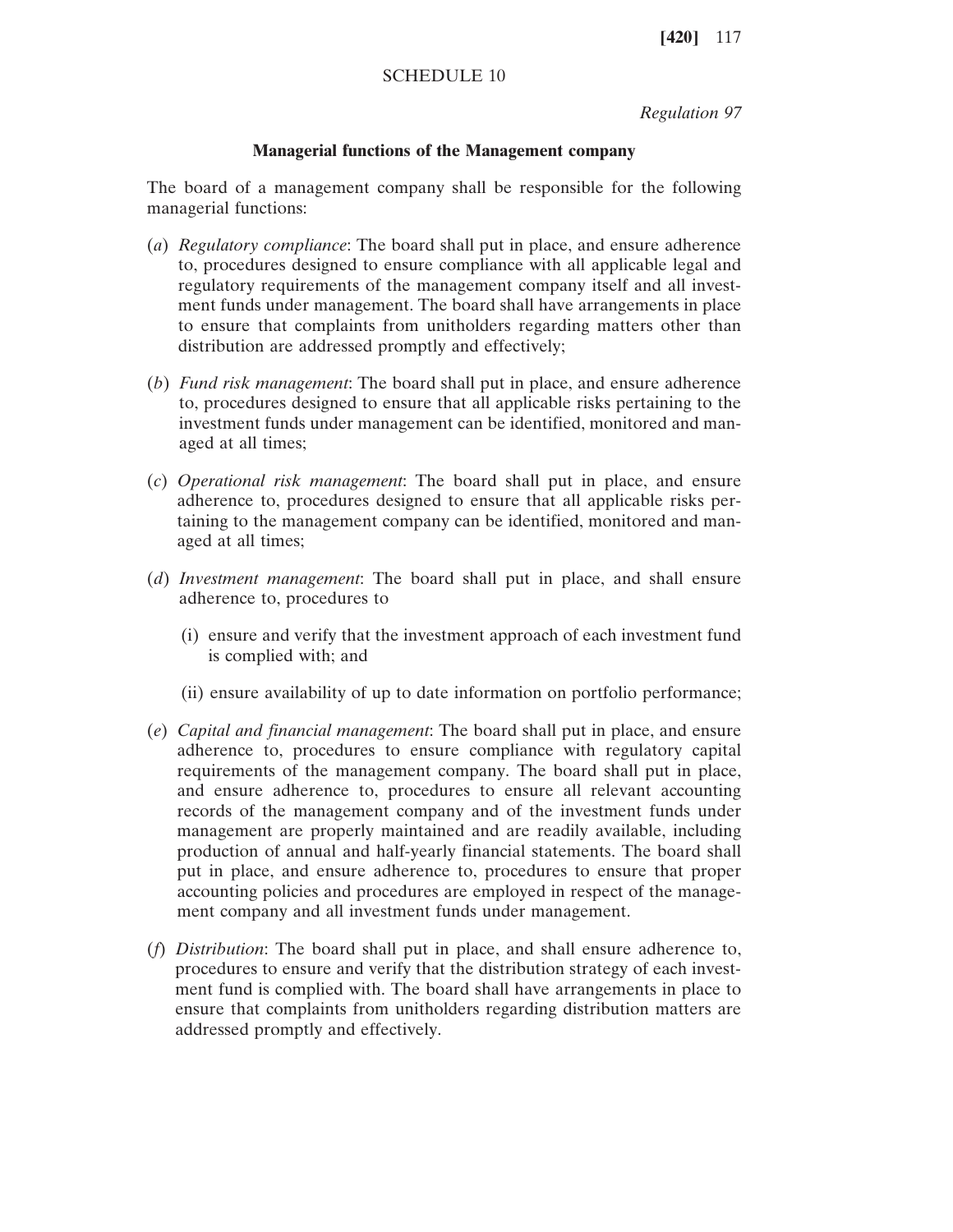## SCHEDULE 10

*Regulation 97*

## **Managerial functions of the Management company**

The board of a management company shall be responsible for the following managerial functions:

- (*a*) *Regulatory compliance*: The board shall put in place, and ensure adherence to, procedures designed to ensure compliance with all applicable legal and regulatory requirements of the management company itself and all investment funds under management. The board shall have arrangements in place to ensure that complaints from unitholders regarding matters other than distribution are addressed promptly and effectively;
- (*b*) *Fund risk management*: The board shall put in place, and ensure adherence to, procedures designed to ensure that all applicable risks pertaining to the investment funds under management can be identified, monitored and managed at all times;
- (*c*) *Operational risk management*: The board shall put in place, and ensure adherence to, procedures designed to ensure that all applicable risks pertaining to the management company can be identified, monitored and managed at all times;
- (*d*) *Investment management*: The board shall put in place, and shall ensure adherence to, procedures to
	- (i) ensure and verify that the investment approach of each investment fund is complied with; and
	- (ii) ensure availability of up to date information on portfolio performance;
- (*e*) *Capital and financial management*: The board shall put in place, and ensure adherence to, procedures to ensure compliance with regulatory capital requirements of the management company. The board shall put in place, and ensure adherence to, procedures to ensure all relevant accounting records of the management company and of the investment funds under management are properly maintained and are readily available, including production of annual and half-yearly financial statements. The board shall put in place, and ensure adherence to, procedures to ensure that proper accounting policies and procedures are employed in respect of the management company and all investment funds under management.
- (*f*) *Distribution*: The board shall put in place, and shall ensure adherence to, procedures to ensure and verify that the distribution strategy of each investment fund is complied with. The board shall have arrangements in place to ensure that complaints from unitholders regarding distribution matters are addressed promptly and effectively.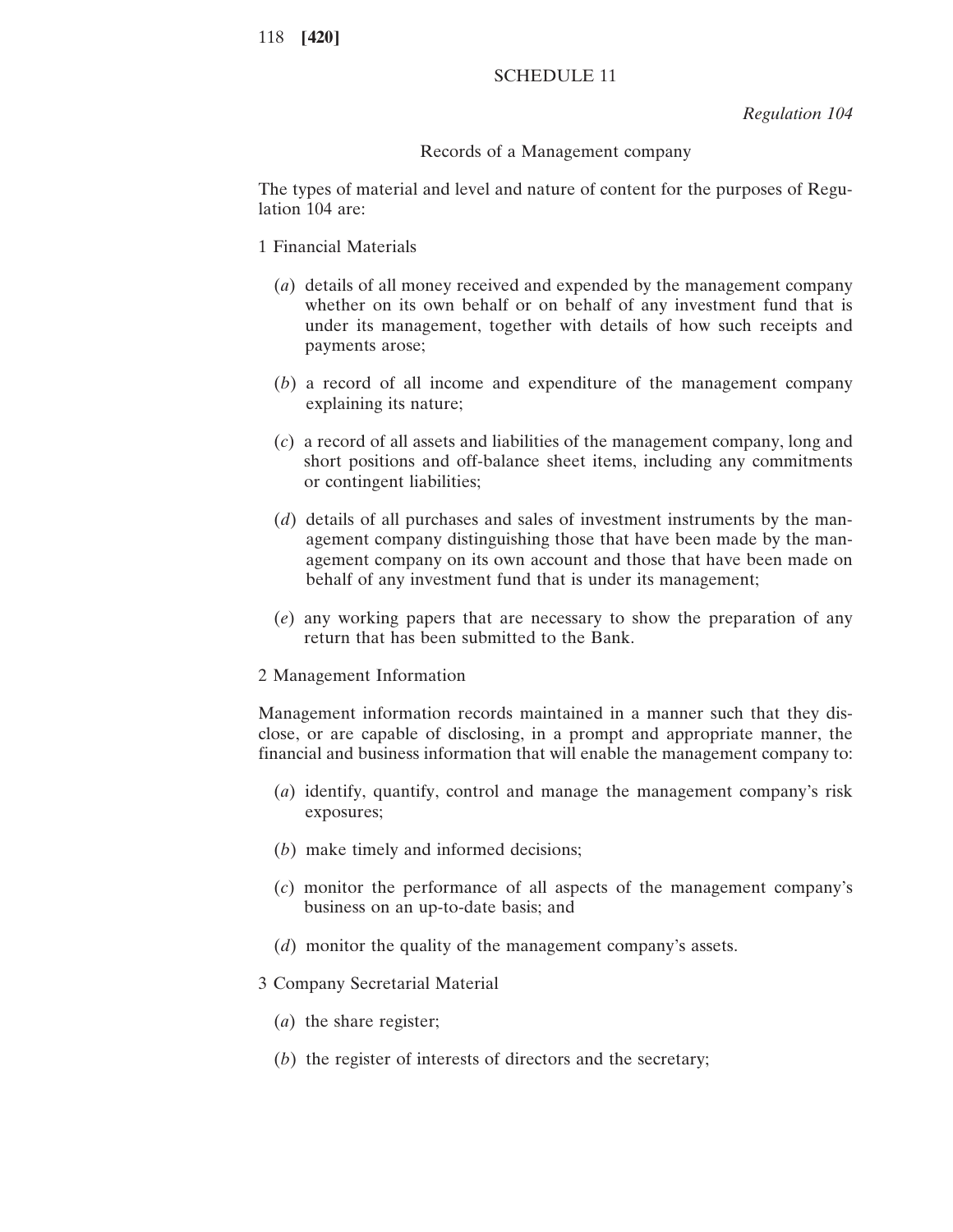# SCHEDULE 11

*Regulation 104*

## Records of a Management company

The types of material and level and nature of content for the purposes of Regulation 104 are:

## 1 Financial Materials

- (*a*) details of all money received and expended by the management company whether on its own behalf or on behalf of any investment fund that is under its management, together with details of how such receipts and payments arose;
- (*b*) a record of all income and expenditure of the management company explaining its nature;
- (*c*) a record of all assets and liabilities of the management company, long and short positions and off-balance sheet items, including any commitments or contingent liabilities;
- (*d*) details of all purchases and sales of investment instruments by the management company distinguishing those that have been made by the management company on its own account and those that have been made on behalf of any investment fund that is under its management;
- (*e*) any working papers that are necessary to show the preparation of any return that has been submitted to the Bank.

## 2 Management Information

Management information records maintained in a manner such that they disclose, or are capable of disclosing, in a prompt and appropriate manner, the financial and business information that will enable the management company to:

- (*a*) identify, quantify, control and manage the management company's risk exposures;
- (*b*) make timely and informed decisions;
- (*c*) monitor the performance of all aspects of the management company's business on an up-to-date basis; and
- (*d*) monitor the quality of the management company's assets.
- 3 Company Secretarial Material
	- (*a*) the share register;
	- (*b*) the register of interests of directors and the secretary;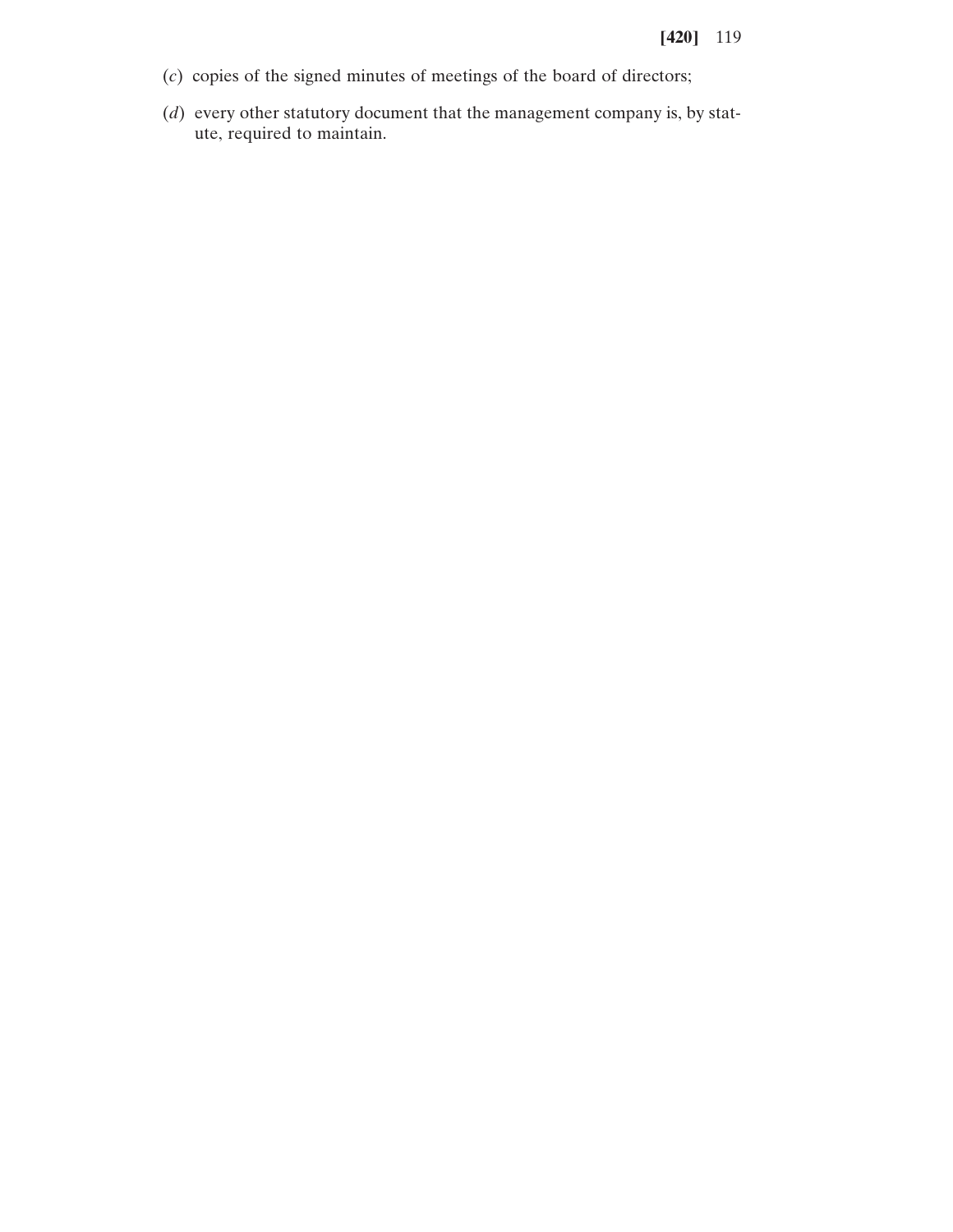- (*c*) copies of the signed minutes of meetings of the board of directors;
- (*d*) every other statutory document that the management company is, by statute, required to maintain.